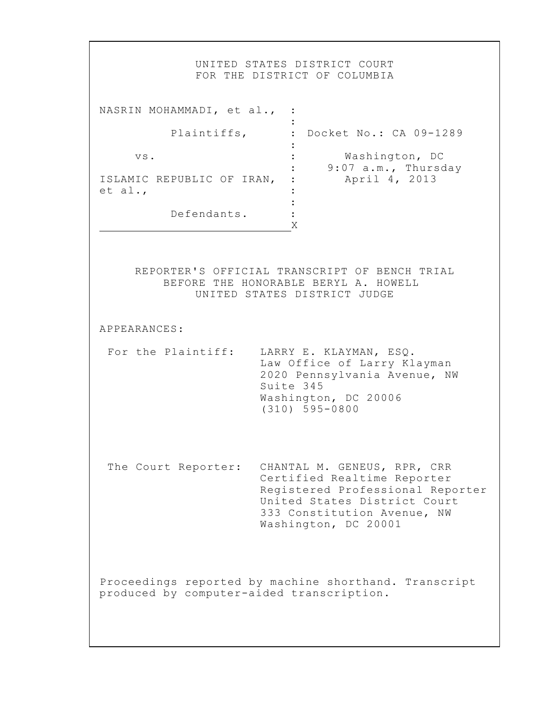|                                                            | UNITED STATES DISTRICT COURT<br>FOR THE DISTRICT OF COLUMBIA                                                                                                                          |
|------------------------------------------------------------|---------------------------------------------------------------------------------------------------------------------------------------------------------------------------------------|
| NASRIN MOHAMMADI, et al., :                                |                                                                                                                                                                                       |
| Plaintiffs,                                                | : Docket No.: CA 09-1289                                                                                                                                                              |
| VS.<br>ISLAMIC REPUBLIC OF IRAN,<br>et al.,<br>Defendants. | Washington, DC<br>9:07 a.m., Thursday<br>April 4, 2013<br>Χ                                                                                                                           |
| APPEARANCES:                                               | REPORTER'S OFFICIAL TRANSCRIPT OF BENCH TRIAL<br>BEFORE THE HONORABLE BERYL A. HOWELL<br>UNITED STATES DISTRICT JUDGE                                                                 |
| For the Plaintiff:                                         | LARRY E. KLAYMAN, ESQ.<br>Law Office of Larry Klayman<br>2020 Pennsylvania Avenue, NW<br>Suite 345<br>Washington, DC 20006<br>$(310)$ 595-0800                                        |
| The Court Reporter:                                        | CHANTAL M. GENEUS, RPR, CRR<br>Certified Realtime Reporter<br>Registered Professional Reporter<br>United States District Court<br>333 Constitution Avenue, NW<br>Washington, DC 20001 |
| produced by computer-aided transcription.                  | Proceedings reported by machine shorthand. Transcript                                                                                                                                 |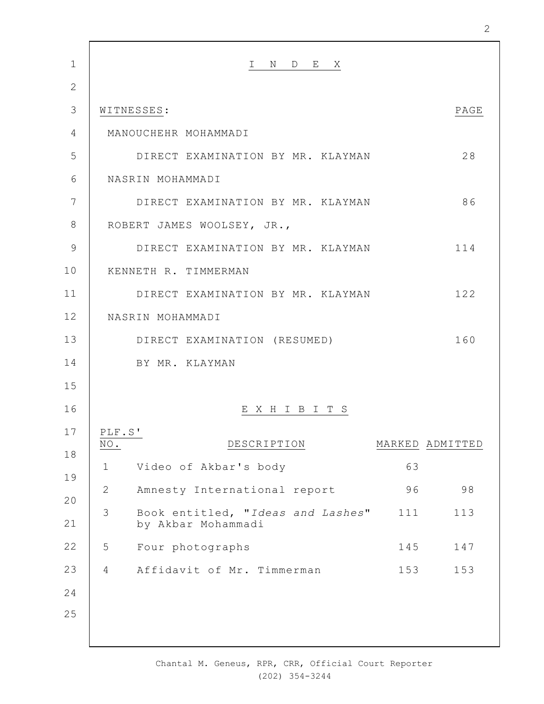| $\mathbf 1$    |                                                                     |      |
|----------------|---------------------------------------------------------------------|------|
|                | I N D E X                                                           |      |
| $\overline{2}$ |                                                                     |      |
| 3              | WITNESSES:                                                          | PAGE |
| 4              | MANOUCHEHR MOHAMMADI                                                |      |
| 5              | DIRECT EXAMINATION BY MR. KLAYMAN                                   | 28   |
| 6              | NASRIN MOHAMMADI                                                    |      |
| $\overline{7}$ | DIRECT EXAMINATION BY MR. KLAYMAN                                   | 86   |
| 8              | ROBERT JAMES WOOLSEY, JR.,                                          |      |
| 9              | DIRECT EXAMINATION BY MR. KLAYMAN                                   | 114  |
| 10             | KENNETH R. TIMMERMAN                                                |      |
| 11             | DIRECT EXAMINATION BY MR. KLAYMAN                                   | 122  |
| 12             | NASRIN MOHAMMADI                                                    |      |
| 13             | DIRECT EXAMINATION (RESUMED)                                        | 160  |
| 14             | BY MR. KLAYMAN                                                      |      |
| 15             |                                                                     |      |
| 16             | EXHIBITS                                                            |      |
| 17             | PLF.S'                                                              |      |
| 18             | $\overline{\text{NO}}$ .<br>DESCRIPTION<br>MARKED ADMITTED          |      |
| 19             | Video of Akbar's body<br>63<br>$\mathbf 1$                          |      |
| 20             | $\mathbf{2}$<br>Amnesty International report<br>96                  | 98   |
| 21             | 3<br>Book entitled, "Ideas and Lashes"<br>111<br>by Akbar Mohammadi | 113  |
| 22             | 5<br>Four photographs<br>145                                        | 147  |
| 23             | Affidavit of Mr. Timmerman<br>153<br>4                              | 153  |
| 24             |                                                                     |      |
| 25             |                                                                     |      |
|                |                                                                     |      |

2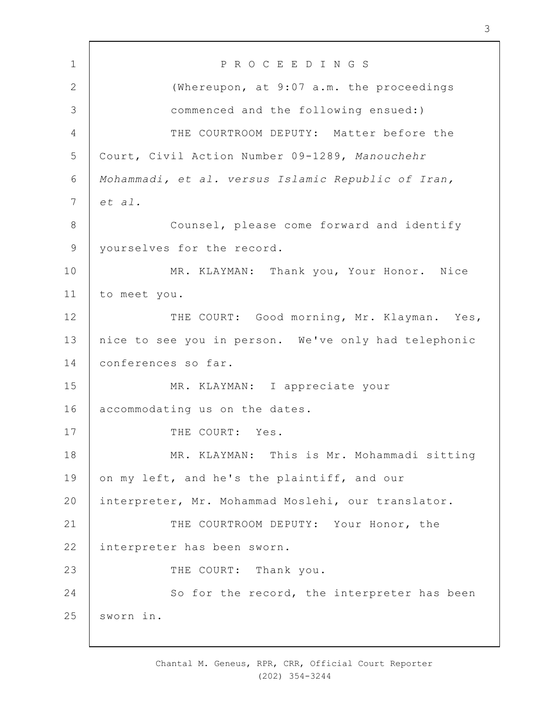1 2 3 4 5 6 7 8 9 10 11 12 13 14 15 16 17 18 19  $20$ 21 22 23 24 25 P R O C E E D I N G S (Whereupon, at 9:07 a.m. the proceedings commenced and the following ensued:) THE COURTROOM DEPUTY: Matter before the Court, Civil Action Number 09-1289, *Manouchehr Mohammadi, et al. versus Islamic Republic of Iran, et al.* Counsel, please come forward and identify yourselves for the record. MR. KLAYMAN: Thank you, Your Honor. Nice to meet you. THE COURT: Good morning, Mr. Klayman. Yes, nice to see you in person. We've only had telephonic conferences so far. MR. KLAYMAN: I appreciate your accommodating us on the dates. THE COURT: Yes. MR. KLAYMAN: This is Mr. Mohammadi sitting on my left, and he's the plaintiff, and our interpreter, Mr. Mohammad Moslehi, our translator. THE COURTROOM DEPUTY: Your Honor, the interpreter has been sworn. THE COURT: Thank you. So for the record, the interpreter has been sworn in.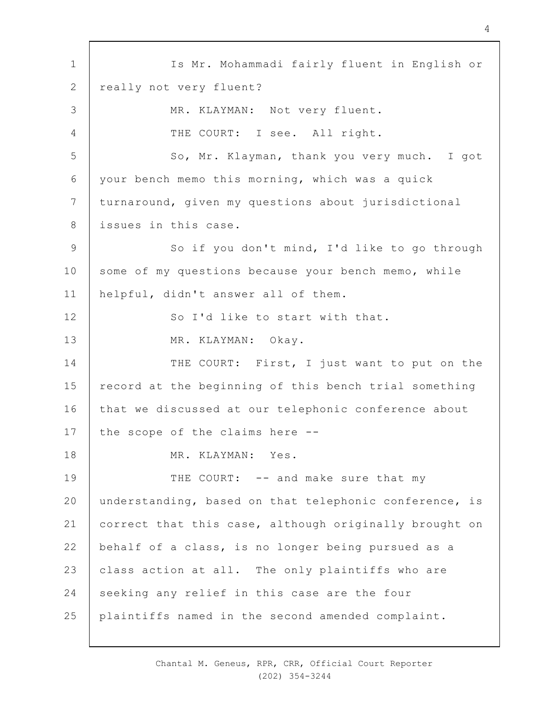1 2 3 4 5 6 7 8 9 10 11 12 13 14 15 16 17 18 19  $20$ 21 22 23 24 25 Is Mr. Mohammadi fairly fluent in English or really not very fluent? MR. KLAYMAN: Not very fluent. THE COURT: I see. All right. So, Mr. Klayman, thank you very much. I got your bench memo this morning, which was a quick turnaround, given my questions about jurisdictional issues in this case. So if you don't mind, I'd like to go through some of my questions because your bench memo, while helpful, didn't answer all of them. So I'd like to start with that. MR. KLAYMAN: Okay. THE COURT: First, I just want to put on the record at the beginning of this bench trial something that we discussed at our telephonic conference about the scope of the claims here -- MR. KLAYMAN: Yes. THE COURT: -- and make sure that my understanding, based on that telephonic conference, is correct that this case, although originally brought on behalf of a class, is no longer being pursued as a class action at all. The only plaintiffs who are seeking any relief in this case are the four plaintiffs named in the second amended complaint.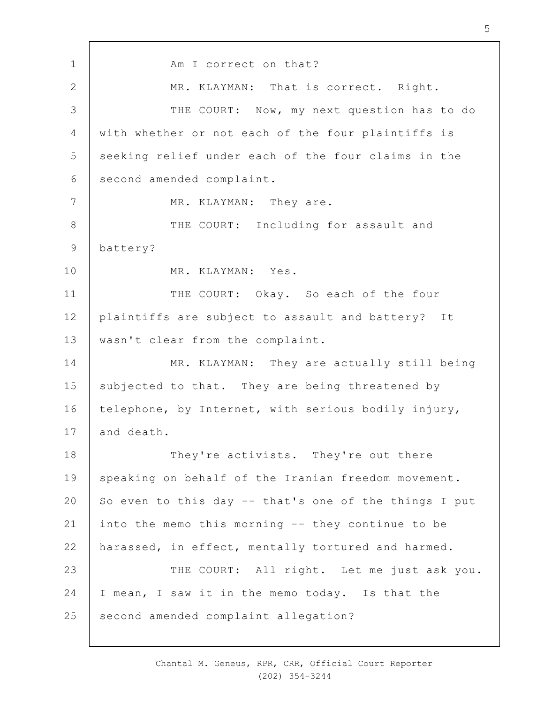1 2 3 4 5 6 7 8 9 10 11 12 13 14 15 16 17 18 19  $20$ 21 22 23 24 25 Am I correct on that? MR. KLAYMAN: That is correct. Right. THE COURT: Now, my next question has to do with whether or not each of the four plaintiffs is seeking relief under each of the four claims in the second amended complaint. MR. KLAYMAN: They are. THE COURT: Including for assault and battery? MR. KLAYMAN: Yes. THE COURT: Okay. So each of the four plaintiffs are subject to assault and battery? It wasn't clear from the complaint. MR. KLAYMAN: They are actually still being subjected to that. They are being threatened by telephone, by Internet, with serious bodily injury, and death. They're activists. They're out there speaking on behalf of the Iranian freedom movement. So even to this day -- that's one of the things I put into the memo this morning -- they continue to be harassed, in effect, mentally tortured and harmed. THE COURT: All right. Let me just ask you. I mean, I saw it in the memo today. Is that the second amended complaint allegation?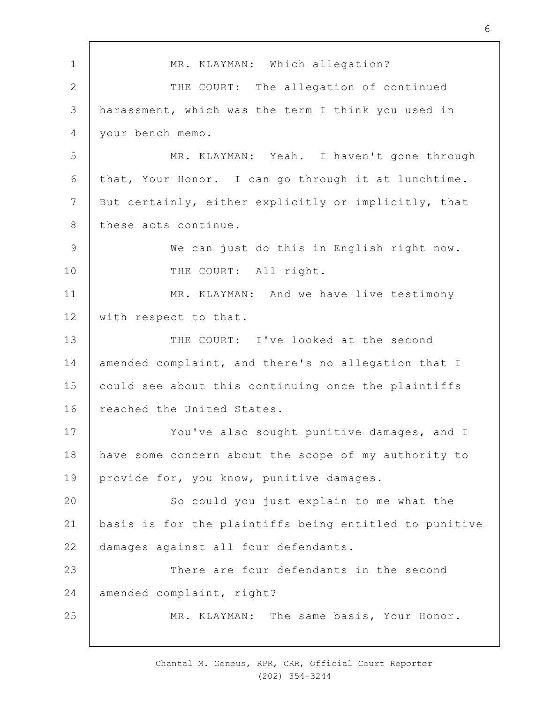1 2 3 4 5 6 7 8 9 10 11 12 13 14 15 16 17 18 19  $20$ 21 22 23 24 25 MR. KLAYMAN: Which allegation? THE COURT: The allegation of continued harassment, which was the term I think you used in your bench memo. MR. KLAYMAN: Yeah. I haven't gone through that, Your Honor. I can go through it at lunchtime. But certainly, either explicitly or implicitly, that these acts continue. We can just do this in English right now. THE COURT: All right. MR. KLAYMAN: And we have live testimony with respect to that. THE COURT: I've looked at the second amended complaint, and there's no allegation that I could see about this continuing once the plaintiffs reached the United States. You've also sought punitive damages, and I have some concern about the scope of my authority to provide for, you know, punitive damages. So could you just explain to me what the basis is for the plaintiffs being entitled to punitive damages against all four defendants. There are four defendants in the second amended complaint, right? MR. KLAYMAN: The same basis, Your Honor.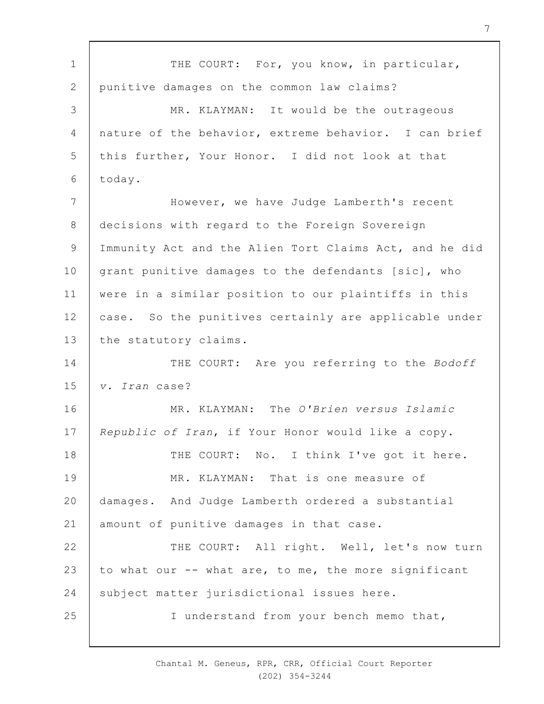1 2 3 4 5 6 7 8 9 10 11 12 13 14 15 16 17 18 19  $20$ 21 22 23 24 25 THE COURT: For, you know, in particular, punitive damages on the common law claims? MR. KLAYMAN: It would be the outrageous nature of the behavior, extreme behavior. I can brief this further, Your Honor. I did not look at that today. However, we have Judge Lamberth's recent decisions with regard to the Foreign Sovereign Immunity Act and the Alien Tort Claims Act, and he did grant punitive damages to the defendants [sic], who were in a similar position to our plaintiffs in this case. So the punitives certainly are applicable under the statutory claims. THE COURT: Are you referring to the *Bodoff v. Iran* case? MR. KLAYMAN: The *O'Brien versus Islamic Republic of Iran*, if Your Honor would like a copy. THE COURT: No. I think I've got it here. MR. KLAYMAN: That is one measure of damages. And Judge Lamberth ordered a substantial amount of punitive damages in that case. THE COURT: All right. Well, let's now turn to what our -- what are, to me, the more significant subject matter jurisdictional issues here. I understand from your bench memo that,

> Chantal M. Geneus, RPR, CRR, Official Court Reporter (202) 354-3244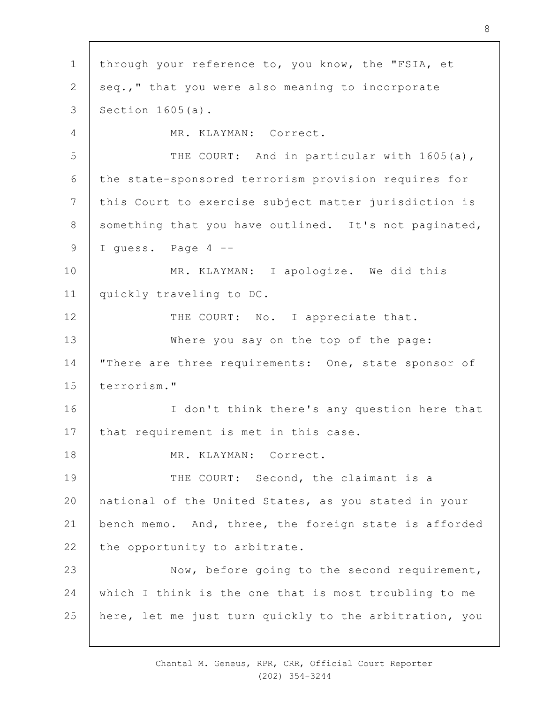1 2 3 4 5 6 7 8 9 10 11 12 13 14 15 16 17 18 19  $20$ 21 22 23 24 25 through your reference to, you know, the "FSIA, et seq.," that you were also meaning to incorporate Section 1605(a). MR. KLAYMAN: Correct. THE COURT: And in particular with 1605(a), the state-sponsored terrorism provision requires for this Court to exercise subject matter jurisdiction is something that you have outlined. It's not paginated, I quess. Page 4 --MR. KLAYMAN: I apologize. We did this quickly traveling to DC. THE COURT: No. I appreciate that. Where you say on the top of the page: "There are three requirements: One, state sponsor of terrorism." I don't think there's any question here that that requirement is met in this case. MR. KLAYMAN: Correct. THE COURT: Second, the claimant is a national of the United States, as you stated in your bench memo. And, three, the foreign state is afforded the opportunity to arbitrate. Now, before going to the second requirement, which I think is the one that is most troubling to me here, let me just turn quickly to the arbitration, you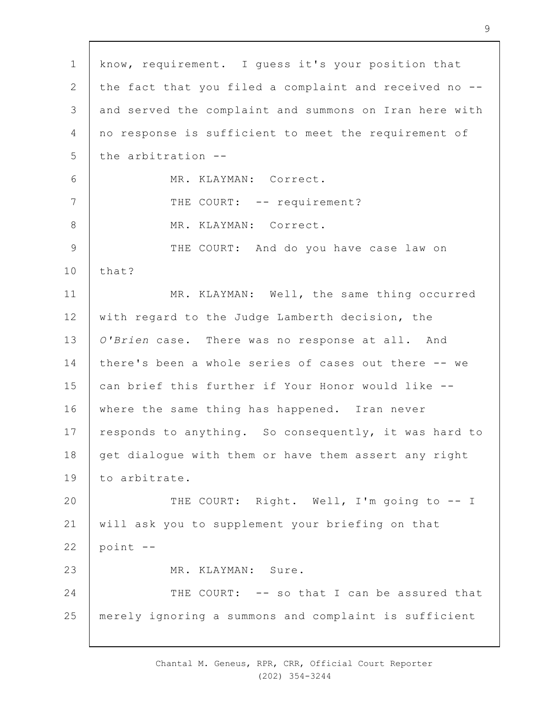1 2 3 4 5 6 7 8 9 10 11 12 13 14 15 16 17 18 19  $20$ 21 22 23 24 25 know, requirement. I guess it's your position that the fact that you filed a complaint and received no - and served the complaint and summons on Iran here with no response is sufficient to meet the requirement of the arbitration -- MR. KLAYMAN: Correct. THE COURT: -- requirement? MR. KLAYMAN: Correct. THE COURT: And do you have case law on that? MR. KLAYMAN: Well, the same thing occurred with regard to the Judge Lamberth decision, the *O'Brien* case. There was no response at all. And there's been a whole series of cases out there -- we can brief this further if Your Honor would like - where the same thing has happened. Iran never responds to anything. So consequently, it was hard to get dialogue with them or have them assert any right to arbitrate. THE COURT: Right. Well, I'm going to -- I will ask you to supplement your briefing on that point -- MR. KLAYMAN: Sure. THE COURT: -- so that I can be assured that merely ignoring a summons and complaint is sufficient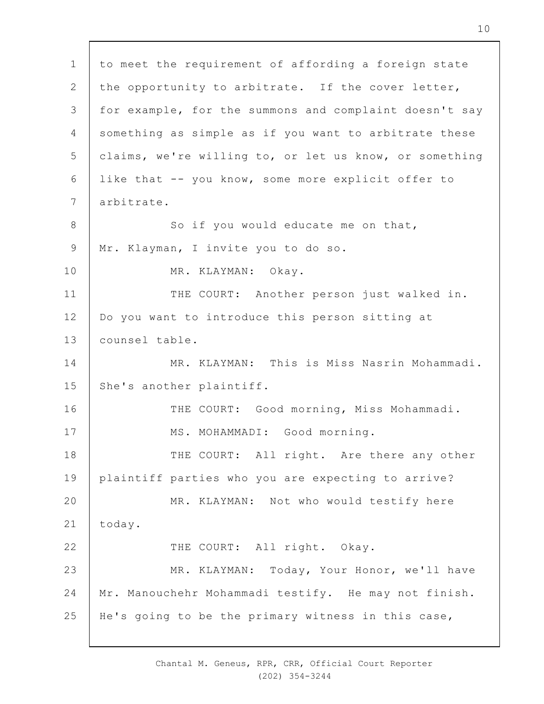1 2 3 4 5 6 7 8 9 10 11 12 13 14 15 16 17 18 19  $20$ 21 22 23 24 25 to meet the requirement of affording a foreign state the opportunity to arbitrate. If the cover letter, for example, for the summons and complaint doesn't say something as simple as if you want to arbitrate these claims, we're willing to, or let us know, or something like that -- you know, some more explicit offer to arbitrate. So if you would educate me on that, Mr. Klayman, I invite you to do so. MR. KLAYMAN: Okay. THE COURT: Another person just walked in. Do you want to introduce this person sitting at counsel table. MR. KLAYMAN: This is Miss Nasrin Mohammadi. She's another plaintiff. THE COURT: Good morning, Miss Mohammadi. MS. MOHAMMADI: Good morning. THE COURT: All right. Are there any other plaintiff parties who you are expecting to arrive? MR. KLAYMAN: Not who would testify here today. THE COURT: All right. Okay. MR. KLAYMAN: Today, Your Honor, we'll have Mr. Manouchehr Mohammadi testify. He may not finish. He's going to be the primary witness in this case,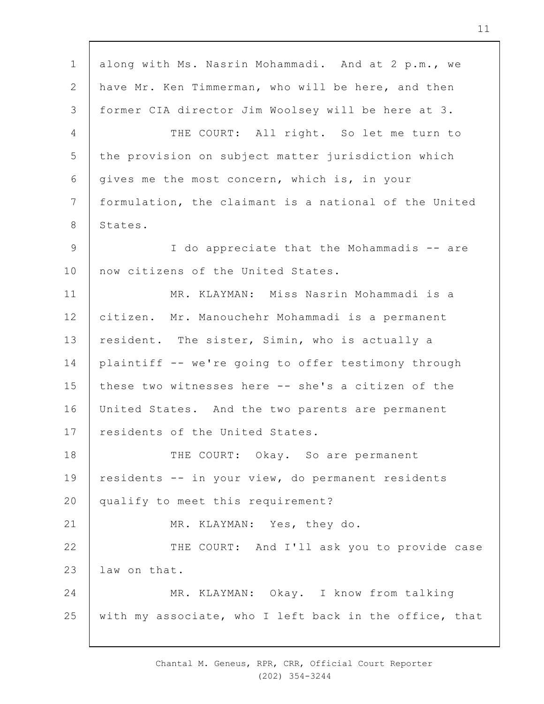1 2 3 4 5 6 7 8 9 10 11 12 13 14 15 16 17 18 19  $20$ 21 22 23 24 25 along with Ms. Nasrin Mohammadi. And at 2 p.m., we have Mr. Ken Timmerman, who will be here, and then former CIA director Jim Woolsey will be here at 3. THE COURT: All right. So let me turn to the provision on subject matter jurisdiction which gives me the most concern, which is, in your formulation, the claimant is a national of the United States. I do appreciate that the Mohammadis -- are now citizens of the United States. MR. KLAYMAN: Miss Nasrin Mohammadi is a citizen. Mr. Manouchehr Mohammadi is a permanent resident. The sister, Simin, who is actually a plaintiff -- we're going to offer testimony through these two witnesses here -- she's a citizen of the United States. And the two parents are permanent residents of the United States. THE COURT: Okay. So are permanent residents -- in your view, do permanent residents qualify to meet this requirement? MR. KLAYMAN: Yes, they do. THE COURT: And I'll ask you to provide case law on that. MR. KLAYMAN: Okay. I know from talking with my associate, who I left back in the office, that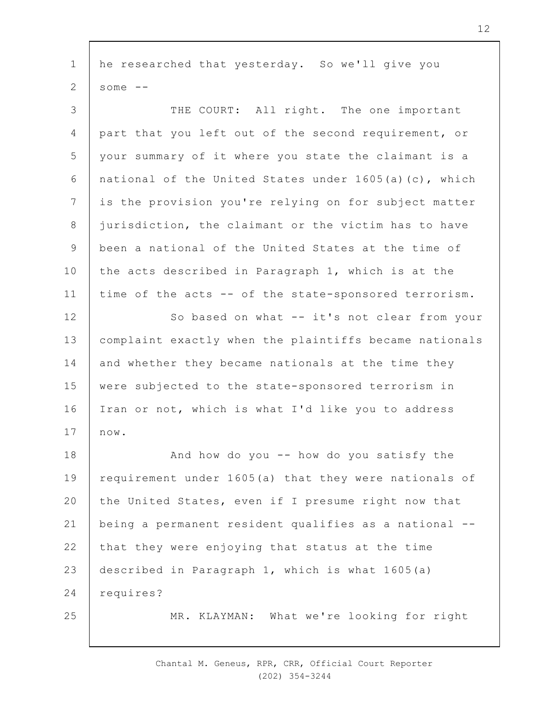1 2 he researched that yesterday. So we'll give you some  $--$ 

3 4 5 6 7 8 9 10 11 12 13 14 15 16 17 THE COURT: All right. The one important part that you left out of the second requirement, or your summary of it where you state the claimant is a national of the United States under  $1605(a)(c)$ , which is the provision you're relying on for subject matter jurisdiction, the claimant or the victim has to have been a national of the United States at the time of the acts described in Paragraph 1, which is at the time of the acts -- of the state-sponsored terrorism. So based on what -- it's not clear from your complaint exactly when the plaintiffs became nationals and whether they became nationals at the time they were subjected to the state-sponsored terrorism in Iran or not, which is what I'd like you to address now.

18 19  $20$ 21 22 23 24 And how do you -- how do you satisfy the requirement under 1605(a) that they were nationals of the United States, even if I presume right now that being a permanent resident qualifies as a national - that they were enjoying that status at the time described in Paragraph 1, which is what 1605(a) requires?

25

MR. KLAYMAN: What we're looking for right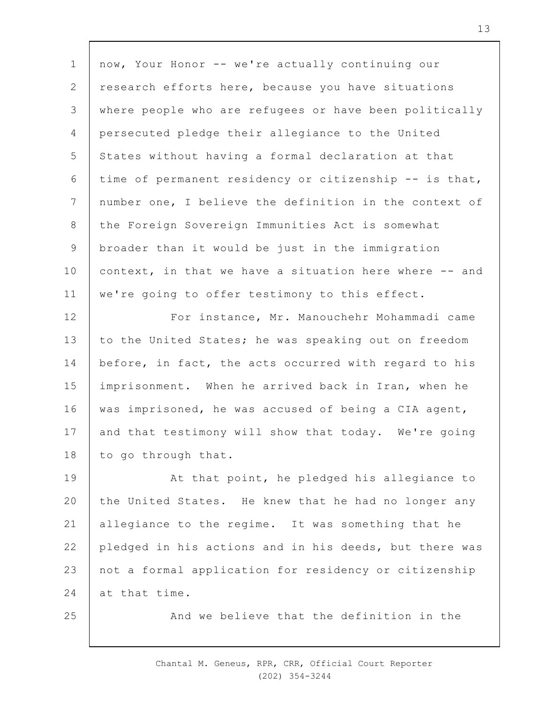1 2 3 4 5 6 7 8 9 10 11 now, Your Honor -- we're actually continuing our research efforts here, because you have situations where people who are refugees or have been politically persecuted pledge their allegiance to the United States without having a formal declaration at that time of permanent residency or citizenship -- is that, number one, I believe the definition in the context of the Foreign Sovereign Immunities Act is somewhat broader than it would be just in the immigration context, in that we have a situation here where -- and we're going to offer testimony to this effect.

12 13 14 15 16 17 18 For instance, Mr. Manouchehr Mohammadi came to the United States; he was speaking out on freedom before, in fact, the acts occurred with regard to his imprisonment. When he arrived back in Iran, when he was imprisoned, he was accused of being a CIA agent, and that testimony will show that today. We're going to go through that.

19  $20$ 21 22 23 24 At that point, he pledged his allegiance to the United States. He knew that he had no longer any allegiance to the regime. It was something that he pledged in his actions and in his deeds, but there was not a formal application for residency or citizenship at that time.

25

And we believe that the definition in the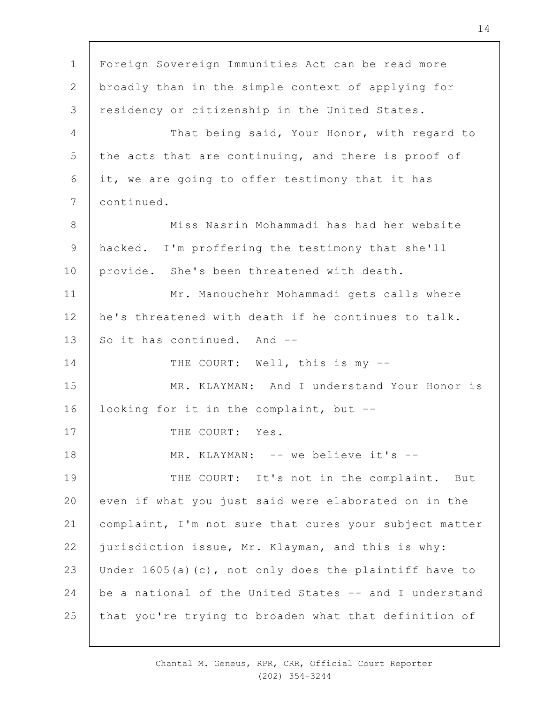1 2 3 4 5 6 7 8 9 10 11 12 13 14 15 16 17 18 19  $20$ 21 22 23 24 25 Foreign Sovereign Immunities Act can be read more broadly than in the simple context of applying for residency or citizenship in the United States. That being said, Your Honor, with regard to the acts that are continuing, and there is proof of it, we are going to offer testimony that it has continued. Miss Nasrin Mohammadi has had her website hacked. I'm proffering the testimony that she'll provide. She's been threatened with death. Mr. Manouchehr Mohammadi gets calls where he's threatened with death if he continues to talk. So it has continued. And --THE COURT: Well, this is my --MR. KLAYMAN: And I understand Your Honor is looking for it in the complaint, but -- THE COURT: Yes. MR. KLAYMAN: -- we believe it's --THE COURT: It's not in the complaint. But even if what you just said were elaborated on in the complaint, I'm not sure that cures your subject matter jurisdiction issue, Mr. Klayman, and this is why: Under 1605(a)(c), not only does the plaintiff have to be a national of the United States -- and I understand that you're trying to broaden what that definition of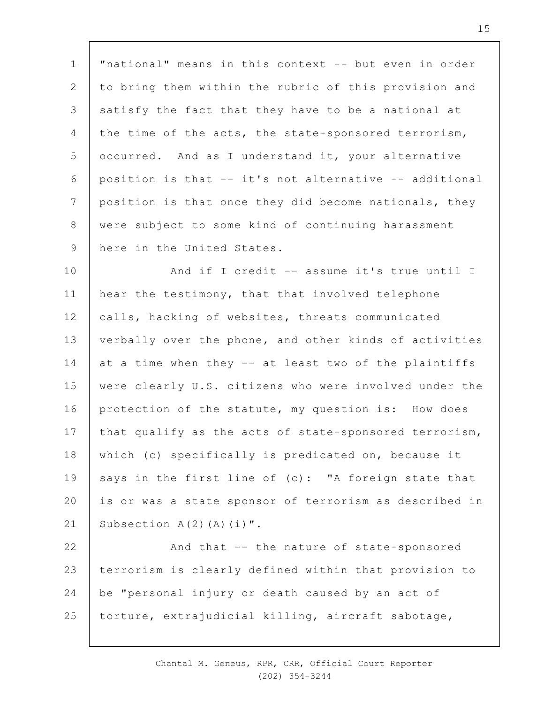1 2 3 4 5 6 7 8 9 "national" means in this context -- but even in order to bring them within the rubric of this provision and satisfy the fact that they have to be a national at the time of the acts, the state-sponsored terrorism, occurred. And as I understand it, your alternative position is that -- it's not alternative -- additional position is that once they did become nationals, they were subject to some kind of continuing harassment here in the United States.

10 11 12 13 14 15 16 17 18 19  $20$ 21 And if I credit -- assume it's true until I hear the testimony, that that involved telephone calls, hacking of websites, threats communicated verbally over the phone, and other kinds of activities at a time when they -- at least two of the plaintiffs were clearly U.S. citizens who were involved under the protection of the statute, my question is: How does that qualify as the acts of state-sponsored terrorism, which (c) specifically is predicated on, because it says in the first line of  $(c)$ : "A foreign state that is or was a state sponsor of terrorism as described in Subsection  $A(2)$   $(A)$   $(i)$  ".

22 23 24 25 And that -- the nature of state-sponsored terrorism is clearly defined within that provision to be "personal injury or death caused by an act of torture, extrajudicial killing, aircraft sabotage,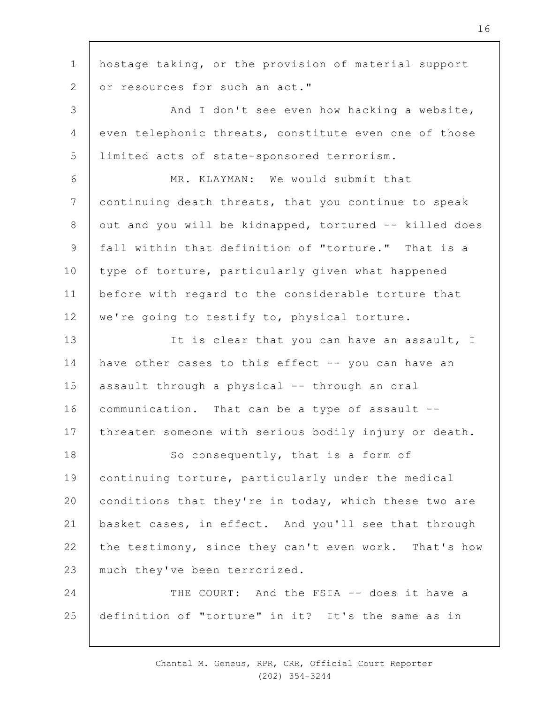1 2 hostage taking, or the provision of material support or resources for such an act."

3 4 5 And I don't see even how hacking a website, even telephonic threats, constitute even one of those limited acts of state-sponsored terrorism.

6 7 8 9 10 11 12 MR. KLAYMAN: We would submit that continuing death threats, that you continue to speak out and you will be kidnapped, tortured -- killed does fall within that definition of "torture." That is a type of torture, particularly given what happened before with regard to the considerable torture that we're going to testify to, physical torture.

13 14 15 16 17 It is clear that you can have an assault, I have other cases to this effect -- you can have an assault through a physical -- through an oral communication. That can be a type of assault - threaten someone with serious bodily injury or death.

18 19  $20$ 21 22 23 So consequently, that is a form of continuing torture, particularly under the medical conditions that they're in today, which these two are basket cases, in effect. And you'll see that through the testimony, since they can't even work. That's how much they've been terrorized.

24 25 THE COURT: And the FSIA -- does it have a definition of "torture" in it? It's the same as in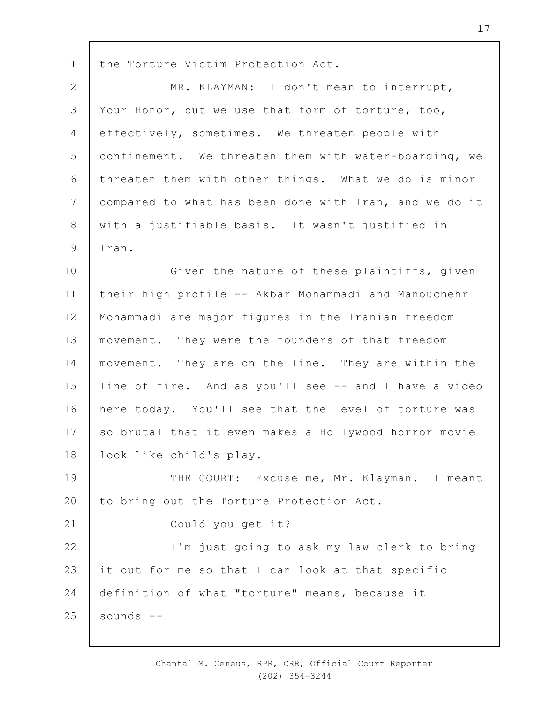1 the Torture Victim Protection Act.

| $\overline{2}$ | MR. KLAYMAN: I don't mean to interrupt,                |
|----------------|--------------------------------------------------------|
| $\mathfrak{Z}$ | Your Honor, but we use that form of torture, too,      |
| $\overline{4}$ | effectively, sometimes. We threaten people with        |
| 5              | confinement. We threaten them with water-boarding, we  |
| 6              | threaten them with other things. What we do is minor   |
| $7\phantom{.}$ | compared to what has been done with Iran, and we do it |
| $\,8\,$        | with a justifiable basis. It wasn't justified in       |
| $\mathcal{G}$  | Iran.                                                  |
| 10             | Given the nature of these plaintiffs, given            |
| 11             | their high profile -- Akbar Mohammadi and Manouchehr   |
| 12             | Mohammadi are major figures in the Iranian freedom     |
| 13             | movement. They were the founders of that freedom       |
| 14             | movement. They are on the line. They are within the    |
| 15             | line of fire. And as you'll see -- and I have a video  |
| 16             | here today. You'll see that the level of torture was   |
| 17             | so brutal that it even makes a Hollywood horror movie  |
| 18             | look like child's play.                                |
| 19             | THE COURT: Excuse me, Mr. Klayman. I meant             |
| 20             | to bring out the Torture Protection Act.               |
| 21             | Could you get it?                                      |
| 22             | I'm just going to ask my law clerk to bring            |
| 23             | it out for me so that I can look at that specific      |
| 24             | definition of what "torture" means, because it         |
| 25             | sounds --                                              |

Chantal M. Geneus, RPR, CRR, Official Court Reporter (202) 354-3244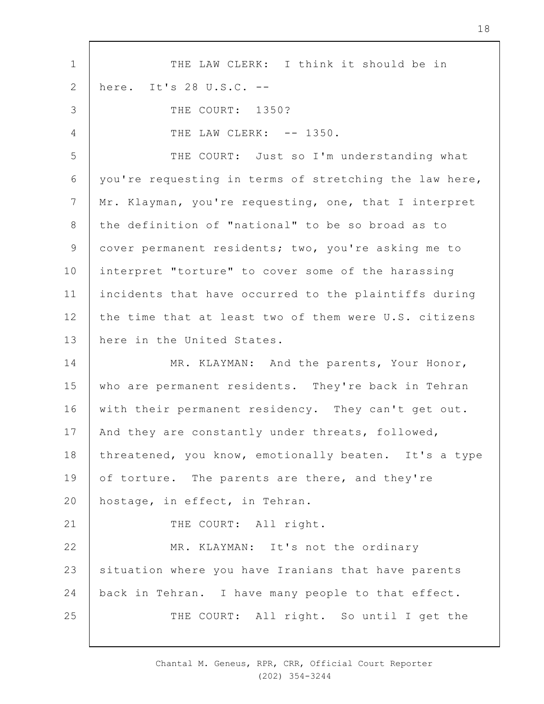1 2 3 4 5 6 7 8 9 10 11 12 13 14 15 16 17 18 19  $20$ 21 22 23 24 25 THE LAW CLERK: I think it should be in here. It's 28 U.S.C. -- THE COURT: 1350? THE LAW CLERK: -- 1350. THE COURT: Just so I'm understanding what you're requesting in terms of stretching the law here, Mr. Klayman, you're requesting, one, that I interpret the definition of "national" to be so broad as to cover permanent residents; two, you're asking me to interpret "torture" to cover some of the harassing incidents that have occurred to the plaintiffs during the time that at least two of them were U.S. citizens here in the United States. MR. KLAYMAN: And the parents, Your Honor, who are permanent residents. They're back in Tehran with their permanent residency. They can't get out. And they are constantly under threats, followed, threatened, you know, emotionally beaten. It's a type of torture. The parents are there, and they're hostage, in effect, in Tehran. THE COURT: All right. MR. KLAYMAN: It's not the ordinary situation where you have Iranians that have parents back in Tehran. I have many people to that effect. THE COURT: All right. So until I get the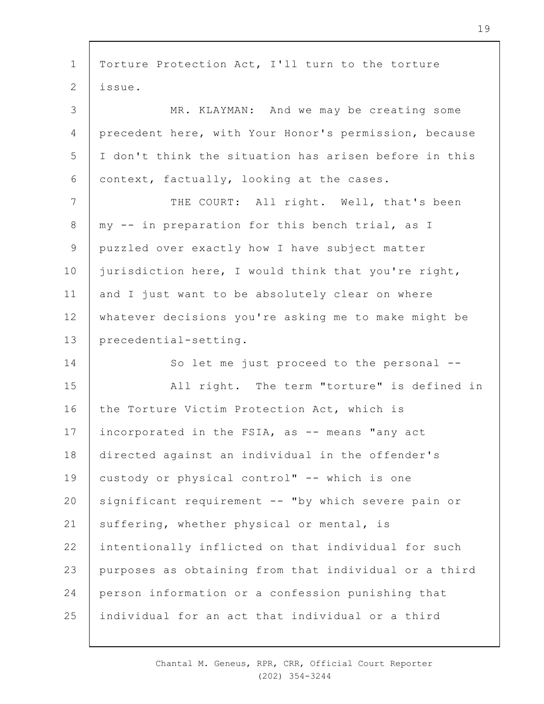1 2 3 4 5 6 7 8 9 10 11 12 13 14 15 16 17 18 19  $20$ 21 22 23 24 25 Torture Protection Act, I'll turn to the torture issue. MR. KLAYMAN: And we may be creating some precedent here, with Your Honor's permission, because I don't think the situation has arisen before in this context, factually, looking at the cases. THE COURT: All right. Well, that's been my -- in preparation for this bench trial, as I puzzled over exactly how I have subject matter jurisdiction here, I would think that you're right, and I just want to be absolutely clear on where whatever decisions you're asking me to make might be precedential-setting. So let me just proceed to the personal -- All right. The term "torture" is defined in the Torture Victim Protection Act, which is incorporated in the FSIA, as -- means "any act directed against an individual in the offender's custody or physical control" -- which is one significant requirement -- "by which severe pain or suffering, whether physical or mental, is intentionally inflicted on that individual for such purposes as obtaining from that individual or a third person information or a confession punishing that individual for an act that individual or a third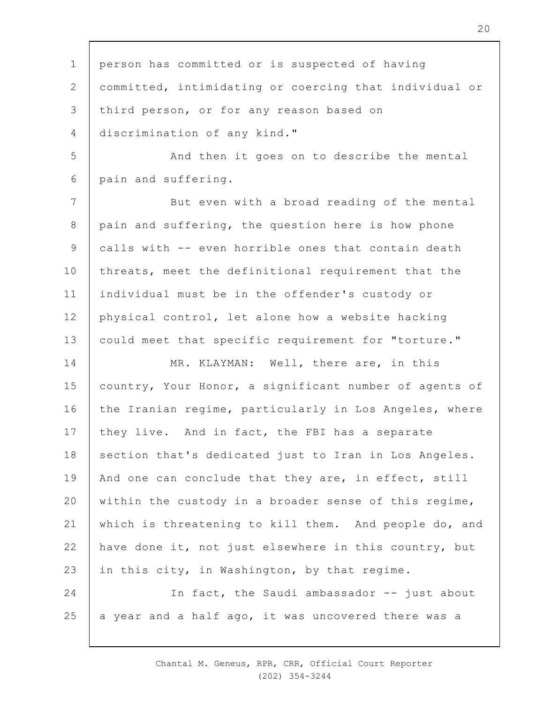1 2 3 4 5 6 7 8 9 10 11 12 13 14 15 16 17 18 19  $20$ 21 22 23 24 25 person has committed or is suspected of having committed, intimidating or coercing that individual or third person, or for any reason based on discrimination of any kind." And then it goes on to describe the mental pain and suffering. But even with a broad reading of the mental pain and suffering, the question here is how phone calls with -- even horrible ones that contain death threats, meet the definitional requirement that the individual must be in the offender's custody or physical control, let alone how a website hacking could meet that specific requirement for "torture." MR. KLAYMAN: Well, there are, in this country, Your Honor, a significant number of agents of the Iranian regime, particularly in Los Angeles, where they live. And in fact, the FBI has a separate section that's dedicated just to Iran in Los Angeles. And one can conclude that they are, in effect, still within the custody in a broader sense of this regime, which is threatening to kill them. And people do, and have done it, not just elsewhere in this country, but in this city, in Washington, by that regime. In fact, the Saudi ambassador -- just about a year and a half ago, it was uncovered there was a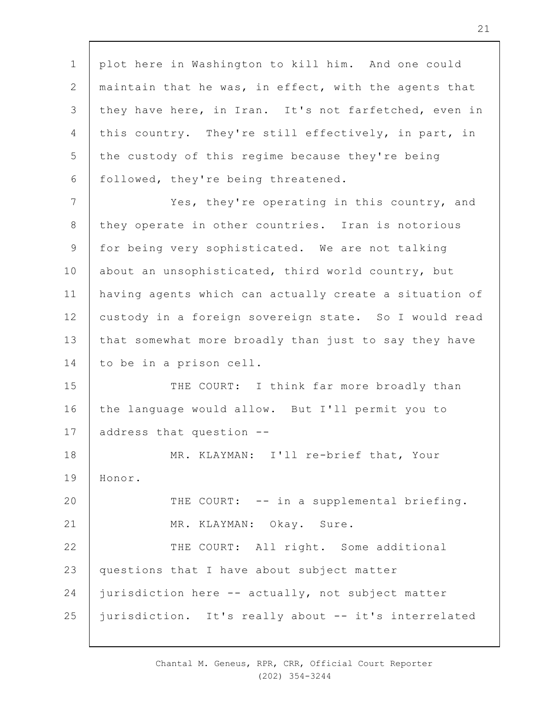1 2 3 4 5 6 plot here in Washington to kill him. And one could maintain that he was, in effect, with the agents that they have here, in Iran. It's not farfetched, even in this country. They're still effectively, in part, in the custody of this regime because they're being followed, they're being threatened.

7 8 9 10 11 12 13 14 Yes, they're operating in this country, and they operate in other countries. Iran is notorious for being very sophisticated. We are not talking about an unsophisticated, third world country, but having agents which can actually create a situation of custody in a foreign sovereign state. So I would read that somewhat more broadly than just to say they have to be in a prison cell.

15 16 17 THE COURT: I think far more broadly than the language would allow. But I'll permit you to address that question --

18 19 MR. KLAYMAN: I'll re-brief that, Your Honor.

 $20$ 21 22 23 24 25 THE COURT: -- in a supplemental briefing. MR. KLAYMAN: Okay. Sure. THE COURT: All right. Some additional questions that I have about subject matter jurisdiction here -- actually, not subject matter jurisdiction. It's really about -- it's interrelated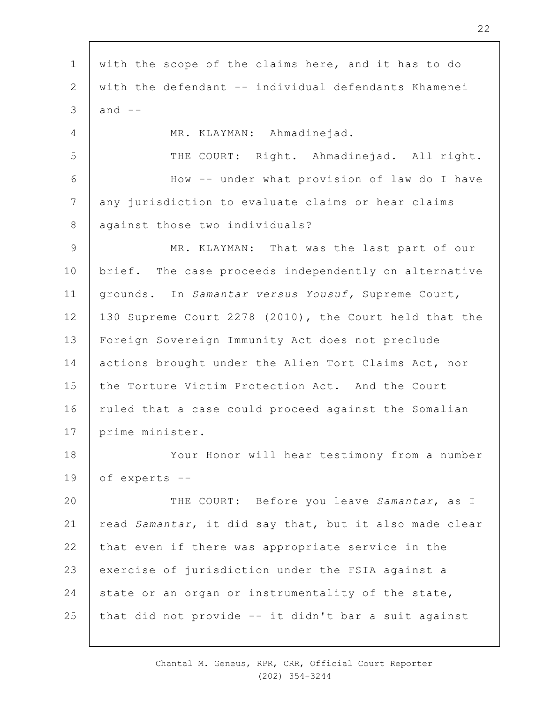1 2 3 4 5 6 7 8 9 10 11 12 13 14 15 16 17 18 19  $20$ 21 22 23 24 25 with the scope of the claims here, and it has to do with the defendant -- individual defendants Khamenei and  $--$ MR. KLAYMAN: Ahmadinejad. THE COURT: Right. Ahmadinejad. All right. How -- under what provision of law do I have any jurisdiction to evaluate claims or hear claims against those two individuals? MR. KLAYMAN: That was the last part of our brief. The case proceeds independently on alternative grounds. In *Samantar versus Yousuf,* Supreme Court, 130 Supreme Court 2278 (2010), the Court held that the Foreign Sovereign Immunity Act does not preclude actions brought under the Alien Tort Claims Act, nor the Torture Victim Protection Act. And the Court ruled that a case could proceed against the Somalian prime minister. Your Honor will hear testimony from a number of experts -- THE COURT: Before you leave *Samantar*, as I read *Samantar*, it did say that, but it also made clear that even if there was appropriate service in the exercise of jurisdiction under the FSIA against a state or an organ or instrumentality of the state, that did not provide -- it didn't bar a suit against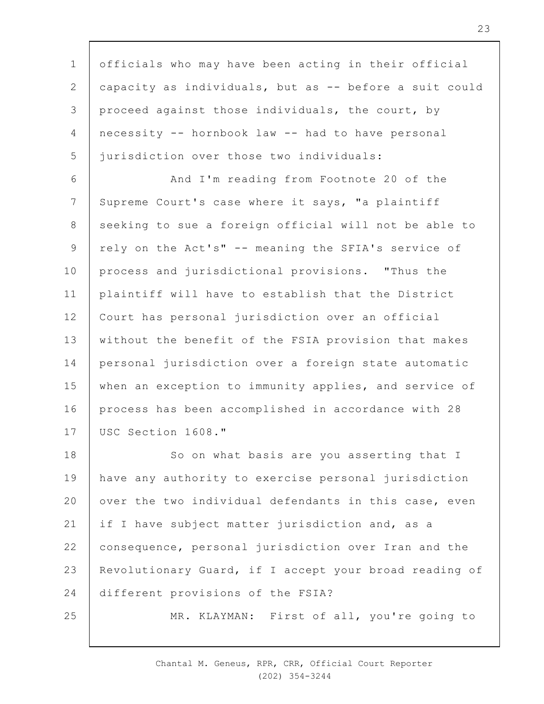1 2 3 4 5 officials who may have been acting in their official capacity as individuals, but as -- before a suit could proceed against those individuals, the court, by necessity -- hornbook law -- had to have personal jurisdiction over those two individuals:

6 7 8 9 10 11 12 13 14 15 16 17 And I'm reading from Footnote 20 of the Supreme Court's case where it says, "a plaintiff seeking to sue a foreign official will not be able to rely on the Act's" -- meaning the SFIA's service of process and jurisdictional provisions. "Thus the plaintiff will have to establish that the District Court has personal jurisdiction over an official without the benefit of the FSIA provision that makes personal jurisdiction over a foreign state automatic when an exception to immunity applies, and service of process has been accomplished in accordance with 28 USC Section 1608."

18 19  $20$ 21 22 23 24 So on what basis are you asserting that I have any authority to exercise personal jurisdiction over the two individual defendants in this case, even if I have subject matter jurisdiction and, as a consequence, personal jurisdiction over Iran and the Revolutionary Guard, if I accept your broad reading of different provisions of the FSIA?

25

MR. KLAYMAN: First of all, you're going to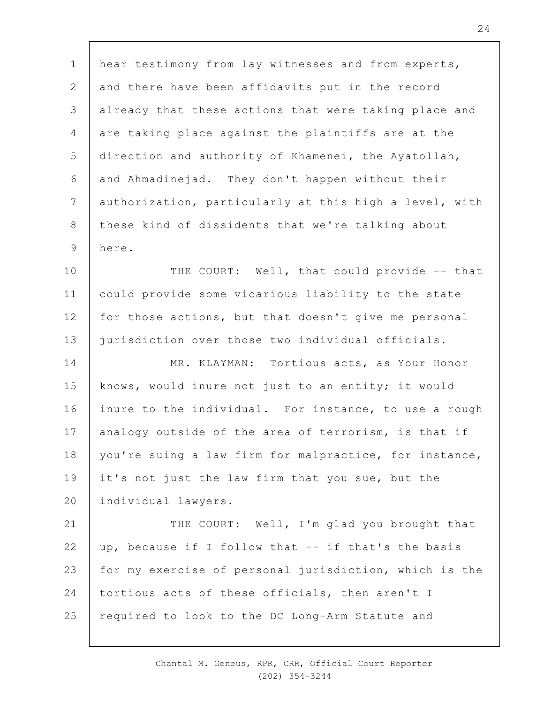1 2 3 4 5 6 7 8 9 hear testimony from lay witnesses and from experts, and there have been affidavits put in the record already that these actions that were taking place and are taking place against the plaintiffs are at the direction and authority of Khamenei, the Ayatollah, and Ahmadinejad. They don't happen without their authorization, particularly at this high a level, with these kind of dissidents that we're talking about here.

10 11 12 13 THE COURT: Well, that could provide -- that could provide some vicarious liability to the state for those actions, but that doesn't give me personal jurisdiction over those two individual officials.

14 15 16 17 18 19  $20$ MR. KLAYMAN: Tortious acts, as Your Honor knows, would inure not just to an entity; it would inure to the individual. For instance, to use a rough analogy outside of the area of terrorism, is that if you're suing a law firm for malpractice, for instance, it's not just the law firm that you sue, but the individual lawyers.

21 22 23 24 25 THE COURT: Well, I'm glad you brought that up, because if I follow that -- if that's the basis for my exercise of personal jurisdiction, which is the tortious acts of these officials, then aren't I required to look to the DC Long-Arm Statute and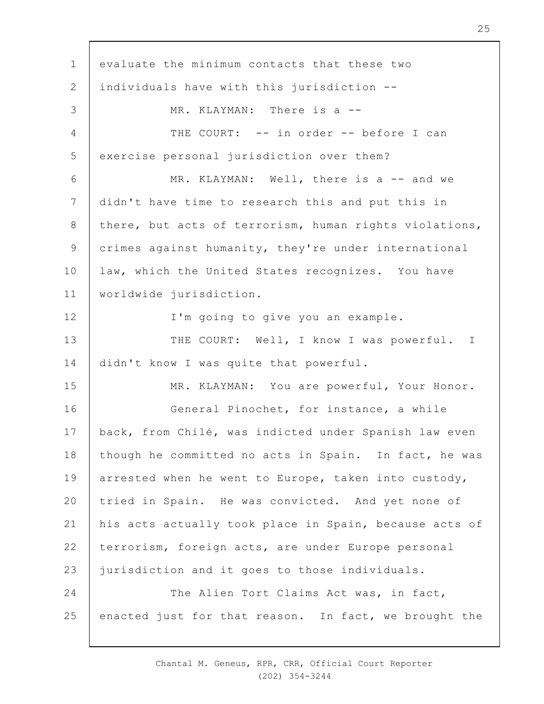1 2 3 4 5 6 7 8 9 10 11 12 13 14 15 16 17 18 19  $20$ 21 22 23 24 25 evaluate the minimum contacts that these two individuals have with this jurisdiction -- MR. KLAYMAN: There is a --THE COURT: -- in order -- before I can exercise personal jurisdiction over them? MR. KLAYMAN: Well, there is a -- and we didn't have time to research this and put this in there, but acts of terrorism, human rights violations, crimes against humanity, they're under international law, which the United States recognizes. You have worldwide jurisdiction. I'm going to give you an example. THE COURT: Well, I know I was powerful. I didn't know I was quite that powerful. MR. KLAYMAN: You are powerful, Your Honor. General Pinochet, for instance, a while back, from Chilé, was indicted under Spanish law even though he committed no acts in Spain. In fact, he was arrested when he went to Europe, taken into custody, tried in Spain. He was convicted. And yet none of his acts actually took place in Spain, because acts of terrorism, foreign acts, are under Europe personal jurisdiction and it goes to those individuals. The Alien Tort Claims Act was, in fact, enacted just for that reason. In fact, we brought the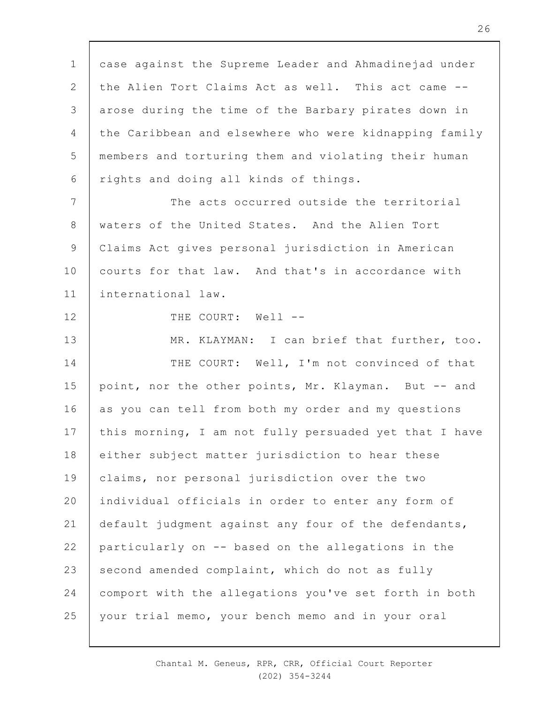1 2 3 4 5 6 7 8 9 10 11 12 13 14 15 16 17 18 19  $20$ 21 22 23 24 25 case against the Supreme Leader and Ahmadinejad under the Alien Tort Claims Act as well. This act came - arose during the time of the Barbary pirates down in the Caribbean and elsewhere who were kidnapping family members and torturing them and violating their human rights and doing all kinds of things. The acts occurred outside the territorial waters of the United States. And the Alien Tort Claims Act gives personal jurisdiction in American courts for that law. And that's in accordance with international law. THE COURT: Well --MR. KLAYMAN: I can brief that further, too. THE COURT: Well, I'm not convinced of that point, nor the other points, Mr. Klayman. But -- and as you can tell from both my order and my questions this morning, I am not fully persuaded yet that I have either subject matter jurisdiction to hear these claims, nor personal jurisdiction over the two individual officials in order to enter any form of default judgment against any four of the defendants, particularly on -- based on the allegations in the second amended complaint, which do not as fully comport with the allegations you've set forth in both your trial memo, your bench memo and in your oral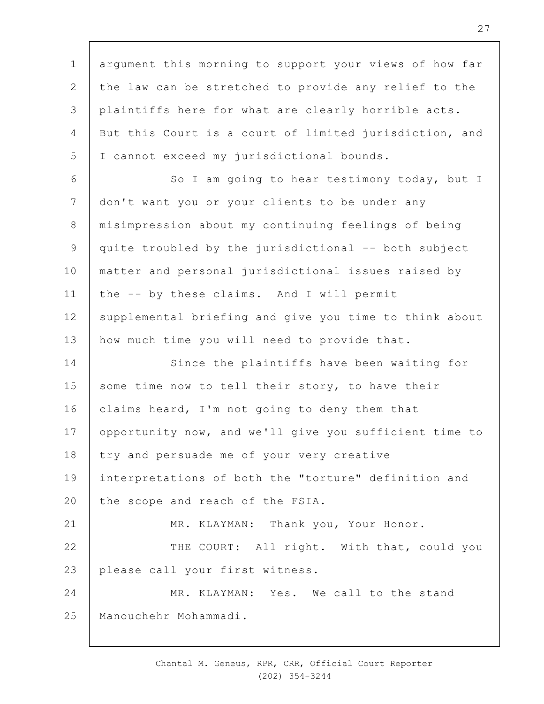1 2 3 4 5 6 7 8 9 10 11 12 13 14 15 16 17 18 19  $20$ 21 22 23 24 25 argument this morning to support your views of how far the law can be stretched to provide any relief to the plaintiffs here for what are clearly horrible acts. But this Court is a court of limited jurisdiction, and I cannot exceed my jurisdictional bounds. So I am going to hear testimony today, but I don't want you or your clients to be under any misimpression about my continuing feelings of being quite troubled by the jurisdictional -- both subject matter and personal jurisdictional issues raised by the -- by these claims. And I will permit supplemental briefing and give you time to think about how much time you will need to provide that. Since the plaintiffs have been waiting for some time now to tell their story, to have their claims heard, I'm not going to deny them that opportunity now, and we'll give you sufficient time to try and persuade me of your very creative interpretations of both the "torture" definition and the scope and reach of the FSIA. MR. KLAYMAN: Thank you, Your Honor. THE COURT: All right. With that, could you please call your first witness. MR. KLAYMAN: Yes. We call to the stand Manouchehr Mohammadi.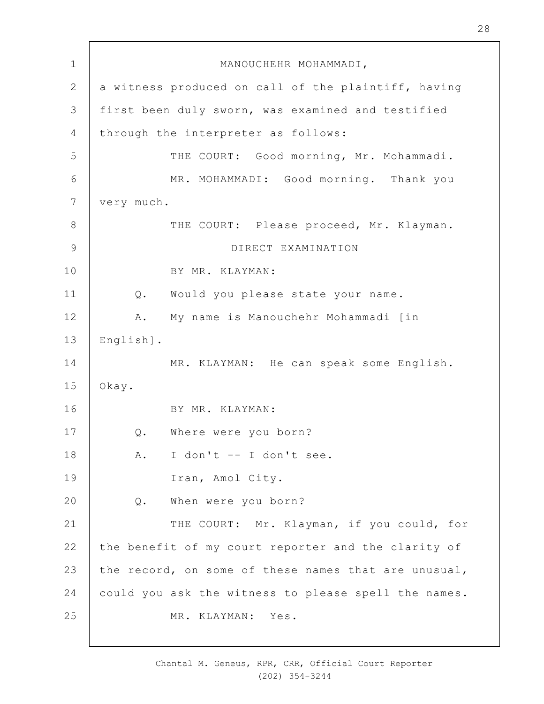| $\mathbf 1$    | MANOUCHEHR MOHAMMADI,                                |
|----------------|------------------------------------------------------|
| $\mathbf{2}$   | a witness produced on call of the plaintiff, having  |
| 3              | first been duly sworn, was examined and testified    |
| 4              | through the interpreter as follows:                  |
| 5              | THE COURT: Good morning, Mr. Mohammadi.              |
| 6              | MR. MOHAMMADI: Good morning. Thank you               |
| $\overline{7}$ | very much.                                           |
| $8\,$          | THE COURT: Please proceed, Mr. Klayman.              |
| $\mathcal{G}$  | DIRECT EXAMINATION                                   |
| 10             | BY MR. KLAYMAN:                                      |
| 11             | Would you please state your name.<br>$Q$ .           |
| 12             | My name is Manouchehr Mohammadi [in<br>Α.            |
| 13             | English].                                            |
| 14             | MR. KLAYMAN: He can speak some English.              |
| 15             | Okay.                                                |
| 16             | BY MR. KLAYMAN:                                      |
| 17             | Q. Where were you born?                              |
| 18             | I don't -- I don't see.<br>Α.                        |
| 19             | Iran, Amol City.                                     |
| 20             | When were you born?<br>Q.                            |
| 21             | THE COURT: Mr. Klayman, if you could, for            |
| 22             | the benefit of my court reporter and the clarity of  |
| 23             | the record, on some of these names that are unusual, |
| 24             | could you ask the witness to please spell the names. |
| 25             | MR. KLAYMAN: Yes.                                    |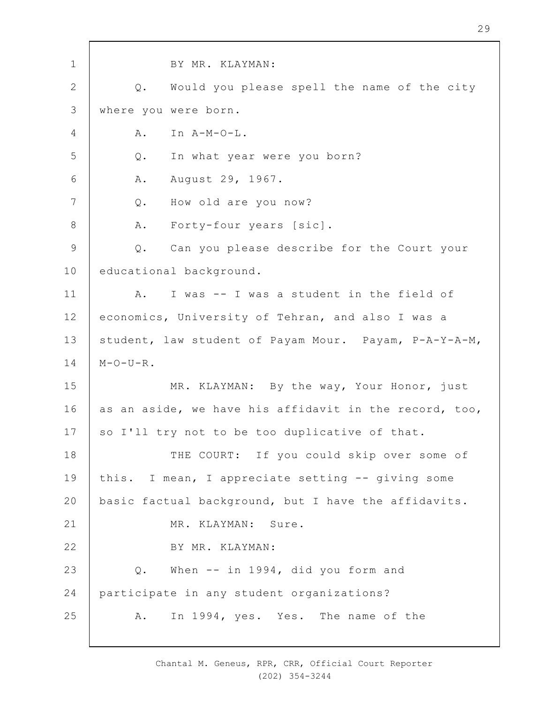1 2 3 4 5 6 7 8 9 10 11 12 13 14 15 16 17 18 19  $20$ 21 22 23 24 25 BY MR. KLAYMAN: Q. Would you please spell the name of the city where you were born.  $A.$  In  $A-M-O-L.$ Q. In what year were you born? A. August 29, 1967. Q. How old are you now? A. Forty-four years [sic]. Q. Can you please describe for the Court your educational background. A. I was -- I was a student in the field of economics, University of Tehran, and also I was a student, law student of Payam Mour. Payam, P-A-Y-A-M,  $M-O-U-R$ . MR. KLAYMAN: By the way, Your Honor, just as an aside, we have his affidavit in the record, too, so I'll try not to be too duplicative of that. THE COURT: If you could skip over some of this. I mean, I appreciate setting -- giving some basic factual background, but I have the affidavits. MR. KLAYMAN: Sure. BY MR. KLAYMAN: Q. When -- in 1994, did you form and participate in any student organizations? A. In 1994, yes. Yes. The name of the

> Chantal M. Geneus, RPR, CRR, Official Court Reporter (202) 354-3244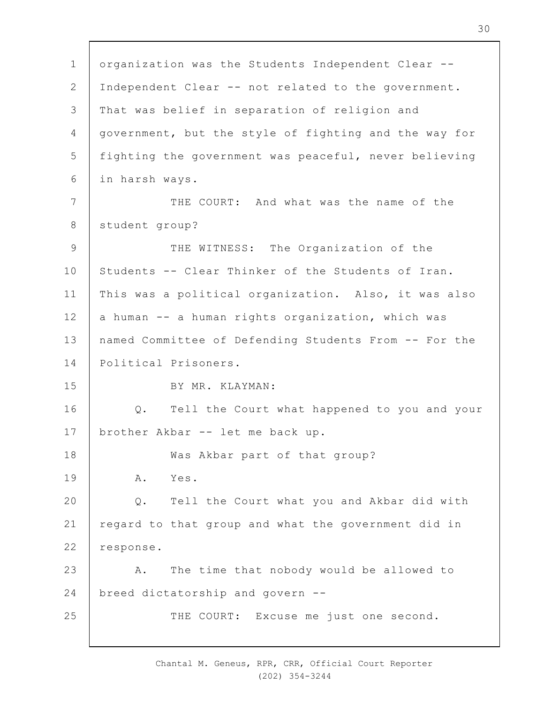1 2 3 4 5 6 7 8 9 10 11 12 13 14 15 16 17 18 19  $20$ 21 22 23 24 25 organization was the Students Independent Clear -- Independent Clear -- not related to the government. That was belief in separation of religion and government, but the style of fighting and the way for fighting the government was peaceful, never believing in harsh ways. THE COURT: And what was the name of the student group? THE WITNESS: The Organization of the Students -- Clear Thinker of the Students of Iran. This was a political organization. Also, it was also a human -- a human rights organization, which was named Committee of Defending Students From -- For the Political Prisoners. BY MR. KLAYMAN: Q. Tell the Court what happened to you and your brother Akbar -- let me back up. Was Akbar part of that group? A. Yes. Q. Tell the Court what you and Akbar did with regard to that group and what the government did in response. A. The time that nobody would be allowed to breed dictatorship and govern -- THE COURT: Excuse me just one second.

> Chantal M. Geneus, RPR, CRR, Official Court Reporter (202) 354-3244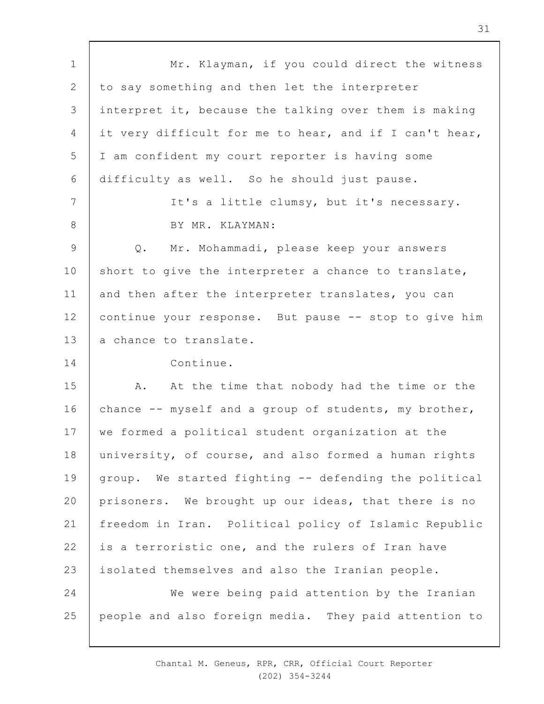1 2 3 4 5 6 7 8 9 10 11 12 13 14 15 16 17 18 19  $20$ 21 22 23 24 25 Mr. Klayman, if you could direct the witness to say something and then let the interpreter interpret it, because the talking over them is making it very difficult for me to hear, and if I can't hear, I am confident my court reporter is having some difficulty as well. So he should just pause. It's a little clumsy, but it's necessary. BY MR. KLAYMAN: Q. Mr. Mohammadi, please keep your answers short to give the interpreter a chance to translate, and then after the interpreter translates, you can continue your response. But pause -- stop to give him a chance to translate. Continue. A. At the time that nobody had the time or the chance -- myself and a group of students, my brother, we formed a political student organization at the university, of course, and also formed a human rights group. We started fighting -- defending the political prisoners. We brought up our ideas, that there is no freedom in Iran. Political policy of Islamic Republic is a terroristic one, and the rulers of Iran have isolated themselves and also the Iranian people. We were being paid attention by the Iranian people and also foreign media. They paid attention to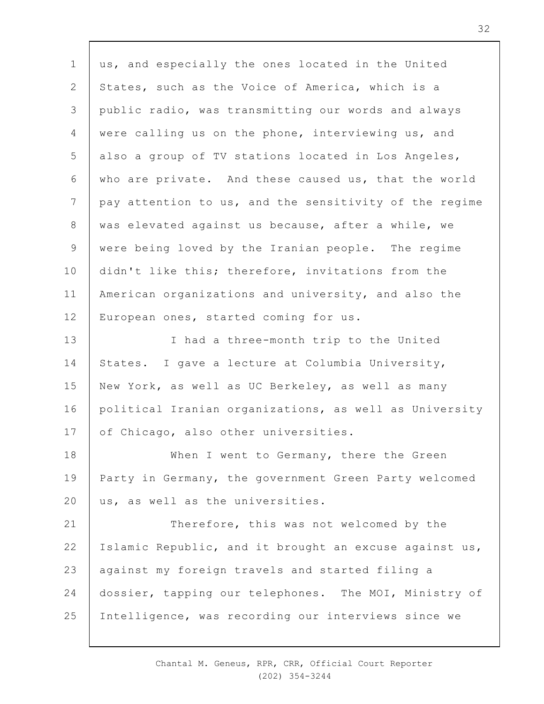1 2 3 4 5 6 7 8 9 10 11 12 13 14 15 16 17 18 19  $20$ 21 22 23 24 25 us, and especially the ones located in the United States, such as the Voice of America, which is a public radio, was transmitting our words and always were calling us on the phone, interviewing us, and also a group of TV stations located in Los Angeles, who are private. And these caused us, that the world pay attention to us, and the sensitivity of the regime was elevated against us because, after a while, we were being loved by the Iranian people. The regime didn't like this; therefore, invitations from the American organizations and university, and also the European ones, started coming for us. I had a three-month trip to the United States. I gave a lecture at Columbia University, New York, as well as UC Berkeley, as well as many political Iranian organizations, as well as University of Chicago, also other universities. When I went to Germany, there the Green Party in Germany, the government Green Party welcomed us, as well as the universities. Therefore, this was not welcomed by the Islamic Republic, and it brought an excuse against us, against my foreign travels and started filing a dossier, tapping our telephones. The MOI, Ministry of Intelligence, was recording our interviews since we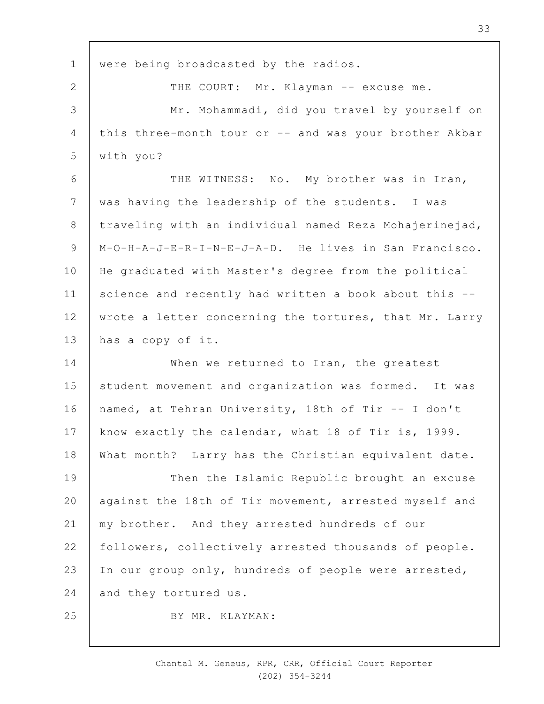| $\mathbf 1$ | were being broadcasted by the radios.                  |
|-------------|--------------------------------------------------------|
| 2           | THE COURT: Mr. Klayman -- excuse me.                   |
| 3           | Mr. Mohammadi, did you travel by yourself on           |
| 4           | this three-month tour or -- and was your brother Akbar |
| 5           | with you?                                              |
| 6           | THE WITNESS: No. My brother was in Iran,               |
| 7           | was having the leadership of the students. I was       |
| 8           | traveling with an individual named Reza Mohajerinejad, |
| 9           | M-O-H-A-J-E-R-I-N-E-J-A-D. He lives in San Francisco.  |
| 10          | He graduated with Master's degree from the political   |
| 11          | science and recently had written a book about this --  |
| 12          | wrote a letter concerning the tortures, that Mr. Larry |
| 13          | has a copy of it.                                      |
| 14          | When we returned to Iran, the greatest                 |
| 15          | student movement and organization was formed. It was   |
| 16          | named, at Tehran University, 18th of Tir -- I don't    |
| 17          | know exactly the calendar, what 18 of Tir is, 1999.    |
| 18          | What month? Larry has the Christian equivalent date.   |
| 19          | Then the Islamic Republic brought an excuse            |
| 20          | against the 18th of Tir movement, arrested myself and  |
| 21          | my brother. And they arrested hundreds of our          |
| 22          | followers, collectively arrested thousands of people.  |
| 23          | In our group only, hundreds of people were arrested,   |
| 24          | and they tortured us.                                  |
| 25          | BY MR. KLAYMAN:                                        |
|             |                                                        |

Chantal M. Geneus, RPR, CRR, Official Court Reporter (202) 354-3244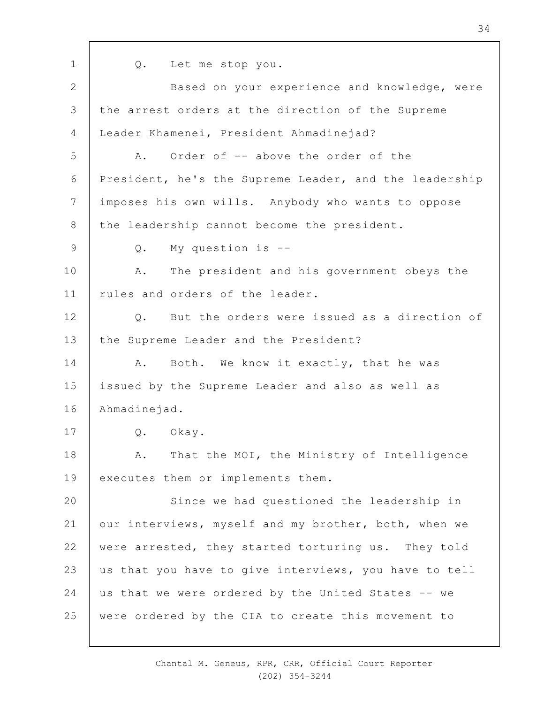Q. Let me stop you.

2 3 4 5 6 7 8 9 10 11 12 13 14 15 16 17 18 19  $20$ 21 22 23 24 25 Based on your experience and knowledge, were the arrest orders at the direction of the Supreme Leader Khamenei, President Ahmadinejad? A. Order of -- above the order of the President, he's the Supreme Leader, and the leadership imposes his own wills. Anybody who wants to oppose the leadership cannot become the president. Q. My question is -- A. The president and his government obeys the rules and orders of the leader. Q. But the orders were issued as a direction of the Supreme Leader and the President? A. Both. We know it exactly, that he was issued by the Supreme Leader and also as well as Ahmadinejad. Q. Okay. A. That the MOI, the Ministry of Intelligence executes them or implements them. Since we had questioned the leadership in our interviews, myself and my brother, both, when we were arrested, they started torturing us. They told us that you have to give interviews, you have to tell us that we were ordered by the United States -- we were ordered by the CIA to create this movement to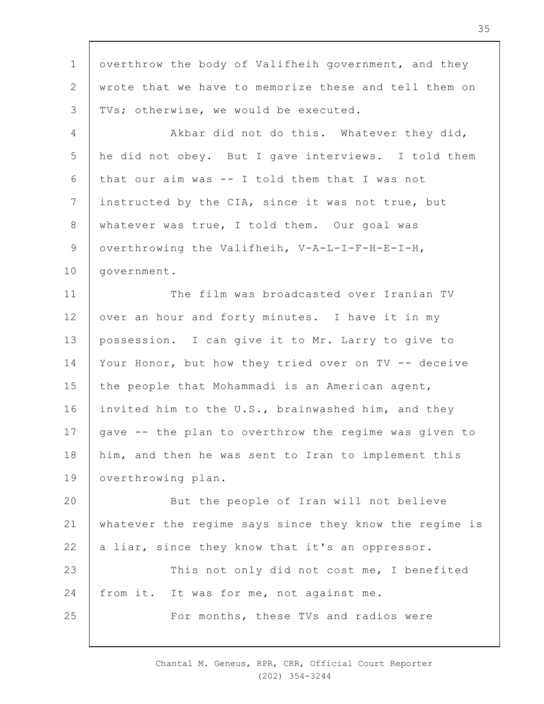1 2 3 4 5 6 7 8 9 10 11 12 13 14 15 16 17 18 19  $20$ 21 22 23 24 25 overthrow the body of Valifheih government, and they wrote that we have to memorize these and tell them on TVs; otherwise, we would be executed. Akbar did not do this. Whatever they did, he did not obey. But I gave interviews. I told them that our aim was -- I told them that I was not instructed by the CIA, since it was not true, but whatever was true, I told them. Our goal was overthrowing the Valifheih, V-A-L-I-F-H-E-I-H, government. The film was broadcasted over Iranian TV over an hour and forty minutes. I have it in my possession. I can give it to Mr. Larry to give to Your Honor, but how they tried over on TV -- deceive the people that Mohammadi is an American agent, invited him to the U.S., brainwashed him, and they gave -- the plan to overthrow the regime was given to him, and then he was sent to Iran to implement this overthrowing plan. But the people of Iran will not believe whatever the regime says since they know the regime is a liar, since they know that it's an oppressor. This not only did not cost me, I benefited from it. It was for me, not against me. For months, these TVs and radios were

> Chantal M. Geneus, RPR, CRR, Official Court Reporter (202) 354-3244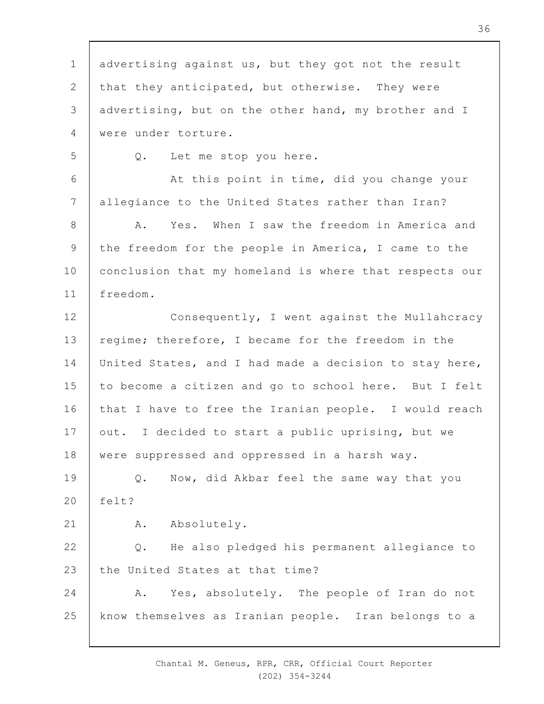1 2 3 4 5 6 7 8 9 10 11 12 13 14 15 16 17 18 19  $20$ 21 22 23 24 25 advertising against us, but they got not the result that they anticipated, but otherwise. They were advertising, but on the other hand, my brother and I were under torture. Q. Let me stop you here. At this point in time, did you change your allegiance to the United States rather than Iran? A. Yes. When I saw the freedom in America and the freedom for the people in America, I came to the conclusion that my homeland is where that respects our freedom. Consequently, I went against the Mullahcracy regime; therefore, I became for the freedom in the United States, and I had made a decision to stay here, to become a citizen and go to school here. But I felt that I have to free the Iranian people. I would reach out. I decided to start a public uprising, but we were suppressed and oppressed in a harsh way. Q. Now, did Akbar feel the same way that you  $f \ominus 1 + 2$ A. Absolutely. Q. He also pledged his permanent allegiance to the United States at that time? A. Yes, absolutely. The people of Iran do not know themselves as Iranian people. Iran belongs to a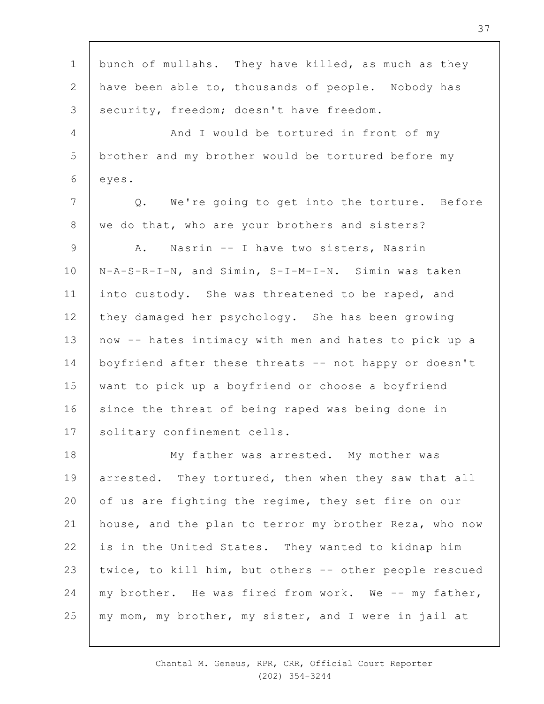1 2 3 4 5 6 7 8 9 10 11 12 13 14 15 16 17 18 19  $20$ 21 22 23 24 25 bunch of mullahs. They have killed, as much as they have been able to, thousands of people. Nobody has security, freedom; doesn't have freedom. And I would be tortured in front of my brother and my brother would be tortured before my eyes. Q. We're going to get into the torture. Before we do that, who are your brothers and sisters? A. Nasrin -- I have two sisters, Nasrin N-A-S-R-I-N, and Simin, S-I-M-I-N. Simin was taken into custody. She was threatened to be raped, and they damaged her psychology. She has been growing now -- hates intimacy with men and hates to pick up a boyfriend after these threats -- not happy or doesn't want to pick up a boyfriend or choose a boyfriend since the threat of being raped was being done in solitary confinement cells. My father was arrested. My mother was arrested. They tortured, then when they saw that all of us are fighting the regime, they set fire on our house, and the plan to terror my brother Reza, who now is in the United States. They wanted to kidnap him twice, to kill him, but others -- other people rescued my brother. He was fired from work. We -- my father, my mom, my brother, my sister, and I were in jail at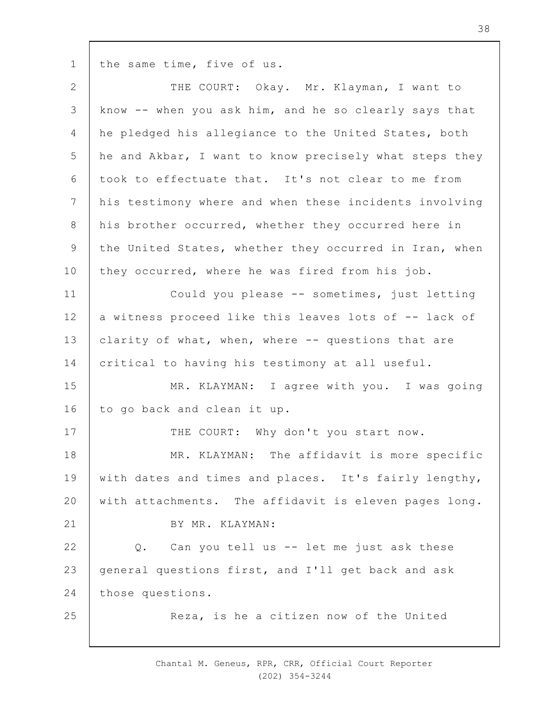1 the same time, five of us.

| $\mathbf{2}$   | THE COURT: Okay. Mr. Klayman, I want to                |
|----------------|--------------------------------------------------------|
| 3              | know -- when you ask him, and he so clearly says that  |
| 4              | he pledged his allegiance to the United States, both   |
| 5              | he and Akbar, I want to know precisely what steps they |
| 6              | took to effectuate that. It's not clear to me from     |
| $7\phantom{.}$ | his testimony where and when these incidents involving |
| 8              | his brother occurred, whether they occurred here in    |
| $\mathcal{G}$  | the United States, whether they occurred in Iran, when |
| 10             | they occurred, where he was fired from his job.        |
| 11             | Could you please -- sometimes, just letting            |
| 12             | a witness proceed like this leaves lots of -- lack of  |
| 13             | clarity of what, when, where -- questions that are     |
| 14             | critical to having his testimony at all useful.        |
| 15             | MR. KLAYMAN: I agree with you. I was going             |
| 16             | to go back and clean it up.                            |
| 17             | THE COURT: Why don't you start now.                    |
| 18             | MR. KLAYMAN: The affidavit is more specific            |
| 19             | with dates and times and places. It's fairly lengthy,  |
| 20             | with attachments. The affidavit is eleven pages long.  |
| 21             | BY MR. KLAYMAN:                                        |
| 22             | Can you tell us -- let me just ask these<br>$Q$ .      |
| 23             | general questions first, and I'll get back and ask     |
| 24             | those questions.                                       |
| 25             | Reza, is he a citizen now of the United                |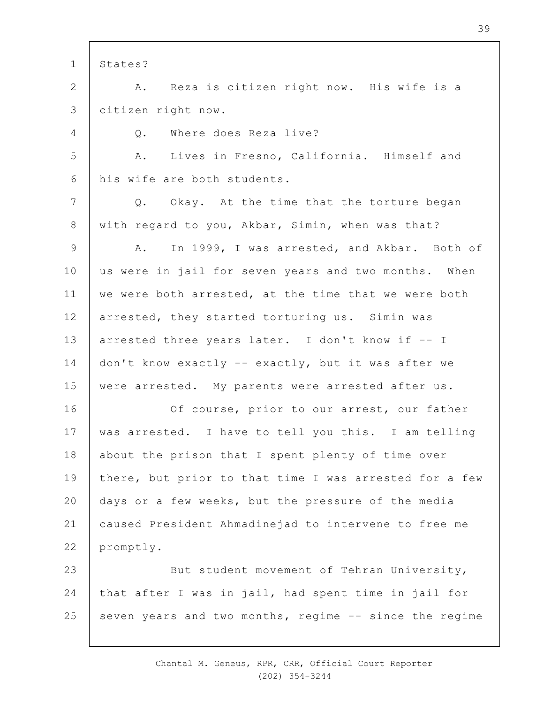1 2 3 4 5 6 7 8 9 10 11 12 13 14 15 16 17 18 19  $20$ 21 22 23 24 25 States? A. Reza is citizen right now. His wife is a citizen right now. Q. Where does Reza live? A. Lives in Fresno, California. Himself and his wife are both students. Q. Okay. At the time that the torture began with regard to you, Akbar, Simin, when was that? A. In 1999, I was arrested, and Akbar. Both of us were in jail for seven years and two months. When we were both arrested, at the time that we were both arrested, they started torturing us. Simin was arrested three years later. I don't know if -- I don't know exactly -- exactly, but it was after we were arrested. My parents were arrested after us. Of course, prior to our arrest, our father was arrested. I have to tell you this. I am telling about the prison that I spent plenty of time over there, but prior to that time I was arrested for a few days or a few weeks, but the pressure of the media caused President Ahmadinejad to intervene to free me promptly. But student movement of Tehran University, that after I was in jail, had spent time in jail for seven years and two months, regime -- since the regime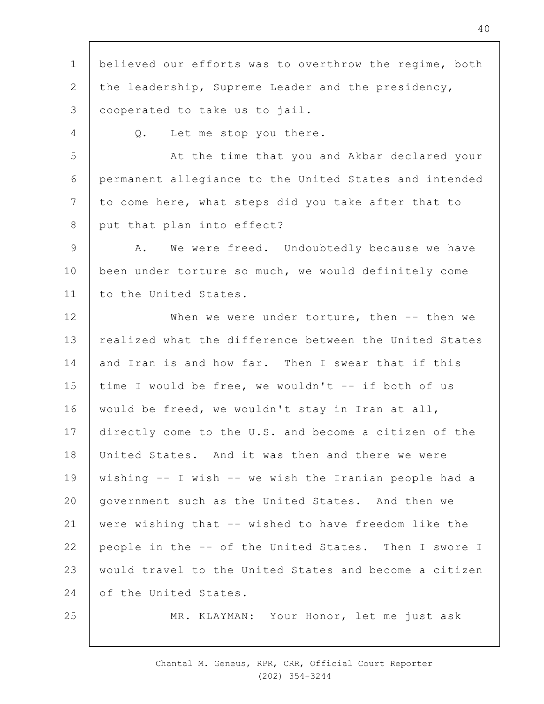1 2 3 4 5 6 7 8 9 10 11 12 13 14 15 16 17 18 19  $20$ 21 22 23 24 25 believed our efforts was to overthrow the regime, both the leadership, Supreme Leader and the presidency, cooperated to take us to jail. Q. Let me stop you there. At the time that you and Akbar declared your permanent allegiance to the United States and intended to come here, what steps did you take after that to put that plan into effect? A. We were freed. Undoubtedly because we have been under torture so much, we would definitely come to the United States. When we were under torture, then -- then we realized what the difference between the United States and Iran is and how far. Then I swear that if this time I would be free, we wouldn't -- if both of us would be freed, we wouldn't stay in Iran at all, directly come to the U.S. and become a citizen of the United States. And it was then and there we were wishing -- I wish -- we wish the Iranian people had a government such as the United States. And then we were wishing that -- wished to have freedom like the people in the -- of the United States. Then I swore I would travel to the United States and become a citizen of the United States. MR. KLAYMAN: Your Honor, let me just ask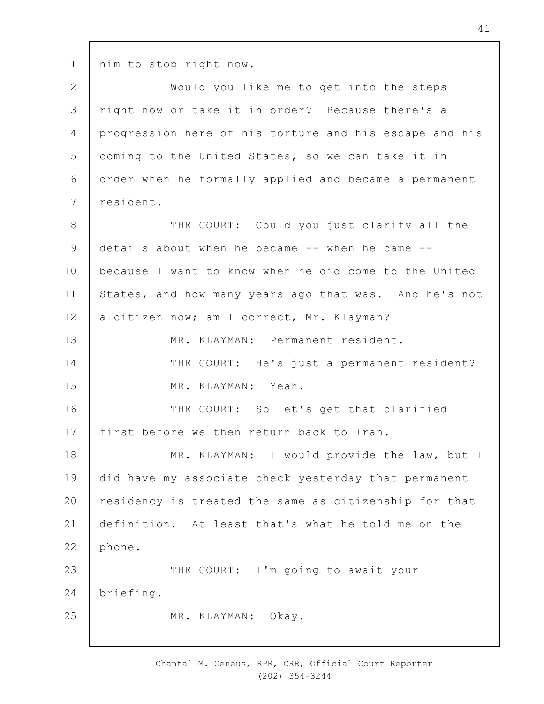1 him to stop right now.

2 3 4 5 6 7 8 9 10 11 12 13 14 15 16 17 18 19  $20$ 21 22 23 24 25 Would you like me to get into the steps right now or take it in order? Because there's a progression here of his torture and his escape and his coming to the United States, so we can take it in order when he formally applied and became a permanent resident. THE COURT: Could you just clarify all the details about when he became -- when he came - because I want to know when he did come to the United States, and how many years ago that was. And he's not a citizen now; am I correct, Mr. Klayman? MR. KLAYMAN: Permanent resident. THE COURT: He's just a permanent resident? MR. KLAYMAN: Yeah. THE COURT: So let's get that clarified first before we then return back to Iran. MR. KLAYMAN: I would provide the law, but I did have my associate check yesterday that permanent residency is treated the same as citizenship for that definition. At least that's what he told me on the phone. THE COURT: I'm going to await your briefing. MR. KLAYMAN: Okay.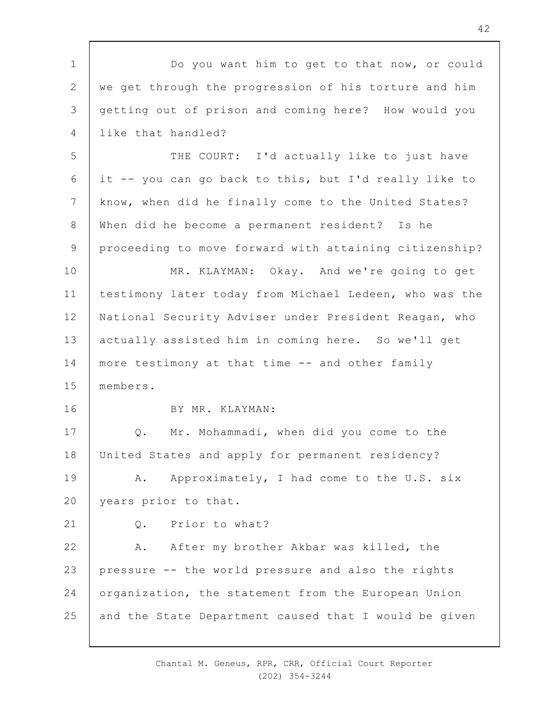1 2 3 4 5 6 7 8 9 10 11 12 13 14 15 16 17 18 19  $20$ 21 22 23 24 25 Do you want him to get to that now, or could we get through the progression of his torture and him getting out of prison and coming here? How would you like that handled? THE COURT: I'd actually like to just have it -- you can go back to this, but I'd really like to know, when did he finally come to the United States? When did he become a permanent resident? Is he proceeding to move forward with attaining citizenship? MR. KLAYMAN: Okay. And we're going to get testimony later today from Michael Ledeen, who was the National Security Adviser under President Reagan, who actually assisted him in coming here. So we'll get more testimony at that time -- and other family members. BY MR. KLAYMAN: Q. Mr. Mohammadi, when did you come to the United States and apply for permanent residency? A. Approximately, I had come to the U.S. six years prior to that. Q. Prior to what? A. After my brother Akbar was killed, the pressure -- the world pressure and also the rights organization, the statement from the European Union and the State Department caused that I would be given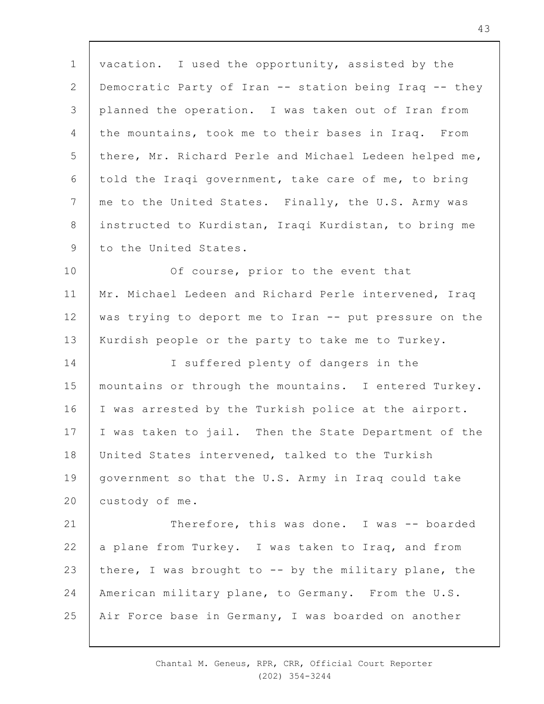1 2 3 4 5 6 7 8 9 vacation. I used the opportunity, assisted by the Democratic Party of Iran -- station being Iraq -- they planned the operation. I was taken out of Iran from the mountains, took me to their bases in Iraq. From there, Mr. Richard Perle and Michael Ledeen helped me, told the Iraqi government, take care of me, to bring me to the United States. Finally, the U.S. Army was instructed to Kurdistan, Iraqi Kurdistan, to bring me to the United States.

10 11 12 13 Of course, prior to the event that Mr. Michael Ledeen and Richard Perle intervened, Iraq was trying to deport me to Iran -- put pressure on the Kurdish people or the party to take me to Turkey.

14 15 16 17 18 19  $20$ I suffered plenty of dangers in the mountains or through the mountains. I entered Turkey. I was arrested by the Turkish police at the airport. I was taken to jail. Then the State Department of the United States intervened, talked to the Turkish government so that the U.S. Army in Iraq could take custody of me.

21 22 23 24 25 Therefore, this was done. I was -- boarded a plane from Turkey. I was taken to Iraq, and from there, I was brought to  $--$  by the military plane, the American military plane, to Germany. From the U.S. Air Force base in Germany, I was boarded on another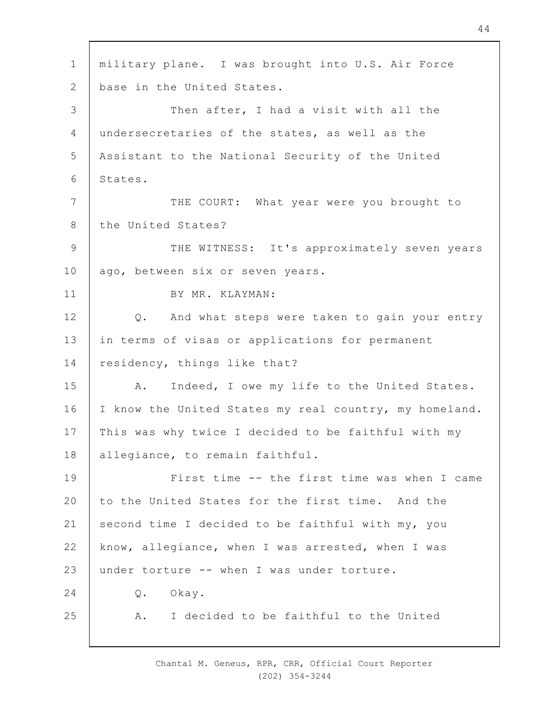1 2 3 4 5 6 7 8 9 10 11 12 13 14 15 16 17 18 19  $20$ 21 22 23  $24$ 25 military plane. I was brought into U.S. Air Force base in the United States. Then after, I had a visit with all the undersecretaries of the states, as well as the Assistant to the National Security of the United States. THE COURT: What year were you brought to the United States? THE WITNESS: It's approximately seven years ago, between six or seven years. BY MR. KLAYMAN: Q. And what steps were taken to gain your entry in terms of visas or applications for permanent residency, things like that? A. Indeed, I owe my life to the United States. I know the United States my real country, my homeland. This was why twice I decided to be faithful with my allegiance, to remain faithful. First time -- the first time was when I came to the United States for the first time. And the second time I decided to be faithful with my, you know, allegiance, when I was arrested, when I was under torture -- when I was under torture. Q. Okay. A. I decided to be faithful to the United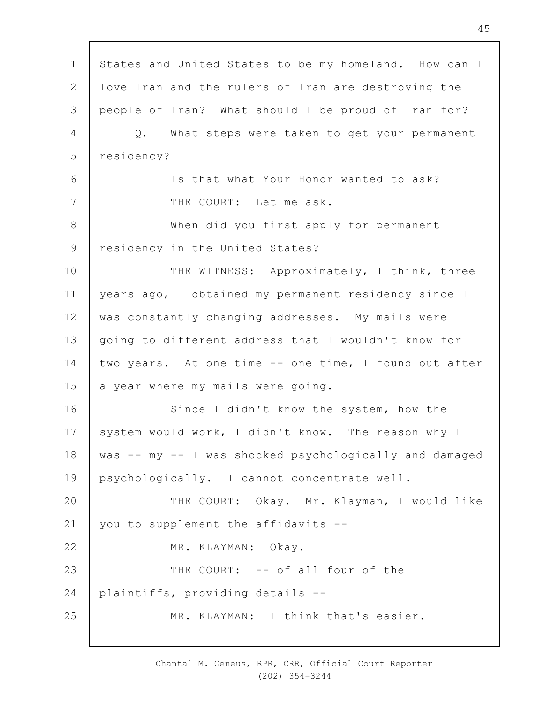1 2 3 4 5 6 7 8 9 10 11 12 13 14 15 16 17 18 19  $20$ 21 22 23 24 25 States and United States to be my homeland. How can I love Iran and the rulers of Iran are destroying the people of Iran? What should I be proud of Iran for? Q. What steps were taken to get your permanent residency? Is that what Your Honor wanted to ask? THE COURT: Let me ask. When did you first apply for permanent residency in the United States? THE WITNESS: Approximately, I think, three years ago, I obtained my permanent residency since I was constantly changing addresses. My mails were going to different address that I wouldn't know for two years. At one time -- one time, I found out after a year where my mails were going. Since I didn't know the system, how the system would work, I didn't know. The reason why I was -- my -- I was shocked psychologically and damaged psychologically. I cannot concentrate well. THE COURT: Okay. Mr. Klayman, I would like you to supplement the affidavits -- MR. KLAYMAN: Okay. THE COURT: -- of all four of the plaintiffs, providing details -- MR. KLAYMAN: I think that's easier.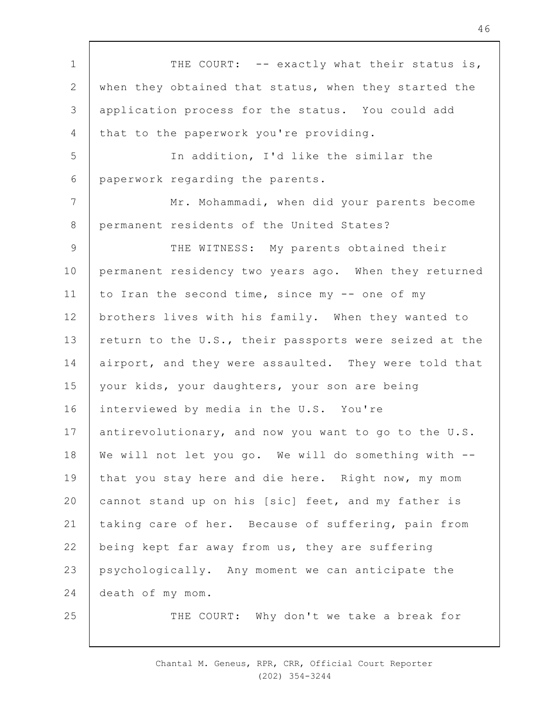1 2 3 4 5 6 7 8 9 10 11 12 13 14 15 16 17 18 19  $20$ 21 22 23 24 25 THE COURT: -- exactly what their status is, when they obtained that status, when they started the application process for the status. You could add that to the paperwork you're providing. In addition, I'd like the similar the paperwork regarding the parents. Mr. Mohammadi, when did your parents become permanent residents of the United States? THE WITNESS: My parents obtained their permanent residency two years ago. When they returned to Iran the second time, since my -- one of my brothers lives with his family. When they wanted to return to the U.S., their passports were seized at the airport, and they were assaulted. They were told that your kids, your daughters, your son are being interviewed by media in the U.S. You're antirevolutionary, and now you want to go to the U.S. We will not let you go. We will do something with -that you stay here and die here. Right now, my mom cannot stand up on his [sic] feet, and my father is taking care of her. Because of suffering, pain from being kept far away from us, they are suffering psychologically. Any moment we can anticipate the death of my mom. THE COURT: Why don't we take a break for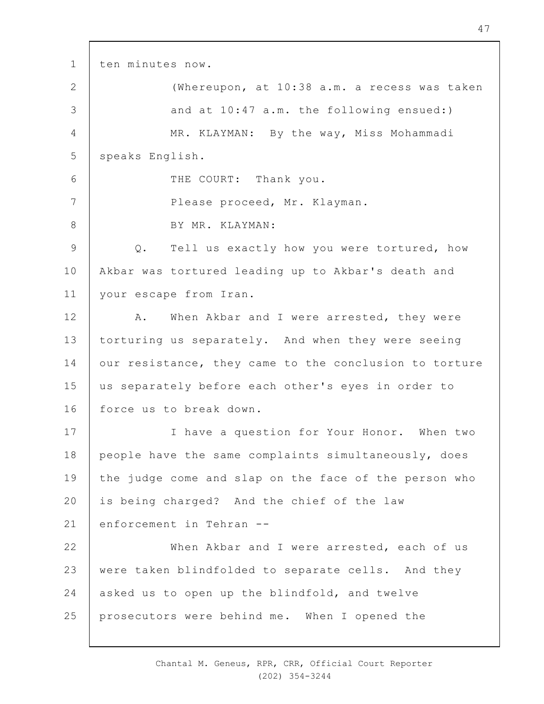1 2 3 4 5 6 7 8 9 10 11 12 13 14 15 16 17 18 19  $20$ 21 22 23 24 25 ten minutes now. (Whereupon, at 10:38 a.m. a recess was taken and at 10:47 a.m. the following ensued:) MR. KLAYMAN: By the way, Miss Mohammadi speaks English. THE COURT: Thank you. Please proceed, Mr. Klayman. BY MR. KLAYMAN: Q. Tell us exactly how you were tortured, how Akbar was tortured leading up to Akbar's death and your escape from Iran. A. When Akbar and I were arrested, they were torturing us separately. And when they were seeing our resistance, they came to the conclusion to torture us separately before each other's eyes in order to force us to break down. I have a question for Your Honor. When two people have the same complaints simultaneously, does the judge come and slap on the face of the person who is being charged? And the chief of the law enforcement in Tehran -- When Akbar and I were arrested, each of us were taken blindfolded to separate cells. And they asked us to open up the blindfold, and twelve prosecutors were behind me. When I opened the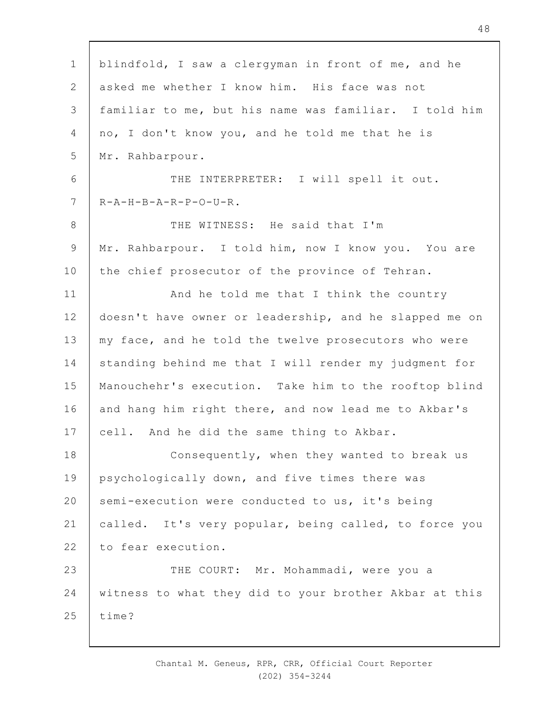| $\mathbf 1$    | blindfold, I saw a clergyman in front of me, and he    |
|----------------|--------------------------------------------------------|
| $\mathbf{2}$   | asked me whether I know him. His face was not          |
| 3              | familiar to me, but his name was familiar. I told him  |
| $\overline{4}$ | no, I don't know you, and he told me that he is        |
| 5              | Mr. Rahbarpour.                                        |
| 6              | THE INTERPRETER: I will spell it out.                  |
| $\overline{7}$ | $R - A - H - B - A - R - P - O - U - R$ .              |
| $8\,$          | THE WITNESS: He said that I'm                          |
| $\mathsf 9$    | Mr. Rahbarpour. I told him, now I know you. You are    |
| 10             | the chief prosecutor of the province of Tehran.        |
| 11             | And he told me that I think the country                |
| 12             | doesn't have owner or leadership, and he slapped me on |
| 13             | my face, and he told the twelve prosecutors who were   |
| 14             | standing behind me that I will render my judgment for  |
| 15             | Manouchehr's execution. Take him to the rooftop blind  |
| 16             | and hang him right there, and now lead me to Akbar's   |
| 17             | cell. And he did the same thing to Akbar.              |
| 18             | Consequently, when they wanted to break us             |
| 19             | psychologically down, and five times there was         |
| 20             | semi-execution were conducted to us, it's being        |
| 21             | called. It's very popular, being called, to force you  |
| 22             | to fear execution.                                     |
| 23             | THE COURT: Mr. Mohammadi, were you a                   |
| 24             | witness to what they did to your brother Akbar at this |
| 25             | time?                                                  |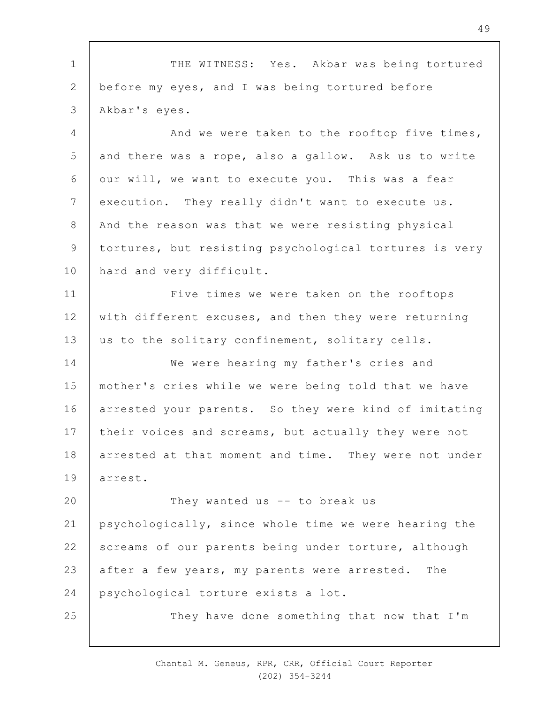1 2 3 4 5 6 7 8 9 10 11 12 13 14 15 16 17 18 19  $20$ 21 22 23 24 25 THE WITNESS: Yes. Akbar was being tortured before my eyes, and I was being tortured before Akbar's eyes. And we were taken to the rooftop five times, and there was a rope, also a gallow. Ask us to write our will, we want to execute you. This was a fear execution. They really didn't want to execute us. And the reason was that we were resisting physical tortures, but resisting psychological tortures is very hard and very difficult. Five times we were taken on the rooftops with different excuses, and then they were returning us to the solitary confinement, solitary cells. We were hearing my father's cries and mother's cries while we were being told that we have arrested your parents. So they were kind of imitating their voices and screams, but actually they were not arrested at that moment and time. They were not under arrest. They wanted us -- to break us psychologically, since whole time we were hearing the screams of our parents being under torture, although after a few years, my parents were arrested. The psychological torture exists a lot. They have done something that now that I'm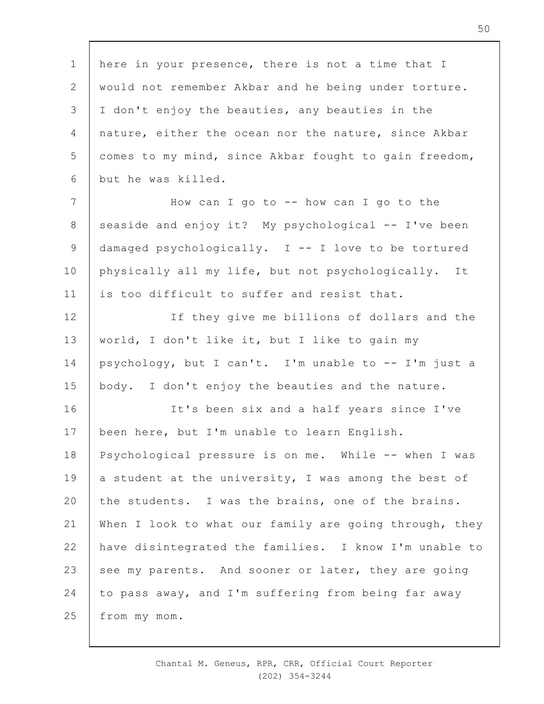1 2 3 4 5 6 7 8 9 10 11 12 13 14 15 16 17 18 19  $20$ 21 22 23 24 25 here in your presence, there is not a time that I would not remember Akbar and he being under torture. I don't enjoy the beauties, any beauties in the nature, either the ocean nor the nature, since Akbar comes to my mind, since Akbar fought to gain freedom, but he was killed. How can I go to -- how can I go to the seaside and enjoy it? My psychological -- I've been damaged psychologically. I -- I love to be tortured physically all my life, but not psychologically. It is too difficult to suffer and resist that. If they give me billions of dollars and the world, I don't like it, but I like to gain my psychology, but I can't. I'm unable to -- I'm just a body. I don't enjoy the beauties and the nature. It's been six and a half years since I've been here, but I'm unable to learn English. Psychological pressure is on me. While -- when I was a student at the university, I was among the best of the students. I was the brains, one of the brains. When I look to what our family are going through, they have disintegrated the families. I know I'm unable to see my parents. And sooner or later, they are going to pass away, and I'm suffering from being far away from my mom.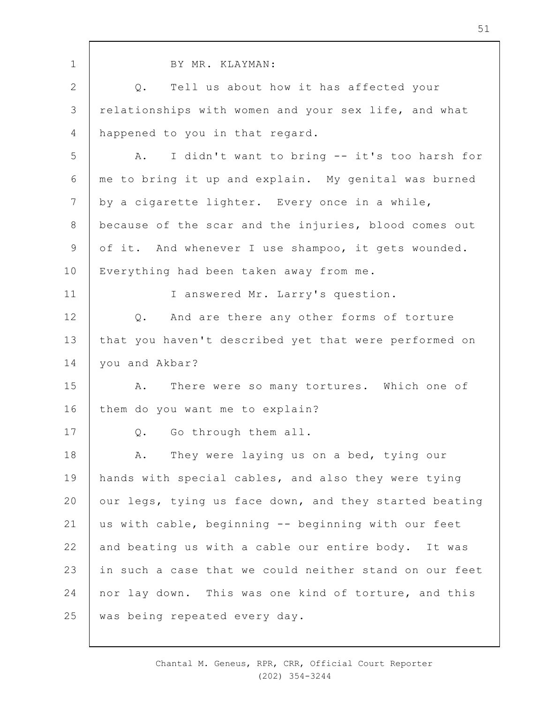| $\mathbf 1$    | BY MR. KLAYMAN:                                        |
|----------------|--------------------------------------------------------|
| $\mathbf{2}$   | Tell us about how it has affected your<br>$Q$ .        |
| 3              | relationships with women and your sex life, and what   |
| $\overline{4}$ | happened to you in that regard.                        |
| 5              | I didn't want to bring -- it's too harsh for<br>Α.     |
| 6              | me to bring it up and explain. My genital was burned   |
| 7              | by a cigarette lighter. Every once in a while,         |
| 8              | because of the scar and the injuries, blood comes out  |
| $\mathcal{G}$  | of it. And whenever I use shampoo, it gets wounded.    |
| 10             | Everything had been taken away from me.                |
| 11             | I answered Mr. Larry's question.                       |
| 12             | Q. And are there any other forms of torture            |
| 13             | that you haven't described yet that were performed on  |
| 14             | you and Akbar?                                         |
| 15             | There were so many tortures. Which one of<br>Α.        |
| 16             | them do you want me to explain?                        |
| 17             | Go through them all.<br>Q.                             |
| 18             | They were laying us on a bed, tying our<br>Α.          |
| 19             | hands with special cables, and also they were tying    |
| 20             | our legs, tying us face down, and they started beating |
| 21             | us with cable, beginning -- beginning with our feet    |
| 22             | and beating us with a cable our entire body. It was    |
| 23             | in such a case that we could neither stand on our feet |
| 24             | nor lay down. This was one kind of torture, and this   |
| 25             | was being repeated every day.                          |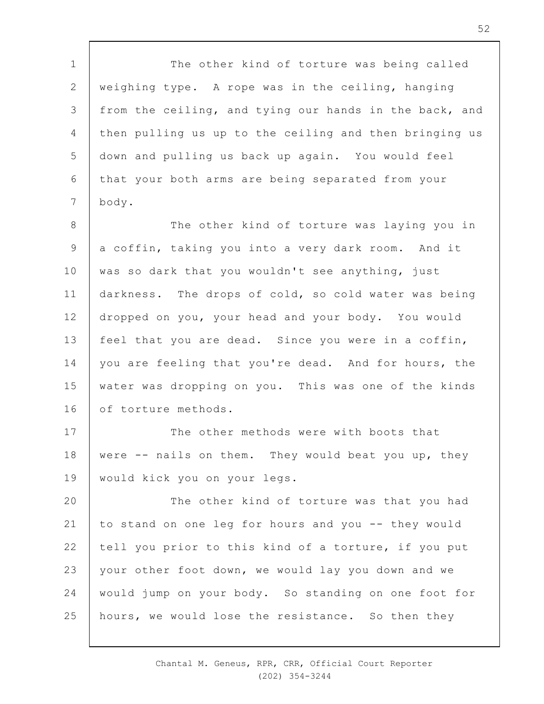1 2 3 4 5 6 7 The other kind of torture was being called weighing type. A rope was in the ceiling, hanging from the ceiling, and tying our hands in the back, and then pulling us up to the ceiling and then bringing us down and pulling us back up again. You would feel that your both arms are being separated from your body.

8 9 10 11 12 13 14 15 16 The other kind of torture was laying you in a coffin, taking you into a very dark room. And it was so dark that you wouldn't see anything, just darkness. The drops of cold, so cold water was being dropped on you, your head and your body. You would feel that you are dead. Since you were in a coffin, you are feeling that you're dead. And for hours, the water was dropping on you. This was one of the kinds of torture methods.

17 18 19 The other methods were with boots that were -- nails on them. They would beat you up, they would kick you on your legs.

 $20$ 21 22 23 24 25 The other kind of torture was that you had to stand on one leg for hours and you -- they would tell you prior to this kind of a torture, if you put your other foot down, we would lay you down and we would jump on your body. So standing on one foot for hours, we would lose the resistance. So then they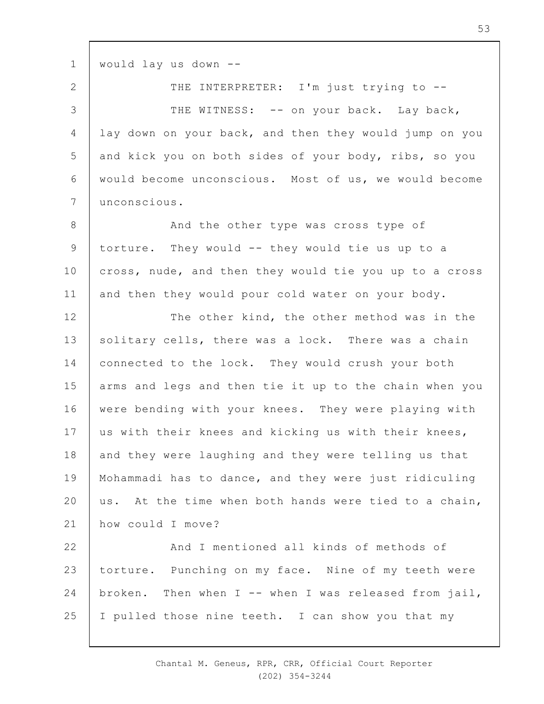1 would lay us down --

2 3 4 5 6 7 THE INTERPRETER: I'm just trying to --THE WITNESS: -- on your back. Lay back, lay down on your back, and then they would jump on you and kick you on both sides of your body, ribs, so you would become unconscious. Most of us, we would become unconscious.

8 9 10 11 And the other type was cross type of torture. They would -- they would tie us up to a cross, nude, and then they would tie you up to a cross and then they would pour cold water on your body.

12 13 14 15 16 17 18 19  $20$ 21 The other kind, the other method was in the solitary cells, there was a lock. There was a chain connected to the lock. They would crush your both arms and legs and then tie it up to the chain when you were bending with your knees. They were playing with us with their knees and kicking us with their knees, and they were laughing and they were telling us that Mohammadi has to dance, and they were just ridiculing us. At the time when both hands were tied to a chain, how could I move?

22 23 24 25 And I mentioned all kinds of methods of torture. Punching on my face. Nine of my teeth were broken. Then when  $I$  -- when I was released from jail, I pulled those nine teeth. I can show you that my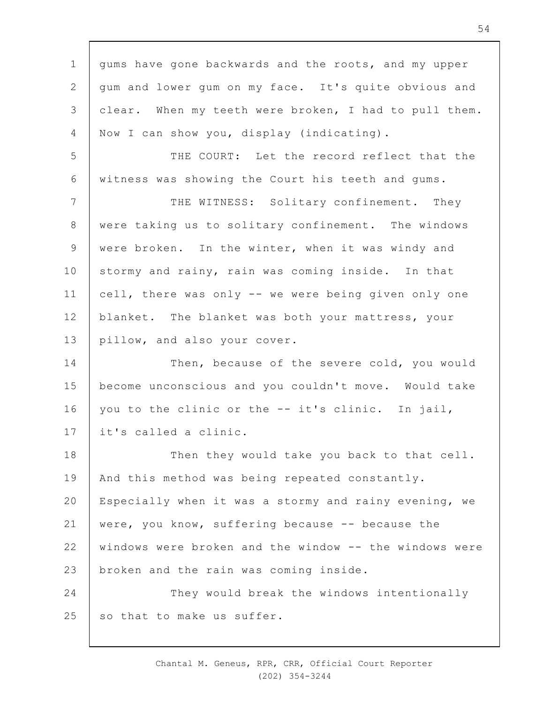1 2 3 4 5 6 7 8 9 10 11 12 13 14 15 16 17 18 19  $20$ 21 22 23 24 25 gums have gone backwards and the roots, and my upper gum and lower gum on my face. It's quite obvious and clear. When my teeth were broken, I had to pull them. Now I can show you, display (indicating). THE COURT: Let the record reflect that the witness was showing the Court his teeth and gums. THE WITNESS: Solitary confinement. They were taking us to solitary confinement. The windows were broken. In the winter, when it was windy and stormy and rainy, rain was coming inside. In that cell, there was only -- we were being given only one blanket. The blanket was both your mattress, your pillow, and also your cover. Then, because of the severe cold, you would become unconscious and you couldn't move. Would take you to the clinic or the -- it's clinic. In jail, it's called a clinic. Then they would take you back to that cell. And this method was being repeated constantly. Especially when it was a stormy and rainy evening, we were, you know, suffering because -- because the windows were broken and the window -- the windows were broken and the rain was coming inside. They would break the windows intentionally so that to make us suffer.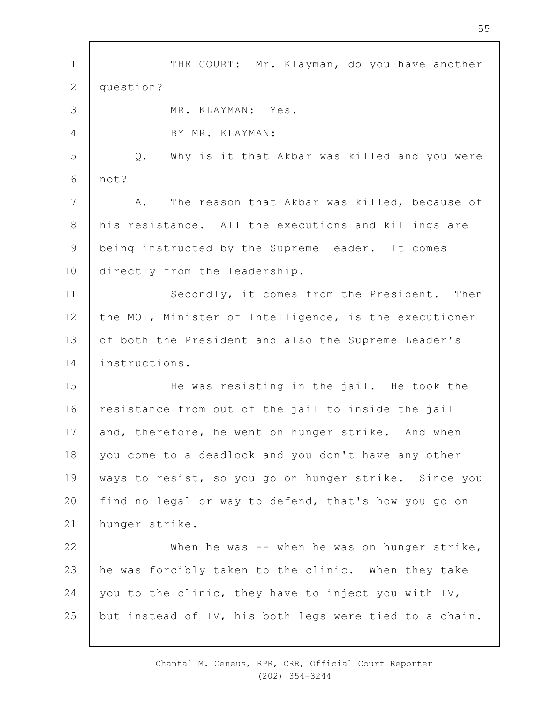1 2 3 4 5 6 7 8 9 10 11 12 13 14 15 16 17 18 19  $20$ 21 22 23 24 25 THE COURT: Mr. Klayman, do you have another question? MR. KLAYMAN: Yes. BY MR. KLAYMAN: Q. Why is it that Akbar was killed and you were not? A. The reason that Akbar was killed, because of his resistance. All the executions and killings are being instructed by the Supreme Leader. It comes directly from the leadership. Secondly, it comes from the President. Then the MOI, Minister of Intelligence, is the executioner of both the President and also the Supreme Leader's instructions. He was resisting in the jail. He took the resistance from out of the jail to inside the jail and, therefore, he went on hunger strike. And when you come to a deadlock and you don't have any other ways to resist, so you go on hunger strike. Since you find no legal or way to defend, that's how you go on hunger strike. When he was -- when he was on hunger strike, he was forcibly taken to the clinic. When they take you to the clinic, they have to inject you with IV, but instead of IV, his both legs were tied to a chain.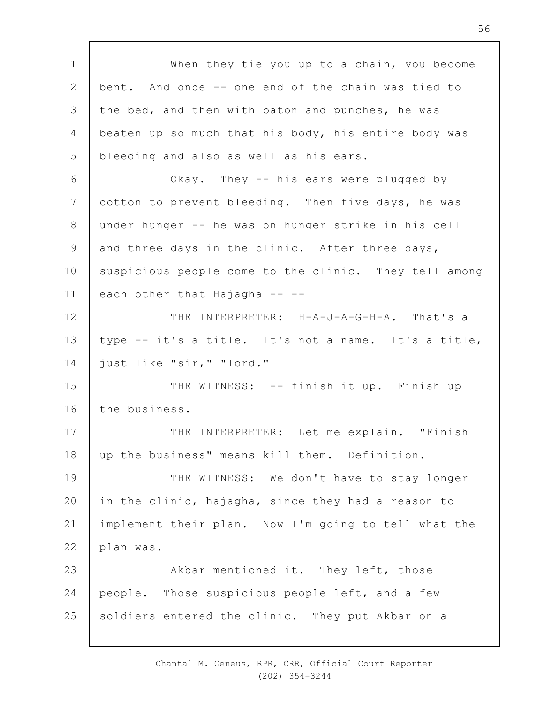1 2 3 4 5 6 7 8 9 10 11 12 13 14 15 16 17 18 19  $20$ 21 22 23 24 25 When they tie you up to a chain, you become bent. And once -- one end of the chain was tied to the bed, and then with baton and punches, he was beaten up so much that his body, his entire body was bleeding and also as well as his ears. Okay. They -- his ears were plugged by cotton to prevent bleeding. Then five days, he was under hunger -- he was on hunger strike in his cell and three days in the clinic. After three days, suspicious people come to the clinic. They tell among each other that Hajagha -- --THE INTERPRETER: H-A-J-A-G-H-A. That's a type -- it's a title. It's not a name. It's a title, just like "sir," "lord." THE WITNESS: -- finish it up. Finish up the business. THE INTERPRETER: Let me explain. "Finish up the business" means kill them. Definition. THE WITNESS: We don't have to stay longer in the clinic, hajagha, since they had a reason to implement their plan. Now I'm going to tell what the plan was. Akbar mentioned it. They left, those people. Those suspicious people left, and a few soldiers entered the clinic. They put Akbar on a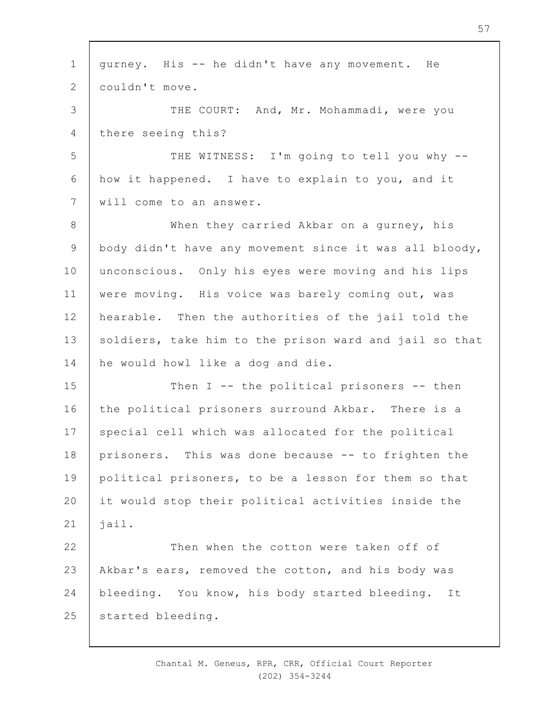1 2 3 4 5 6 7 8 9 10 11 12 13 14 15 16 17 18 19  $20$ 21 22 23 24 25 gurney. His -- he didn't have any movement. He couldn't move. THE COURT: And, Mr. Mohammadi, were you there seeing this? THE WITNESS: I'm going to tell you why -how it happened. I have to explain to you, and it will come to an answer. When they carried Akbar on a gurney, his body didn't have any movement since it was all bloody, unconscious. Only his eyes were moving and his lips were moving. His voice was barely coming out, was hearable. Then the authorities of the jail told the soldiers, take him to the prison ward and jail so that he would howl like a dog and die. Then I -- the political prisoners -- then the political prisoners surround Akbar. There is a special cell which was allocated for the political prisoners. This was done because -- to frighten the political prisoners, to be a lesson for them so that it would stop their political activities inside the jail. Then when the cotton were taken off of Akbar's ears, removed the cotton, and his body was bleeding. You know, his body started bleeding. It started bleeding.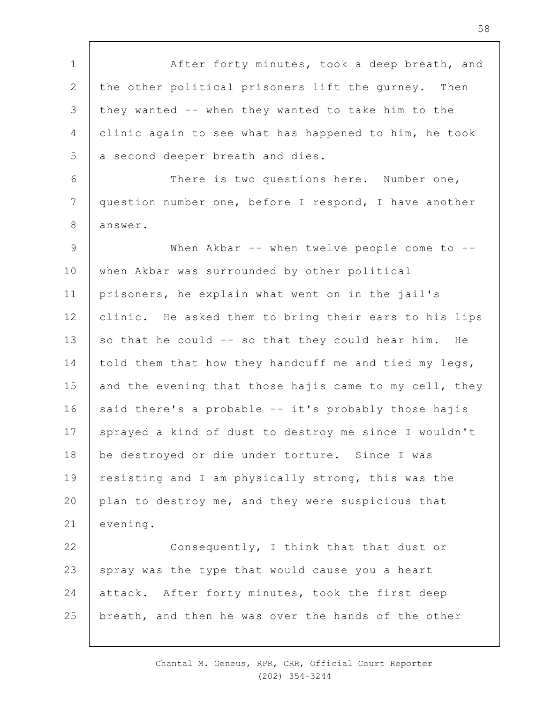1 2 3 4 5 6 7 8 9 10 11 12 13 14 15 16 17 18 19  $20$ 21 22 23 24 25 After forty minutes, took a deep breath, and the other political prisoners lift the gurney. Then they wanted -- when they wanted to take him to the clinic again to see what has happened to him, he took a second deeper breath and dies. There is two questions here. Number one, question number one, before I respond, I have another answer. When Akbar -- when twelve people come to -when Akbar was surrounded by other political prisoners, he explain what went on in the jail's clinic. He asked them to bring their ears to his lips so that he could -- so that they could hear him. He told them that how they handcuff me and tied my legs, and the evening that those hajis came to my cell, they said there's a probable -- it's probably those hajis sprayed a kind of dust to destroy me since I wouldn't be destroyed or die under torture. Since I was resisting and I am physically strong, this was the plan to destroy me, and they were suspicious that evening. Consequently, I think that that dust or spray was the type that would cause you a heart attack. After forty minutes, took the first deep breath, and then he was over the hands of the other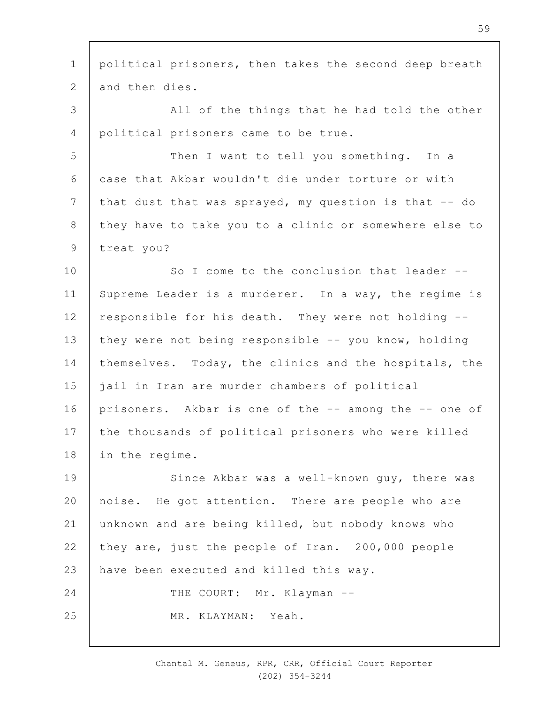1 2 3 4 5 6 7 8 9 10 11 12 13 14 15 16 17 18 19  $20$ 21 22 23 24 25 political prisoners, then takes the second deep breath and then dies. All of the things that he had told the other political prisoners came to be true. Then I want to tell you something. In a case that Akbar wouldn't die under torture or with that dust that was sprayed, my question is that -- do they have to take you to a clinic or somewhere else to treat you? So I come to the conclusion that leader --Supreme Leader is a murderer. In a way, the regime is responsible for his death. They were not holding - they were not being responsible -- you know, holding themselves. Today, the clinics and the hospitals, the jail in Iran are murder chambers of political prisoners. Akbar is one of the -- among the -- one of the thousands of political prisoners who were killed in the regime. Since Akbar was a well-known guy, there was noise. He got attention. There are people who are unknown and are being killed, but nobody knows who they are, just the people of Iran. 200,000 people have been executed and killed this way. THE COURT: Mr. Klayman --MR. KLAYMAN: Yeah.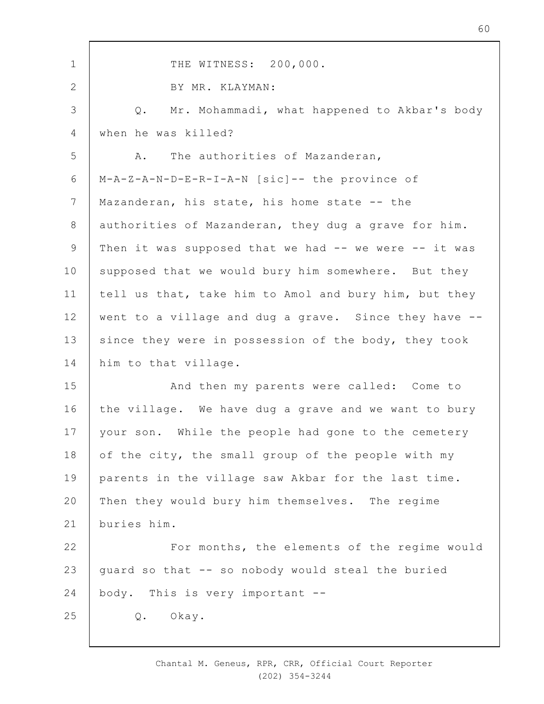| $\mathbf 1$     | THE WITNESS: 200,000.                                 |
|-----------------|-------------------------------------------------------|
| $\mathbf{2}$    | BY MR. KLAYMAN:                                       |
| $\mathcal{S}$   | Mr. Mohammadi, what happened to Akbar's body<br>Q.    |
| 4               | when he was killed?                                   |
| 5               | The authorities of Mazanderan,<br>Α.                  |
| 6               | M-A-Z-A-N-D-E-R-I-A-N [sic]-- the province of         |
| $7\phantom{.0}$ | Mazanderan, his state, his home state -- the          |
| $8\,$           | authorities of Mazanderan, they dug a grave for him.  |
| $\mathsf 9$     | Then it was supposed that we had -- we were -- it was |
| 10              | supposed that we would bury him somewhere. But they   |
| 11              | tell us that, take him to Amol and bury him, but they |
| 12              | went to a village and dug a grave. Since they have -- |
| 13              | since they were in possession of the body, they took  |
| 14              | him to that village.                                  |
| 15              | And then my parents were called: Come to              |
| 16              | the village. We have dug a grave and we want to bury  |
| 17              | your son. While the people had gone to the cemetery   |
| 18              | of the city, the small group of the people with my    |
| 19              | parents in the village saw Akbar for the last time.   |
| 20              | Then they would bury him themselves. The regime       |
| 21              | buries him.                                           |
| 22              | For months, the elements of the regime would          |
| 23              | guard so that -- so nobody would steal the buried     |
| 24              | body. This is very important --                       |
| 25              | Okay.<br>Q.                                           |
|                 |                                                       |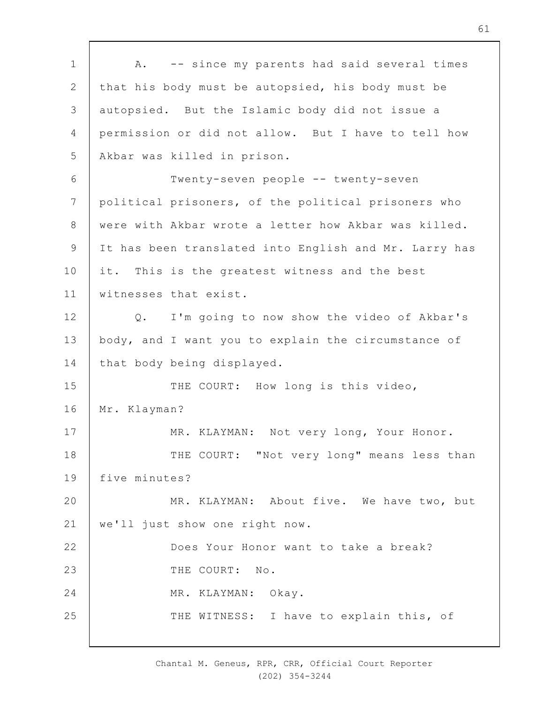1 2 3 4 5 6 7 8 9 10 11 12 13 14 15 16 17 18 19  $20$ 21 22 23 24 25 A. -- since my parents had said several times that his body must be autopsied, his body must be autopsied. But the Islamic body did not issue a permission or did not allow. But I have to tell how Akbar was killed in prison. Twenty-seven people -- twenty-seven political prisoners, of the political prisoners who were with Akbar wrote a letter how Akbar was killed. It has been translated into English and Mr. Larry has it. This is the greatest witness and the best witnesses that exist. Q. I'm going to now show the video of Akbar's body, and I want you to explain the circumstance of that body being displayed. THE COURT: How long is this video, Mr. Klayman? MR. KLAYMAN: Not very long, Your Honor. THE COURT: "Not very long" means less than five minutes? MR. KLAYMAN: About five. We have two, but we'll just show one right now. Does Your Honor want to take a break? THE COURT: No. MR. KLAYMAN: Okay. THE WITNESS: I have to explain this, of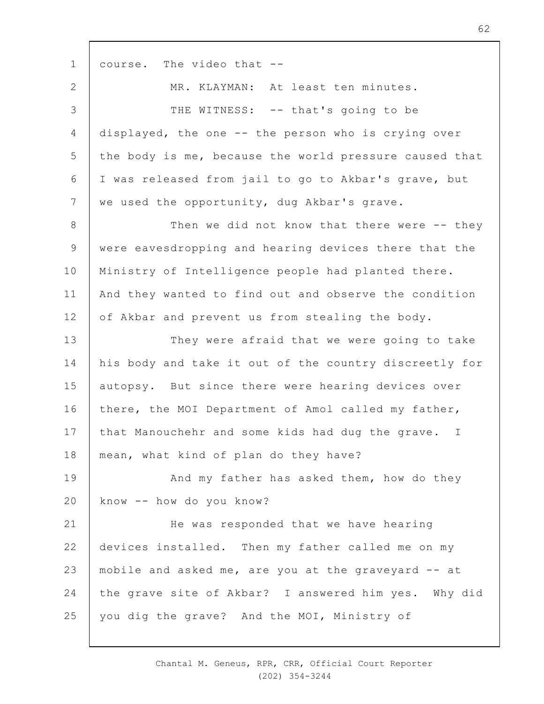1 2 3 4 5 6 7 8 9 10 11 12 13 14 15 16 17 18 19  $20$ 21 22 23 24 25 course. The video that -- MR. KLAYMAN: At least ten minutes. THE WITNESS: -- that's going to be displayed, the one -- the person who is crying over the body is me, because the world pressure caused that I was released from jail to go to Akbar's grave, but we used the opportunity, dug Akbar's grave. Then we did not know that there were -- they were eavesdropping and hearing devices there that the Ministry of Intelligence people had planted there. And they wanted to find out and observe the condition of Akbar and prevent us from stealing the body. They were afraid that we were going to take his body and take it out of the country discreetly for autopsy. But since there were hearing devices over there, the MOI Department of Amol called my father, that Manouchehr and some kids had dug the grave. I mean, what kind of plan do they have? And my father has asked them, how do they know -- how do you know? He was responded that we have hearing devices installed. Then my father called me on my mobile and asked me, are you at the graveyard -- at the grave site of Akbar? I answered him yes. Why did you dig the grave? And the MOI, Ministry of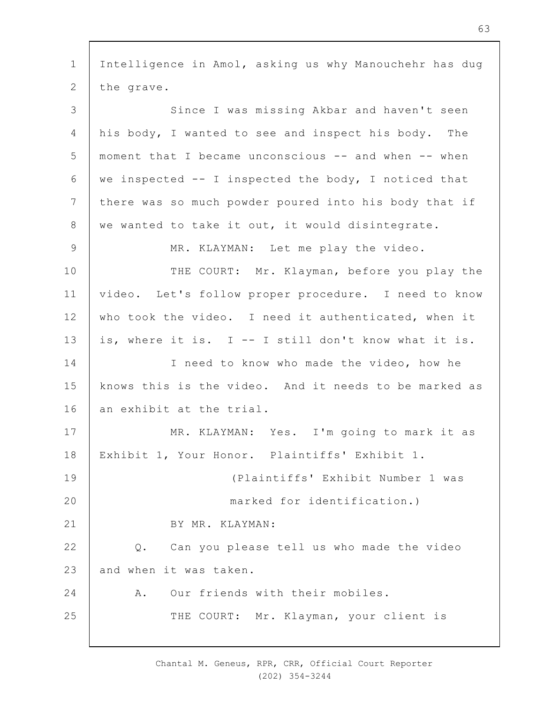1 2 3 4 5 6 7 8 9 10 11 12 13 14 15 16 17 18 19  $20$ 21 22 23 24 25 Intelligence in Amol, asking us why Manouchehr has dug the grave. Since I was missing Akbar and haven't seen his body, I wanted to see and inspect his body. The moment that I became unconscious -- and when -- when we inspected -- I inspected the body, I noticed that there was so much powder poured into his body that if we wanted to take it out, it would disintegrate. MR. KLAYMAN: Let me play the video. THE COURT: Mr. Klayman, before you play the video. Let's follow proper procedure. I need to know who took the video. I need it authenticated, when it is, where it is. I -- I still don't know what it is. I need to know who made the video, how he knows this is the video. And it needs to be marked as an exhibit at the trial. MR. KLAYMAN: Yes. I'm going to mark it as Exhibit 1, Your Honor. Plaintiffs' Exhibit 1. (Plaintiffs' Exhibit Number 1 was marked for identification.) BY MR. KLAYMAN: Q. Can you please tell us who made the video and when it was taken. A. Our friends with their mobiles. THE COURT: Mr. Klayman, your client is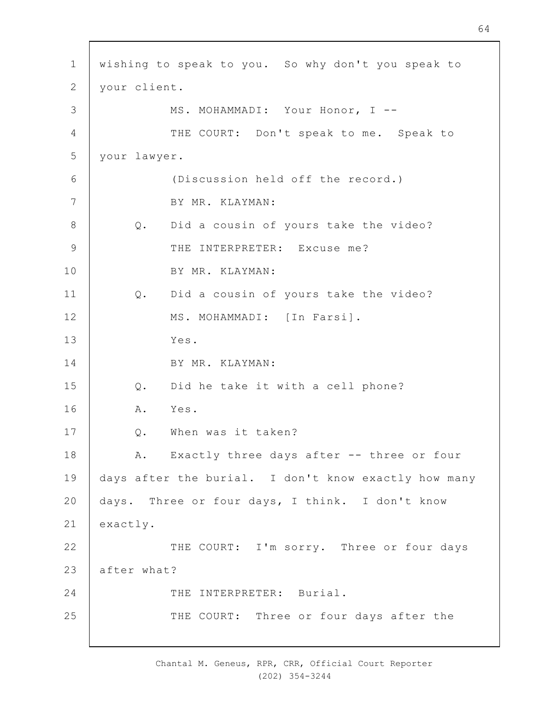| $\mathbf 1$     | wishing to speak to you. So why don't you speak to   |
|-----------------|------------------------------------------------------|
| $\mathbf{2}$    | your client.                                         |
| 3               | MS. MOHAMMADI: Your Honor, I --                      |
| $\overline{4}$  | THE COURT: Don't speak to me. Speak to               |
| 5               | your lawyer.                                         |
| $6\,$           | (Discussion held off the record.)                    |
| $7\phantom{.0}$ | BY MR. KLAYMAN:                                      |
| $\,8\,$         | Did a cousin of yours take the video?<br>Q.          |
| $\mathsf 9$     | THE INTERPRETER: Excuse me?                          |
| 10              | BY MR. KLAYMAN:                                      |
| 11              | Did a cousin of yours take the video?<br>$Q$ .       |
| 12              | MS. MOHAMMADI: [In Farsi].                           |
| 13              | Yes.                                                 |
| 14              | BY MR. KLAYMAN:                                      |
| 15              | Did he take it with a cell phone?<br>Q.              |
| 16              | A. Yes.                                              |
| 17              | When was it taken?<br>Q.                             |
| 18              | A. Exactly three days after -- three or four         |
| 19              | days after the burial. I don't know exactly how many |
| 20              | days. Three or four days, I think. I don't know      |
| 21              | exactly.                                             |
| 22              | THE COURT: I'm sorry. Three or four days             |
| 23              | after what?                                          |
| 24              | THE INTERPRETER: Burial.                             |
| 25              | THE COURT: Three or four days after the              |

 $\overline{\phantom{a}}$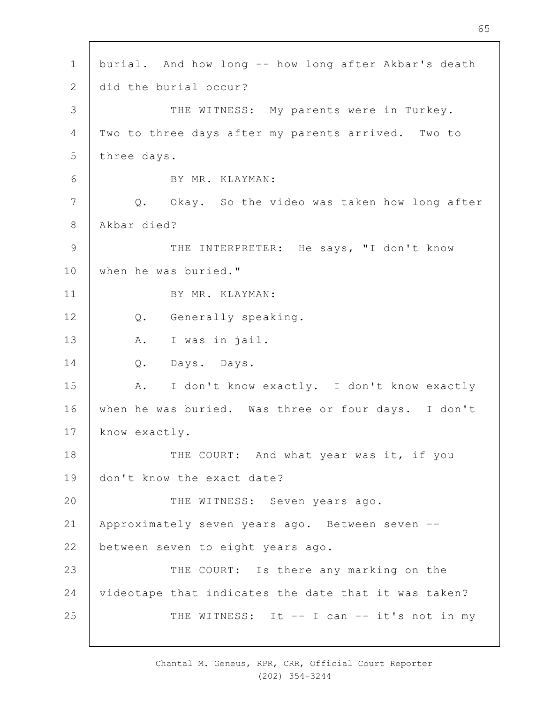1 2 3 4 5 6 7 8 9 10 11 12 13 14 15 16 17 18 19  $20$ 21 22 23 24 25 burial. And how long -- how long after Akbar's death did the burial occur? THE WITNESS: My parents were in Turkey. Two to three days after my parents arrived. Two to three days. BY MR. KLAYMAN: Q. Okay. So the video was taken how long after Akbar died? THE INTERPRETER: He says, "I don't know when he was buried." BY MR. KLAYMAN: Q. Generally speaking. A. I was in jail. Q. Days. Days. A. I don't know exactly. I don't know exactly when he was buried. Was three or four days. I don't know exactly. THE COURT: And what year was it, if you don't know the exact date? THE WITNESS: Seven years ago. Approximately seven years ago. Between seven - between seven to eight years ago. THE COURT: Is there any marking on the videotape that indicates the date that it was taken? THE WITNESS: It -- I can -- it's not in my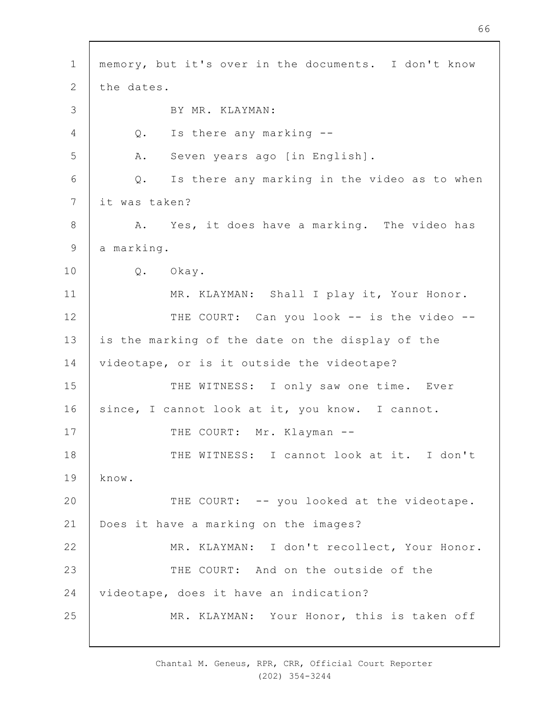1 2 3 4 5 6 7 8 9 10 11 12 13 14 15 16 17 18 19  $20$ 21 22 23 24 25 memory, but it's over in the documents. I don't know the dates. BY MR. KLAYMAN: Q. Is there any marking -- A. Seven years ago [in English]. Q. Is there any marking in the video as to when it was taken? A. Yes, it does have a marking. The video has a marking. Q. Okay. MR. KLAYMAN: Shall I play it, Your Honor. THE COURT: Can you look -- is the video -is the marking of the date on the display of the videotape, or is it outside the videotape? THE WITNESS: I only saw one time. Ever since, I cannot look at it, you know. I cannot. THE COURT: Mr. Klayman --THE WITNESS: I cannot look at it. I don't know. THE COURT: -- you looked at the videotape. Does it have a marking on the images? MR. KLAYMAN: I don't recollect, Your Honor. THE COURT: And on the outside of the videotape, does it have an indication? MR. KLAYMAN: Your Honor, this is taken off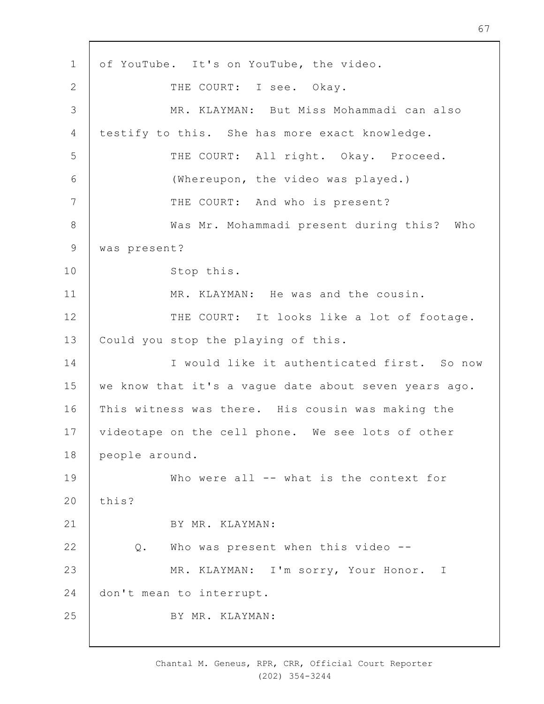1 2 3 4 5 6 7 8 9 10 11 12 13 14 15 16 17 18 19  $20$ 21 22 23 24 25 of YouTube. It's on YouTube, the video. THE COURT: I see. Okay. MR. KLAYMAN: But Miss Mohammadi can also testify to this. She has more exact knowledge. THE COURT: All right. Okay. Proceed. (Whereupon, the video was played.) THE COURT: And who is present? Was Mr. Mohammadi present during this? Who was present? Stop this. MR. KLAYMAN: He was and the cousin. THE COURT: It looks like a lot of footage. Could you stop the playing of this. I would like it authenticated first. So now we know that it's a vague date about seven years ago. This witness was there. His cousin was making the videotape on the cell phone. We see lots of other people around. Who were all -- what is the context for this? BY MR. KLAYMAN: Q. Who was present when this video -- MR. KLAYMAN: I'm sorry, Your Honor. I don't mean to interrupt. BY MR. KLAYMAN: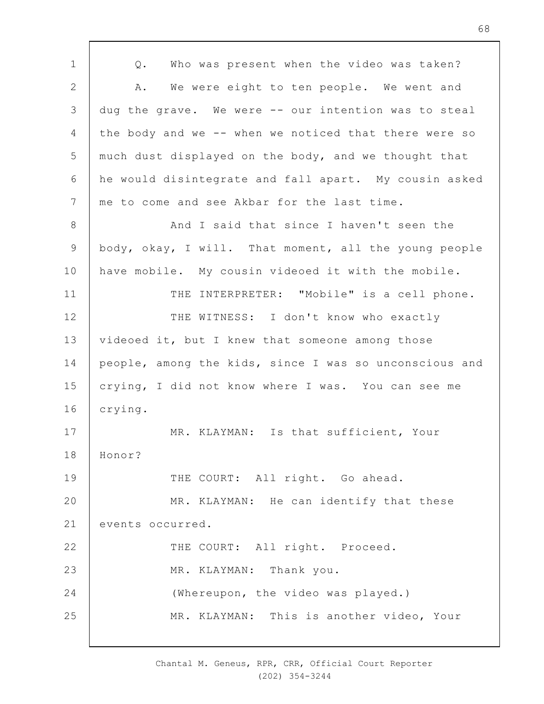1 2 3 4 5 6 7 8 9 10 11 12 13 14 15 16 17 18 19  $20$ 21 22 23 24 25 Q. Who was present when the video was taken? A. We were eight to ten people. We went and dug the grave. We were -- our intention was to steal the body and we -- when we noticed that there were so much dust displayed on the body, and we thought that he would disintegrate and fall apart. My cousin asked me to come and see Akbar for the last time. And I said that since I haven't seen the body, okay, I will. That moment, all the young people have mobile. My cousin videoed it with the mobile. THE INTERPRETER: "Mobile" is a cell phone. THE WITNESS: I don't know who exactly videoed it, but I knew that someone among those people, among the kids, since I was so unconscious and crying, I did not know where I was. You can see me crying. MR. KLAYMAN: Is that sufficient, Your Honor? THE COURT: All right. Go ahead. MR. KLAYMAN: He can identify that these events occurred. THE COURT: All right. Proceed. MR. KLAYMAN: Thank you. (Whereupon, the video was played.) MR. KLAYMAN: This is another video, Your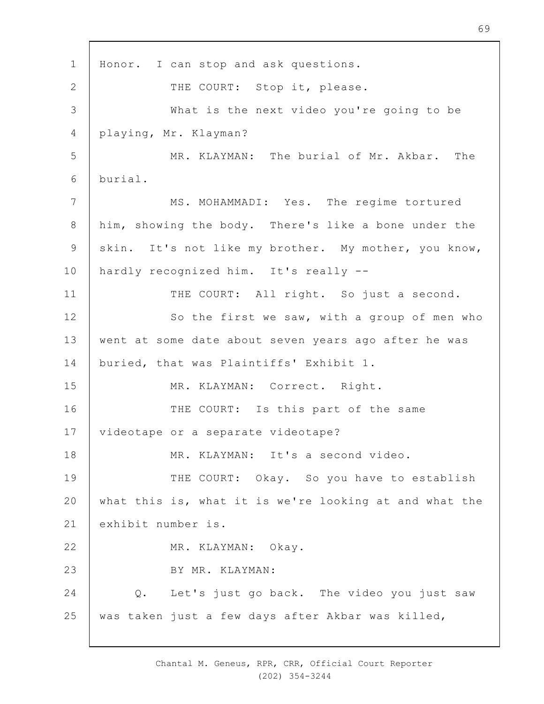1 2 3 4 5 6 7 8 9 10 11 12 13 14 15 16 17 18 19  $20$ 21 22 23 24 25 Honor. I can stop and ask questions. THE COURT: Stop it, please. What is the next video you're going to be playing, Mr. Klayman? MR. KLAYMAN: The burial of Mr. Akbar. The burial. MS. MOHAMMADI: Yes. The regime tortured him, showing the body. There's like a bone under the skin. It's not like my brother. My mother, you know, hardly recognized him. It's really -- THE COURT: All right. So just a second. So the first we saw, with a group of men who went at some date about seven years ago after he was buried, that was Plaintiffs' Exhibit 1. MR. KLAYMAN: Correct. Right. THE COURT: Is this part of the same videotape or a separate videotape? MR. KLAYMAN: It's a second video. THE COURT: Okay. So you have to establish what this is, what it is we're looking at and what the exhibit number is. MR. KLAYMAN: Okay. BY MR. KLAYMAN: Q. Let's just go back. The video you just saw was taken just a few days after Akbar was killed,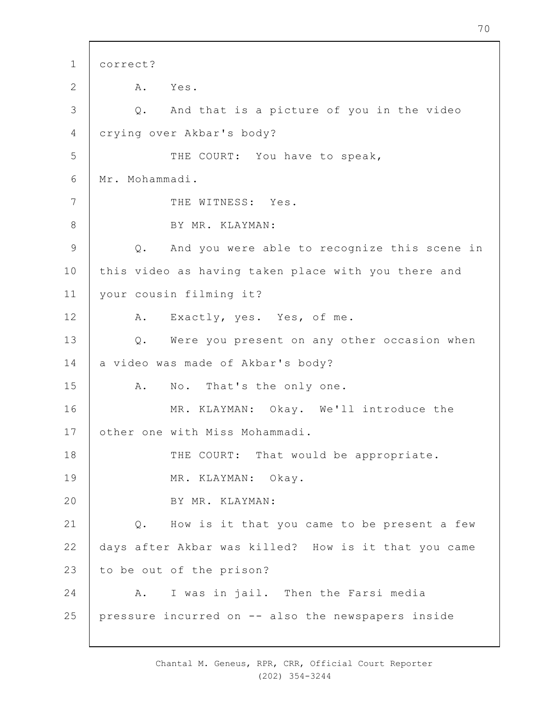1 2 3 4 5 6 7 8 9 10 11 12 13 14 15 16 17 18 19  $20$ 21 22 23 24 25 correct? A. Yes. Q. And that is a picture of you in the video crying over Akbar's body? THE COURT: You have to speak, Mr. Mohammadi. THE WITNESS: Yes. BY MR. KLAYMAN: Q. And you were able to recognize this scene in this video as having taken place with you there and your cousin filming it? A. Exactly, yes. Yes, of me. Q. Were you present on any other occasion when a video was made of Akbar's body? A. No. That's the only one. MR. KLAYMAN: Okay. We'll introduce the other one with Miss Mohammadi. THE COURT: That would be appropriate. MR. KLAYMAN: Okay. BY MR. KLAYMAN: Q. How is it that you came to be present a few days after Akbar was killed? How is it that you came to be out of the prison? A. I was in jail. Then the Farsi media pressure incurred on -- also the newspapers inside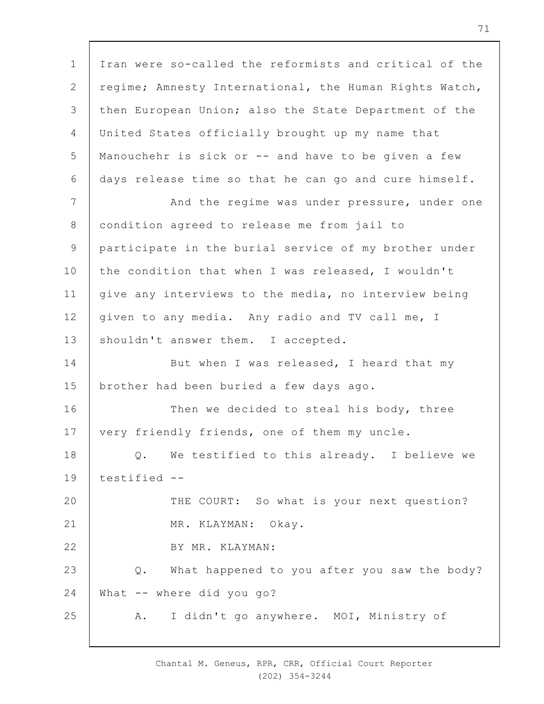1 2 3 4 5 6 7 8 9 10 11 12 13 14 15 16 17 18 19  $20$ 21 22 23 24 25 Iran were so-called the reformists and critical of the regime; Amnesty International, the Human Rights Watch, then European Union; also the State Department of the United States officially brought up my name that Manouchehr is sick or -- and have to be given a few days release time so that he can go and cure himself. And the regime was under pressure, under one condition agreed to release me from jail to participate in the burial service of my brother under the condition that when I was released, I wouldn't give any interviews to the media, no interview being given to any media. Any radio and TV call me, I shouldn't answer them. I accepted. But when I was released, I heard that my brother had been buried a few days ago. Then we decided to steal his body, three very friendly friends, one of them my uncle. Q. We testified to this already. I believe we testified -- THE COURT: So what is your next question? MR. KLAYMAN: Okay. BY MR. KLAYMAN: Q. What happened to you after you saw the body? What -- where did you go? A. I didn't go anywhere. MOI, Ministry of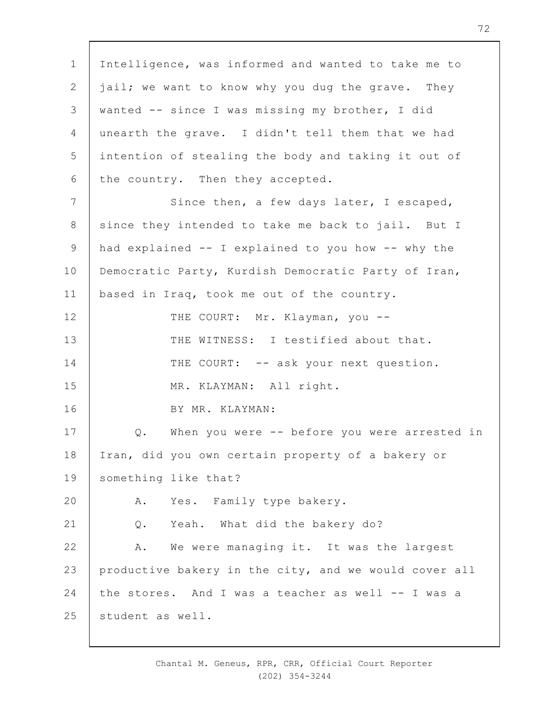1 2 3 4 5 6 7 8 9 10 11 12 13 14 15 16 17 18 19  $20$ 21 22 23 24 25 Intelligence, was informed and wanted to take me to jail; we want to know why you dug the grave. They wanted -- since I was missing my brother, I did unearth the grave. I didn't tell them that we had intention of stealing the body and taking it out of the country. Then they accepted. Since then, a few days later, I escaped, since they intended to take me back to jail. But I had explained -- I explained to you how -- why the Democratic Party, Kurdish Democratic Party of Iran, based in Iraq, took me out of the country. THE COURT: Mr. Klayman, you --THE WITNESS: I testified about that. THE COURT: -- ask your next question. MR. KLAYMAN: All right. BY MR. KLAYMAN: Q. When you were -- before you were arrested in Iran, did you own certain property of a bakery or something like that? A. Yes. Family type bakery. Q. Yeah. What did the bakery do? A. We were managing it. It was the largest productive bakery in the city, and we would cover all the stores. And I was a teacher as well -- I was a student as well.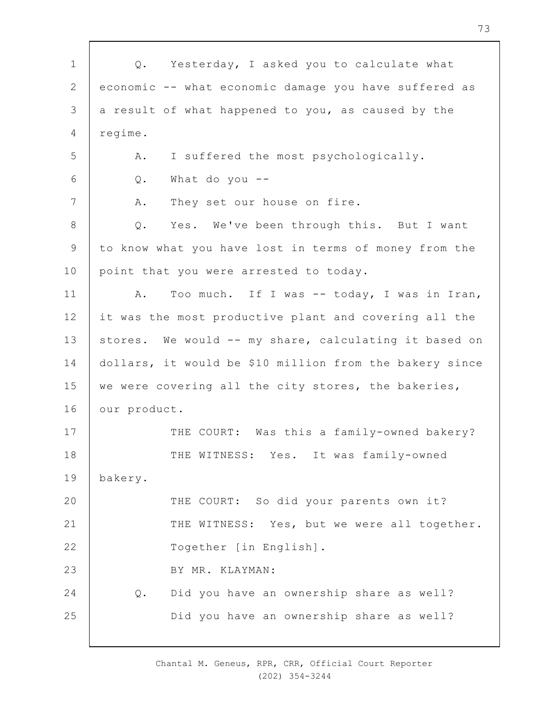| $1\,$          | Q. Yesterday, I asked you to calculate what             |
|----------------|---------------------------------------------------------|
| $\mathbf{2}$   | economic -- what economic damage you have suffered as   |
| 3              | a result of what happened to you, as caused by the      |
| 4              | regime.                                                 |
| 5              | I suffered the most psychologically.<br>Α.              |
| 6              | What do you $-$<br>Q.                                   |
| $7\phantom{.}$ | They set our house on fire.<br>Α.                       |
| $8\,$          | $Q$ .<br>Yes. We've been through this. But I want       |
| $\mathsf 9$    | to know what you have lost in terms of money from the   |
| 10             | point that you were arrested to today.                  |
| 11             | Too much. If I was -- today, I was in Iran,<br>Α.       |
| 12             | it was the most productive plant and covering all the   |
| 13             | stores. We would -- my share, calculating it based on   |
| 14             | dollars, it would be \$10 million from the bakery since |
| 15             | we were covering all the city stores, the bakeries,     |
| 16             | our product.                                            |
| 17             | THE COURT: Was this a family-owned bakery?              |
| 18             | THE WITNESS: Yes. It was family-owned                   |
| 19             | bakery.                                                 |
| 20             | THE COURT: So did your parents own it?                  |
| 21             | THE WITNESS: Yes, but we were all together.             |
| 22             | Together [in English].                                  |
| 23             | BY MR. KLAYMAN:                                         |
| 24             | Did you have an ownership share as well?<br>$Q$ .       |
| 25             | Did you have an ownership share as well?                |
|                |                                                         |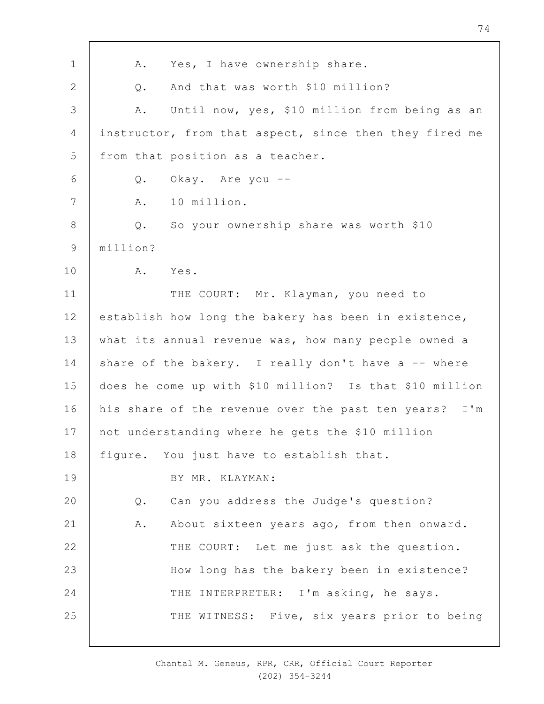| $\mathbf 1$     | Yes, I have ownership share.<br>Α.                      |
|-----------------|---------------------------------------------------------|
| $\mathbf{2}$    | And that was worth \$10 million?<br>Q.                  |
| $\mathcal{S}$   | Until now, yes, \$10 million from being as an<br>Α.     |
| 4               | instructor, from that aspect, since then they fired me  |
| 5               | from that position as a teacher.                        |
| 6               | Okay. Are you --<br>Q.                                  |
| $7\phantom{.0}$ | 10 million.<br>Α.                                       |
| $8\,$           | So your ownership share was worth \$10<br>Q.            |
| $\mathsf 9$     | million?                                                |
| 10              | A.<br>Yes.                                              |
| 11              | THE COURT: Mr. Klayman, you need to                     |
| 12              | establish how long the bakery has been in existence,    |
| 13              | what its annual revenue was, how many people owned a    |
| 14              | share of the bakery. I really don't have a -- where     |
| 15              | does he come up with \$10 million? Is that \$10 million |
| 16              | his share of the revenue over the past ten years? I'm   |
| 17              | not understanding where he gets the \$10 million        |
| 18              | figure. You just have to establish that.                |
| 19              | BY MR. KLAYMAN:                                         |
| 20              | Can you address the Judge's question?<br>Q.             |
| 21              | About sixteen years ago, from then onward.<br>Α.        |
| 22              | THE COURT: Let me just ask the question.                |
| 23              | How long has the bakery been in existence?              |
| 24              | THE INTERPRETER: I'm asking, he says.                   |
| 25              | THE WITNESS: Five, six years prior to being             |
|                 |                                                         |

- 11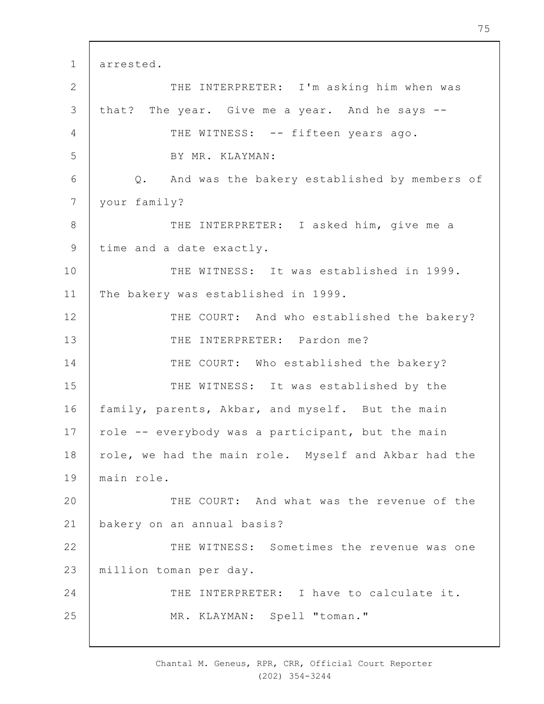1 2 3 4 5 6 7 8 9 10 11 12 13 14 15 16 17 18 19  $20$ 21 22 23 24 25 arrested. THE INTERPRETER: I'm asking him when was that? The year. Give me a year. And he says -- THE WITNESS: -- fifteen years ago. BY MR. KLAYMAN: Q. And was the bakery established by members of your family? THE INTERPRETER: I asked him, give me a time and a date exactly. THE WITNESS: It was established in 1999. The bakery was established in 1999. THE COURT: And who established the bakery? THE INTERPRETER: Pardon me? THE COURT: Who established the bakery? THE WITNESS: It was established by the family, parents, Akbar, and myself. But the main role -- everybody was a participant, but the main role, we had the main role. Myself and Akbar had the main role. THE COURT: And what was the revenue of the bakery on an annual basis? THE WITNESS: Sometimes the revenue was one million toman per day. THE INTERPRETER: I have to calculate it. MR. KLAYMAN: Spell "toman."

> Chantal M. Geneus, RPR, CRR, Official Court Reporter (202) 354-3244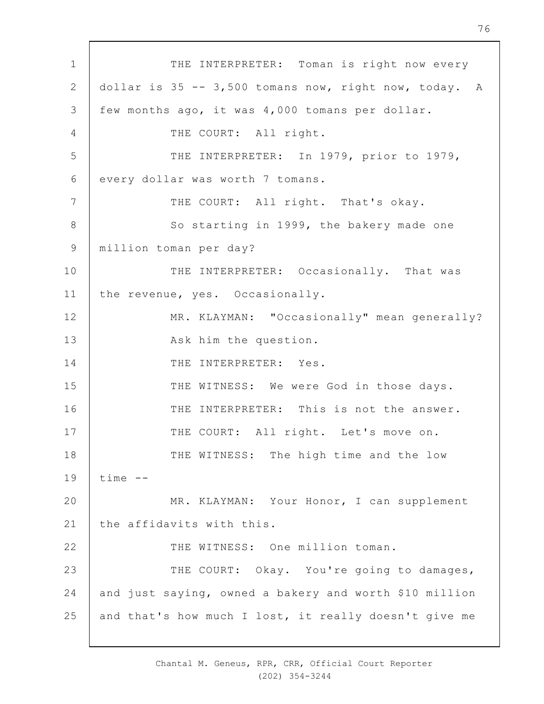1 2 3 4 5 6 7 8 9 10 11 12 13 14 15 16 17 18 19  $20$ 21 22 23 24 25 THE INTERPRETER: Toman is right now every dollar is 35 -- 3,500 tomans now, right now, today. A few months ago, it was 4,000 tomans per dollar. THE COURT: All right. THE INTERPRETER: In 1979, prior to 1979, every dollar was worth 7 tomans. THE COURT: All right. That's okay. So starting in 1999, the bakery made one million toman per day? THE INTERPRETER: Occasionally. That was the revenue, yes. Occasionally. MR. KLAYMAN: "Occasionally" mean generally? Ask him the question. THE INTERPRETER: Yes. THE WITNESS: We were God in those days. THE INTERPRETER: This is not the answer. THE COURT: All right. Let's move on. THE WITNESS: The high time and the low time -- MR. KLAYMAN: Your Honor, I can supplement the affidavits with this. THE WITNESS: One million toman. THE COURT: Okay. You're going to damages, and just saying, owned a bakery and worth \$10 million and that's how much I lost, it really doesn't give me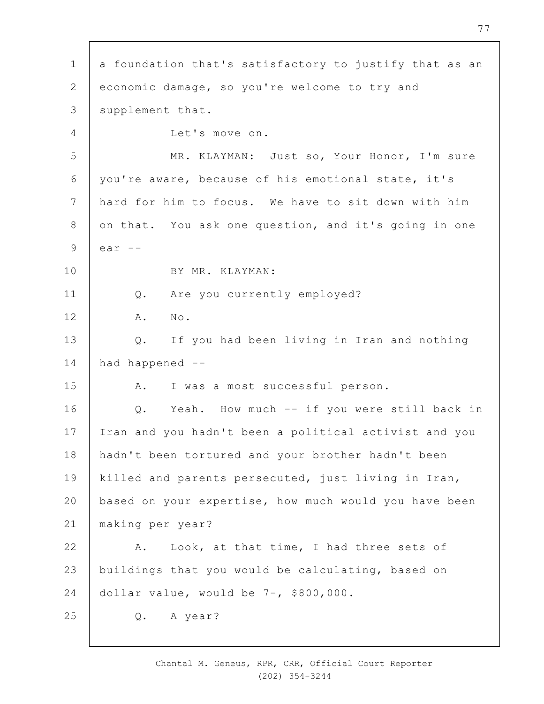1 2 3 4 5 6 7 8 9 10 11 12 13 14 15 16 17 18 19  $20$ 21 22 23 24 25 a foundation that's satisfactory to justify that as an economic damage, so you're welcome to try and supplement that. Let's move on. MR. KLAYMAN: Just so, Your Honor, I'm sure you're aware, because of his emotional state, it's hard for him to focus. We have to sit down with him on that. You ask one question, and it's going in one ear -- BY MR. KLAYMAN: Q. Are you currently employed? A. No. Q. If you had been living in Iran and nothing had happened -- A. I was a most successful person. Q. Yeah. How much -- if you were still back in Iran and you hadn't been a political activist and you hadn't been tortured and your brother hadn't been killed and parents persecuted, just living in Iran, based on your expertise, how much would you have been making per year? A. Look, at that time, I had three sets of buildings that you would be calculating, based on dollar value, would be 7-, \$800,000. Q. A year?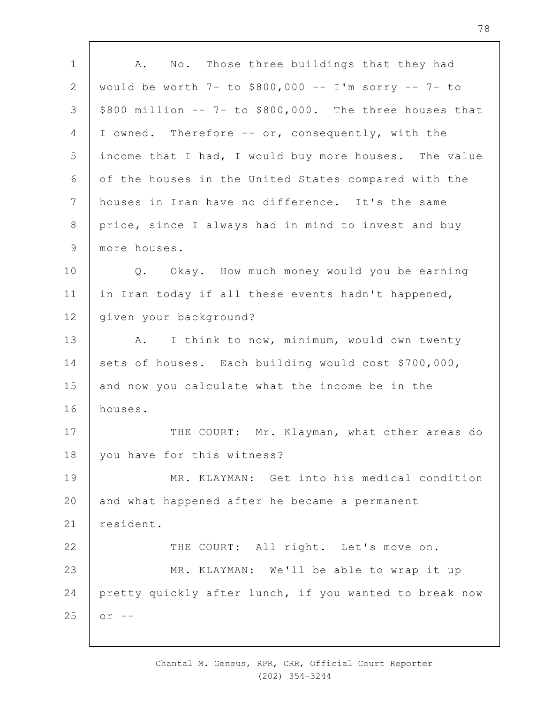1 2 3 4 5 6 7 8 9 10 11 12 13 14 15 16 17 18 19  $20$ 21 22 23 24 25 A. No. Those three buildings that they had would be worth 7- to \$800,000 -- I'm sorry -- 7- to \$800 million -- 7- to \$800,000. The three houses that I owned. Therefore -- or, consequently, with the income that I had, I would buy more houses. The value of the houses in the United States compared with the houses in Iran have no difference. It's the same price, since I always had in mind to invest and buy more houses. Q. Okay. How much money would you be earning in Iran today if all these events hadn't happened, given your background? A. I think to now, minimum, would own twenty sets of houses. Each building would cost \$700,000, and now you calculate what the income be in the houses. THE COURT: Mr. Klayman, what other areas do you have for this witness? MR. KLAYMAN: Get into his medical condition and what happened after he became a permanent resident. THE COURT: All right. Let's move on. MR. KLAYMAN: We'll be able to wrap it up pretty quickly after lunch, if you wanted to break now  $or$   $--$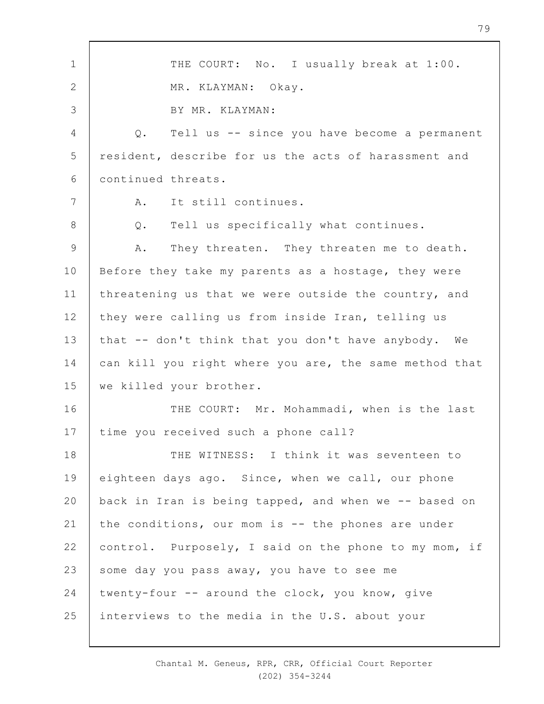1 2 3 4 5 6 7 8 9 10 11 12 13 14 15 16 17 18 19  $20$ 21 22 23 24 25 THE COURT: No. I usually break at 1:00. MR. KLAYMAN: Okay. BY MR. KLAYMAN: Q. Tell us -- since you have become a permanent resident, describe for us the acts of harassment and continued threats. A. It still continues. Q. Tell us specifically what continues. A. They threaten. They threaten me to death. Before they take my parents as a hostage, they were threatening us that we were outside the country, and they were calling us from inside Iran, telling us that -- don't think that you don't have anybody. We can kill you right where you are, the same method that we killed your brother. THE COURT: Mr. Mohammadi, when is the last time you received such a phone call? THE WITNESS: I think it was seventeen to eighteen days ago. Since, when we call, our phone back in Iran is being tapped, and when we -- based on the conditions, our mom is -- the phones are under control. Purposely, I said on the phone to my mom, if some day you pass away, you have to see me twenty-four -- around the clock, you know, give interviews to the media in the U.S. about your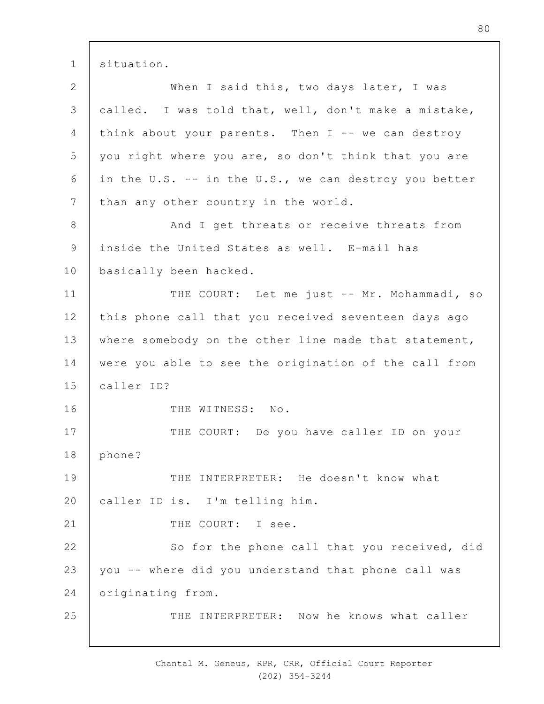1 situation.

2 3 4 5 6 7 8 9 10 11 12 13 14 15 16 17 18 19  $20$ 21 22 23 24 25 When I said this, two days later, I was called. I was told that, well, don't make a mistake, think about your parents. Then  $I$  -- we can destroy you right where you are, so don't think that you are in the U.S. -- in the U.S., we can destroy you better than any other country in the world. And I get threats or receive threats from inside the United States as well. E-mail has basically been hacked. THE COURT: Let me just -- Mr. Mohammadi, so this phone call that you received seventeen days ago where somebody on the other line made that statement, were you able to see the origination of the call from caller ID? THE WITNESS: No. THE COURT: Do you have caller ID on your phone? THE INTERPRETER: He doesn't know what caller ID is. I'm telling him. THE COURT: I see. So for the phone call that you received, did you -- where did you understand that phone call was originating from. THE INTERPRETER: Now he knows what caller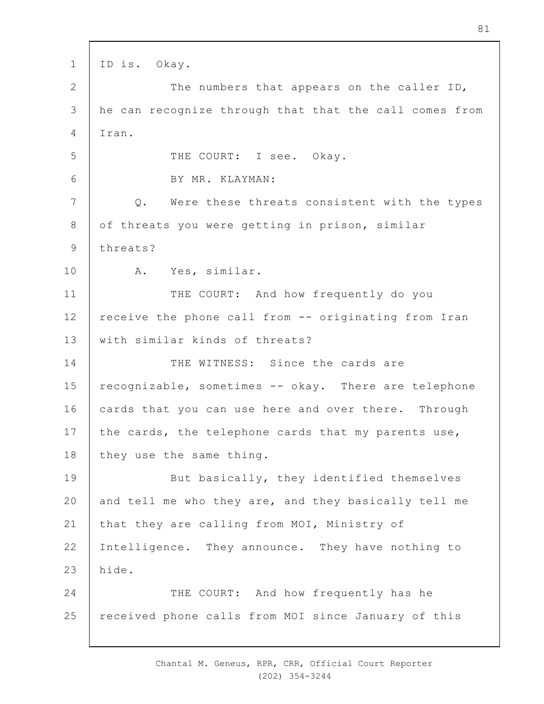1 2 3 4 5 6 7 8 9 10 11 12 13 14 15 16 17 18 19  $20$ 21 22 23 24 25 ID is. Okay. The numbers that appears on the caller ID, he can recognize through that that the call comes from Iran. THE COURT: I see. Okay. BY MR. KLAYMAN: Q. Were these threats consistent with the types of threats you were getting in prison, similar threats? A. Yes, similar. THE COURT: And how frequently do you receive the phone call from -- originating from Iran with similar kinds of threats? THE WITNESS: Since the cards are recognizable, sometimes -- okay. There are telephone cards that you can use here and over there. Through the cards, the telephone cards that my parents use, they use the same thing. But basically, they identified themselves and tell me who they are, and they basically tell me that they are calling from MOI, Ministry of Intelligence. They announce. They have nothing to hide. THE COURT: And how frequently has he received phone calls from MOI since January of this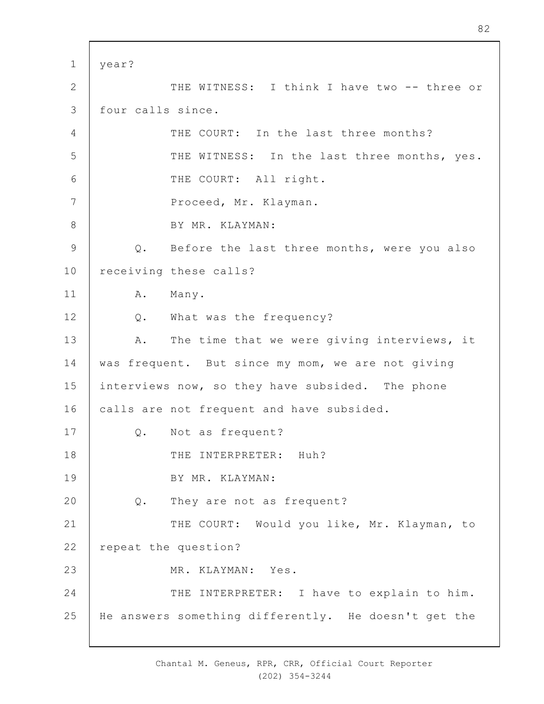1 2 3 4 5 6 7 8 9 10 11 12 13 14 15 16 17 18 19  $20$ 21 22 23 24 25 year? THE WITNESS: I think I have two -- three or four calls since. THE COURT: In the last three months? THE WITNESS: In the last three months, yes. THE COURT: All right. Proceed, Mr. Klayman. BY MR. KLAYMAN: Q. Before the last three months, were you also receiving these calls? A. Many. Q. What was the frequency? A. The time that we were giving interviews, it was frequent. But since my mom, we are not giving interviews now, so they have subsided. The phone calls are not frequent and have subsided. Q. Not as frequent? THE INTERPRETER: Huh? BY MR. KLAYMAN: Q. They are not as frequent? THE COURT: Would you like, Mr. Klayman, to repeat the question? MR. KLAYMAN: Yes. THE INTERPRETER: I have to explain to him. He answers something differently. He doesn't get the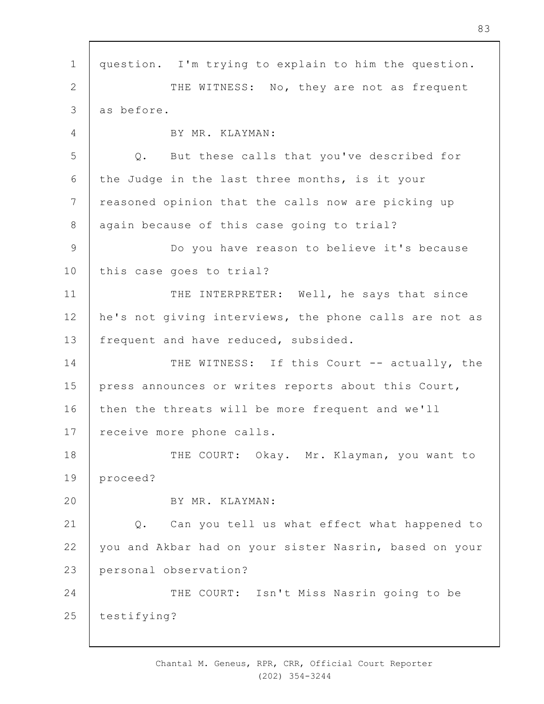1 2 3 4 5 6 7 8 9 10 11 12 13 14 15 16 17 18 19  $20$ 21 22 23  $24$ 25 question. I'm trying to explain to him the question. THE WITNESS: No, they are not as frequent as before. BY MR. KLAYMAN: Q. But these calls that you've described for the Judge in the last three months, is it your reasoned opinion that the calls now are picking up again because of this case going to trial? Do you have reason to believe it's because this case goes to trial? THE INTERPRETER: Well, he says that since he's not giving interviews, the phone calls are not as frequent and have reduced, subsided. THE WITNESS: If this Court -- actually, the press announces or writes reports about this Court, then the threats will be more frequent and we'll receive more phone calls. THE COURT: Okay. Mr. Klayman, you want to proceed? BY MR. KLAYMAN: Q. Can you tell us what effect what happened to you and Akbar had on your sister Nasrin, based on your personal observation? THE COURT: Isn't Miss Nasrin going to be testifying?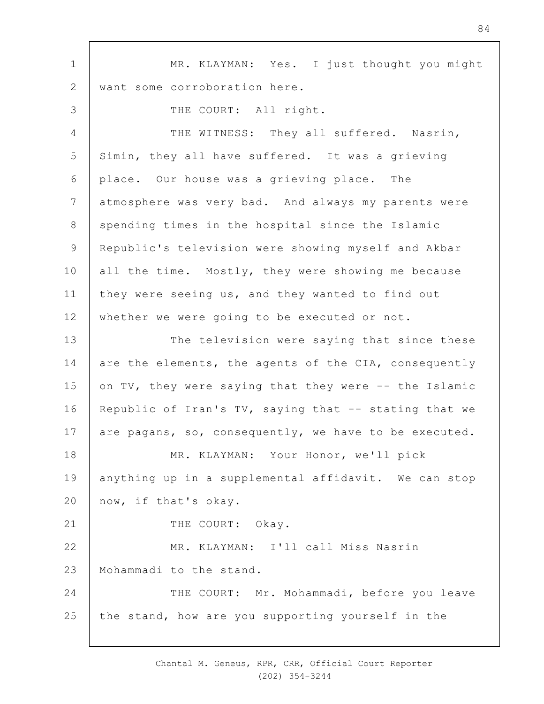1 2 3 4 5 6 7 8 9 10 11 12 13 14 15 16 17 18 19  $20$ 21 22 23 24 25 MR. KLAYMAN: Yes. I just thought you might want some corroboration here. THE COURT: All right. THE WITNESS: They all suffered. Nasrin, Simin, they all have suffered. It was a grieving place. Our house was a grieving place. The atmosphere was very bad. And always my parents were spending times in the hospital since the Islamic Republic's television were showing myself and Akbar all the time. Mostly, they were showing me because they were seeing us, and they wanted to find out whether we were going to be executed or not. The television were saying that since these are the elements, the agents of the CIA, consequently on TV, they were saying that they were -- the Islamic Republic of Iran's  $TV$ , saying that  $-$ - stating that we are pagans, so, consequently, we have to be executed. MR. KLAYMAN: Your Honor, we'll pick anything up in a supplemental affidavit. We can stop now, if that's okay. THE COURT: Okay. MR. KLAYMAN: I'll call Miss Nasrin Mohammadi to the stand. THE COURT: Mr. Mohammadi, before you leave the stand, how are you supporting yourself in the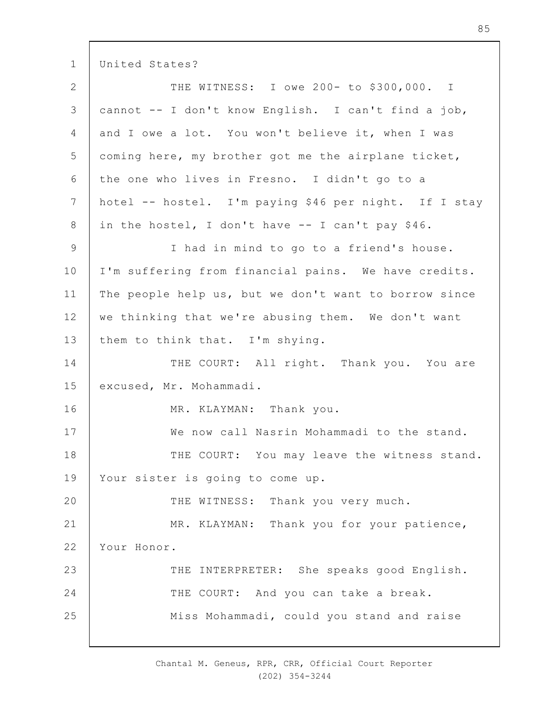1 United States?

| $\mathbf{2}$   | THE WITNESS: I owe 200- to \$300,000. I               |
|----------------|-------------------------------------------------------|
| $\mathcal{S}$  | cannot -- I don't know English. I can't find a job,   |
| 4              | and I owe a lot. You won't believe it, when I was     |
| 5              | coming here, my brother got me the airplane ticket,   |
| 6              | the one who lives in Fresno. I didn't go to a         |
| $\overline{7}$ | hotel -- hostel. I'm paying \$46 per night. If I stay |
| $8\,$          | in the hostel, I don't have -- I can't pay \$46.      |
| $\mathsf 9$    | I had in mind to go to a friend's house.              |
| 10             | I'm suffering from financial pains. We have credits.  |
| 11             | The people help us, but we don't want to borrow since |
| 12             | we thinking that we're abusing them. We don't want    |
| 13             | them to think that. I'm shying.                       |
| 14             | THE COURT: All right. Thank you. You are              |
| 15             | excused, Mr. Mohammadi.                               |
| 16             | MR. KLAYMAN: Thank you.                               |
| 17             | We now call Nasrin Mohammadi to the stand.            |
| 18             | THE COURT: You may leave the witness stand.           |
| 19             | Your sister is going to come up.                      |
| 20             | Thank you very much.<br>THE WITNESS:                  |
| 21             | MR. KLAYMAN: Thank you for your patience,             |
| 22             | Your Honor.                                           |
| 23             | THE INTERPRETER: She speaks good English.             |
| 24             | THE COURT: And you can take a break.                  |
| 25             | Miss Mohammadi, could you stand and raise             |
|                |                                                       |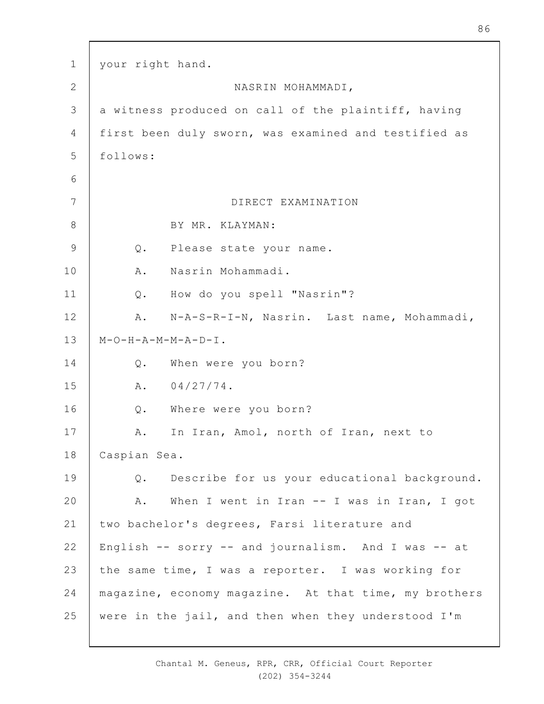| $\mathbf 1$     | your right hand.                                      |
|-----------------|-------------------------------------------------------|
| $\overline{2}$  | NASRIN MOHAMMADI,                                     |
| 3               | a witness produced on call of the plaintiff, having   |
| $\overline{4}$  | first been duly sworn, was examined and testified as  |
| 5               | follows:                                              |
| 6               |                                                       |
| $7\phantom{.0}$ | DIRECT EXAMINATION                                    |
| $8\,$           | BY MR. KLAYMAN:                                       |
| $\mathsf 9$     | Q.<br>Please state your name.                         |
| 10              | Nasrin Mohammadi.<br>Α.                               |
| 11              | How do you spell "Nasrin"?<br>$Q$ .                   |
| 12              | N-A-S-R-I-N, Nasrin. Last name, Mohammadi,<br>Α.      |
| 13              | $M-O-H-A-M-M-A-D-I$ .                                 |
| 14              | Q.<br>When were you born?                             |
| 15              | $04/27/74$ .<br>A.                                    |
| 16              | Q. Where were you born?                               |
| 17              | In Iran, Amol, north of Iran, next to<br>Α.           |
| 18              | Caspian Sea.                                          |
| 19              | Describe for us your educational background.<br>Q.    |
| 20              | When I went in Iran -- I was in Iran, I got<br>Α.     |
| 21              | two bachelor's degrees, Farsi literature and          |
| 22              | English -- sorry -- and journalism. And I was -- at   |
| 23              | the same time, I was a reporter. I was working for    |
| 24              | magazine, economy magazine. At that time, my brothers |
| 25              | were in the jail, and then when they understood I'm   |

 $\mathsf{r}$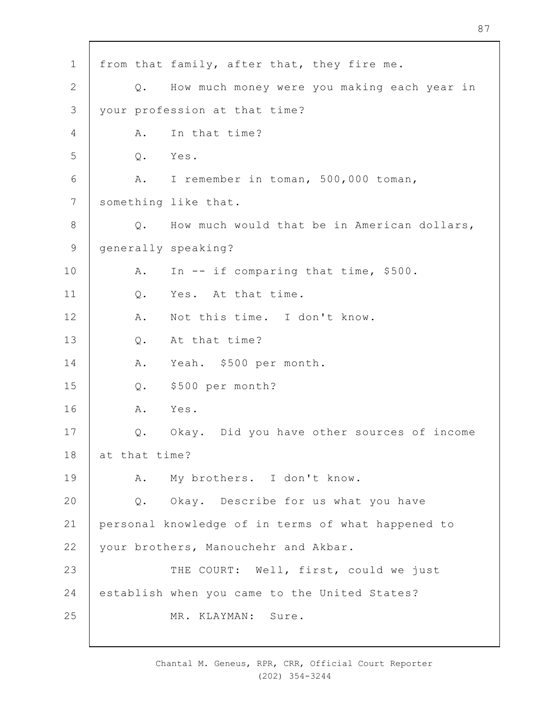1 2 3 4 5 6 7 8 9 10 11 12 13 14 15 16 17 18 19  $20$ 21 22 23 24 25 from that family, after that, they fire me. Q. How much money were you making each year in your profession at that time? A. In that time? Q. Yes. A. I remember in toman, 500,000 toman, something like that. Q. How much would that be in American dollars, generally speaking? A. In -- if comparing that time, \$500. Q. Yes. At that time. A. Not this time. I don't know. Q. At that time? A. Yeah. \$500 per month. Q. \$500 per month? A. Yes. Q. Okay. Did you have other sources of income at that time? A. My brothers. I don't know. Q. Okay. Describe for us what you have personal knowledge of in terms of what happened to your brothers, Manouchehr and Akbar. THE COURT: Well, first, could we just establish when you came to the United States? MR. KLAYMAN: Sure.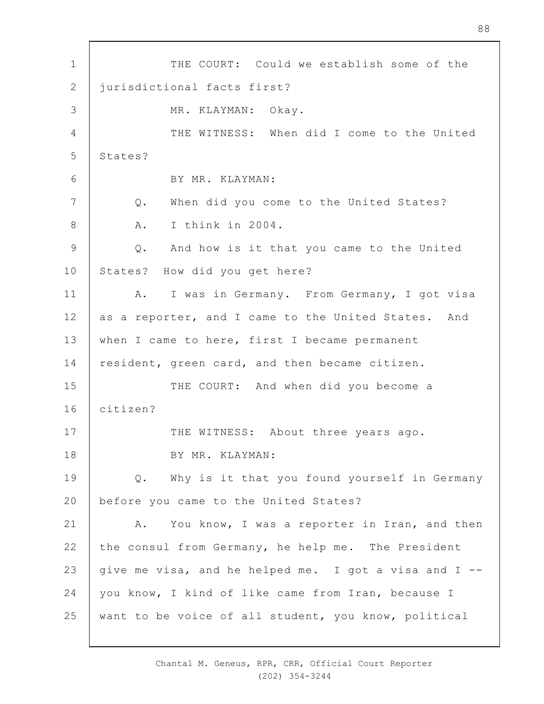1 2 3 4 5 6 7 8 9 10 11 12 13 14 15 16 17 18 19  $20$ 21 22 23 24 25 THE COURT: Could we establish some of the jurisdictional facts first? MR. KLAYMAN: Okay. THE WITNESS: When did I come to the United States? BY MR. KLAYMAN: Q. When did you come to the United States? A. I think in 2004. Q. And how is it that you came to the United States? How did you get here? A. I was in Germany. From Germany, I got visa as a reporter, and I came to the United States. And when I came to here, first I became permanent resident, green card, and then became citizen. THE COURT: And when did you become a citizen? THE WITNESS: About three years ago. BY MR. KLAYMAN: Q. Why is it that you found yourself in Germany before you came to the United States? A. You know, I was a reporter in Iran, and then the consul from Germany, he help me. The President give me visa, and he helped me. I got a visa and I - you know, I kind of like came from Iran, because I want to be voice of all student, you know, political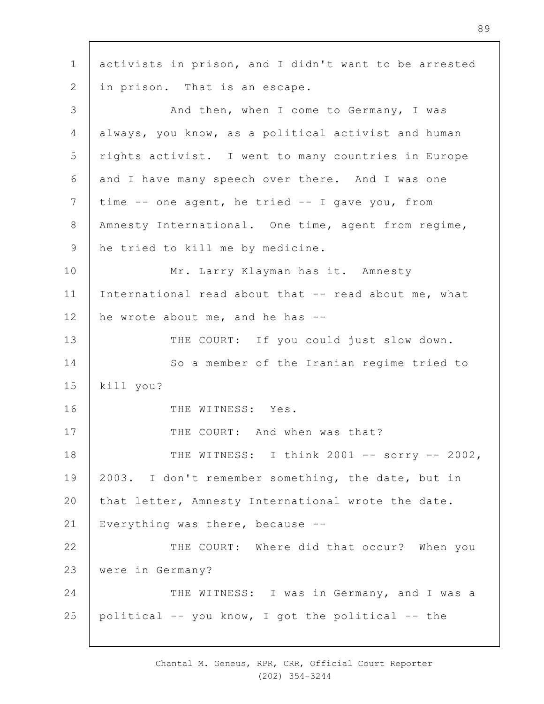1 2 3 4 5 6 7 8 9 10 11 12 13 14 15 16 17 18 19  $20$ 21 22 23 24 25 activists in prison, and I didn't want to be arrested in prison. That is an escape. And then, when I come to Germany, I was always, you know, as a political activist and human rights activist. I went to many countries in Europe and I have many speech over there. And I was one time -- one agent, he tried -- I gave you, from Amnesty International. One time, agent from regime, he tried to kill me by medicine. Mr. Larry Klayman has it. Amnesty International read about that -- read about me, what he wrote about me, and he has -- THE COURT: If you could just slow down. So a member of the Iranian regime tried to kill you? THE WITNESS: Yes. THE COURT: And when was that? THE WITNESS: I think 2001 -- sorry -- 2002, 2003. I don't remember something, the date, but in that letter, Amnesty International wrote the date. Everything was there, because -- THE COURT: Where did that occur? When you were in Germany? THE WITNESS: I was in Germany, and I was a political -- you know, I got the political -- the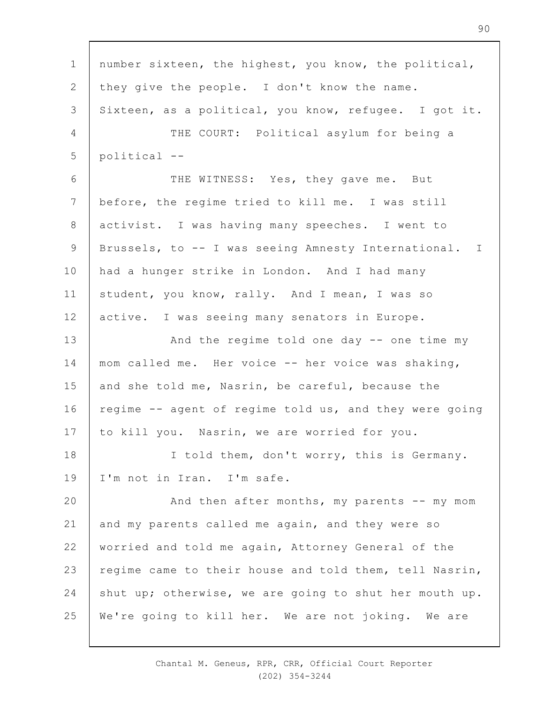1 2 3 4 5 6 7 8 9 10 11 12 13 14 15 16 17 18 19  $20$ 21 22 23 24 25 number sixteen, the highest, you know, the political, they give the people. I don't know the name. Sixteen, as a political, you know, refugee. I got it. THE COURT: Political asylum for being a political -- THE WITNESS: Yes, they gave me. But before, the regime tried to kill me. I was still activist. I was having many speeches. I went to Brussels, to -- I was seeing Amnesty International. I had a hunger strike in London. And I had many student, you know, rally. And I mean, I was so active. I was seeing many senators in Europe. And the regime told one day -- one time my mom called me. Her voice -- her voice was shaking, and she told me, Nasrin, be careful, because the regime -- agent of regime told us, and they were going to kill you. Nasrin, we are worried for you. I told them, don't worry, this is Germany. I'm not in Iran. I'm safe. And then after months, my parents  $--$  my mom and my parents called me again, and they were so worried and told me again, Attorney General of the regime came to their house and told them, tell Nasrin, shut up; otherwise, we are going to shut her mouth up. We're going to kill her. We are not joking. We are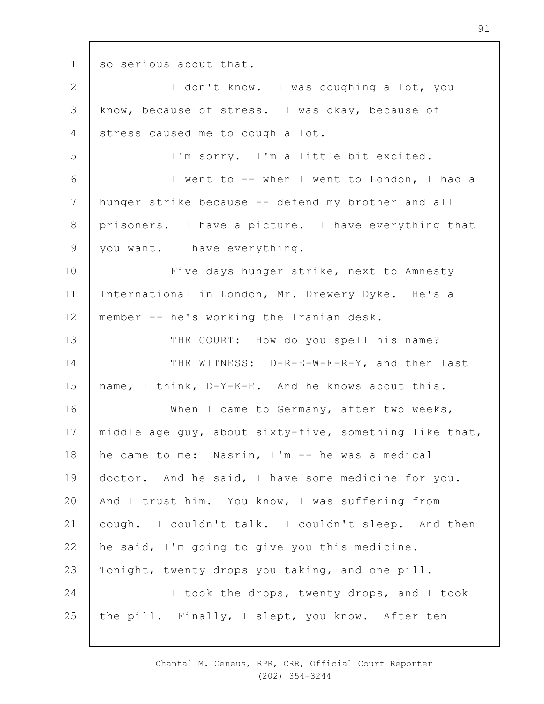1

so serious about that.

2 3 4 5 6 7 8 9 10 11 12 13 14 15 16 17 18 19  $20$ 21 22 23 24 25 I don't know. I was coughing a lot, you know, because of stress. I was okay, because of stress caused me to cough a lot. I'm sorry. I'm a little bit excited. I went to -- when I went to London, I had a hunger strike because -- defend my brother and all prisoners. I have a picture. I have everything that you want. I have everything. Five days hunger strike, next to Amnesty International in London, Mr. Drewery Dyke. He's a member -- he's working the Iranian desk. THE COURT: How do you spell his name? THE WITNESS: D-R-E-W-E-R-Y, and then last name, I think, D-Y-K-E. And he knows about this. When I came to Germany, after two weeks, middle age guy, about sixty-five, something like that, he came to me: Nasrin, I'm -- he was a medical doctor. And he said, I have some medicine for you. And I trust him. You know, I was suffering from cough. I couldn't talk. I couldn't sleep. And then he said, I'm going to give you this medicine. Tonight, twenty drops you taking, and one pill. I took the drops, twenty drops, and I took the pill. Finally, I slept, you know. After ten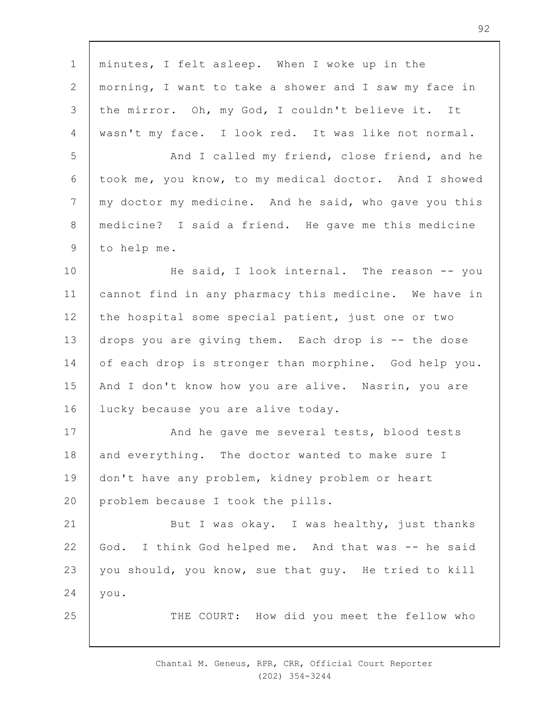1 2 3 4 5 6 7 8 9 10 11 12 13 14 15 16 17 18 19  $20$ 21 22 23 24 25 minutes, I felt asleep. When I woke up in the morning, I want to take a shower and I saw my face in the mirror. Oh, my God, I couldn't believe it. It wasn't my face. I look red. It was like not normal. And I called my friend, close friend, and he took me, you know, to my medical doctor. And I showed my doctor my medicine. And he said, who gave you this medicine? I said a friend. He gave me this medicine to help me. He said, I look internal. The reason -- you cannot find in any pharmacy this medicine. We have in the hospital some special patient, just one or two drops you are giving them. Each drop is -- the dose of each drop is stronger than morphine. God help you. And I don't know how you are alive. Nasrin, you are lucky because you are alive today. And he gave me several tests, blood tests and everything. The doctor wanted to make sure I don't have any problem, kidney problem or heart problem because I took the pills. But I was okay. I was healthy, just thanks God. I think God helped me. And that was -- he said you should, you know, sue that guy. He tried to kill you. THE COURT: How did you meet the fellow who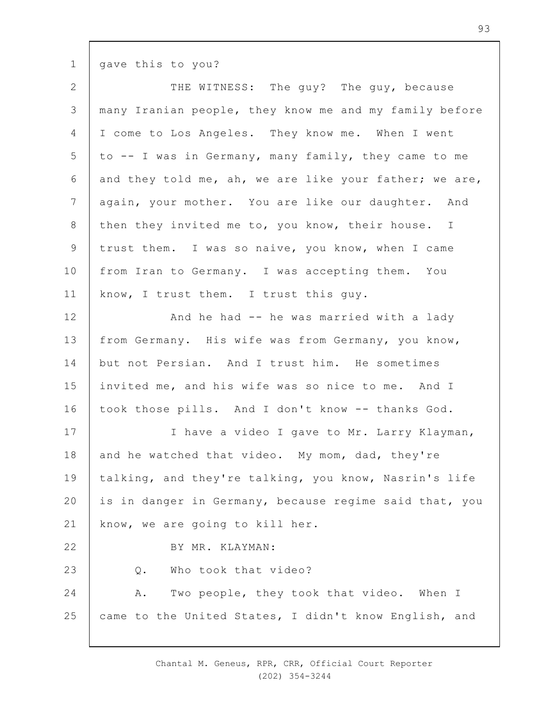gave this to you?

1

| THE WITNESS: The guy? The guy, because                 |
|--------------------------------------------------------|
| many Iranian people, they know me and my family before |
| I come to Los Angeles. They know me. When I went       |
| to -- I was in Germany, many family, they came to me   |
| and they told me, ah, we are like your father; we are, |
| again, your mother. You are like our daughter. And     |
| then they invited me to, you know, their house. I      |
| trust them. I was so naive, you know, when I came      |
| from Iran to Germany. I was accepting them. You        |
| know, I trust them. I trust this guy.                  |
| And he had -- he was married with a lady               |
| from Germany. His wife was from Germany, you know,     |
| but not Persian. And I trust him. He sometimes         |
| invited me, and his wife was so nice to me. And I      |
| took those pills. And I don't know -- thanks God.      |
| I have a video I gave to Mr. Larry Klayman,            |
| and he watched that video. My mom, dad, they're        |
| talking, and they're talking, you know, Nasrin's life  |
| is in danger in Germany, because regime said that, you |
| know, we are going to kill her.                        |
| BY MR. KLAYMAN:                                        |
| Who took that video?<br>Q.                             |
| Two people, they took that video. When I<br>Α.         |
| came to the United States, I didn't know English, and  |
|                                                        |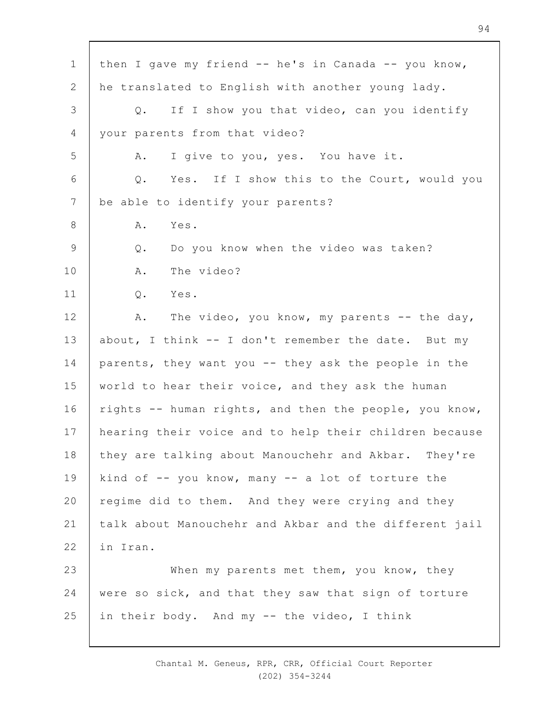| $\mathbf 1$ | then I gave my friend -- he's in Canada -- you know,   |
|-------------|--------------------------------------------------------|
| 2           | he translated to English with another young lady.      |
| 3           | If I show you that video, can you identify<br>Q.       |
| 4           | your parents from that video?                          |
| 5           | I give to you, yes. You have it.<br>Α.                 |
| 6           | Yes. If I show this to the Court, would you<br>Q.      |
| 7           | be able to identify your parents?                      |
| 8           | Α.<br>Yes.                                             |
| 9           | Do you know when the video was taken?<br>$Q$ .         |
| 10          | The video?<br>Α.                                       |
| 11          | Yes.<br>Q.                                             |
| 12          | The video, you know, my parents -- the day,<br>Α.      |
| 13          | about, I think -- I don't remember the date. But my    |
| 14          | parents, they want you -- they ask the people in the   |
| 15          | world to hear their voice, and they ask the human      |
| 16          | rights -- human rights, and then the people, you know, |
| 17          | hearing their voice and to help their children because |
| 18          | they are talking about Manouchehr and Akbar. They're   |
| 19          | kind of -- you know, many -- a lot of torture the      |
| 20          | regime did to them. And they were crying and they      |
| 21          | talk about Manouchehr and Akbar and the different jail |
| 22          | in Iran.                                               |
| 23          | When my parents met them, you know, they               |
| 24          | were so sick, and that they saw that sign of torture   |
| 25          | in their body. And my -- the video, I think            |
|             |                                                        |

 $\overline{\phantom{a}}$ 

Chantal M. Geneus, RPR, CRR, Official Court Reporter (202) 354-3244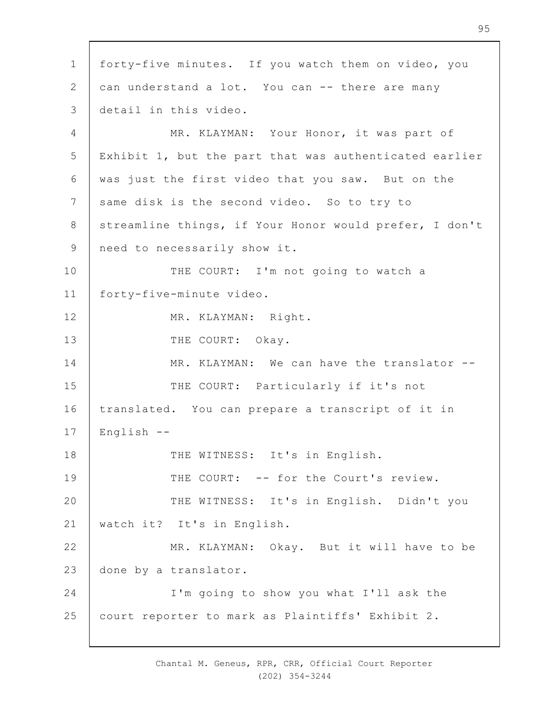1 2 3 4 5 6 7 8 9 10 11 12 13 14 15 16 17 18 19  $20$ 21 22 23 24 25 forty-five minutes. If you watch them on video, you can understand a lot. You can -- there are many detail in this video. MR. KLAYMAN: Your Honor, it was part of Exhibit 1, but the part that was authenticated earlier was just the first video that you saw. But on the same disk is the second video. So to try to streamline things, if Your Honor would prefer, I don't need to necessarily show it. THE COURT: I'm not going to watch a forty-five-minute video. MR. KLAYMAN: Right. THE COURT: Okay. MR. KLAYMAN: We can have the translator --THE COURT: Particularly if it's not translated. You can prepare a transcript of it in English -- THE WITNESS: It's in English. THE COURT: -- for the Court's review. THE WITNESS: It's in English. Didn't you watch it? It's in English. MR. KLAYMAN: Okay. But it will have to be done by a translator. I'm going to show you what I'll ask the court reporter to mark as Plaintiffs' Exhibit 2.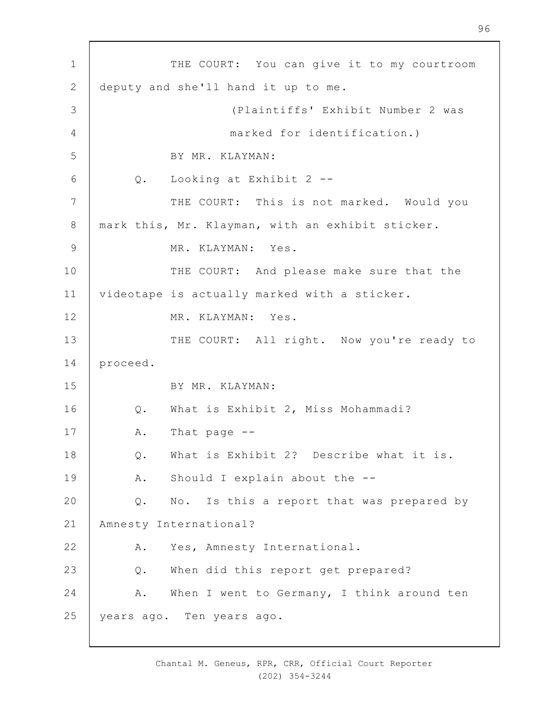1 2 3 4 5 6 7 8 9 10 11 12 13 14 15 16 17 18 19  $20$ 21 22 23 24 25 THE COURT: You can give it to my courtroom deputy and she'll hand it up to me. (Plaintiffs' Exhibit Number 2 was marked for identification.) BY MR. KLAYMAN: Q. Looking at Exhibit 2 -- THE COURT: This is not marked. Would you mark this, Mr. Klayman, with an exhibit sticker. MR. KLAYMAN: Yes. THE COURT: And please make sure that the videotape is actually marked with a sticker. MR. KLAYMAN: Yes. THE COURT: All right. Now you're ready to proceed. BY MR. KLAYMAN: Q. What is Exhibit 2, Miss Mohammadi? A. That page -- Q. What is Exhibit 2? Describe what it is. A. Should I explain about the -- Q. No. Is this a report that was prepared by Amnesty International? A. Yes, Amnesty International. Q. When did this report get prepared? A. When I went to Germany, I think around ten years ago. Ten years ago.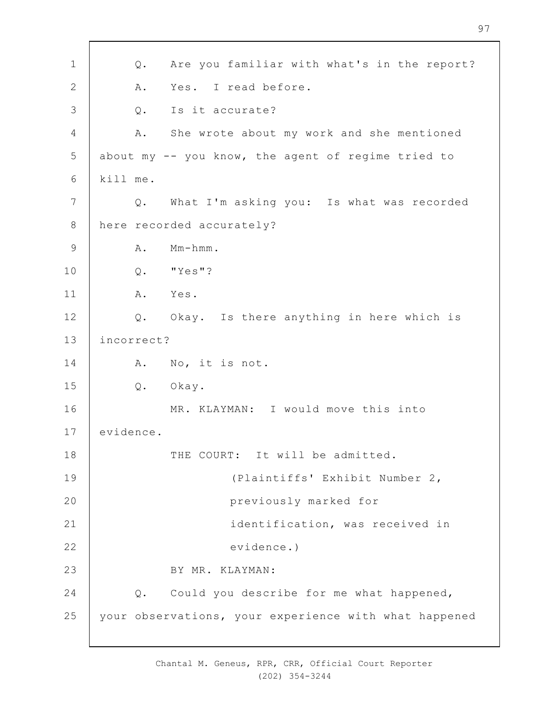1 2 3 4 5 6 7 8 9 10 11 12 13 14 15 16 17 18 19  $20$ 21 22 23 24 25 Q. Are you familiar with what's in the report? A. Yes. I read before. Q. Is it accurate? A. She wrote about my work and she mentioned about my -- you know, the agent of regime tried to kill me. Q. What I'm asking you: Is what was recorded here recorded accurately? A. Mm-hmm. Q. "Yes"? A. Yes. Q. Okay. Is there anything in here which is incorrect? A. No, it is not. Q. Okay. MR. KLAYMAN: I would move this into evidence. THE COURT: It will be admitted. (Plaintiffs' Exhibit Number 2, previously marked for identification, was received in evidence.) BY MR. KLAYMAN: Q. Could you describe for me what happened, your observations, your experience with what happened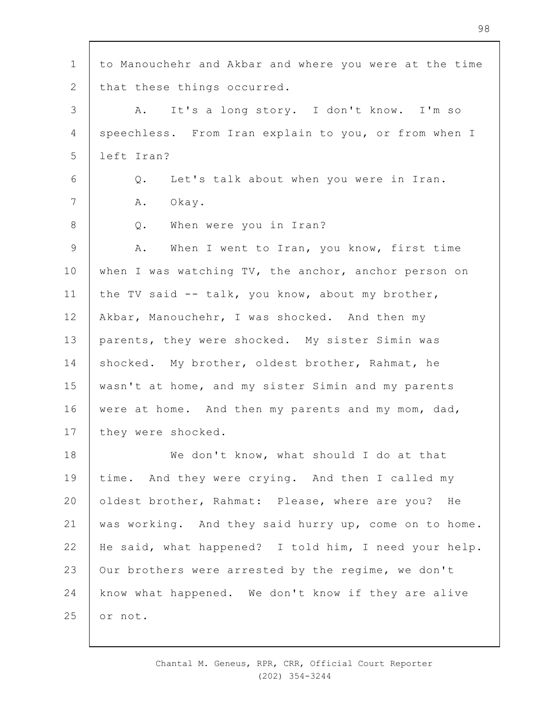1 2 3 4 5 6 7 8 9 10 11 12 13 14 15 16 17 18 19  $20$ 21 22 23 24 25 to Manouchehr and Akbar and where you were at the time that these things occurred. A. It's a long story. I don't know. I'm so speechless. From Iran explain to you, or from when I left Iran? Q. Let's talk about when you were in Iran. A. Okay. Q. When were you in Iran? A. When I went to Iran, you know, first time when I was watching TV, the anchor, anchor person on the TV said -- talk, you know, about my brother, Akbar, Manouchehr, I was shocked. And then my parents, they were shocked. My sister Simin was shocked. My brother, oldest brother, Rahmat, he wasn't at home, and my sister Simin and my parents were at home. And then my parents and my mom, dad, they were shocked. We don't know, what should I do at that time. And they were crying. And then I called my oldest brother, Rahmat: Please, where are you? He was working. And they said hurry up, come on to home. He said, what happened? I told him, I need your help. Our brothers were arrested by the regime, we don't know what happened. We don't know if they are alive or not.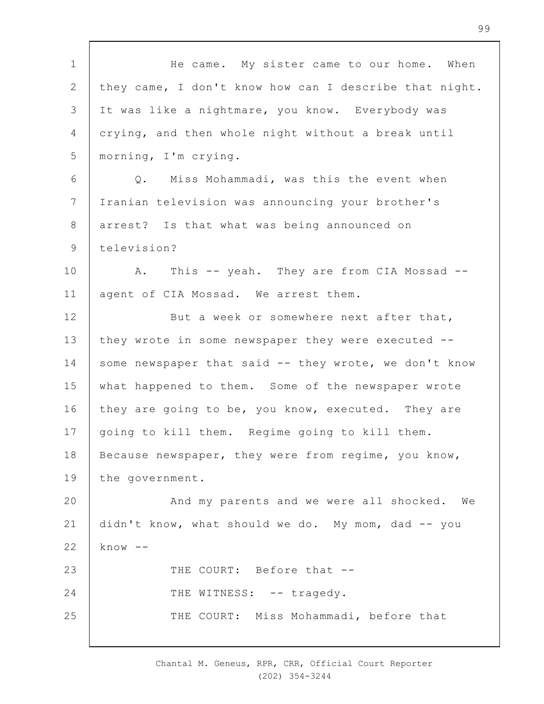| $\mathbf 1$    | He came. My sister came to our home. When              |
|----------------|--------------------------------------------------------|
| $\overline{2}$ | they came, I don't know how can I describe that night. |
| 3              | It was like a nightmare, you know. Everybody was       |
| 4              | crying, and then whole night without a break until     |
| 5              | morning, I'm crying.                                   |
| 6              | Miss Mohammadi, was this the event when<br>Q.          |
| 7              | Iranian television was announcing your brother's       |
| 8              | arrest? Is that what was being announced on            |
| $\mathsf 9$    | television?                                            |
| 10             | This -- yeah. They are from CIA Mossad --<br>A.        |
| 11             | agent of CIA Mossad. We arrest them.                   |
| 12             | But a week or somewhere next after that,               |
| 13             | they wrote in some newspaper they were executed --     |
| 14             | some newspaper that said -- they wrote, we don't know  |
| 15             | what happened to them. Some of the newspaper wrote     |
| 16             | they are going to be, you know, executed. They are     |
| 17             | going to kill them. Regime going to kill them.         |
| 18             | Because newspaper, they were from regime, you know,    |
| 19             | the government.                                        |
| 20             | And my parents and we were all shocked. We             |
| 21             | didn't know, what should we do. My mom, dad -- you     |
| 22             | $know --$                                              |
| 23             | THE COURT: Before that --                              |
| 24             | THE WITNESS: -- tragedy.                               |
| 25             | THE COURT: Miss Mohammadi, before that                 |
|                |                                                        |

Chantal M. Geneus, RPR, CRR, Official Court Reporter (202) 354-3244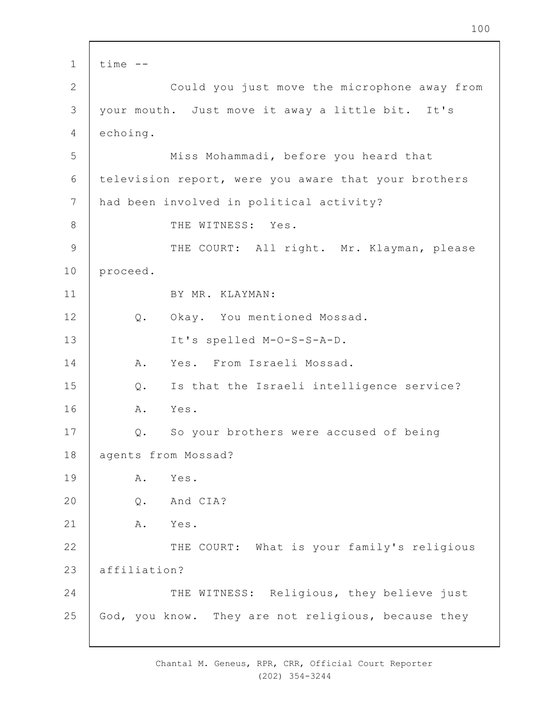1 2 3 4 5 6 7 8 9 10 11 12 13 14 15 16 17 18 19  $20$ 21 22 23 24 25 time -- Could you just move the microphone away from your mouth. Just move it away a little bit. It's echoing. Miss Mohammadi, before you heard that television report, were you aware that your brothers had been involved in political activity? THE WITNESS: Yes. THE COURT: All right. Mr. Klayman, please proceed. BY MR. KLAYMAN: Q. Okay. You mentioned Mossad. It's spelled M-O-S-S-A-D. A. Yes. From Israeli Mossad. Q. Is that the Israeli intelligence service? A. Yes. Q. So your brothers were accused of being agents from Mossad? A. Yes. Q. And CIA? A. Yes. THE COURT: What is your family's religious affiliation? THE WITNESS: Religious, they believe just God, you know. They are not religious, because they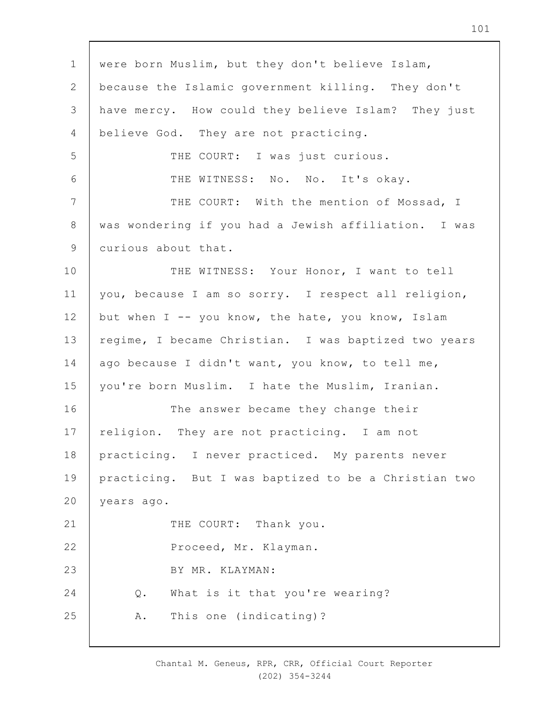1 2 3 4 5 6 7 8 9 10 11 12 13 14 15 16 17 18 19  $20$ 21 22 23 24 25 were born Muslim, but they don't believe Islam, because the Islamic government killing. They don't have mercy. How could they believe Islam? They just believe God. They are not practicing. THE COURT: I was just curious. THE WITNESS: No. No. It's okay. THE COURT: With the mention of Mossad, I was wondering if you had a Jewish affiliation. I was curious about that. THE WITNESS: Your Honor, I want to tell you, because I am so sorry. I respect all religion, but when  $I$  -- you know, the hate, you know, Islam regime, I became Christian. I was baptized two years ago because I didn't want, you know, to tell me, you're born Muslim. I hate the Muslim, Iranian. The answer became they change their religion. They are not practicing. I am not practicing. I never practiced. My parents never practicing. But I was baptized to be a Christian two years ago. THE COURT: Thank you. Proceed, Mr. Klayman. BY MR. KLAYMAN: Q. What is it that you're wearing? A. This one (indicating)?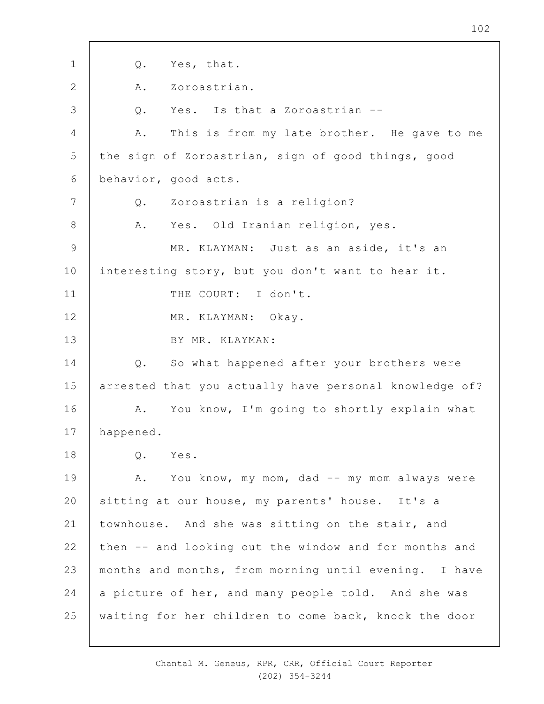1 2 3 4 5 6 7 8 9 10 11 12 13 14 15 16 17 18 19  $20$ 21 22 23 24 25 Q. Yes, that. A. Zoroastrian. Q. Yes. Is that a Zoroastrian -- A. This is from my late brother. He gave to me the sign of Zoroastrian, sign of good things, good behavior, good acts. Q. Zoroastrian is a religion? A. Yes. Old Iranian religion, yes. MR. KLAYMAN: Just as an aside, it's an interesting story, but you don't want to hear it. THE COURT: I don't. MR. KLAYMAN: Okay. BY MR. KLAYMAN: Q. So what happened after your brothers were arrested that you actually have personal knowledge of? A. You know, I'm going to shortly explain what happened. Q. Yes. A. You know, my mom, dad -- my mom always were sitting at our house, my parents' house. It's a townhouse. And she was sitting on the stair, and then -- and looking out the window and for months and months and months, from morning until evening. I have a picture of her, and many people told. And she was waiting for her children to come back, knock the door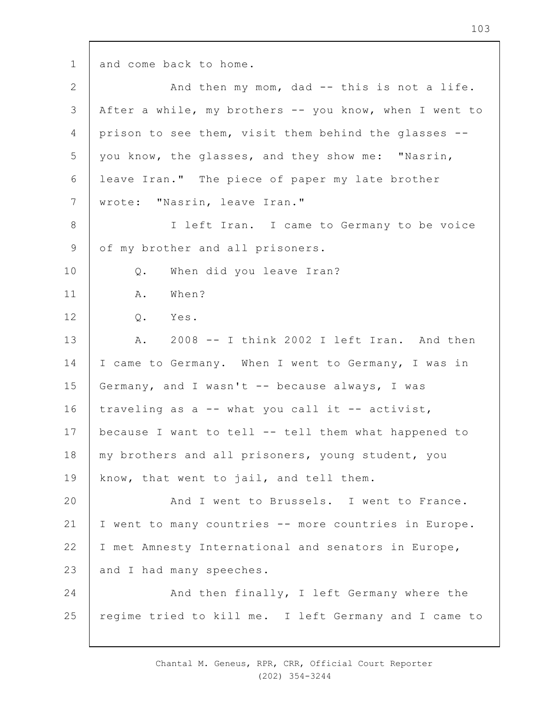1

and come back to home.

| 2               | And then my mom, dad -- this is not a life.            |
|-----------------|--------------------------------------------------------|
| 3               | After a while, my brothers -- you know, when I went to |
| 4               | prison to see them, visit them behind the glasses --   |
| 5               | you know, the glasses, and they show me: "Nasrin,      |
| 6               | leave Iran." The piece of paper my late brother        |
| $7\phantom{.0}$ | wrote: "Nasrin, leave Iran."                           |
| 8               | I left Iran. I came to Germany to be voice             |
| 9               | of my brother and all prisoners.                       |
| 10              | When did you leave Iran?<br>Q.                         |
| 11              | When?<br>Α.                                            |
| 12              | Q. Yes.                                                |
| 13              | 2008 -- I think 2002 I left Iran. And then<br>Α.       |
| 14              | I came to Germany. When I went to Germany, I was in    |
| 15              | Germany, and I wasn't -- because always, I was         |
| 16              | traveling as a -- what you call it -- activist,        |
| 17              | because I want to tell -- tell them what happened to   |
| 18              | my brothers and all prisoners, young student, you      |
| 19              | know, that went to jail, and tell them.                |
| 20              | And I went to Brussels. I went to France.              |
| 21              | I went to many countries -- more countries in Europe.  |
| 22              | I met Amnesty International and senators in Europe,    |
| 23              | and I had many speeches.                               |
| 24              | And then finally, I left Germany where the             |
| 25              | regime tried to kill me. I left Germany and I came to  |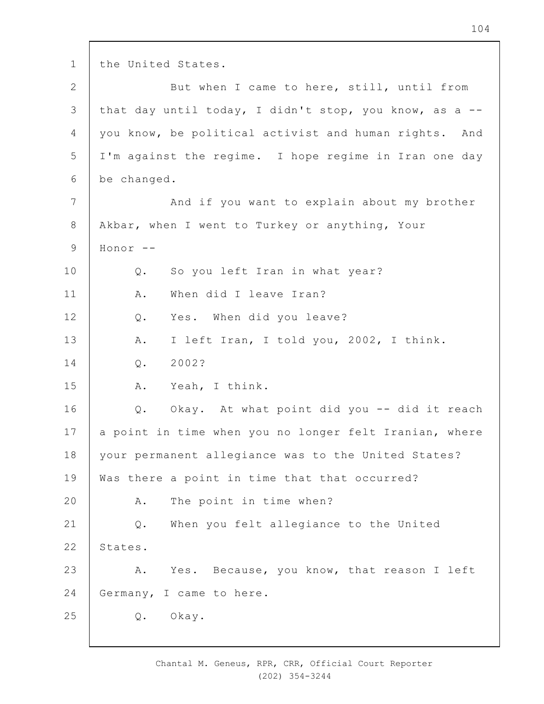1 2 3 4 5 6 7 8 9 10 11 12 13 14 15 16 17 18 19  $20$ 21 22 23 24 25 the United States. But when I came to here, still, until from that day until today, I didn't stop, you know, as a - you know, be political activist and human rights. And I'm against the regime. I hope regime in Iran one day be changed. And if you want to explain about my brother Akbar, when I went to Turkey or anything, Your Honor -- Q. So you left Iran in what year? A. When did I leave Iran? Q. Yes. When did you leave? A. I left Iran, I told you, 2002, I think. Q. 2002? A. Yeah, I think. Q. Okay. At what point did you -- did it reach a point in time when you no longer felt Iranian, where your permanent allegiance was to the United States? Was there a point in time that that occurred? A. The point in time when? Q. When you felt allegiance to the United States. A. Yes. Because, you know, that reason I left Germany, I came to here. Q. Okay.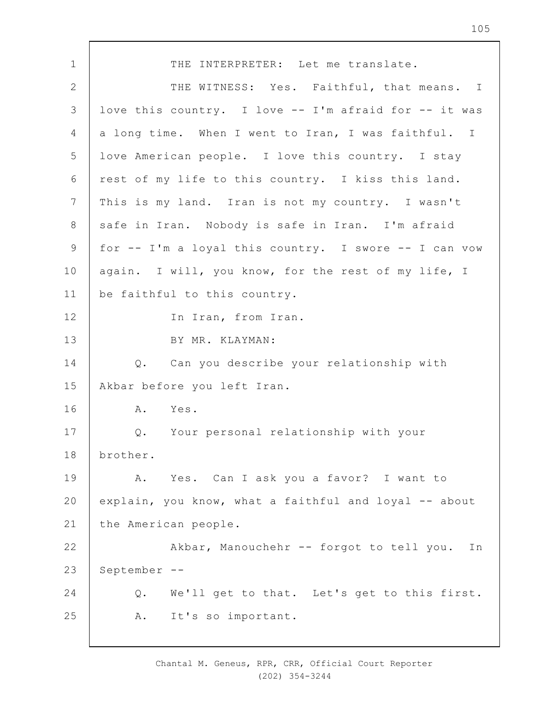1 2 3 4 5 6 7 8 9 10 11 12 13 14 15 16 17 18 19  $20$ 21 22 23 24 25 THE INTERPRETER: Let me translate. THE WITNESS: Yes. Faithful, that means. I love this country. I love -- I'm afraid for -- it was a long time. When I went to Iran, I was faithful. I love American people. I love this country. I stay rest of my life to this country. I kiss this land. This is my land. Iran is not my country. I wasn't safe in Iran. Nobody is safe in Iran. I'm afraid for -- I'm a loyal this country. I swore -- I can vow again. I will, you know, for the rest of my life, I be faithful to this country. In Iran, from Iran. BY MR. KLAYMAN: Q. Can you describe your relationship with Akbar before you left Iran. A. Yes. Q. Your personal relationship with your brother. A. Yes. Can I ask you a favor? I want to explain, you know, what a faithful and loyal -- about the American people. Akbar, Manouchehr -- forgot to tell you. In September -- Q. We'll get to that. Let's get to this first. A. It's so important.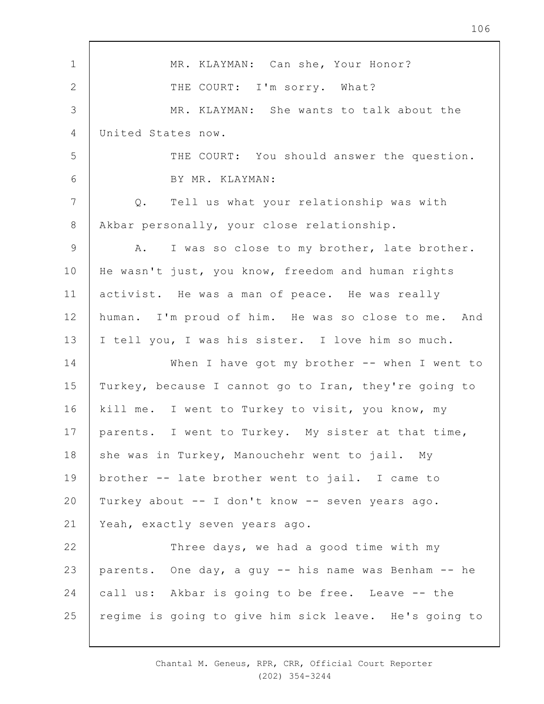1 2 3 4 5 6 7 8 9 10 11 12 13 14 15 16 17 18 19  $20$ 21 22 23 24 25 MR. KLAYMAN: Can she, Your Honor? THE COURT: I'm sorry. What? MR. KLAYMAN: She wants to talk about the United States now. THE COURT: You should answer the question. BY MR. KLAYMAN: Q. Tell us what your relationship was with Akbar personally, your close relationship. A. I was so close to my brother, late brother. He wasn't just, you know, freedom and human rights activist. He was a man of peace. He was really human. I'm proud of him. He was so close to me. And I tell you, I was his sister. I love him so much. When I have got my brother -- when I went to Turkey, because I cannot go to Iran, they're going to kill me. I went to Turkey to visit, you know, my parents. I went to Turkey. My sister at that time, she was in Turkey, Manouchehr went to jail. My brother -- late brother went to jail. I came to Turkey about -- I don't know -- seven years ago. Yeah, exactly seven years ago. Three days, we had a good time with my parents. One day, a guy -- his name was Benham -- he call us: Akbar is going to be free. Leave -- the regime is going to give him sick leave. He's going to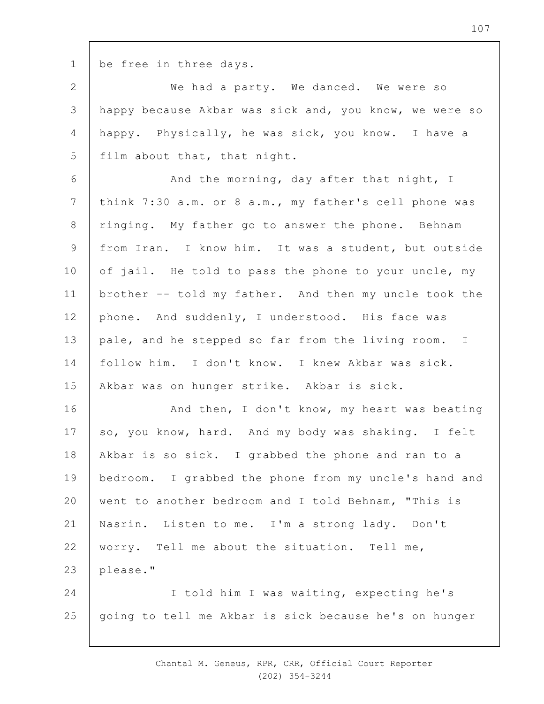1

be free in three days.

2 3 4 5 We had a party. We danced. We were so happy because Akbar was sick and, you know, we were so happy. Physically, he was sick, you know. I have a film about that, that night.

6 7 8 9 10 11 12 13 14 15 And the morning, day after that night, I think 7:30 a.m. or 8 a.m., my father's cell phone was ringing. My father go to answer the phone. Behnam from Iran. I know him. It was a student, but outside of jail. He told to pass the phone to your uncle, my brother -- told my father. And then my uncle took the phone. And suddenly, I understood. His face was pale, and he stepped so far from the living room. I follow him. I don't know. I knew Akbar was sick. Akbar was on hunger strike. Akbar is sick.

16 17 18 19  $20$ 21 22 23 24 25 And then, I don't know, my heart was beating so, you know, hard. And my body was shaking. I felt Akbar is so sick. I grabbed the phone and ran to a bedroom. I grabbed the phone from my uncle's hand and went to another bedroom and I told Behnam, "This is Nasrin. Listen to me. I'm a strong lady. Don't worry. Tell me about the situation. Tell me, please." I told him I was waiting, expecting he's going to tell me Akbar is sick because he's on hunger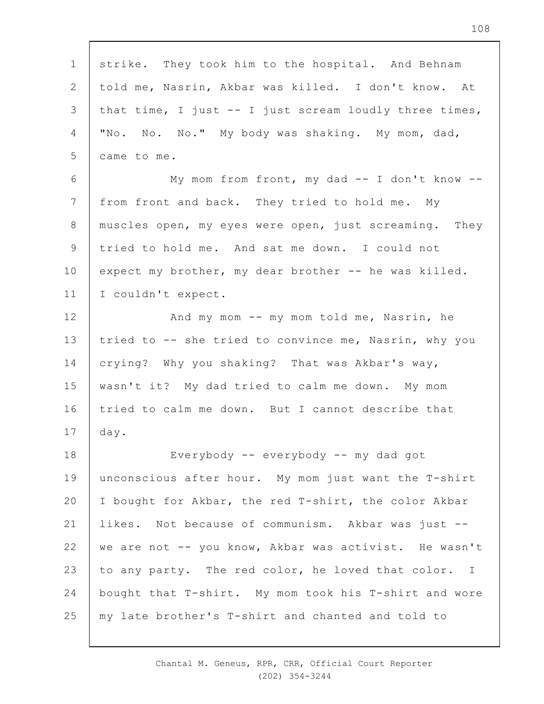1 2 3 4 5 6 7 8 9 10 11 12 13 14 15 16 17 18 19  $20$ 21 22 23 24 25 strike. They took him to the hospital. And Behnam told me, Nasrin, Akbar was killed. I don't know. At that time, I just -- I just scream loudly three times, "No. No. No." My body was shaking. My mom, dad, came to me. My mom from front, my dad -- I don't know - from front and back. They tried to hold me. My muscles open, my eyes were open, just screaming. They tried to hold me. And sat me down. I could not expect my brother, my dear brother -- he was killed. I couldn't expect. And my mom -- my mom told me, Nasrin, he tried to -- she tried to convince me, Nasrin, why you crying? Why you shaking? That was Akbar's way, wasn't it? My dad tried to calm me down. My mom tried to calm me down. But I cannot describe that day. Everybody -- everybody -- my dad got unconscious after hour. My mom just want the T-shirt I bought for Akbar, the red T-shirt, the color Akbar likes. Not because of communism. Akbar was just - we are not -- you know, Akbar was activist. He wasn't to any party. The red color, he loved that color. I bought that T-shirt. My mom took his T-shirt and wore my late brother's T-shirt and chanted and told to

> Chantal M. Geneus, RPR, CRR, Official Court Reporter (202) 354-3244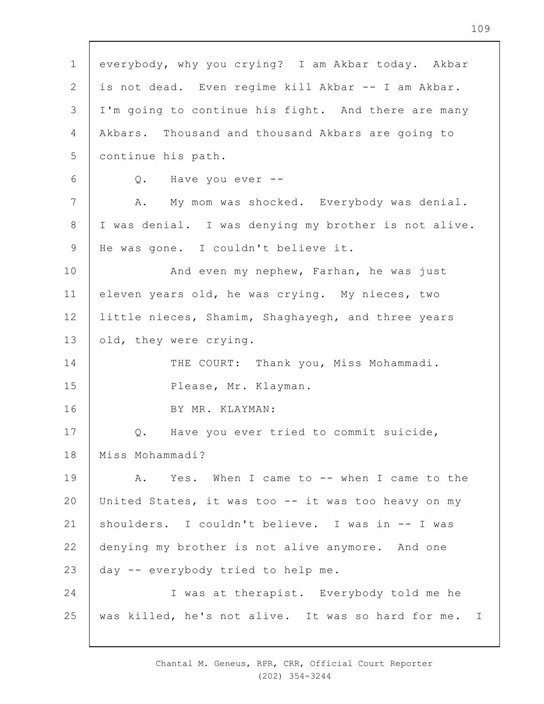1 2 3 4 5 6 7 8 9 10 11 12 13 14 15 16 17 18 19  $20$ 21 22 23 24 25 everybody, why you crying? I am Akbar today. Akbar is not dead. Even regime kill Akbar -- I am Akbar. I'm going to continue his fight. And there are many Akbars. Thousand and thousand Akbars are going to continue his path. Q. Have you ever -- A. My mom was shocked. Everybody was denial. I was denial. I was denying my brother is not alive. He was gone. I couldn't believe it. And even my nephew, Farhan, he was just eleven years old, he was crying. My nieces, two little nieces, Shamim, Shaghayegh, and three years old, they were crying. THE COURT: Thank you, Miss Mohammadi. Please, Mr. Klayman. BY MR. KLAYMAN: Q. Have you ever tried to commit suicide, Miss Mohammadi? A. Yes. When I came to -- when I came to the United States, it was too -- it was too heavy on my shoulders. I couldn't believe. I was in -- I was denying my brother is not alive anymore. And one day -- everybody tried to help me. I was at therapist. Everybody told me he was killed, he's not alive. It was so hard for me. I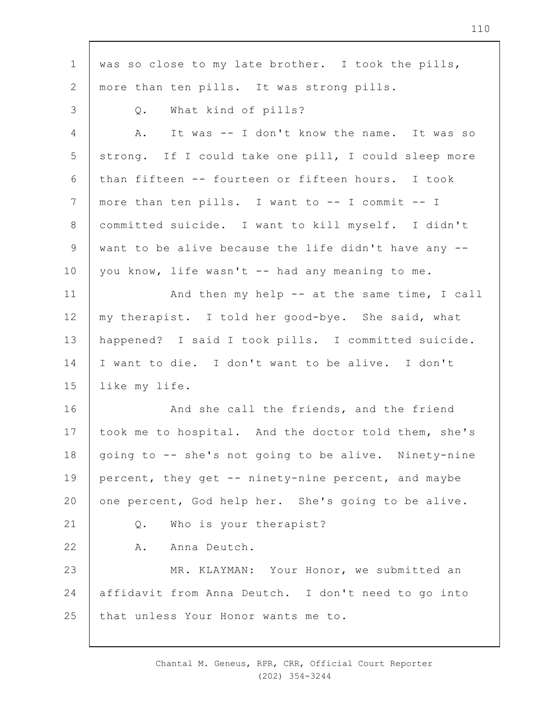1 2 3 4 5 6 7 8 9 10 11 12 13 14 15 16 17 18 19  $20$ 21 22 23 24 25 was so close to my late brother. I took the pills, more than ten pills. It was strong pills. Q. What kind of pills? A. It was -- I don't know the name. It was so strong. If I could take one pill, I could sleep more than fifteen -- fourteen or fifteen hours. I took more than ten pills. I want to -- I commit -- I committed suicide. I want to kill myself. I didn't want to be alive because the life didn't have any - you know, life wasn't -- had any meaning to me. And then my help -- at the same time, I call my therapist. I told her good-bye. She said, what happened? I said I took pills. I committed suicide. I want to die. I don't want to be alive. I don't like my life. And she call the friends, and the friend took me to hospital. And the doctor told them, she's going to -- she's not going to be alive. Ninety-nine percent, they get -- ninety-nine percent, and maybe one percent, God help her. She's going to be alive. Q. Who is your therapist? A. Anna Deutch. MR. KLAYMAN: Your Honor, we submitted an affidavit from Anna Deutch. I don't need to go into that unless Your Honor wants me to.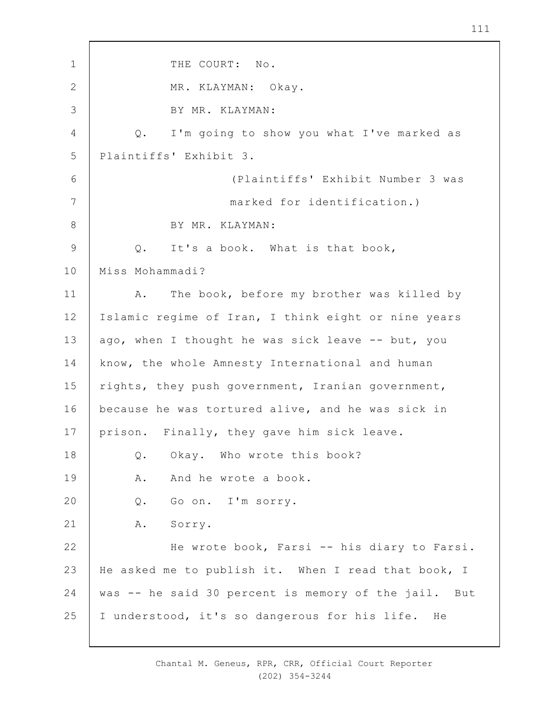1 2 3 4 5 6 7 8 9 10 11 12 13 14 15 16 17 18 19  $20$ 21 22 23 24 25 THE COURT: No. MR. KLAYMAN: Okay. BY MR. KLAYMAN: Q. I'm going to show you what I've marked as Plaintiffs' Exhibit 3. (Plaintiffs' Exhibit Number 3 was marked for identification.) BY MR. KLAYMAN: Q. It's a book. What is that book, Miss Mohammadi? A. The book, before my brother was killed by Islamic regime of Iran, I think eight or nine years ago, when I thought he was sick leave -- but, you know, the whole Amnesty International and human rights, they push government, Iranian government, because he was tortured alive, and he was sick in prison. Finally, they gave him sick leave. Q. Okay. Who wrote this book? A. And he wrote a book. Q. Go on. I'm sorry. A. Sorry. He wrote book, Farsi -- his diary to Farsi. He asked me to publish it. When I read that book, I was -- he said 30 percent is memory of the jail. But I understood, it's so dangerous for his life. He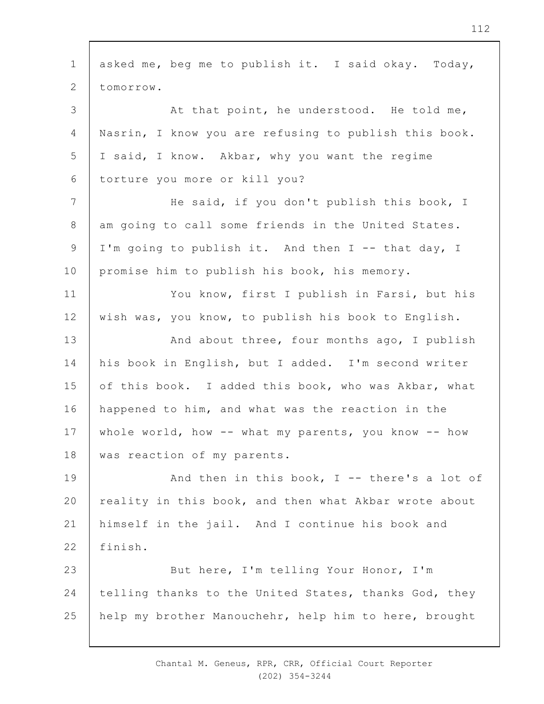| $\mathbf 1$    | asked me, beg me to publish it. I said okay. Today,   |
|----------------|-------------------------------------------------------|
| $\mathbf{2}$   | tomorrow.                                             |
| 3              | At that point, he understood. He told me,             |
| 4              | Nasrin, I know you are refusing to publish this book. |
| 5              | I said, I know. Akbar, why you want the regime        |
| 6              | torture you more or kill you?                         |
| $\overline{7}$ | He said, if you don't publish this book, I            |
| 8              | am going to call some friends in the United States.   |
| 9              | I'm going to publish it. And then I -- that day, I    |
| 10             | promise him to publish his book, his memory.          |
| 11             | You know, first I publish in Farsi, but his           |
| 12             | wish was, you know, to publish his book to English.   |
| 13             | And about three, four months ago, I publish           |
| 14             | his book in English, but I added. I'm second writer   |
| 15             | of this book. I added this book, who was Akbar, what  |
| 16             | happened to him, and what was the reaction in the     |
| 17             | whole world, how -- what my parents, you know -- how  |
| 18             | was reaction of my parents.                           |
| 19             | And then in this book, $I$ -- there's a lot of        |
| 20             | reality in this book, and then what Akbar wrote about |
| 21             | himself in the jail. And I continue his book and      |
| 22             | finish.                                               |
| 23             | But here, I'm telling Your Honor, I'm                 |
| 24             | telling thanks to the United States, thanks God, they |
| 25             | help my brother Manouchehr, help him to here, brought |
|                |                                                       |

 $\overline{\phantom{a}}$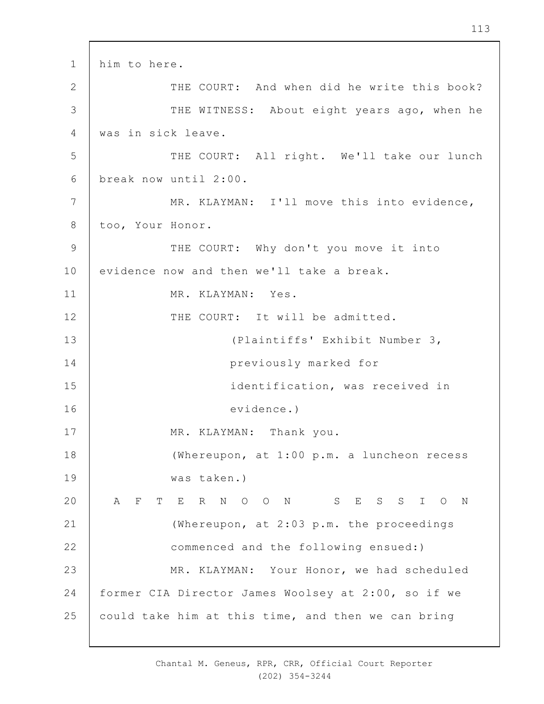1 2 3 4 5 6 7 8 9 10 11 12 13 14 15 16 17 18 19  $20$ 21 22 23 24 25 him to here. THE COURT: And when did he write this book? THE WITNESS: About eight years ago, when he was in sick leave. THE COURT: All right. We'll take our lunch break now until 2:00. MR. KLAYMAN: I'll move this into evidence, too, Your Honor. THE COURT: Why don't you move it into evidence now and then we'll take a break. MR. KLAYMAN: Yes. THE COURT: It will be admitted. (Plaintiffs' Exhibit Number 3, previously marked for identification, was received in evidence.) MR. KLAYMAN: Thank you. (Whereupon, at 1:00 p.m. a luncheon recess was taken.) A F T E R N O O N S E S S I O N (Whereupon, at 2:03 p.m. the proceedings commenced and the following ensued:) MR. KLAYMAN: Your Honor, we had scheduled former CIA Director James Woolsey at 2:00, so if we could take him at this time, and then we can bring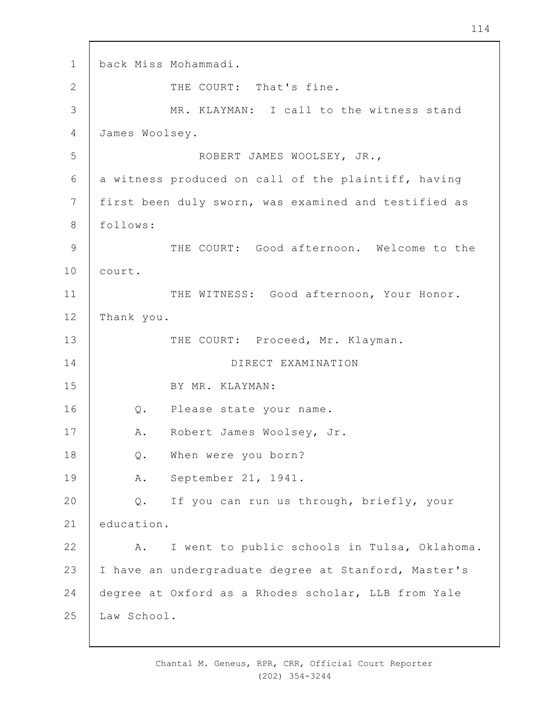1 2 3 4 5 6 7 8 9 10 11 12 13 14 15 16 17 18 19  $20$ 21 22 23 24 25 back Miss Mohammadi. THE COURT: That's fine. MR. KLAYMAN: I call to the witness stand James Woolsey. ROBERT JAMES WOOLSEY, JR., a witness produced on call of the plaintiff, having first been duly sworn, was examined and testified as follows: THE COURT: Good afternoon. Welcome to the court. THE WITNESS: Good afternoon, Your Honor. Thank you. THE COURT: Proceed, Mr. Klayman. DIRECT EXAMINATION BY MR. KLAYMAN: Q. Please state your name. A. Robert James Woolsey, Jr. Q. When were you born? A. September 21, 1941. Q. If you can run us through, briefly, your education. A. I went to public schools in Tulsa, Oklahoma. I have an undergraduate degree at Stanford, Master's degree at Oxford as a Rhodes scholar, LLB from Yale Law School.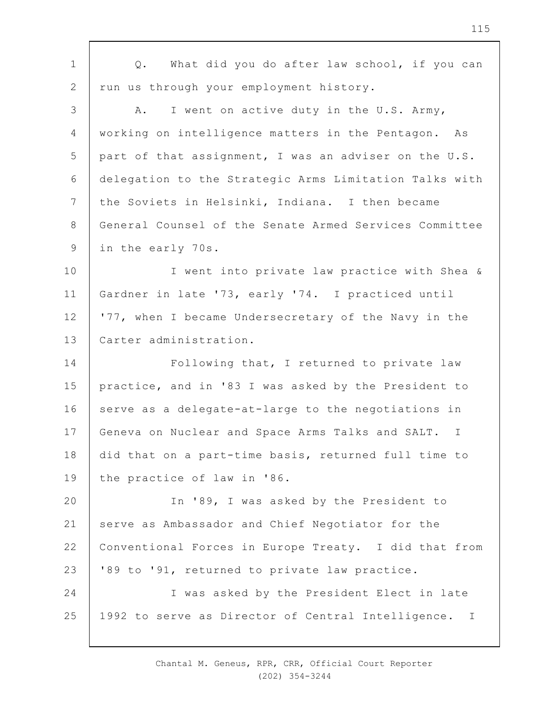| $\mathbf 1$     | What did you do after law school, if you can<br>Q.               |
|-----------------|------------------------------------------------------------------|
| 2               | run us through your employment history.                          |
| 3               | I went on active duty in the U.S. Army,<br>Α.                    |
| 4               | working on intelligence matters in the Pentagon. As              |
| 5               | part of that assignment, I was an adviser on the U.S.            |
| 6               | delegation to the Strategic Arms Limitation Talks with           |
| $7\phantom{.0}$ | the Soviets in Helsinki, Indiana. I then became                  |
| $8\,$           | General Counsel of the Senate Armed Services Committee           |
| 9               | in the early 70s.                                                |
| 10              | I went into private law practice with Shea &                     |
| 11              | Gardner in late '73, early '74. I practiced until                |
| 12              | '77, when I became Undersecretary of the Navy in the             |
| 13              | Carter administration.                                           |
| 14              | Following that, I returned to private law                        |
| 15              | practice, and in '83 I was asked by the President to             |
| 16              | serve as a delegate-at-large to the negotiations in              |
| 17              | Geneva on Nuclear and Space Arms Talks and SALT.<br>$\mathbb{I}$ |
| 18              | did that on a part-time basis, returned full time to             |
| 19              | the practice of law in '86.                                      |
| 20              | In '89, I was asked by the President to                          |
| 21              | serve as Ambassador and Chief Negotiator for the                 |
| 22              | Conventional Forces in Europe Treaty. I did that from            |
| 23              | '89 to '91, returned to private law practice.                    |
| 24              | I was asked by the President Elect in late                       |
| 25              | 1992 to serve as Director of Central Intelligence. I             |
|                 |                                                                  |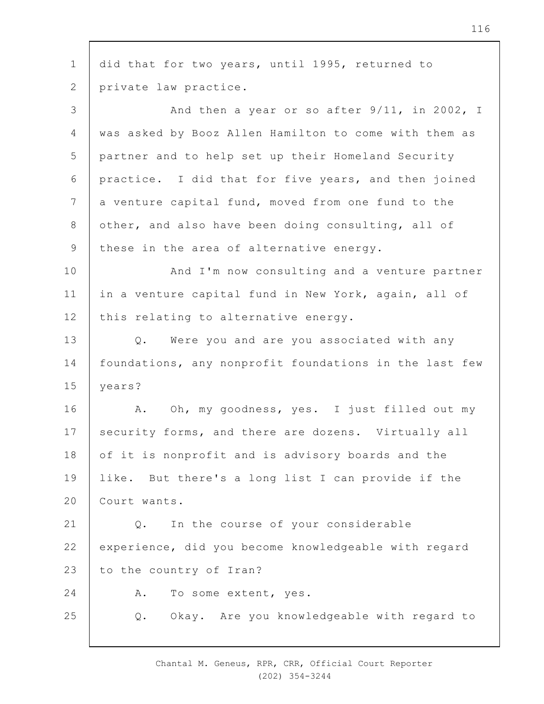1 2 3 4 5 6 7 8 9 10 11 12 13 14 15 16 17 18 19  $20$ 21 22 23  $24$ 25 did that for two years, until 1995, returned to private law practice. And then a year or so after 9/11, in 2002, I was asked by Booz Allen Hamilton to come with them as partner and to help set up their Homeland Security practice. I did that for five years, and then joined a venture capital fund, moved from one fund to the other, and also have been doing consulting, all of these in the area of alternative energy. And I'm now consulting and a venture partner in a venture capital fund in New York, again, all of this relating to alternative energy. Q. Were you and are you associated with any foundations, any nonprofit foundations in the last few years? A. Oh, my goodness, yes. I just filled out my security forms, and there are dozens. Virtually all of it is nonprofit and is advisory boards and the like. But there's a long list I can provide if the Court wants. Q. In the course of your considerable experience, did you become knowledgeable with regard to the country of Iran? A. To some extent, yes. Q. Okay. Are you knowledgeable with regard to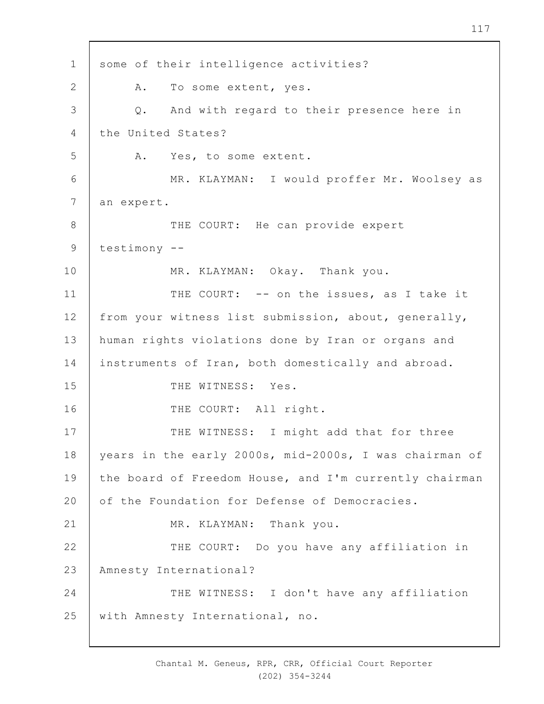1 2 3 4 5 6 7 8 9 10 11 12 13 14 15 16 17 18 19  $20$ 21 22 23 24 25 some of their intelligence activities? A. To some extent, yes. Q. And with regard to their presence here in the United States? A. Yes, to some extent. MR. KLAYMAN: I would proffer Mr. Woolsey as an expert. THE COURT: He can provide expert testimony -- MR. KLAYMAN: Okay. Thank you. THE COURT: -- on the issues, as I take it from your witness list submission, about, generally, human rights violations done by Iran or organs and instruments of Iran, both domestically and abroad. THE WITNESS: Yes. THE COURT: All right. THE WITNESS: I might add that for three years in the early 2000s, mid-2000s, I was chairman of the board of Freedom House, and I'm currently chairman of the Foundation for Defense of Democracies. MR. KLAYMAN: Thank you. THE COURT: Do you have any affiliation in Amnesty International? THE WITNESS: I don't have any affiliation with Amnesty International, no.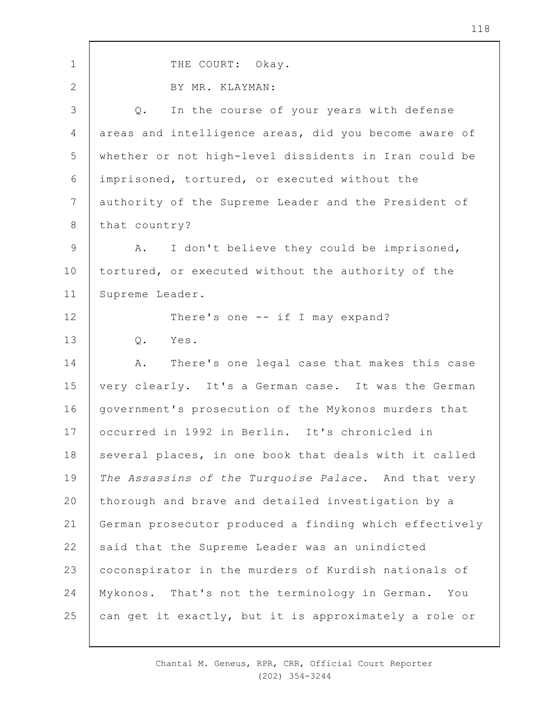| $\mathbf 1$    | THE COURT: Okay.                                       |
|----------------|--------------------------------------------------------|
| $\overline{2}$ | BY MR. KLAYMAN:                                        |
| 3              | In the course of your years with defense<br>Q.         |
| 4              | areas and intelligence areas, did you become aware of  |
| 5              | whether or not high-level dissidents in Iran could be  |
| 6              | imprisoned, tortured, or executed without the          |
| $\overline{7}$ | authority of the Supreme Leader and the President of   |
| $8\,$          | that country?                                          |
| 9              | I don't believe they could be imprisoned,<br>Α.        |
| 10             | tortured, or executed without the authority of the     |
| 11             | Supreme Leader.                                        |
| 12             | There's one $--$ if I may expand?                      |
| 13             | Q. Yes.                                                |
| 14             | There's one legal case that makes this case<br>A.      |
| 15             | very clearly. It's a German case. It was the German    |
| 16             | government's prosecution of the Mykonos murders that   |
| 17             | occurred in 1992 in Berlin. It's chronicled in         |
| 18             | several places, in one book that deals with it called  |
| 19             | The Assassins of the Turquoise Palace. And that very   |
| 20             | thorough and brave and detailed investigation by a     |
| 21             | German prosecutor produced a finding which effectively |
| 22             | said that the Supreme Leader was an unindicted         |
| 23             | coconspirator in the murders of Kurdish nationals of   |
| 24             | Mykonos. That's not the terminology in German. You     |
| 25             | can get it exactly, but it is approximately a role or  |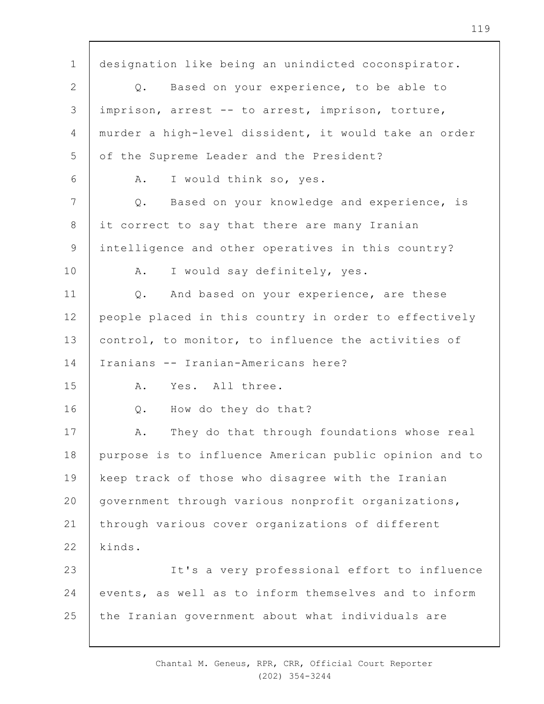1 2 3 4 5 6 7 8 9 10 11 12 13 14 15 16 17 18 19  $20$ 21 22 23 24 25 designation like being an unindicted coconspirator. Q. Based on your experience, to be able to imprison, arrest -- to arrest, imprison, torture, murder a high-level dissident, it would take an order of the Supreme Leader and the President? A. I would think so, yes. Q. Based on your knowledge and experience, is it correct to say that there are many Iranian intelligence and other operatives in this country? A. I would say definitely, yes. Q. And based on your experience, are these people placed in this country in order to effectively control, to monitor, to influence the activities of Iranians -- Iranian-Americans here? A. Yes. All three. Q. How do they do that? A. They do that through foundations whose real purpose is to influence American public opinion and to keep track of those who disagree with the Iranian government through various nonprofit organizations, through various cover organizations of different kinds. It's a very professional effort to influence events, as well as to inform themselves and to inform the Iranian government about what individuals are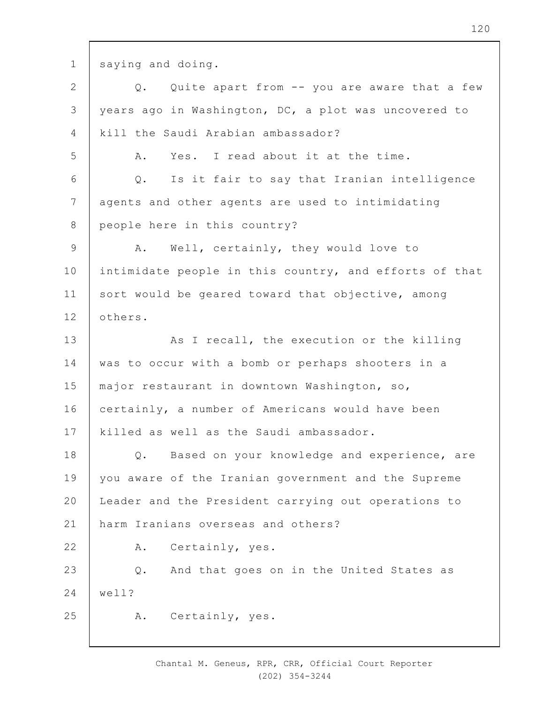1 saying and doing.

2 3 4 5 6 7 8 9 10 11 12 13 14 15 16 17 18 19  $20$ 21 22 23 24 25 Q. Quite apart from -- you are aware that a few years ago in Washington, DC, a plot was uncovered to kill the Saudi Arabian ambassador? A. Yes. I read about it at the time. Q. Is it fair to say that Iranian intelligence agents and other agents are used to intimidating people here in this country? A. Well, certainly, they would love to intimidate people in this country, and efforts of that sort would be geared toward that objective, among others. As I recall, the execution or the killing was to occur with a bomb or perhaps shooters in a major restaurant in downtown Washington, so, certainly, a number of Americans would have been killed as well as the Saudi ambassador. Q. Based on your knowledge and experience, are you aware of the Iranian government and the Supreme Leader and the President carrying out operations to harm Iranians overseas and others? A. Certainly, yes. Q. And that goes on in the United States as well? A. Certainly, yes.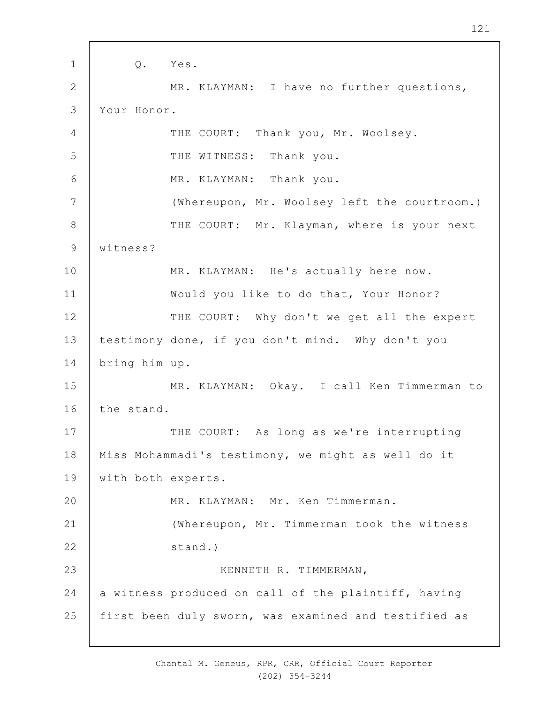1 2 3 4 5 6 7 8 9 10 11 12 13 14 15 16 17 18 19  $20$ 21 22 23 24 25 Q. Yes. MR. KLAYMAN: I have no further questions, Your Honor. THE COURT: Thank you, Mr. Woolsey. THE WITNESS: Thank you. MR. KLAYMAN: Thank you. (Whereupon, Mr. Woolsey left the courtroom.) THE COURT: Mr. Klayman, where is your next witness? MR. KLAYMAN: He's actually here now. Would you like to do that, Your Honor? THE COURT: Why don't we get all the expert testimony done, if you don't mind. Why don't you bring him up. MR. KLAYMAN: Okay. I call Ken Timmerman to the stand. THE COURT: As long as we're interrupting Miss Mohammadi's testimony, we might as well do it with both experts. MR. KLAYMAN: Mr. Ken Timmerman. (Whereupon, Mr. Timmerman took the witness stand.) KENNETH R. TIMMERMAN, a witness produced on call of the plaintiff, having first been duly sworn, was examined and testified as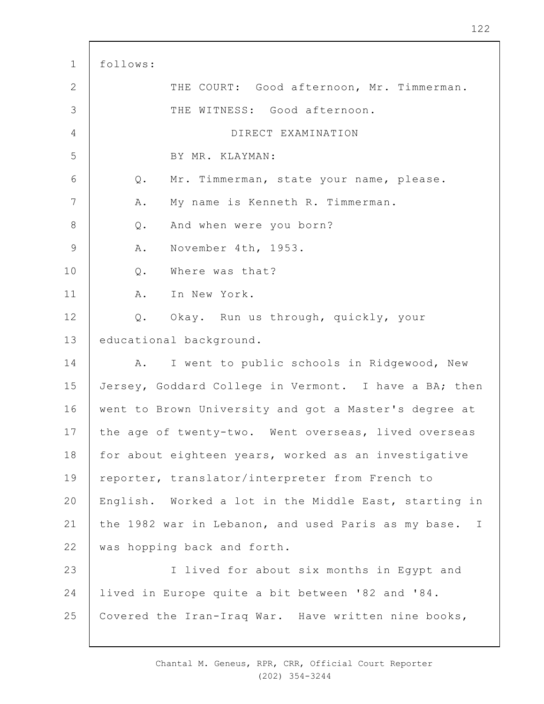| $\mathbf 1$    | follows:                                                 |
|----------------|----------------------------------------------------------|
| $\mathbf{2}$   | THE COURT: Good afternoon, Mr. Timmerman.                |
| 3              | THE WITNESS: Good afternoon.                             |
| $\overline{4}$ | DIRECT EXAMINATION                                       |
| 5              | BY MR. KLAYMAN:                                          |
| 6              | Mr. Timmerman, state your name, please.<br>$Q$ .         |
| $7\phantom{.}$ | My name is Kenneth R. Timmerman.<br>Α.                   |
| $8\,$          | And when were you born?<br>Q.                            |
| $\mathsf 9$    | November 4th, 1953.<br>Α.                                |
| 10             | Where was that?<br>$Q$ .                                 |
| 11             | Α.<br>In New York.                                       |
| 12             | Okay. Run us through, quickly, your<br>Q.                |
| 13             | educational background.                                  |
| 14             | I went to public schools in Ridgewood, New<br>Α.         |
| 15             | Jersey, Goddard College in Vermont. I have a BA; then    |
| 16             | went to Brown University and got a Master's degree at    |
| 17             | the age of twenty-two. Went overseas, lived overseas     |
| 18             | for about eighteen years, worked as an investigative     |
| 19             | reporter, translator/interpreter from French to          |
| 20             | English. Worked a lot in the Middle East, starting in    |
| 21             | the 1982 war in Lebanon, and used Paris as my base.<br>I |
| 22             | was hopping back and forth.                              |
| 23             | I lived for about six months in Egypt and                |
| 24             | lived in Europe quite a bit between '82 and '84.         |
| 25             | Covered the Iran-Iraq War. Have written nine books,      |

 $\mathsf{r}$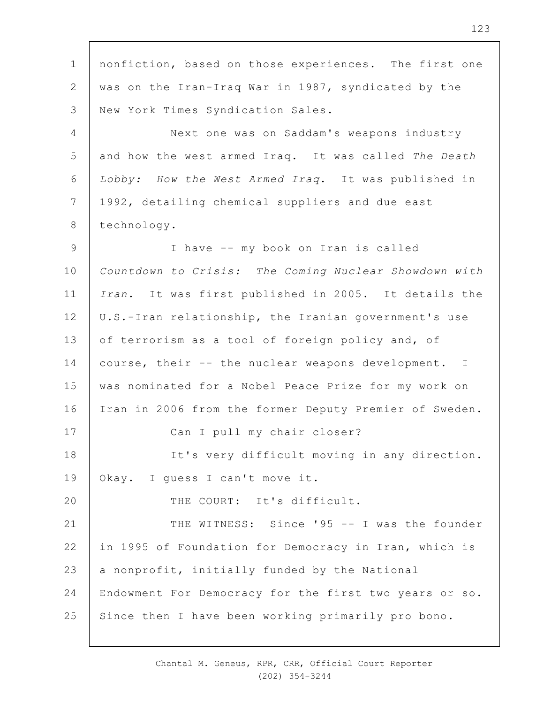1 2 3 4 5 6 7 8 9 10 11 12 13 14 15 16 17 18 19  $20$ 21 22 23 24 25 nonfiction, based on those experiences. The first one was on the Iran-Iraq War in 1987, syndicated by the New York Times Syndication Sales. Next one was on Saddam's weapons industry and how the west armed Iraq. It was called *The Death Lobby: How the West Armed Iraq*. It was published in 1992, detailing chemical suppliers and due east technology. I have -- my book on Iran is called *Countdown to Crisis: The Coming Nuclear Showdown with Iran*. It was first published in 2005. It details the U.S.-Iran relationship, the Iranian government's use of terrorism as a tool of foreign policy and, of course, their -- the nuclear weapons development. I was nominated for a Nobel Peace Prize for my work on Iran in 2006 from the former Deputy Premier of Sweden. Can I pull my chair closer? It's very difficult moving in any direction. Okay. I guess I can't move it. THE COURT: It's difficult. THE WITNESS: Since '95 -- I was the founder in 1995 of Foundation for Democracy in Iran, which is a nonprofit, initially funded by the National Endowment For Democracy for the first two years or so. Since then I have been working primarily pro bono.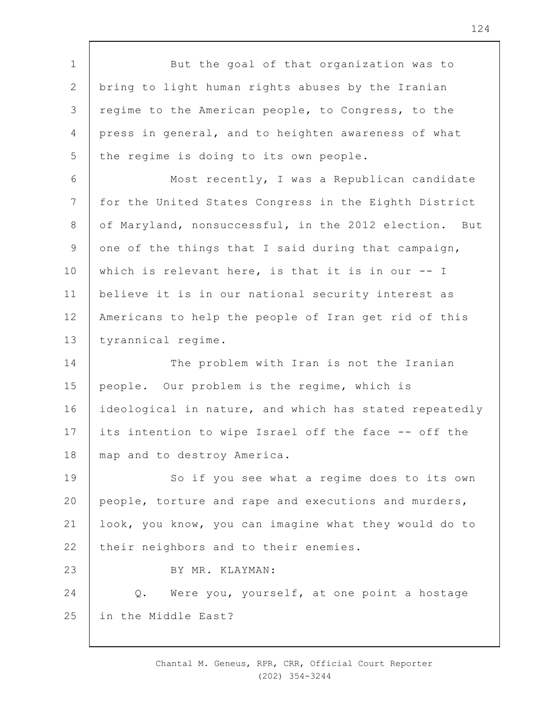1 2 3 4 5 6 7 8 9 10 11 12 13 14 15 16 17 18 19  $20$ 21 22 23 24 25 But the goal of that organization was to bring to light human rights abuses by the Iranian regime to the American people, to Congress, to the press in general, and to heighten awareness of what the regime is doing to its own people. Most recently, I was a Republican candidate for the United States Congress in the Eighth District of Maryland, nonsuccessful, in the 2012 election. But one of the things that I said during that campaign, which is relevant here, is that it is in our -- I believe it is in our national security interest as Americans to help the people of Iran get rid of this tyrannical regime. The problem with Iran is not the Iranian people. Our problem is the regime, which is ideological in nature, and which has stated repeatedly its intention to wipe Israel off the face -- off the map and to destroy America. So if you see what a regime does to its own people, torture and rape and executions and murders, look, you know, you can imagine what they would do to their neighbors and to their enemies. BY MR. KLAYMAN: Q. Were you, yourself, at one point a hostage in the Middle East?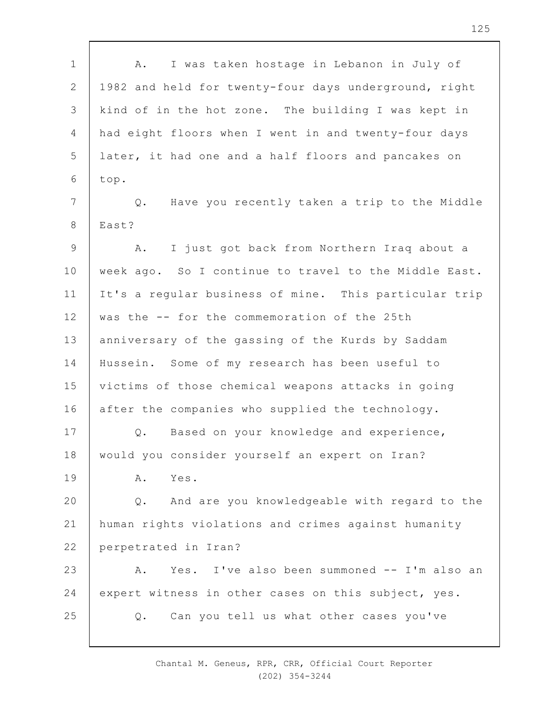1 2 3 4 5 6 7 8 9 10 11 12 13 14 15 16 17 18 19  $20$ 21 22 23 24 25 A. I was taken hostage in Lebanon in July of 1982 and held for twenty-four days underground, right kind of in the hot zone. The building I was kept in had eight floors when I went in and twenty-four days later, it had one and a half floors and pancakes on top. Q. Have you recently taken a trip to the Middle East? A. I just got back from Northern Iraq about a week ago. So I continue to travel to the Middle East. It's a regular business of mine. This particular trip was the -- for the commemoration of the 25th anniversary of the gassing of the Kurds by Saddam Hussein. Some of my research has been useful to victims of those chemical weapons attacks in going after the companies who supplied the technology. Q. Based on your knowledge and experience, would you consider yourself an expert on Iran? A. Yes. Q. And are you knowledgeable with regard to the human rights violations and crimes against humanity perpetrated in Iran? A. Yes. I've also been summoned -- I'm also an expert witness in other cases on this subject, yes. Q. Can you tell us what other cases you've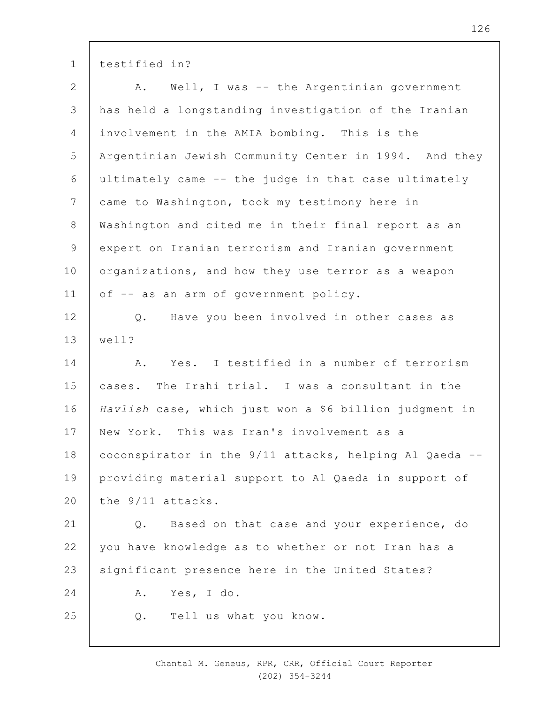1 testified in?

| $\overline{2}$ | Well, I was -- the Argentinian government<br>A.        |
|----------------|--------------------------------------------------------|
| $\mathcal{S}$  | has held a longstanding investigation of the Iranian   |
| 4              | involvement in the AMIA bombing. This is the           |
| 5              | Argentinian Jewish Community Center in 1994. And they  |
| 6              | ultimately came -- the judge in that case ultimately   |
| $7\phantom{.}$ | came to Washington, took my testimony here in          |
| $8\,$          | Washington and cited me in their final report as an    |
| $\mathsf 9$    | expert on Iranian terrorism and Iranian government     |
| 10             | organizations, and how they use terror as a weapon     |
| 11             | of -- as an arm of government policy.                  |
| 12             | Have you been involved in other cases as<br>$Q$ .      |
| 13             | well?                                                  |
| 14             | Yes. I testified in a number of terrorism<br>Α.        |
| 15             | cases. The Irahi trial. I was a consultant in the      |
| 16             | Havlish case, which just won a \$6 billion judgment in |
| 17             | New York. This was Iran's involvement as a             |
| 18             | coconspirator in the 9/11 attacks, helping Al Qaeda -- |
| 19             | providing material support to Al Qaeda in support of   |
| 20             | the 9/11 attacks.                                      |
| 21             | Based on that case and your experience, do<br>$Q$ .    |
| 22             | you have knowledge as to whether or not Iran has a     |
| 23             | significant presence here in the United States?        |
| 24             | Yes, I do.<br>Α.                                       |
| 25             | Tell us what you know.<br>Q.                           |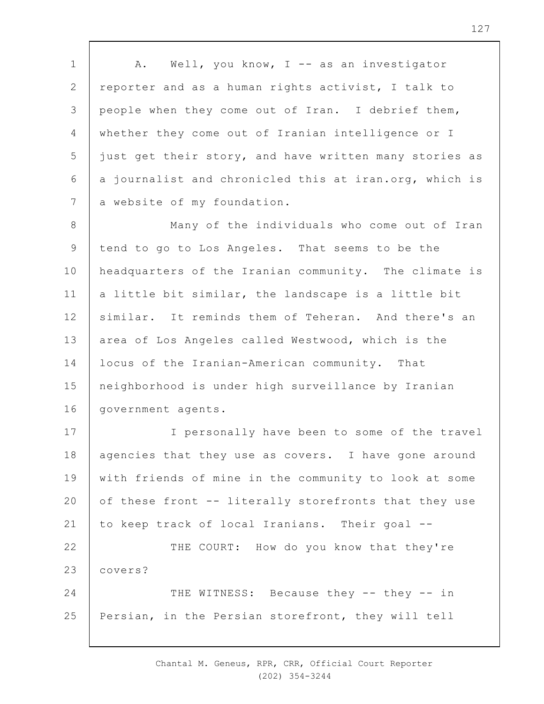1 2 3 4 5 6 7 A. Well, you know, I -- as an investigator reporter and as a human rights activist, I talk to people when they come out of Iran. I debrief them, whether they come out of Iranian intelligence or I just get their story, and have written many stories as a journalist and chronicled this at iran.org, which is a website of my foundation.

8 9 10 11 12 13 14 15 16 Many of the individuals who come out of Iran tend to go to Los Angeles. That seems to be the headquarters of the Iranian community. The climate is a little bit similar, the landscape is a little bit similar. It reminds them of Teheran. And there's an area of Los Angeles called Westwood, which is the locus of the Iranian-American community. That neighborhood is under high surveillance by Iranian government agents.

17 18 19  $20$ 21 22 23 24 I personally have been to some of the travel agencies that they use as covers. I have gone around with friends of mine in the community to look at some of these front -- literally storefronts that they use to keep track of local Iranians. Their goal -- THE COURT: How do you know that they're covers? THE WITNESS: Because they -- they -- in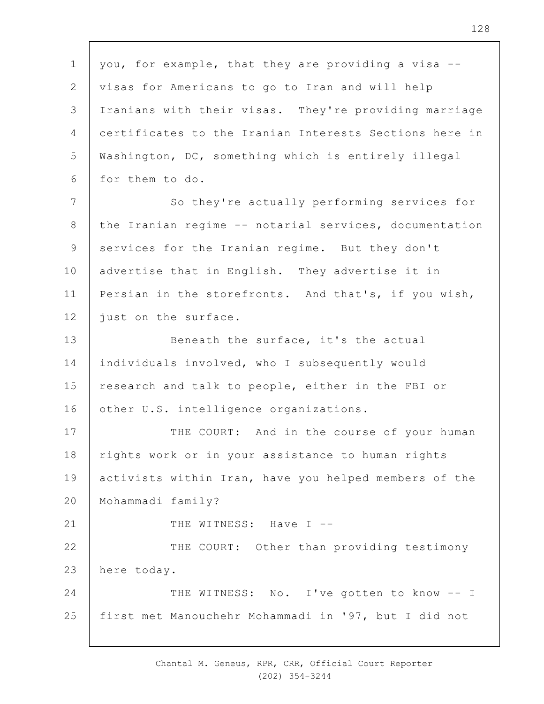1 2 3 4 5 6 7 8 9 10 11 12 13 14 15 16 17 18 19  $20$ 21 22 23 24 25 you, for example, that they are providing a visa - visas for Americans to go to Iran and will help Iranians with their visas. They're providing marriage certificates to the Iranian Interests Sections here in Washington, DC, something which is entirely illegal for them to do. So they're actually performing services for the Iranian regime -- notarial services, documentation services for the Iranian regime. But they don't advertise that in English. They advertise it in Persian in the storefronts. And that's, if you wish, just on the surface. Beneath the surface, it's the actual individuals involved, who I subsequently would research and talk to people, either in the FBI or other U.S. intelligence organizations. THE COURT: And in the course of your human rights work or in your assistance to human rights activists within Iran, have you helped members of the Mohammadi family? THE WITNESS: Have I --THE COURT: Other than providing testimony here today. THE WITNESS: No. I've gotten to know -- I first met Manouchehr Mohammadi in '97, but I did not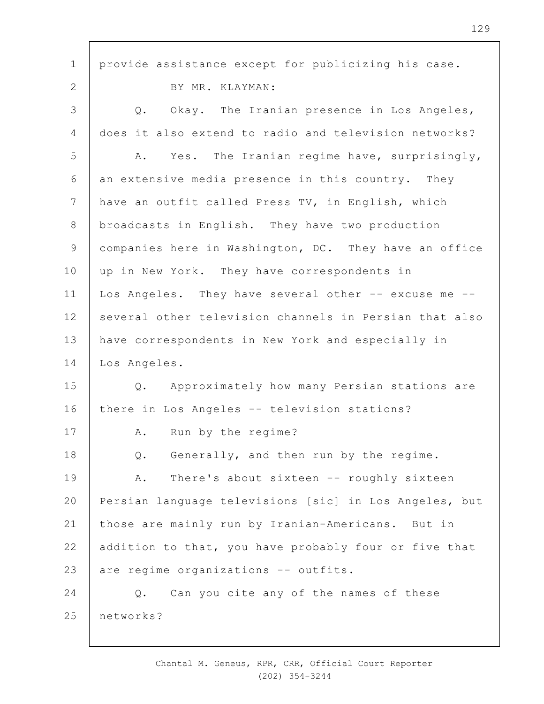| $\mathbf 1$     | provide assistance except for publicizing his case.    |
|-----------------|--------------------------------------------------------|
| $\overline{2}$  | BY MR. KLAYMAN:                                        |
| 3               | Okay. The Iranian presence in Los Angeles,<br>Q.       |
| $\overline{4}$  | does it also extend to radio and television networks?  |
| 5               | Yes. The Iranian regime have, surprisingly,<br>Α.      |
| 6               | an extensive media presence in this country. They      |
| $7\phantom{.0}$ | have an outfit called Press TV, in English, which      |
| $8\,$           | broadcasts in English. They have two production        |
| $\mathsf 9$     | companies here in Washington, DC. They have an office  |
| 10              | up in New York. They have correspondents in            |
| 11              | Los Angeles. They have several other -- excuse me --   |
| 12              | several other television channels in Persian that also |
| 13              | have correspondents in New York and especially in      |
| 14              | Los Angeles.                                           |
| 15              | Q. Approximately how many Persian stations are         |
| 16              | there in Los Angeles -- television stations?           |
| 17              | Run by the regime?<br>Α.                               |
| 18              | Generally, and then run by the regime.<br>Q.           |
| 19              | There's about sixteen -- roughly sixteen<br>Α.         |
| 20              | Persian language televisions [sic] in Los Angeles, but |
| 21              | those are mainly run by Iranian-Americans. But in      |
| 22              | addition to that, you have probably four or five that  |
| 23              | are regime organizations -- outfits.                   |
| 24              | Can you cite any of the names of these<br>$Q$ .        |
| 25              | networks?                                              |
|                 |                                                        |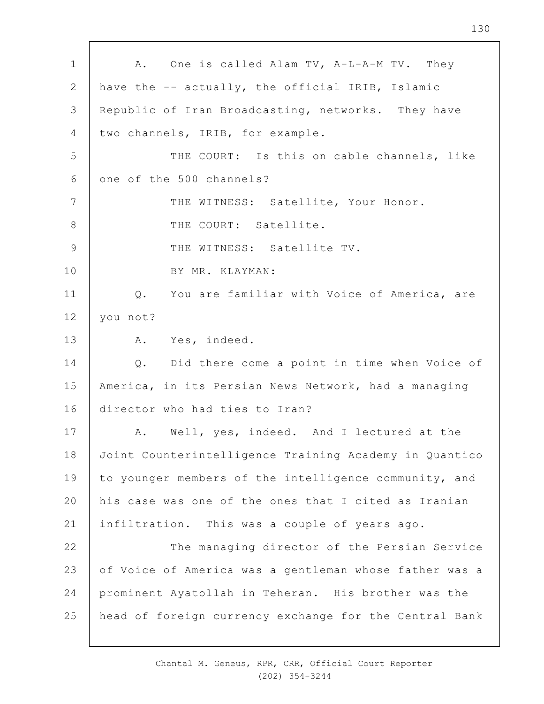1 2 3 4 5 6 7 8 9 10 11 12 13 14 15 16 17 18 19  $20$ 21 22 23 24 25 A. One is called Alam TV, A-L-A-M TV. They have the -- actually, the official IRIB, Islamic Republic of Iran Broadcasting, networks. They have two channels, IRIB, for example. THE COURT: Is this on cable channels, like one of the 500 channels? THE WITNESS: Satellite, Your Honor. THE COURT: Satellite. THE WITNESS: Satellite TV. BY MR. KLAYMAN: Q. You are familiar with Voice of America, are you not? A. Yes, indeed. Q. Did there come a point in time when Voice of America, in its Persian News Network, had a managing director who had ties to Iran? A. Well, yes, indeed. And I lectured at the Joint Counterintelligence Training Academy in Quantico to younger members of the intelligence community, and his case was one of the ones that I cited as Iranian infiltration. This was a couple of years ago. The managing director of the Persian Service of Voice of America was a gentleman whose father was a prominent Ayatollah in Teheran. His brother was the head of foreign currency exchange for the Central Bank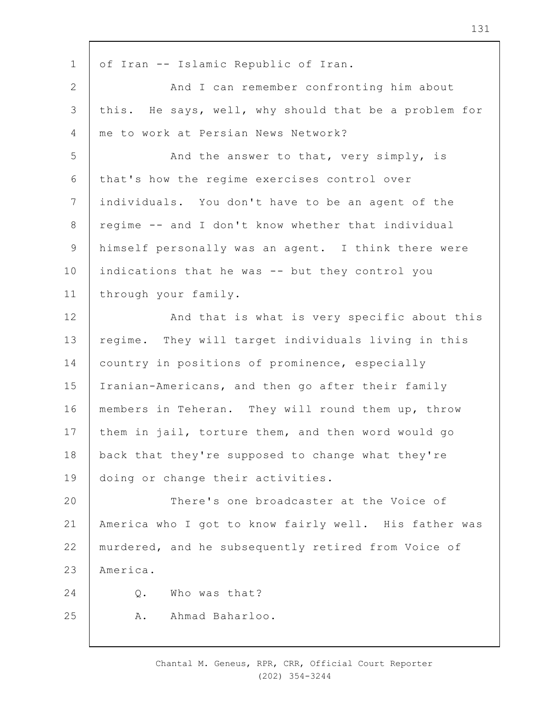1 2 3 4 5 6 7 8 9 10 11 12 13 14 15 16 17 18 19  $20$ 21 22 23  $24$ 25 of Iran -- Islamic Republic of Iran. And I can remember confronting him about this. He says, well, why should that be a problem for me to work at Persian News Network? And the answer to that, very simply, is that's how the regime exercises control over individuals. You don't have to be an agent of the regime -- and I don't know whether that individual himself personally was an agent. I think there were indications that he was -- but they control you through your family. And that is what is very specific about this regime. They will target individuals living in this country in positions of prominence, especially Iranian-Americans, and then go after their family members in Teheran. They will round them up, throw them in jail, torture them, and then word would go back that they're supposed to change what they're doing or change their activities. There's one broadcaster at the Voice of America who I got to know fairly well. His father was murdered, and he subsequently retired from Voice of America. Q. Who was that? A. Ahmad Baharloo.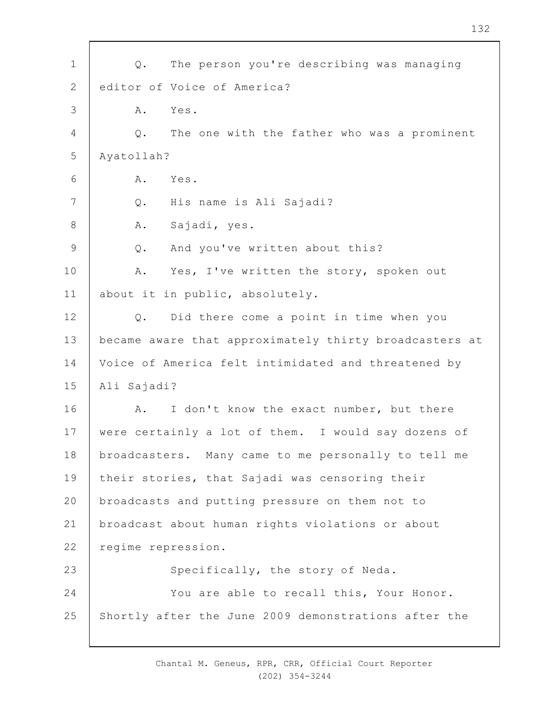| $\mathbf 1$     | The person you're describing was managing<br>$Q$ .     |
|-----------------|--------------------------------------------------------|
| $\mathbf{2}$    | editor of Voice of America?                            |
| 3               | A.<br>Yes.                                             |
| 4               | The one with the father who was a prominent<br>Q.      |
| 5               | Ayatollah?                                             |
| 6               | Α.<br>Yes.                                             |
| $7\phantom{.0}$ | His name is Ali Sajadi?<br>$Q$ .                       |
| $\,8\,$         | Sajadi, yes.<br>Α.                                     |
| 9               | And you've written about this?<br>$Q$ .                |
| 10              | Yes, I've written the story, spoken out<br>Α.          |
| 11              | about it in public, absolutely.                        |
| 12              | Did there come a point in time when you<br>$Q$ .       |
| 13              | became aware that approximately thirty broadcasters at |
| 14              | Voice of America felt intimidated and threatened by    |
| 15              | Ali Sajadi?                                            |
| 16              | I don't know the exact number, but there<br>A.         |
| 17              | were certainly a lot of them. I would say dozens of    |
| 18              | broadcasters. Many came to me personally to tell me    |
| 19              | their stories, that Sajadi was censoring their         |
| 20              | broadcasts and putting pressure on them not to         |
| 21              | broadcast about human rights violations or about       |
| 22              | regime repression.                                     |
| 23              | Specifically, the story of Neda.                       |
| 24              | You are able to recall this, Your Honor.               |
| 25              | Shortly after the June 2009 demonstrations after the   |
|                 |                                                        |

 $\Gamma$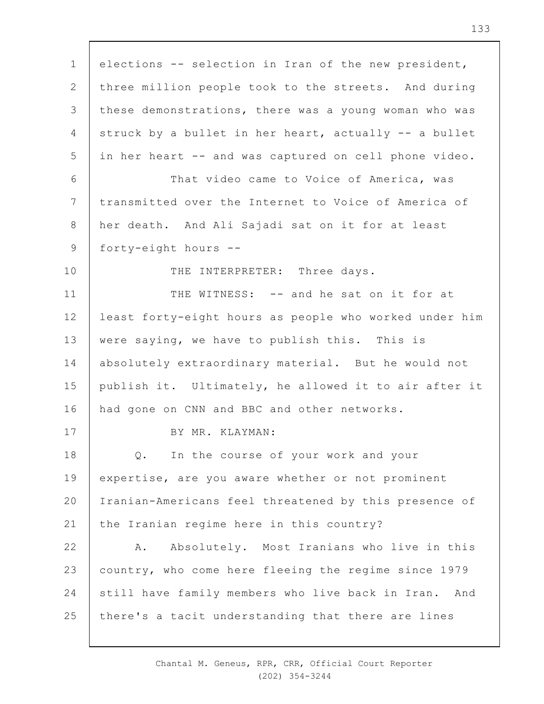1 2 3 4 5 6 7 8 9 10 11 12 13 14 15 16 17 18 19  $20$ 21 22 23 24 25 elections -- selection in Iran of the new president, three million people took to the streets. And during these demonstrations, there was a young woman who was struck by a bullet in her heart, actually -- a bullet in her heart -- and was captured on cell phone video. That video came to Voice of America, was transmitted over the Internet to Voice of America of her death. And Ali Sajadi sat on it for at least forty-eight hours -- THE INTERPRETER: Three days. THE WITNESS: -- and he sat on it for at least forty-eight hours as people who worked under him were saying, we have to publish this. This is absolutely extraordinary material. But he would not publish it. Ultimately, he allowed it to air after it had gone on CNN and BBC and other networks. BY MR. KLAYMAN: Q. In the course of your work and your expertise, are you aware whether or not prominent Iranian-Americans feel threatened by this presence of the Iranian regime here in this country? A. Absolutely. Most Iranians who live in this country, who come here fleeing the regime since 1979 still have family members who live back in Iran. And there's a tacit understanding that there are lines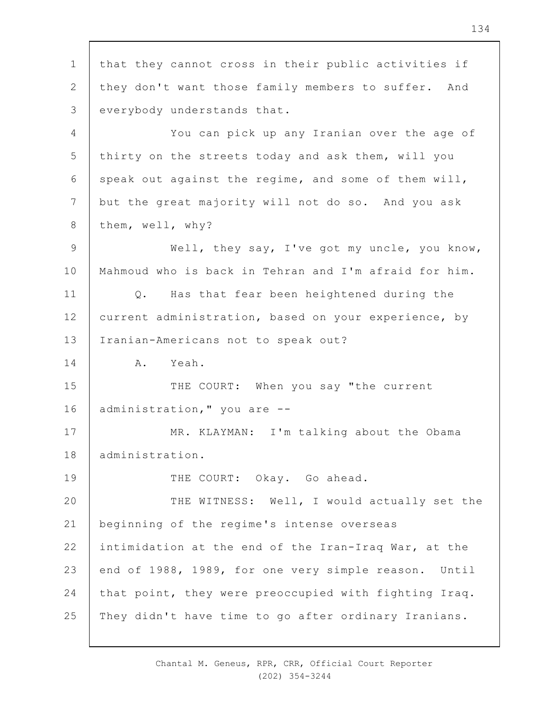1 2 3 4 5 6 7 8 9 10 11 12 13 14 15 16 17 18 19  $20$ 21 22 23 24 25 that they cannot cross in their public activities if they don't want those family members to suffer. And everybody understands that. You can pick up any Iranian over the age of thirty on the streets today and ask them, will you speak out against the regime, and some of them will, but the great majority will not do so. And you ask them, well, why? Well, they say, I've got my uncle, you know, Mahmoud who is back in Tehran and I'm afraid for him. Q. Has that fear been heightened during the current administration, based on your experience, by Iranian-Americans not to speak out? A. Yeah. THE COURT: When you say "the current administration," you are -- MR. KLAYMAN: I'm talking about the Obama administration. THE COURT: Okay. Go ahead. THE WITNESS: Well, I would actually set the beginning of the regime's intense overseas intimidation at the end of the Iran-Iraq War, at the end of 1988, 1989, for one very simple reason. Until that point, they were preoccupied with fighting Iraq. They didn't have time to go after ordinary Iranians.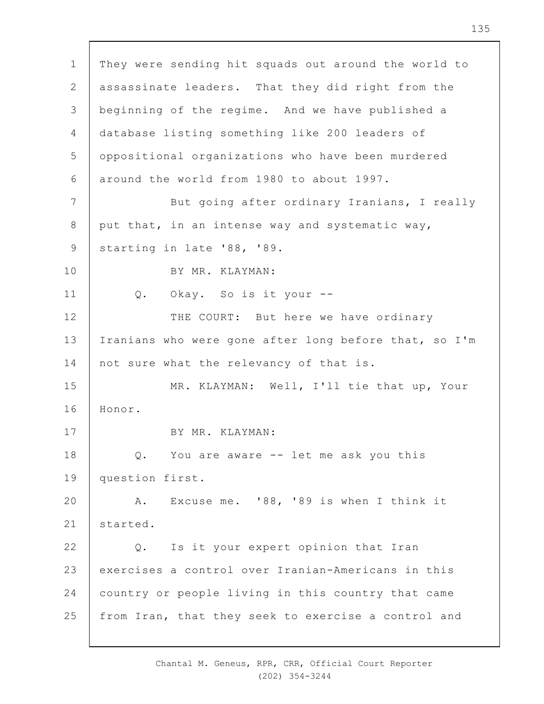1 2 3 4 5 6 7 8 9 10 11 12 13 14 15 16 17 18 19  $20$ 21 22 23 24 25 They were sending hit squads out around the world to assassinate leaders. That they did right from the beginning of the regime. And we have published a database listing something like 200 leaders of oppositional organizations who have been murdered around the world from 1980 to about 1997. But going after ordinary Iranians, I really put that, in an intense way and systematic way, starting in late '88, '89. BY MR. KLAYMAN: Q. Okay. So is it your -- THE COURT: But here we have ordinary Iranians who were gone after long before that, so I'm not sure what the relevancy of that is. MR. KLAYMAN: Well, I'll tie that up, Your Honor. BY MR. KLAYMAN: Q. You are aware -- let me ask you this question first. A. Excuse me. '88, '89 is when I think it started. Q. Is it your expert opinion that Iran exercises a control over Iranian-Americans in this country or people living in this country that came from Iran, that they seek to exercise a control and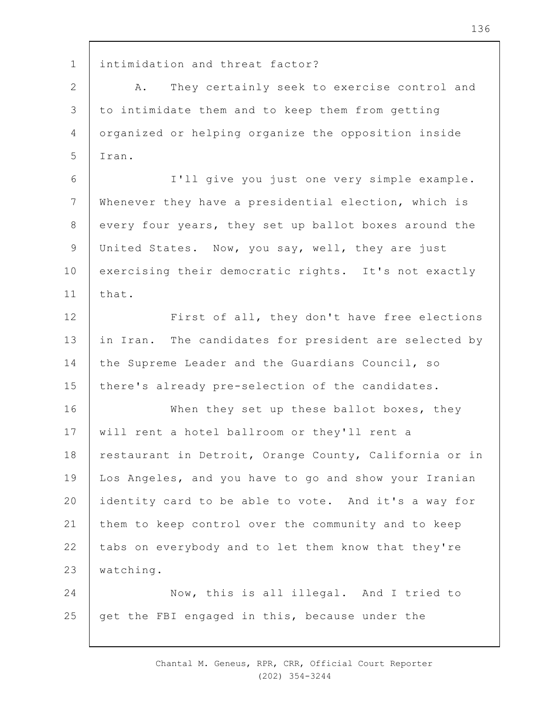1 intimidation and threat factor?

2 3 4 5 A. They certainly seek to exercise control and to intimidate them and to keep them from getting organized or helping organize the opposition inside Iran.

6 7 8 9 10 11 I'll give you just one very simple example. Whenever they have a presidential election, which is every four years, they set up ballot boxes around the United States. Now, you say, well, they are just exercising their democratic rights. It's not exactly that.

12 13 14 15 First of all, they don't have free elections in Iran. The candidates for president are selected by the Supreme Leader and the Guardians Council, so there's already pre-selection of the candidates.

16 17 18 19  $20$ 21 22 23 When they set up these ballot boxes, they will rent a hotel ballroom or they'll rent a restaurant in Detroit, Orange County, California or in Los Angeles, and you have to go and show your Iranian identity card to be able to vote. And it's a way for them to keep control over the community and to keep tabs on everybody and to let them know that they're watching.

24 25 Now, this is all illegal. And I tried to get the FBI engaged in this, because under the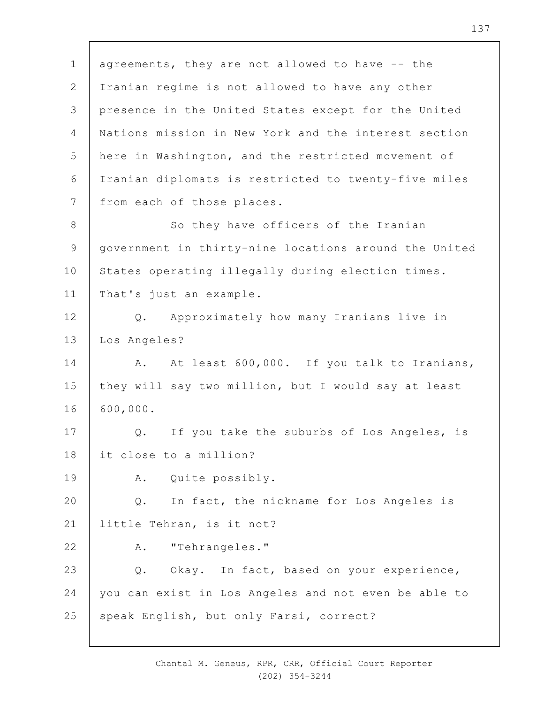1 2 3 4 5 6 7 8 9 10 11 12 13 14 15 16 17 18 19  $20$ 21 22 23 24 25 agreements, they are not allowed to have -- the Iranian regime is not allowed to have any other presence in the United States except for the United Nations mission in New York and the interest section here in Washington, and the restricted movement of Iranian diplomats is restricted to twenty-five miles from each of those places. So they have officers of the Iranian government in thirty-nine locations around the United States operating illegally during election times. That's just an example. Q. Approximately how many Iranians live in Los Angeles? A. At least 600,000. If you talk to Iranians, they will say two million, but I would say at least 600,000. Q. If you take the suburbs of Los Angeles, is it close to a million? A. Quite possibly. Q. In fact, the nickname for Los Angeles is little Tehran, is it not? A. "Tehrangeles." Q. Okay. In fact, based on your experience, you can exist in Los Angeles and not even be able to speak English, but only Farsi, correct?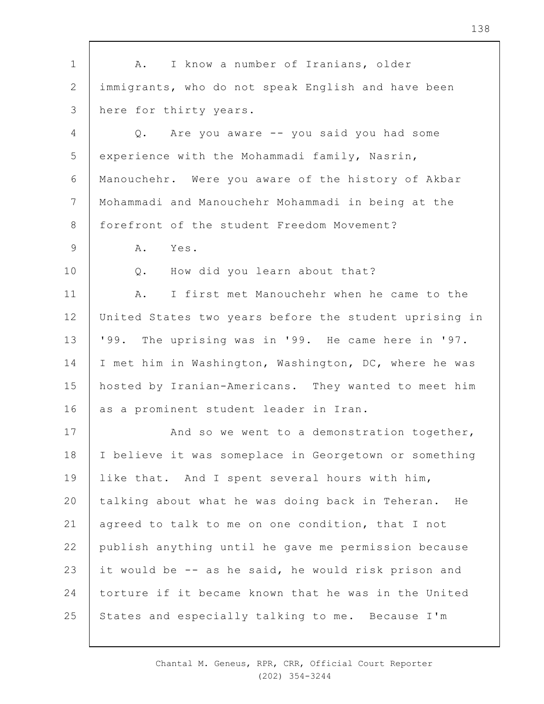| $\mathbf 1$    | I know a number of Iranians, older<br>Α.               |
|----------------|--------------------------------------------------------|
| 2              | immigrants, who do not speak English and have been     |
| 3              | here for thirty years.                                 |
| $\overline{4}$ | Q. Are you aware -- you said you had some              |
| 5              | experience with the Mohammadi family, Nasrin,          |
| 6              | Manouchehr. Were you aware of the history of Akbar     |
| 7              | Mohammadi and Manouchehr Mohammadi in being at the     |
| 8              | forefront of the student Freedom Movement?             |
| 9              | Α.<br>Yes.                                             |
| 10             | How did you learn about that?<br>$Q$ .                 |
| 11             | I first met Manouchehr when he came to the<br>Α.       |
| 12             | United States two years before the student uprising in |
| 13             | '99. The uprising was in '99. He came here in '97.     |
| 14             | I met him in Washington, Washington, DC, where he was  |
| 15             | hosted by Iranian-Americans. They wanted to meet him   |
| 16             | as a prominent student leader in Iran.                 |
| 17             | And so we went to a demonstration together,            |
| 18             | I believe it was someplace in Georgetown or something  |
| 19             | like that. And I spent several hours with him,         |
| 20             | talking about what he was doing back in Teheran. He    |
| 21             | agreed to talk to me on one condition, that I not      |
| 22             | publish anything until he gave me permission because   |
| 23             | it would be -- as he said, he would risk prison and    |
| 24             | torture if it became known that he was in the United   |
| 25             | States and especially talking to me. Because I'm       |
|                |                                                        |

Chantal M. Geneus, RPR, CRR, Official Court Reporter (202) 354-3244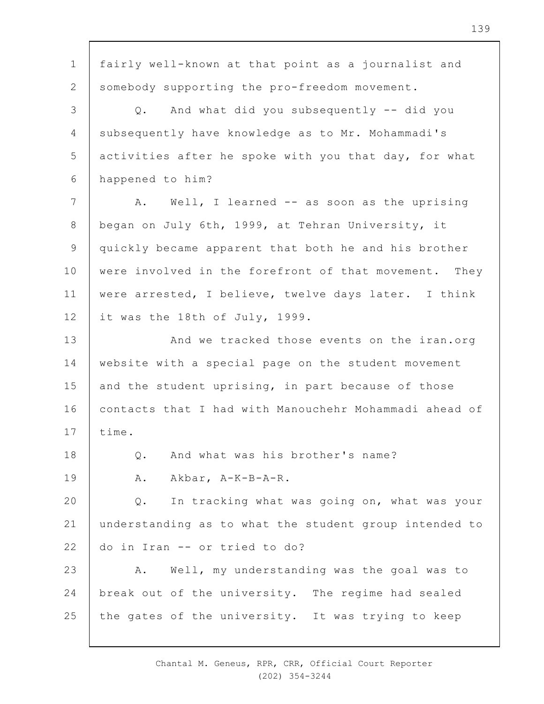1 2 3 4 5 6 7 8 9 10 11 12 13 14 15 16 17 18 19  $20$ 21 22 23 24 25 fairly well-known at that point as a journalist and somebody supporting the pro-freedom movement. Q. And what did you subsequently -- did you subsequently have knowledge as to Mr. Mohammadi's activities after he spoke with you that day, for what happened to him? A. Well, I learned -- as soon as the uprising began on July 6th, 1999, at Tehran University, it quickly became apparent that both he and his brother were involved in the forefront of that movement. They were arrested, I believe, twelve days later. I think it was the 18th of July, 1999. And we tracked those events on the iran.org website with a special page on the student movement and the student uprising, in part because of those contacts that I had with Manouchehr Mohammadi ahead of time. Q. And what was his brother's name? A. Akbar, A-K-B-A-R. Q. In tracking what was going on, what was your understanding as to what the student group intended to do in Iran -- or tried to do? A. Well, my understanding was the goal was to break out of the university. The regime had sealed the gates of the university. It was trying to keep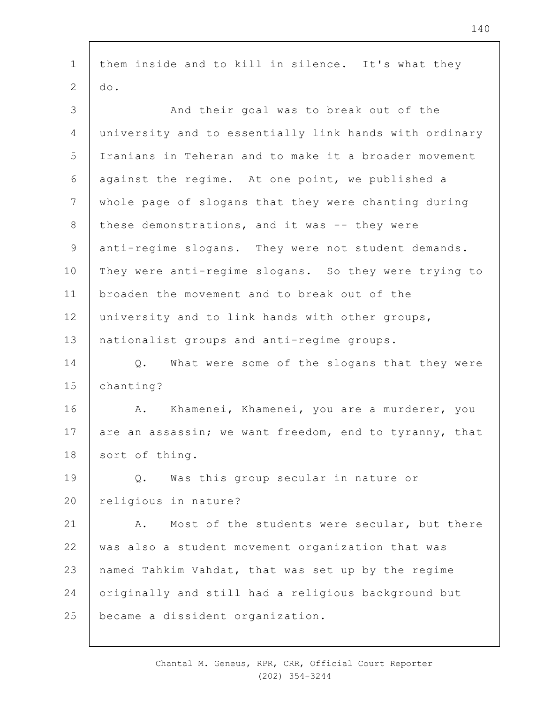1 2 3 4 5 6 7 8 9 10 11 12 13 14 15 16 17 18 19  $20$ 21 22 23 24 25 them inside and to kill in silence. It's what they do. And their goal was to break out of the university and to essentially link hands with ordinary Iranians in Teheran and to make it a broader movement against the regime. At one point, we published a whole page of slogans that they were chanting during these demonstrations, and it was -- they were anti-regime slogans. They were not student demands. They were anti-regime slogans. So they were trying to broaden the movement and to break out of the university and to link hands with other groups, nationalist groups and anti-regime groups. Q. What were some of the slogans that they were chanting? A. Khamenei, Khamenei, you are a murderer, you are an assassin; we want freedom, end to tyranny, that sort of thing. Q. Was this group secular in nature or religious in nature? A. Most of the students were secular, but there was also a student movement organization that was named Tahkim Vahdat, that was set up by the regime originally and still had a religious background but became a dissident organization.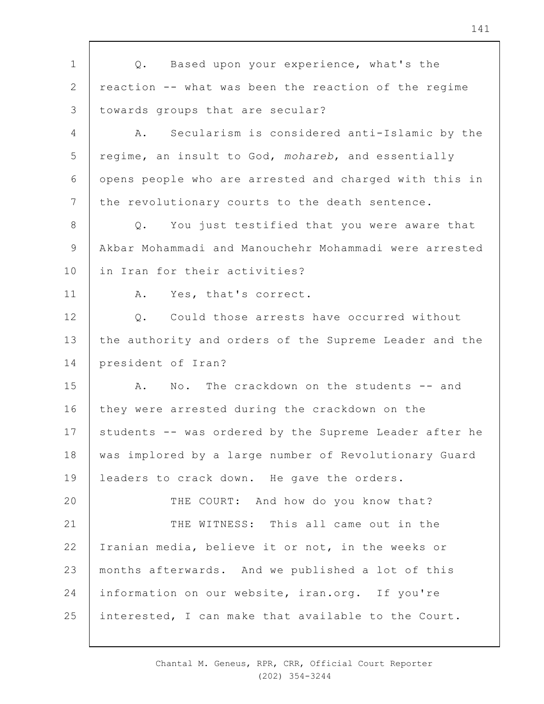1 2 3 4 5 6 7 8 9 10 11 12 13 14 15 16 17 18 19  $20$ 21 22 23 24 25 Q. Based upon your experience, what's the reaction -- what was been the reaction of the regime towards groups that are secular? A. Secularism is considered anti-Islamic by the regime, an insult to God, *mohareb*, and essentially opens people who are arrested and charged with this in the revolutionary courts to the death sentence. Q. You just testified that you were aware that Akbar Mohammadi and Manouchehr Mohammadi were arrested in Iran for their activities? A. Yes, that's correct. Q. Could those arrests have occurred without the authority and orders of the Supreme Leader and the president of Iran? A. No. The crackdown on the students -- and they were arrested during the crackdown on the students -- was ordered by the Supreme Leader after he was implored by a large number of Revolutionary Guard leaders to crack down. He gave the orders. THE COURT: And how do you know that? THE WITNESS: This all came out in the Iranian media, believe it or not, in the weeks or months afterwards. And we published a lot of this information on our website, iran.org. If you're interested, I can make that available to the Court.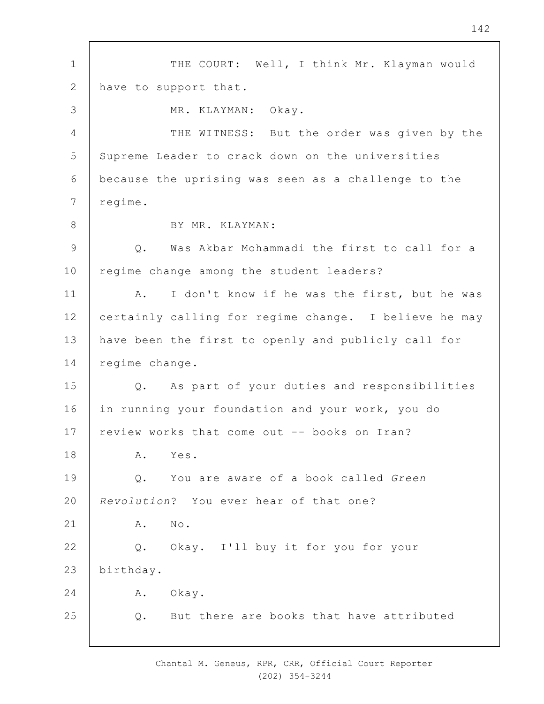1 2 3 4 5 6 7 8 9 10 11 12 13 14 15 16 17 18 19  $20$ 21 22 23 24 25 THE COURT: Well, I think Mr. Klayman would have to support that. MR. KLAYMAN: Okay. THE WITNESS: But the order was given by the Supreme Leader to crack down on the universities because the uprising was seen as a challenge to the regime. BY MR. KLAYMAN: Q. Was Akbar Mohammadi the first to call for a regime change among the student leaders? A. I don't know if he was the first, but he was certainly calling for regime change. I believe he may have been the first to openly and publicly call for regime change. Q. As part of your duties and responsibilities in running your foundation and your work, you do review works that come out -- books on Iran? A. Yes. Q. You are aware of a book called *Green Revolution*? You ever hear of that one? A. No. Q. Okay. I'll buy it for you for your birthday. A. Okay. Q. But there are books that have attributed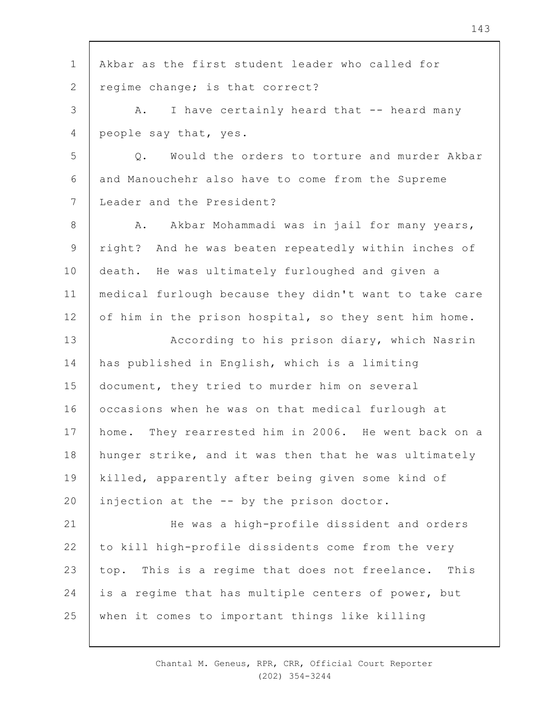1 2 3 4 5 6 7 8 9 10 11 12 13 14 15 16 17 18 19  $20$ 21 22 23 24 25 Akbar as the first student leader who called for regime change; is that correct? A. I have certainly heard that -- heard many people say that, yes. Q. Would the orders to torture and murder Akbar and Manouchehr also have to come from the Supreme Leader and the President? A. Akbar Mohammadi was in jail for many years, right? And he was beaten repeatedly within inches of death. He was ultimately furloughed and given a medical furlough because they didn't want to take care of him in the prison hospital, so they sent him home. According to his prison diary, which Nasrin has published in English, which is a limiting document, they tried to murder him on several occasions when he was on that medical furlough at home. They rearrested him in 2006. He went back on a hunger strike, and it was then that he was ultimately killed, apparently after being given some kind of injection at the -- by the prison doctor. He was a high-profile dissident and orders to kill high-profile dissidents come from the very top. This is a regime that does not freelance. This is a regime that has multiple centers of power, but when it comes to important things like killing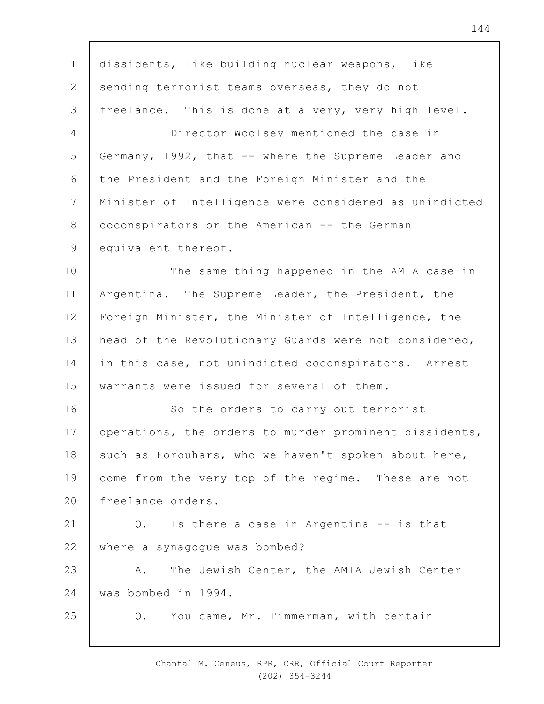1 2 3 4 5 6 7 8 9 10 11 12 13 14 15 16 17 18 19  $20$ 21 22 23  $24$ 25 dissidents, like building nuclear weapons, like sending terrorist teams overseas, they do not freelance. This is done at a very, very high level. Director Woolsey mentioned the case in Germany, 1992, that -- where the Supreme Leader and the President and the Foreign Minister and the Minister of Intelligence were considered as unindicted coconspirators or the American -- the German equivalent thereof. The same thing happened in the AMIA case in Argentina. The Supreme Leader, the President, the Foreign Minister, the Minister of Intelligence, the head of the Revolutionary Guards were not considered, in this case, not unindicted coconspirators. Arrest warrants were issued for several of them. So the orders to carry out terrorist operations, the orders to murder prominent dissidents, such as Forouhars, who we haven't spoken about here, come from the very top of the regime. These are not freelance orders. Q. Is there a case in Argentina -- is that where a synagogue was bombed? A. The Jewish Center, the AMIA Jewish Center was bombed in 1994. Q. You came, Mr. Timmerman, with certain

> Chantal M. Geneus, RPR, CRR, Official Court Reporter (202) 354-3244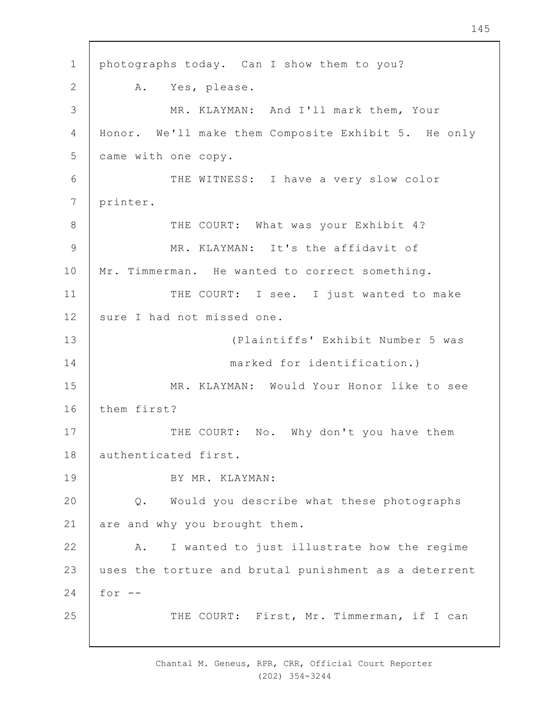1 2 3 4 5 6 7 8 9 10 11 12 13 14 15 16 17 18 19  $20$ 21 22 23 24 25 photographs today. Can I show them to you? A. Yes, please. MR. KLAYMAN: And I'll mark them, Your Honor. We'll make them Composite Exhibit 5. He only came with one copy. THE WITNESS: I have a very slow color printer. THE COURT: What was your Exhibit 4? MR. KLAYMAN: It's the affidavit of Mr. Timmerman. He wanted to correct something. THE COURT: I see. I just wanted to make sure I had not missed one. (Plaintiffs' Exhibit Number 5 was marked for identification.) MR. KLAYMAN: Would Your Honor like to see them first? THE COURT: No. Why don't you have them authenticated first. BY MR. KLAYMAN: Q. Would you describe what these photographs are and why you brought them. A. I wanted to just illustrate how the regime uses the torture and brutal punishment as a deterrent for  $--$ THE COURT: First, Mr. Timmerman, if I can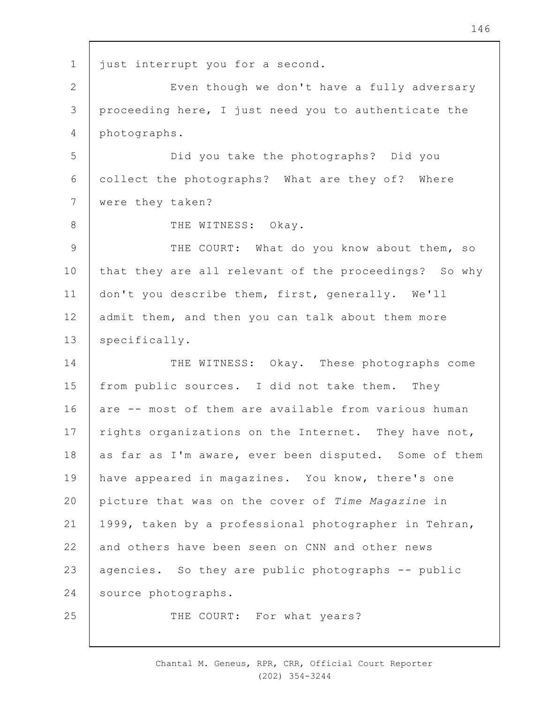1 2 3 4 5 6 7 8 9 10 11 12 13 14 15 16 17 18 19  $20$ 21 22 23 24 25 just interrupt you for a second. Even though we don't have a fully adversary proceeding here, I just need you to authenticate the photographs. Did you take the photographs? Did you collect the photographs? What are they of? Where were they taken? THE WITNESS: Okay. THE COURT: What do you know about them, so that they are all relevant of the proceedings? So why don't you describe them, first, generally. We'll admit them, and then you can talk about them more specifically. THE WITNESS: Okay. These photographs come from public sources. I did not take them. They are -- most of them are available from various human rights organizations on the Internet. They have not, as far as I'm aware, ever been disputed. Some of them have appeared in magazines. You know, there's one picture that was on the cover of *Time Magazine* in 1999, taken by a professional photographer in Tehran, and others have been seen on CNN and other news agencies. So they are public photographs -- public source photographs. THE COURT: For what years?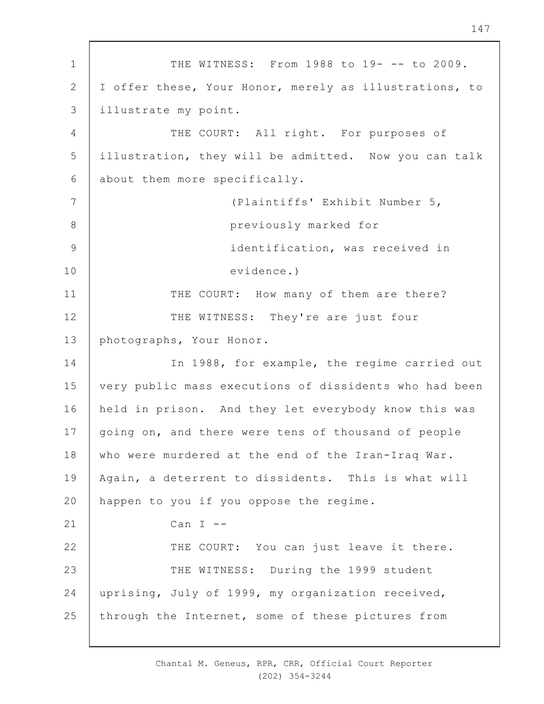1 2 3 4 5 6 7 8 9 10 11 12 13 14 15 16 17 18 19  $20$ 21 22 23 24 25 THE WITNESS: From 1988 to 19- -- to 2009. I offer these, Your Honor, merely as illustrations, to illustrate my point. THE COURT: All right. For purposes of illustration, they will be admitted. Now you can talk about them more specifically. (Plaintiffs' Exhibit Number 5, previously marked for identification, was received in evidence.) THE COURT: How many of them are there? THE WITNESS: They're are just four photographs, Your Honor. In 1988, for example, the regime carried out very public mass executions of dissidents who had been held in prison. And they let everybody know this was going on, and there were tens of thousand of people who were murdered at the end of the Iran-Iraq War. Again, a deterrent to dissidents. This is what will happen to you if you oppose the regime. Can  $I$   $-$ THE COURT: You can just leave it there. THE WITNESS: During the 1999 student uprising, July of 1999, my organization received, through the Internet, some of these pictures from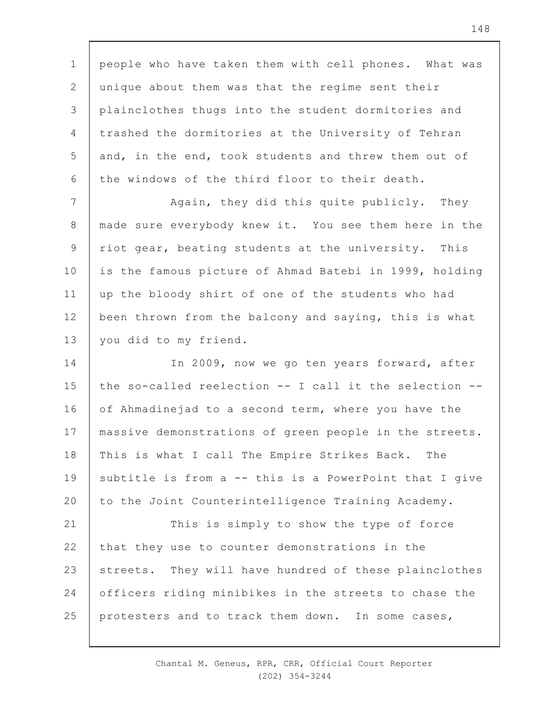1 2 3 4 5 6 people who have taken them with cell phones. What was unique about them was that the regime sent their plainclothes thugs into the student dormitories and trashed the dormitories at the University of Tehran and, in the end, took students and threw them out of the windows of the third floor to their death.

7 8 9 10 11 12 13 Again, they did this quite publicly. They made sure everybody knew it. You see them here in the riot gear, beating students at the university. This is the famous picture of Ahmad Batebi in 1999, holding up the bloody shirt of one of the students who had been thrown from the balcony and saying, this is what you did to my friend.

14 15 16 17 18 19  $20$ In 2009, now we go ten years forward, after the so-called reelection -- I call it the selection - of Ahmadinejad to a second term, where you have the massive demonstrations of green people in the streets. This is what I call The Empire Strikes Back. The subtitle is from a -- this is a PowerPoint that I give to the Joint Counterintelligence Training Academy.

21 22 23 24 25 This is simply to show the type of force that they use to counter demonstrations in the streets. They will have hundred of these plainclothes officers riding minibikes in the streets to chase the protesters and to track them down. In some cases,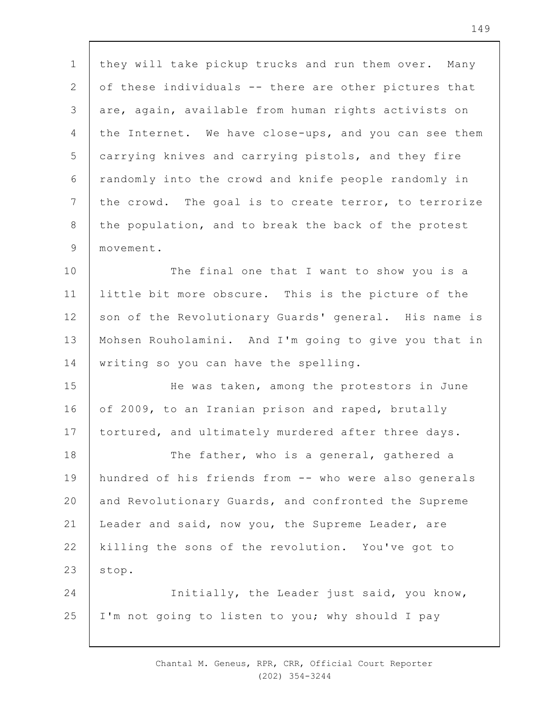1 2 3 4 5 6 7 8 9 they will take pickup trucks and run them over. Many of these individuals -- there are other pictures that are, again, available from human rights activists on the Internet. We have close-ups, and you can see them carrying knives and carrying pistols, and they fire randomly into the crowd and knife people randomly in the crowd. The goal is to create terror, to terrorize the population, and to break the back of the protest movement.

10 11 12 13 14 The final one that I want to show you is a little bit more obscure. This is the picture of the son of the Revolutionary Guards' general. His name is Mohsen Rouholamini. And I'm going to give you that in writing so you can have the spelling.

15 16 17 He was taken, among the protestors in June of 2009, to an Iranian prison and raped, brutally tortured, and ultimately murdered after three days.

18 19  $20$ 21 22 23 The father, who is a general, gathered a hundred of his friends from -- who were also generals and Revolutionary Guards, and confronted the Supreme Leader and said, now you, the Supreme Leader, are killing the sons of the revolution. You've got to stop.

24 25 Initially, the Leader just said, you know, I'm not going to listen to you; why should I pay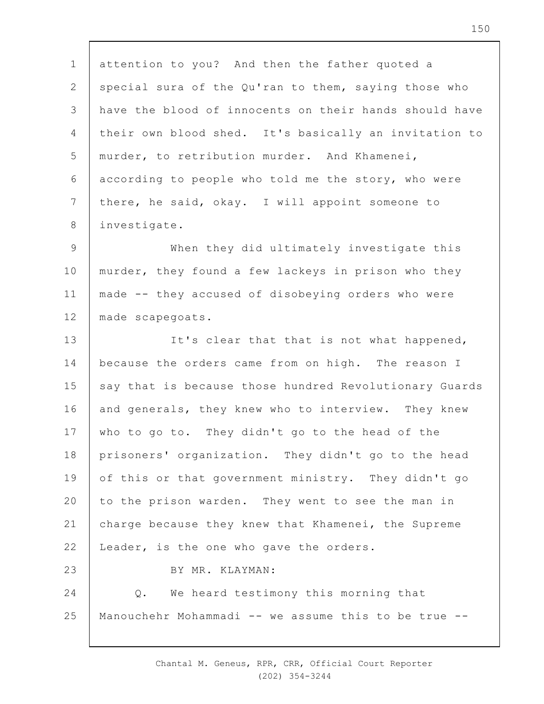1 2 3 4 5 6 7 8 9 10 attention to you? And then the father quoted a special sura of the Qu'ran to them, saying those who have the blood of innocents on their hands should have their own blood shed. It's basically an invitation to murder, to retribution murder. And Khamenei, according to people who told me the story, who were there, he said, okay. I will appoint someone to investigate. When they did ultimately investigate this murder, they found a few lackeys in prison who they

11 12 made -- they accused of disobeying orders who were made scapegoats.

13 14 15 16 17 18 19  $20$ 21 22 23 24 It's clear that that is not what happened, because the orders came from on high. The reason I say that is because those hundred Revolutionary Guards and generals, they knew who to interview. They knew who to go to. They didn't go to the head of the prisoners' organization. They didn't go to the head of this or that government ministry. They didn't go to the prison warden. They went to see the man in charge because they knew that Khamenei, the Supreme Leader, is the one who gave the orders. BY MR. KLAYMAN: Q. We heard testimony this morning that

25 Manouchehr Mohammadi -- we assume this to be true --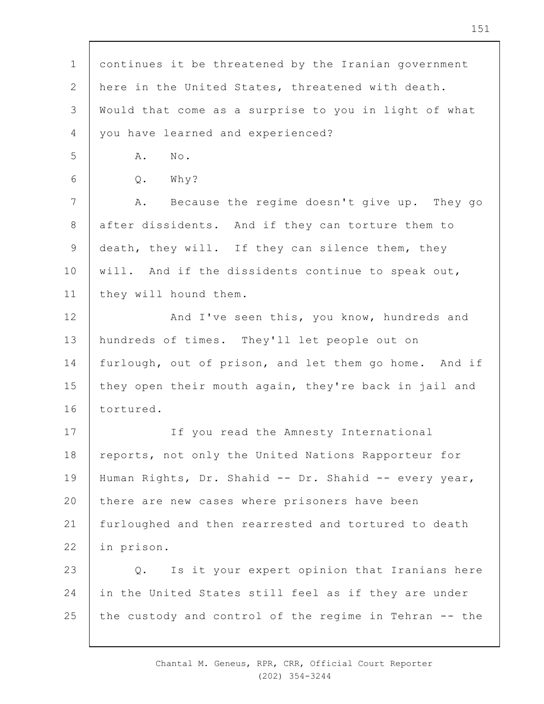| $\mathbf 1$    | continues it be threatened by the Iranian government   |
|----------------|--------------------------------------------------------|
| $\mathbf{2}$   | here in the United States, threatened with death.      |
| 3              | Would that come as a surprise to you in light of what  |
| 4              | you have learned and experienced?                      |
| 5              | No.<br>Α.                                              |
| 6              | Why?<br>$Q$ .                                          |
| $7\phantom{.}$ | Because the regime doesn't give up. They go<br>Α.      |
| $\,8\,$        | after dissidents. And if they can torture them to      |
| $\mathsf 9$    | death, they will. If they can silence them, they       |
| 10             | will. And if the dissidents continue to speak out,     |
| 11             | they will hound them.                                  |
| 12             | And I've seen this, you know, hundreds and             |
| 13             | hundreds of times. They'll let people out on           |
| 14             | furlough, out of prison, and let them go home. And if  |
| 15             | they open their mouth again, they're back in jail and  |
| 16             | tortured.                                              |
| 17             | If you read the Amnesty International                  |
| 18             | reports, not only the United Nations Rapporteur for    |
| 19             | Human Rights, Dr. Shahid -- Dr. Shahid -- every year,  |
| 20             | there are new cases where prisoners have been          |
| 21             | furloughed and then rearrested and tortured to death   |
| 22             | in prison.                                             |
| 23             | Is it your expert opinion that Iranians here<br>Q.     |
| 24             | in the United States still feel as if they are under   |
| 25             | the custody and control of the regime in Tehran -- the |
|                |                                                        |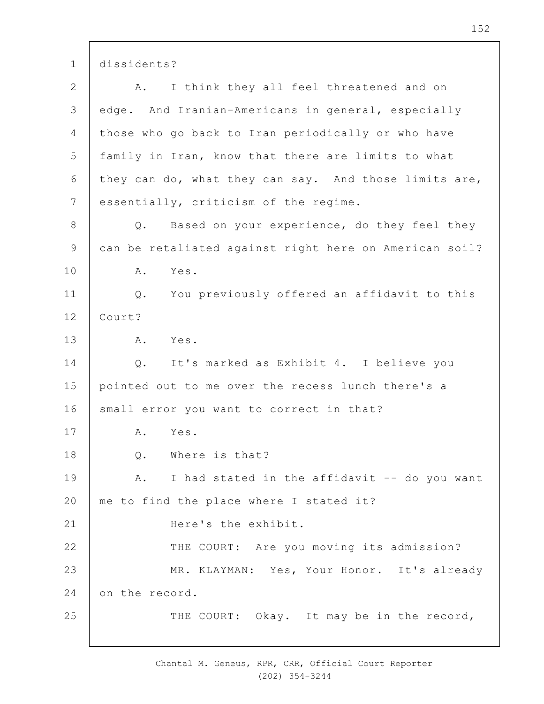1 dissidents?

| $\mathbf{2}$   | I think they all feel threatened and on<br>Α.          |
|----------------|--------------------------------------------------------|
| 3              | edge. And Iranian-Americans in general, especially     |
| 4              | those who go back to Iran periodically or who have     |
| 5              | family in Iran, know that there are limits to what     |
| 6              | they can do, what they can say. And those limits are,  |
| $7\phantom{.}$ | essentially, criticism of the regime.                  |
| $8\,$          | Q. Based on your experience, do they feel they         |
| 9              | can be retaliated against right here on American soil? |
| 10             | Yes.<br>Α.                                             |
| 11             | You previously offered an affidavit to this<br>$Q$ .   |
| 12             | Court?                                                 |
| 13             | Α.<br>Yes.                                             |
| 14             | It's marked as Exhibit 4. I believe you<br>$Q$ .       |
| 15             | pointed out to me over the recess lunch there's a      |
| 16             | small error you want to correct in that?               |
| 17             | Α.<br>Yes.                                             |
| 18             | Q.<br>Where is that?                                   |
| 19             | I had stated in the affidavit -- do you want<br>Α.     |
| 20             | me to find the place where I stated it?                |
| 21             | Here's the exhibit.                                    |
| 22             | THE COURT: Are you moving its admission?               |
| 23             | MR. KLAYMAN: Yes, Your Honor. It's already             |
| 24             | on the record.                                         |
| 25             | THE COURT: Okay. It may be in the record,              |
|                |                                                        |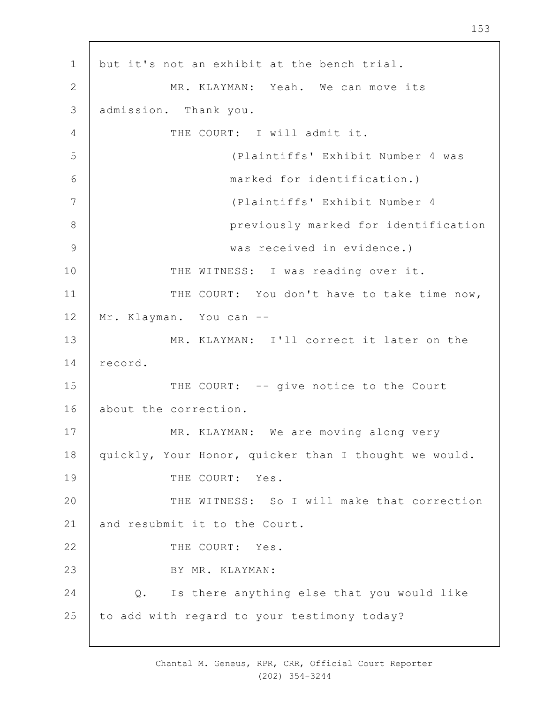1 2 3 4 5 6 7 8 9 10 11 12 13 14 15 16 17 18 19  $20$ 21 22 23 24 25 but it's not an exhibit at the bench trial. MR. KLAYMAN: Yeah. We can move its admission. Thank you. THE COURT: I will admit it. (Plaintiffs' Exhibit Number 4 was marked for identification.) (Plaintiffs' Exhibit Number 4 previously marked for identification was received in evidence.) THE WITNESS: I was reading over it. THE COURT: You don't have to take time now, Mr. Klayman. You can --MR. KLAYMAN: I'll correct it later on the record. THE COURT: -- give notice to the Court about the correction. MR. KLAYMAN: We are moving along very quickly, Your Honor, quicker than I thought we would. THE COURT: Yes. THE WITNESS: So I will make that correction and resubmit it to the Court. THE COURT: Yes. BY MR. KLAYMAN: Q. Is there anything else that you would like to add with regard to your testimony today?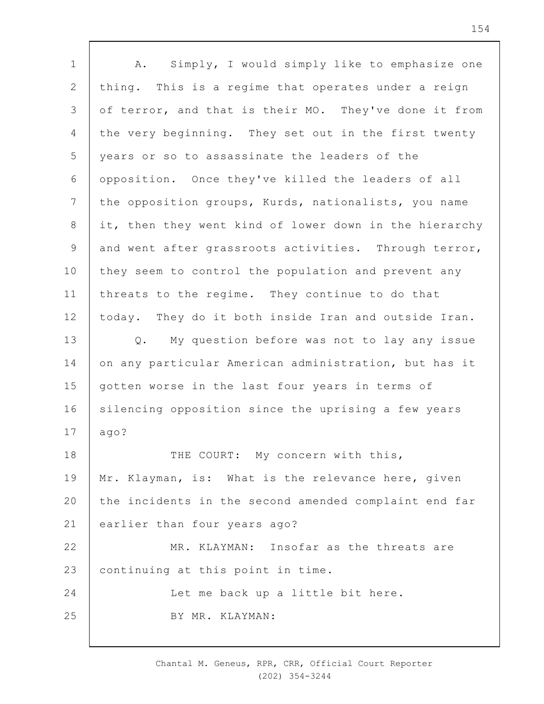1 2 3 4 5 6 7 8 9 10 11 12 13 14 15 16 17 18 19  $20$ 21 22 23  $24$ 25 A. Simply, I would simply like to emphasize one thing. This is a regime that operates under a reign of terror, and that is their MO. They've done it from the very beginning. They set out in the first twenty years or so to assassinate the leaders of the opposition. Once they've killed the leaders of all the opposition groups, Kurds, nationalists, you name it, then they went kind of lower down in the hierarchy and went after grassroots activities. Through terror, they seem to control the population and prevent any threats to the regime. They continue to do that today. They do it both inside Iran and outside Iran. Q. My question before was not to lay any issue on any particular American administration, but has it gotten worse in the last four years in terms of silencing opposition since the uprising a few years ago? THE COURT: My concern with this, Mr. Klayman, is: What is the relevance here, given the incidents in the second amended complaint end far earlier than four years ago? MR. KLAYMAN: Insofar as the threats are continuing at this point in time. Let me back up a little bit here. BY MR. KLAYMAN:

> Chantal M. Geneus, RPR, CRR, Official Court Reporter (202) 354-3244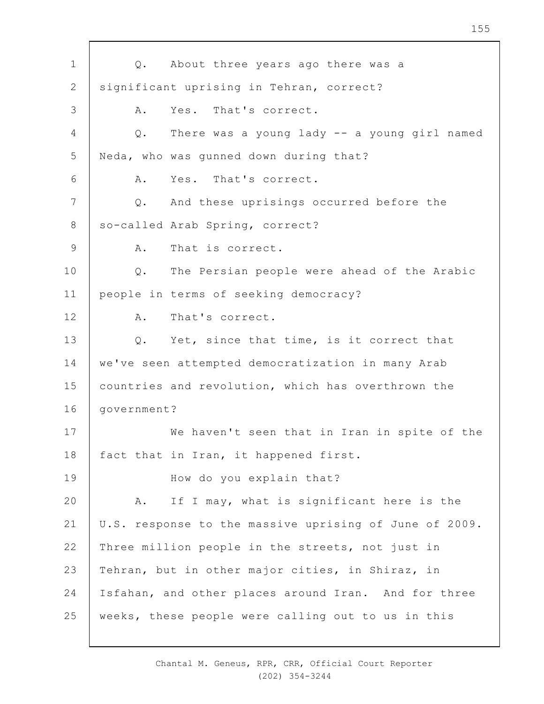| $\mathbf 1$     | About three years ago there was a<br>Q.                |  |  |  |  |
|-----------------|--------------------------------------------------------|--|--|--|--|
| 2               | significant uprising in Tehran, correct?               |  |  |  |  |
| 3               | Yes. That's correct.<br>Α.                             |  |  |  |  |
| $\overline{4}$  | There was a young lady -- a young girl named<br>Q.     |  |  |  |  |
| 5               | Neda, who was gunned down during that?                 |  |  |  |  |
| 6               | Yes. That's correct.<br>Α.                             |  |  |  |  |
| $7\phantom{.0}$ | And these uprisings occurred before the<br>Q.          |  |  |  |  |
| 8               | so-called Arab Spring, correct?                        |  |  |  |  |
| 9               | That is correct.<br>A.                                 |  |  |  |  |
| 10              | The Persian people were ahead of the Arabic<br>Q.      |  |  |  |  |
| 11              | people in terms of seeking democracy?                  |  |  |  |  |
| 12              | That's correct.<br>Α.                                  |  |  |  |  |
| 13              | Q. Yet, since that time, is it correct that            |  |  |  |  |
| 14              | we've seen attempted democratization in many Arab      |  |  |  |  |
| 15              | countries and revolution, which has overthrown the     |  |  |  |  |
| 16              | government?                                            |  |  |  |  |
| 17              | We haven't seen that in Iran in spite of the           |  |  |  |  |
| 18              | fact that in Iran, it happened first.                  |  |  |  |  |
| 19              | How do you explain that?                               |  |  |  |  |
| 20              | If I may, what is significant here is the<br>Α.        |  |  |  |  |
| 21              | U.S. response to the massive uprising of June of 2009. |  |  |  |  |
| 22              | Three million people in the streets, not just in       |  |  |  |  |
| 23              | Tehran, but in other major cities, in Shiraz, in       |  |  |  |  |
| 24              | Isfahan, and other places around Iran. And for three   |  |  |  |  |
| 25              | weeks, these people were calling out to us in this     |  |  |  |  |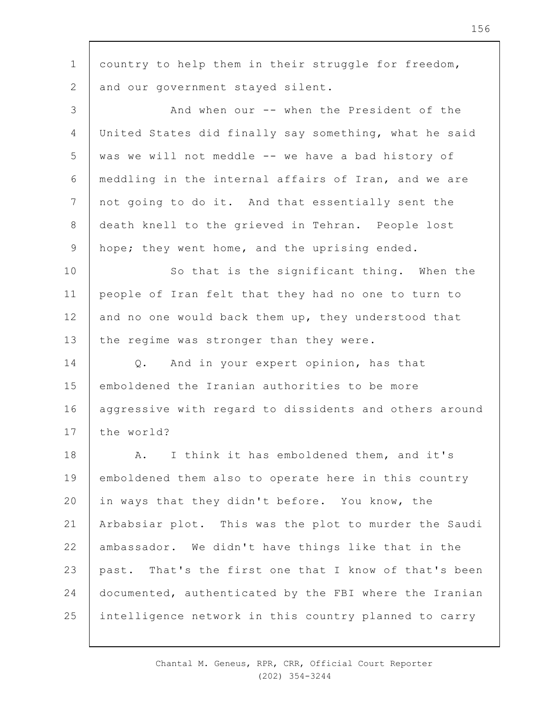1 2 3 4 5 6 7 8 9 10 11 12 13 14 15 16 17 18 19  $20$ 21 22 23 24 25 country to help them in their struggle for freedom, and our government stayed silent. And when our -- when the President of the United States did finally say something, what he said was we will not meddle -- we have a bad history of meddling in the internal affairs of Iran, and we are not going to do it. And that essentially sent the death knell to the grieved in Tehran. People lost hope; they went home, and the uprising ended. So that is the significant thing. When the people of Iran felt that they had no one to turn to and no one would back them up, they understood that the regime was stronger than they were. Q. And in your expert opinion, has that emboldened the Iranian authorities to be more aggressive with regard to dissidents and others around the world? A. I think it has emboldened them, and it's emboldened them also to operate here in this country in ways that they didn't before. You know, the Arbabsiar plot. This was the plot to murder the Saudi ambassador. We didn't have things like that in the past. That's the first one that I know of that's been documented, authenticated by the FBI where the Iranian intelligence network in this country planned to carry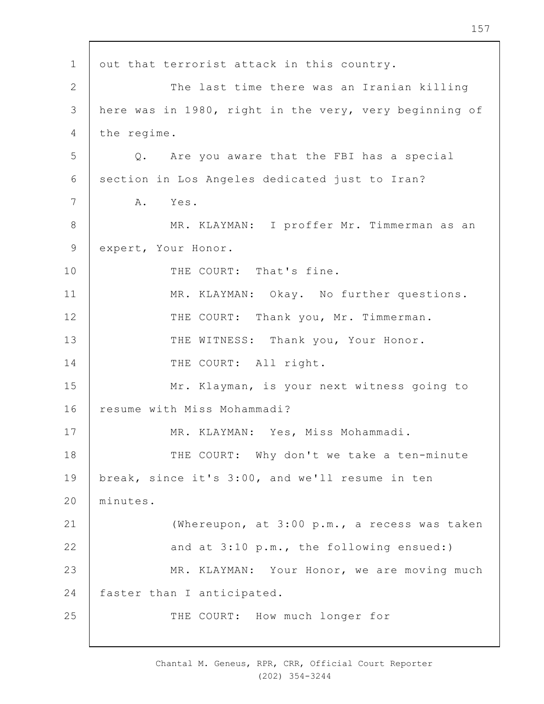1 2 3 4 5 6 7 8 9 10 11 12 13 14 15 16 17 18 19  $20$ 21 22 23 24 25 out that terrorist attack in this country. The last time there was an Iranian killing here was in 1980, right in the very, very beginning of the regime. Q. Are you aware that the FBI has a special section in Los Angeles dedicated just to Iran? A. Yes. MR. KLAYMAN: I proffer Mr. Timmerman as an expert, Your Honor. THE COURT: That's fine. MR. KLAYMAN: Okay. No further questions. THE COURT: Thank you, Mr. Timmerman. THE WITNESS: Thank you, Your Honor. THE COURT: All right. Mr. Klayman, is your next witness going to resume with Miss Mohammadi? MR. KLAYMAN: Yes, Miss Mohammadi. THE COURT: Why don't we take a ten-minute break, since it's 3:00, and we'll resume in ten minutes. (Whereupon, at 3:00 p.m., a recess was taken and at 3:10 p.m., the following ensued:) MR. KLAYMAN: Your Honor, we are moving much faster than I anticipated. THE COURT: How much longer for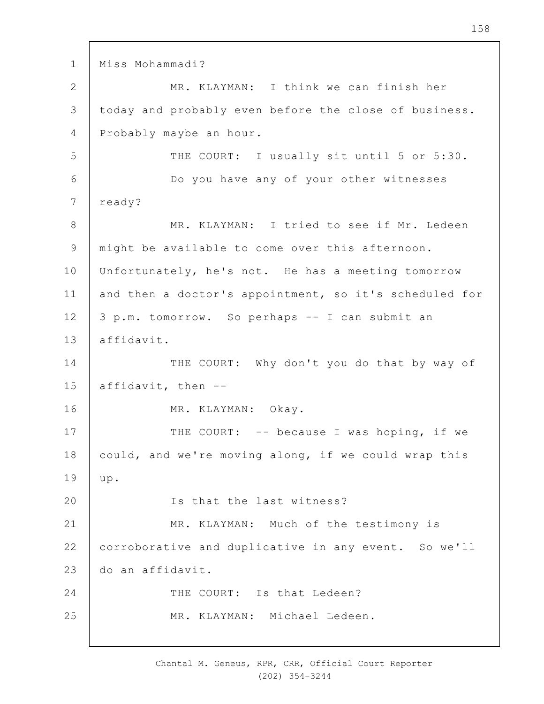```
1
2
3
 4
5
 6
7
8
9
10
11
12
13
14
15
16
17
18
19
2021
22
23
2425
     Miss Mohammadi? 
               MR. KLAYMAN: I think we can finish her 
     today and probably even before the close of business. 
     Probably maybe an hour. 
               THE COURT: I usually sit until 5 or 5:30.
               Do you have any of your other witnesses 
     ready? 
               MR. KLAYMAN: I tried to see if Mr. Ledeen 
     might be available to come over this afternoon. 
     Unfortunately, he's not. He has a meeting tomorrow
     and then a doctor's appointment, so it's scheduled for 
     3 p.m. tomorrow. So perhaps -- I can submit an 
     affidavit. 
               THE COURT: Why don't you do that by way of 
     affidavit, then --
               MR. KLAYMAN: Okay. 
               THE COURT: -- because I was hoping, if we
     could, and we're moving along, if we could wrap this 
     up. 
               Is that the last witness? 
               MR. KLAYMAN: Much of the testimony is 
     corroborative and duplicative in any event. So we'll 
     do an affidavit. 
               THE COURT: Is that Ledeen? 
               MR. KLAYMAN: Michael Ledeen.
```
Chantal M. Geneus, RPR, CRR, Official Court Reporter (202) 354-3244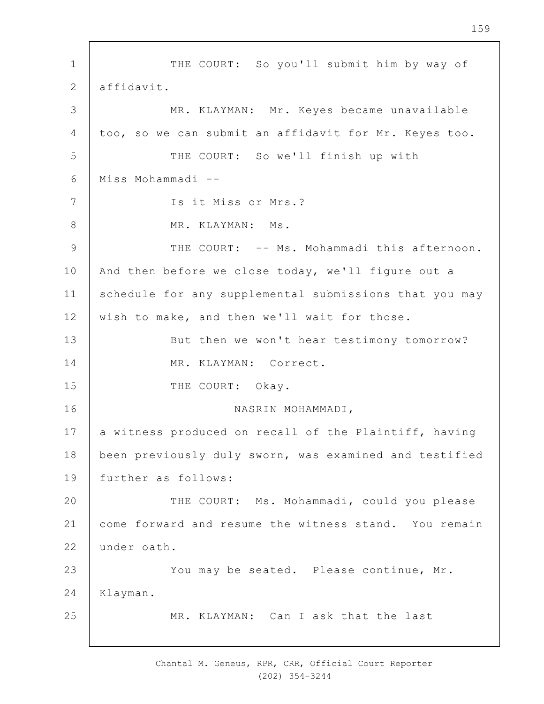1 2 3 4 5 6 7 8 9 10 11 12 13 14 15 16 17 18 19  $20$ 21 22 23 24 25 THE COURT: So you'll submit him by way of affidavit. MR. KLAYMAN: Mr. Keyes became unavailable too, so we can submit an affidavit for Mr. Keyes too. THE COURT: So we'll finish up with Miss Mohammadi -- Is it Miss or Mrs.? MR. KLAYMAN: Ms. THE COURT: -- Ms. Mohammadi this afternoon. And then before we close today, we'll figure out a schedule for any supplemental submissions that you may wish to make, and then we'll wait for those. But then we won't hear testimony tomorrow? MR. KLAYMAN: Correct. THE COURT: Okay. NASRIN MOHAMMADI, a witness produced on recall of the Plaintiff, having been previously duly sworn, was examined and testified further as follows: THE COURT: Ms. Mohammadi, could you please come forward and resume the witness stand. You remain under oath. You may be seated. Please continue, Mr. Klayman. MR. KLAYMAN: Can I ask that the last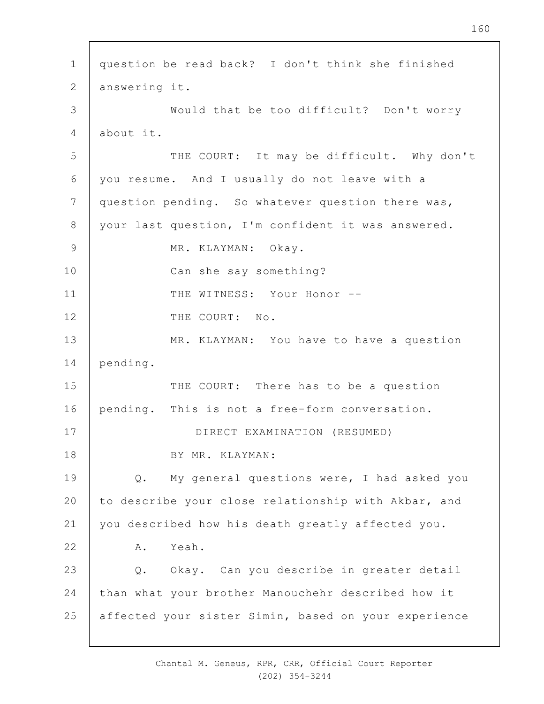1 2 3 4 5 6 7 8 9 10 11 12 13 14 15 16 17 18 19  $20$ 21 22 23 24 25 question be read back? I don't think she finished answering it. Would that be too difficult? Don't worry about it. THE COURT: It may be difficult. Why don't you resume. And I usually do not leave with a question pending. So whatever question there was, your last question, I'm confident it was answered. MR. KLAYMAN: Okay. Can she say something? THE WITNESS: Your Honor --THE COURT: No. MR. KLAYMAN: You have to have a question pending. THE COURT: There has to be a question pending. This is not a free-form conversation. DIRECT EXAMINATION (RESUMED) BY MR. KLAYMAN: Q. My general questions were, I had asked you to describe your close relationship with Akbar, and you described how his death greatly affected you. A. Yeah. Q. Okay. Can you describe in greater detail than what your brother Manouchehr described how it affected your sister Simin, based on your experience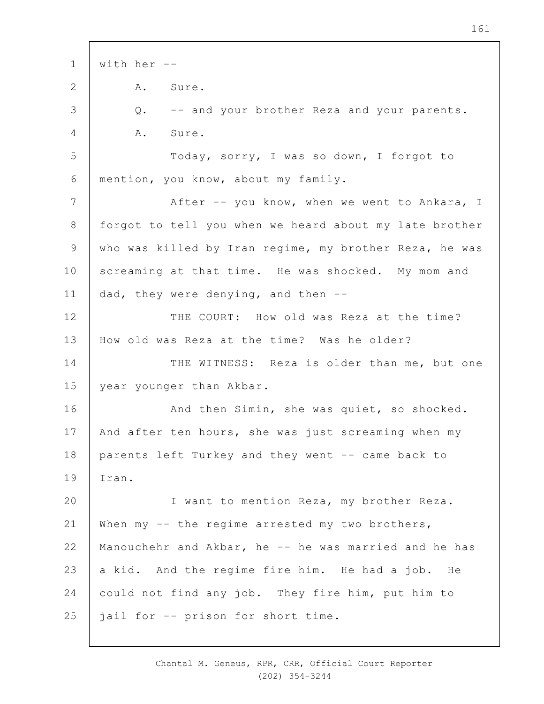1 2 3 4 5 6 7 8 9 10 11 12 13 14 15 16 17 18 19  $20$ 21 22 23 24 25 with her -- A. Sure. Q. -- and your brother Reza and your parents. A. Sure. Today, sorry, I was so down, I forgot to mention, you know, about my family. After -- you know, when we went to Ankara, I forgot to tell you when we heard about my late brother who was killed by Iran regime, my brother Reza, he was screaming at that time. He was shocked. My mom and dad, they were denying, and then -- THE COURT: How old was Reza at the time? How old was Reza at the time? Was he older? THE WITNESS: Reza is older than me, but one year younger than Akbar. And then Simin, she was quiet, so shocked. And after ten hours, she was just screaming when my parents left Turkey and they went -- came back to Iran. I want to mention Reza, my brother Reza. When my -- the regime arrested my two brothers, Manouchehr and Akbar, he -- he was married and he has a kid. And the regime fire him. He had a job. He could not find any job. They fire him, put him to jail for -- prison for short time.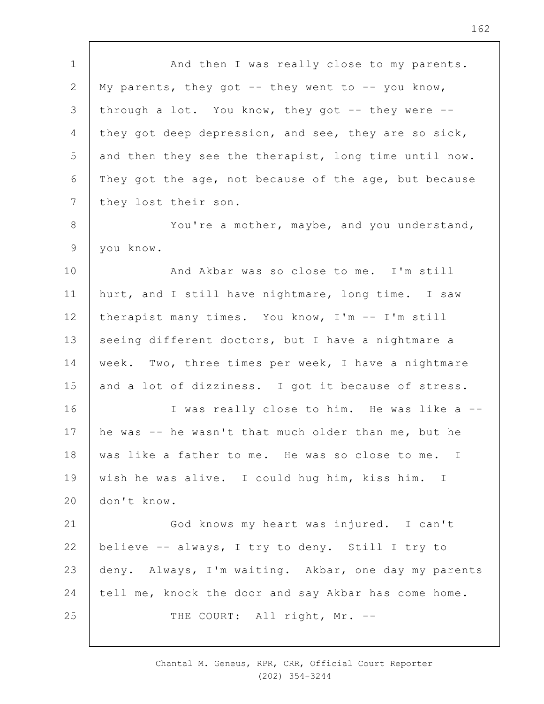1 2 3 4 5 6 7 8 9 10 11 12 13 14 15 16 17 18 19  $20$ 21 22 23 24 25 And then I was really close to my parents. My parents, they got  $--$  they went to  $--$  you know, through a lot. You know, they got -- they were - they got deep depression, and see, they are so sick, and then they see the therapist, long time until now. They got the age, not because of the age, but because they lost their son. You're a mother, maybe, and you understand, you know. And Akbar was so close to me. I'm still hurt, and I still have nightmare, long time. I saw therapist many times. You know, I'm -- I'm still seeing different doctors, but I have a nightmare a week. Two, three times per week, I have a nightmare and a lot of dizziness. I got it because of stress. I was really close to him. He was like a - he was -- he wasn't that much older than me, but he was like a father to me. He was so close to me. I wish he was alive. I could hug him, kiss him. I don't know. God knows my heart was injured. I can't believe -- always, I try to deny. Still I try to deny. Always, I'm waiting. Akbar, one day my parents tell me, knock the door and say Akbar has come home. THE COURT: All right, Mr. --

> Chantal M. Geneus, RPR, CRR, Official Court Reporter (202) 354-3244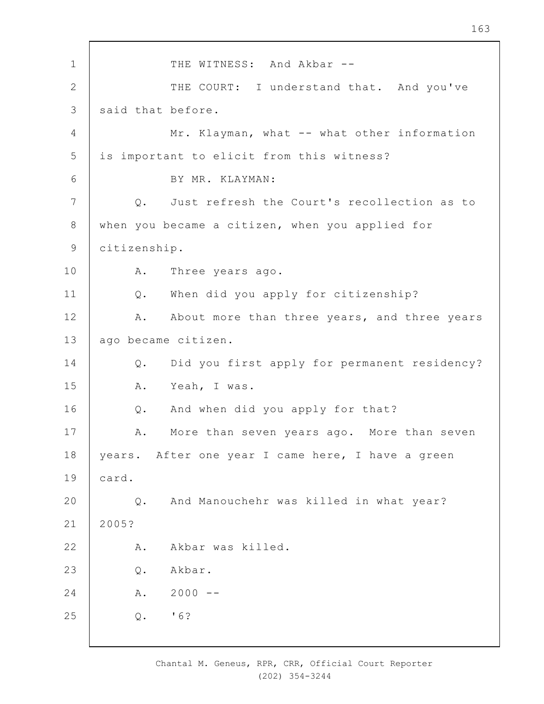1 2 3 4 5 6 7 8 9 10 11 12 13 14 15 16 17 18 19  $20$ 21 22 23 24 25 THE WITNESS: And Akbar --THE COURT: I understand that. And you've said that before. Mr. Klayman, what -- what other information is important to elicit from this witness? BY MR. KLAYMAN: Q. Just refresh the Court's recollection as to when you became a citizen, when you applied for citizenship. A. Three years ago. Q. When did you apply for citizenship? A. About more than three years, and three years ago became citizen. Q. Did you first apply for permanent residency? A. Yeah, I was. Q. And when did you apply for that? A. More than seven years ago. More than seven years. After one year I came here, I have a green card. Q. And Manouchehr was killed in what year? 2005? A. Akbar was killed. Q. Akbar.  $A. 2000 -$ Q. '6?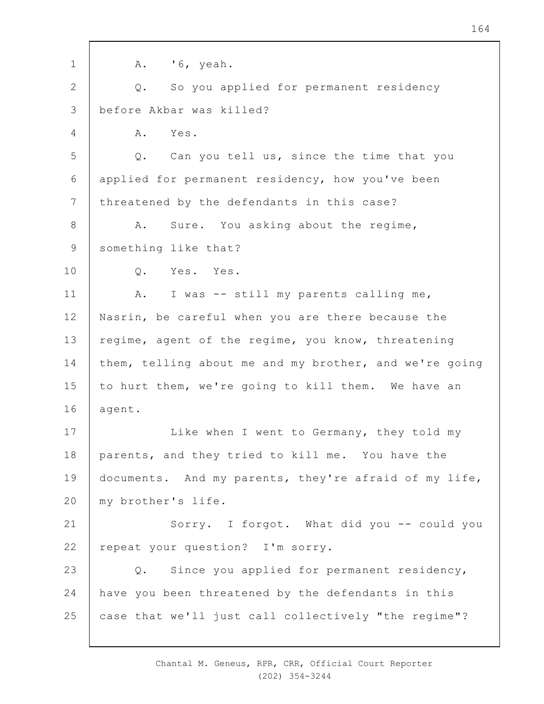| $\mathbf 1$    | $'6$ , yeah.<br>Α.                                     |
|----------------|--------------------------------------------------------|
| $\overline{2}$ | So you applied for permanent residency<br>Q.           |
| 3              | before Akbar was killed?                               |
| 4              | Yes.<br>Α.                                             |
| 5              | Q. Can you tell us, since the time that you            |
| 6              | applied for permanent residency, how you've been       |
| $\overline{7}$ | threatened by the defendants in this case?             |
| $\,8\,$        | Sure. You asking about the regime,<br>Α.               |
| $\mathsf 9$    | something like that?                                   |
| 10             | Yes. Yes.<br>Q.                                        |
| 11             | I was -- still my parents calling me,<br>Α.            |
| 12             | Nasrin, be careful when you are there because the      |
| 13             | regime, agent of the regime, you know, threatening     |
| 14             | them, telling about me and my brother, and we're going |
| 15             | to hurt them, we're going to kill them. We have an     |
| 16             | agent.                                                 |
| 17             | Like when I went to Germany, they told my              |
| 18             | parents, and they tried to kill me. You have the       |
| 19             | documents. And my parents, they're afraid of my life,  |
| 20             | my brother's life.                                     |
| 21             | Sorry. I forgot. What did you -- could you             |
| 22             | repeat your question? I'm sorry.                       |
| 23             | Since you applied for permanent residency,<br>Q.       |
| 24             | have you been threatened by the defendants in this     |
| 25             | case that we'll just call collectively "the regime"?   |
|                |                                                        |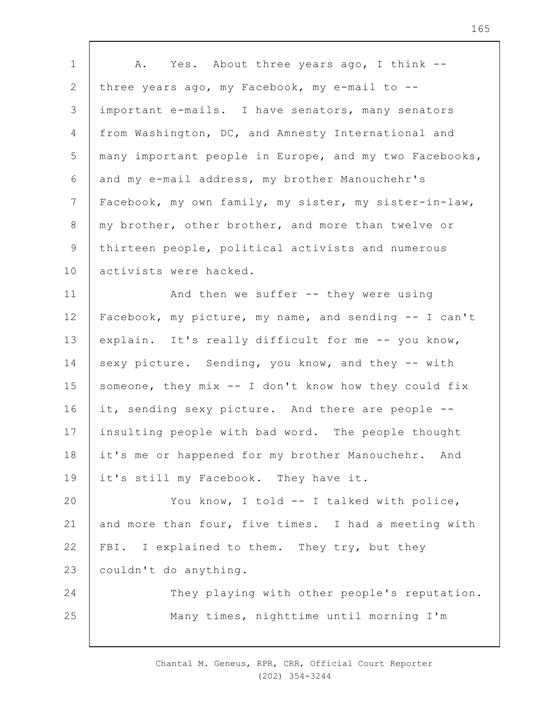| $\mathbf 1$    | Yes. About three years ago, I think --<br>A.           |
|----------------|--------------------------------------------------------|
| $\mathbf{2}$   | three years ago, my Facebook, my e-mail to --          |
| 3              | important e-mails. I have senators, many senators      |
| 4              | from Washington, DC, and Amnesty International and     |
| 5              | many important people in Europe, and my two Facebooks, |
| 6              | and my e-mail address, my brother Manouchehr's         |
| $\overline{7}$ | Facebook, my own family, my sister, my sister-in-law,  |
| 8              | my brother, other brother, and more than twelve or     |
| $\mathsf 9$    | thirteen people, political activists and numerous      |
| 10             | activists were hacked.                                 |
| 11             | And then we suffer -- they were using                  |
| 12             | Facebook, my picture, my name, and sending -- I can't  |
| 13             | explain. It's really difficult for me -- you know,     |
| 14             | sexy picture. Sending, you know, and they -- with      |
| 15             | someone, they mix -- I don't know how they could fix   |
| 16             | it, sending sexy picture. And there are people --      |
| 17             | insulting people with bad word. The people thought     |
| 18             | it's me or happened for my brother Manouchehr. And     |
| 19             | it's still my Facebook. They have it.                  |
| 20             | You know, I told -- I talked with police,              |
| 21             | and more than four, five times. I had a meeting with   |
| 22             | FBI. I explained to them. They try, but they           |
| 23             | couldn't do anything.                                  |
| 24             | They playing with other people's reputation.           |
| 25             | Many times, nighttime until morning I'm                |
|                |                                                        |

 $\overline{\phantom{a}}$ 

Chantal M. Geneus, RPR, CRR, Official Court Reporter (202) 354-3244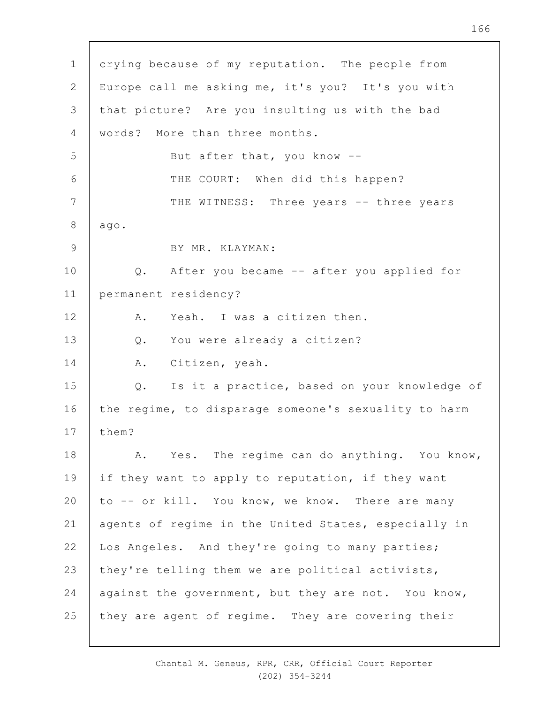1 2 3 4 5 6 7 8 9 10 11 12 13 14 15 16 17 18 19  $20$ 21 22 23 24 25 crying because of my reputation. The people from Europe call me asking me, it's you? It's you with that picture? Are you insulting us with the bad words? More than three months. But after that, you know -- THE COURT: When did this happen? THE WITNESS: Three years -- three years ago. BY MR. KLAYMAN: Q. After you became -- after you applied for permanent residency? A. Yeah. I was a citizen then. Q. You were already a citizen? A. Citizen, yeah. Q. Is it a practice, based on your knowledge of the regime, to disparage someone's sexuality to harm them? A. Yes. The regime can do anything. You know, if they want to apply to reputation, if they want to -- or kill. You know, we know. There are many agents of regime in the United States, especially in Los Angeles. And they're going to many parties; they're telling them we are political activists, against the government, but they are not. You know, they are agent of regime. They are covering their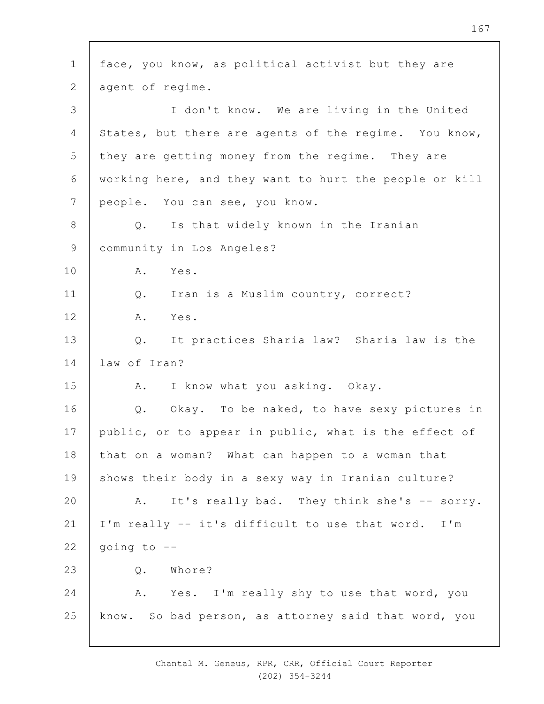1 2 3 4 5 6 7 8 9 10 11 12 13 14 15 16 17 18 19  $20$ 21 22 23 24 25 face, you know, as political activist but they are agent of regime. I don't know. We are living in the United States, but there are agents of the regime. You know, they are getting money from the regime. They are working here, and they want to hurt the people or kill people. You can see, you know. Q. Is that widely known in the Iranian community in Los Angeles? A. Yes. Q. Iran is a Muslim country, correct? A. Yes. Q. It practices Sharia law? Sharia law is the law of Iran? A. I know what you asking. Okay. Q. Okay. To be naked, to have sexy pictures in public, or to appear in public, what is the effect of that on a woman? What can happen to a woman that shows their body in a sexy way in Iranian culture? A. It's really bad. They think she's -- sorry. I'm really -- it's difficult to use that word. I'm going to -- Q. Whore? A. Yes. I'm really shy to use that word, you know. So bad person, as attorney said that word, you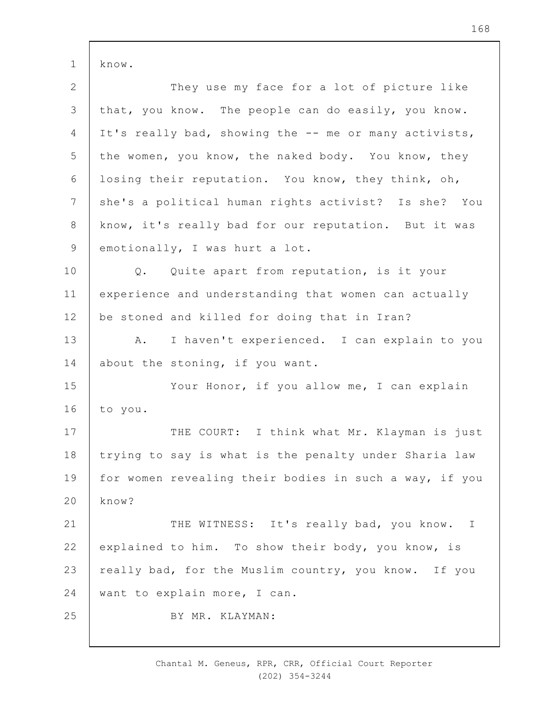1 know.

| $\mathbf{2}$    | They use my face for a lot of picture like             |
|-----------------|--------------------------------------------------------|
| $\mathfrak{Z}$  | that, you know. The people can do easily, you know.    |
| 4               | It's really bad, showing the -- me or many activists,  |
| 5               | the women, you know, the naked body. You know, they    |
| 6               | losing their reputation. You know, they think, oh,     |
| $7\phantom{.0}$ | she's a political human rights activist? Is she? You   |
| 8               | know, it's really bad for our reputation. But it was   |
| 9               | emotionally, I was hurt a lot.                         |
| 10              | Q. Quite apart from reputation, is it your             |
| 11              | experience and understanding that women can actually   |
| 12              | be stoned and killed for doing that in Iran?           |
| 13              | I haven't experienced. I can explain to you<br>A.      |
| 14              | about the stoning, if you want.                        |
| 15              | Your Honor, if you allow me, I can explain             |
| 16              | to you.                                                |
| 17              | THE COURT: I think what Mr. Klayman is just            |
| 18              | trying to say is what is the penalty under Sharia law  |
| 19              | for women revealing their bodies in such a way, if you |
| 20              | know?                                                  |
| 21              | THE WITNESS: It's really bad, you know. I              |
| 22              | explained to him. To show their body, you know, is     |
| 23              | really bad, for the Muslim country, you know. If you   |
| 24              | want to explain more, I can.                           |
| 25              | BY MR. KLAYMAN:                                        |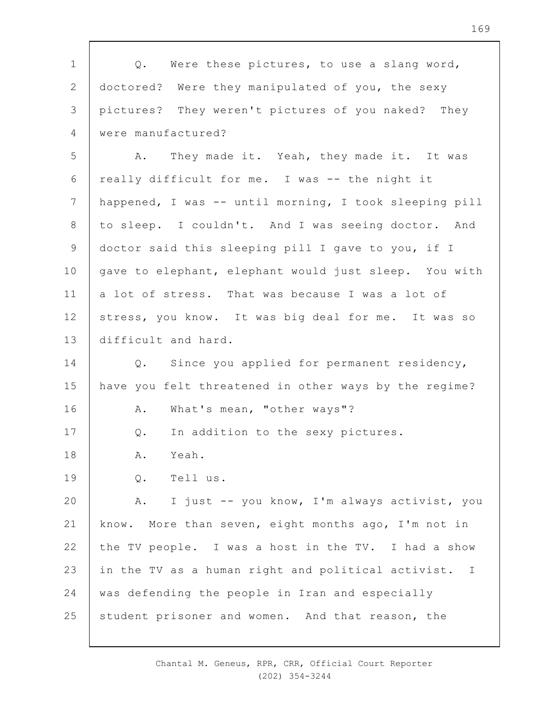| $\mathbf 1$     | Q. Were these pictures, to use a slang word,           |
|-----------------|--------------------------------------------------------|
| $\mathbf{2}$    | doctored? Were they manipulated of you, the sexy       |
| 3               | pictures? They weren't pictures of you naked? They     |
| 4               | were manufactured?                                     |
| 5               | They made it. Yeah, they made it. It was<br>A.         |
| 6               | really difficult for me. I was -- the night it         |
| $7\phantom{.0}$ | happened, I was -- until morning, I took sleeping pill |
| $8\,$           | to sleep. I couldn't. And I was seeing doctor. And     |
| $\mathsf 9$     | doctor said this sleeping pill I gave to you, if I     |
| 10              | gave to elephant, elephant would just sleep. You with  |
| 11              | a lot of stress. That was because I was a lot of       |
| 12              | stress, you know. It was big deal for me. It was so    |
| 13              | difficult and hard.                                    |
| 14              | Q. Since you applied for permanent residency,          |
| 15              | have you felt threatened in other ways by the regime?  |
| 16              | What's mean, "other ways"?<br>Α.                       |
| 17              | In addition to the sexy pictures.<br>$Q$ .             |
| 18              | Α.<br>Yeah.                                            |
| 19              | Tell us.<br>$Q$ .                                      |
| 20              | I just -- you know, I'm always activist, you<br>Α.     |
| 21              | know. More than seven, eight months ago, I'm not in    |
| 22              | the TV people. I was a host in the TV. I had a show    |
| 23              | in the TV as a human right and political activist. I   |
| 24              | was defending the people in Iran and especially        |
| 25              | student prisoner and women. And that reason, the       |

 $\mathsf{r}$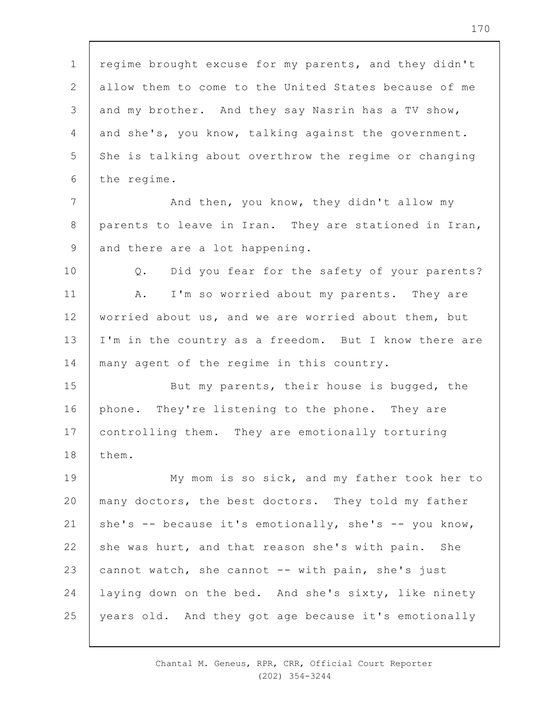1 2 3 4 5 6 regime brought excuse for my parents, and they didn't allow them to come to the United States because of me and my brother. And they say Nasrin has a TV show, and she's, you know, talking against the government. She is talking about overthrow the regime or changing the regime.

7 8 9 And then, you know, they didn't allow my parents to leave in Iran. They are stationed in Iran, and there are a lot happening.

10 11 12 13 14 Q. Did you fear for the safety of your parents? A. I'm so worried about my parents. They are worried about us, and we are worried about them, but I'm in the country as a freedom. But I know there are many agent of the regime in this country.

15 16 17 18 But my parents, their house is bugged, the phone. They're listening to the phone. They are controlling them. They are emotionally torturing them.

19  $20$ 21 22 23 24 25 My mom is so sick, and my father took her to many doctors, the best doctors. They told my father she's  $--$  because it's emotionally, she's  $--$  you know, she was hurt, and that reason she's with pain. She cannot watch, she cannot -- with pain, she's just laying down on the bed. And she's sixty, like ninety years old. And they got age because it's emotionally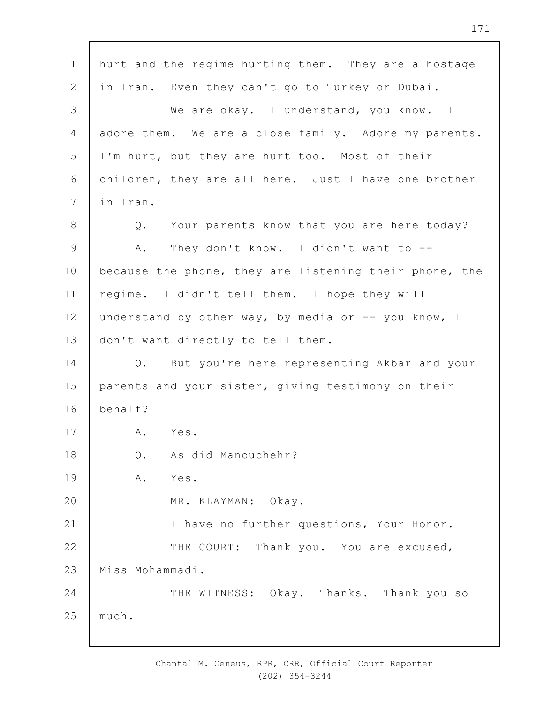1 2 3 4 5 6 7 8 9 10 11 12 13 14 15 16 17 18 19  $20$ 21 22 23 24 25 hurt and the regime hurting them. They are a hostage in Iran. Even they can't go to Turkey or Dubai. We are okay. I understand, you know. I adore them. We are a close family. Adore my parents. I'm hurt, but they are hurt too. Most of their children, they are all here. Just I have one brother in Iran. Q. Your parents know that you are here today? A. They don't know. I didn't want to - because the phone, they are listening their phone, the regime. I didn't tell them. I hope they will understand by other way, by media or -- you know, I don't want directly to tell them. Q. But you're here representing Akbar and your parents and your sister, giving testimony on their behalf? A. Yes. Q. As did Manouchehr? A. Yes. MR. KLAYMAN: Okay. I have no further questions, Your Honor. THE COURT: Thank you. You are excused, Miss Mohammadi. THE WITNESS: Okay. Thanks. Thank you so much.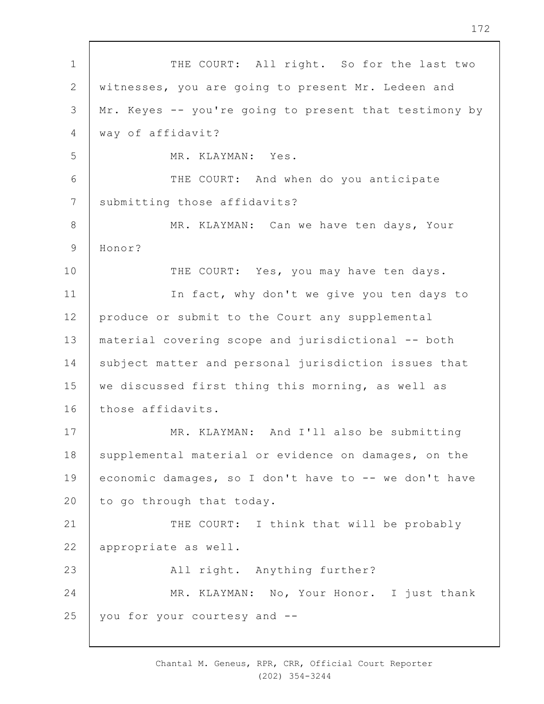1 2 3 4 5 6 7 8 9 10 11 12 13 14 15 16 17 18 19  $20$ 21 22 23 24 25 THE COURT: All right. So for the last two witnesses, you are going to present Mr. Ledeen and Mr. Keyes -- you're going to present that testimony by way of affidavit? MR. KLAYMAN: Yes. THE COURT: And when do you anticipate submitting those affidavits? MR. KLAYMAN: Can we have ten days, Your Honor? THE COURT: Yes, you may have ten days. In fact, why don't we give you ten days to produce or submit to the Court any supplemental material covering scope and jurisdictional -- both subject matter and personal jurisdiction issues that we discussed first thing this morning, as well as those affidavits. MR. KLAYMAN: And I'll also be submitting supplemental material or evidence on damages, on the economic damages, so I don't have to -- we don't have to go through that today. THE COURT: I think that will be probably appropriate as well. All right. Anything further? MR. KLAYMAN: No, Your Honor. I just thank you for your courtesy and --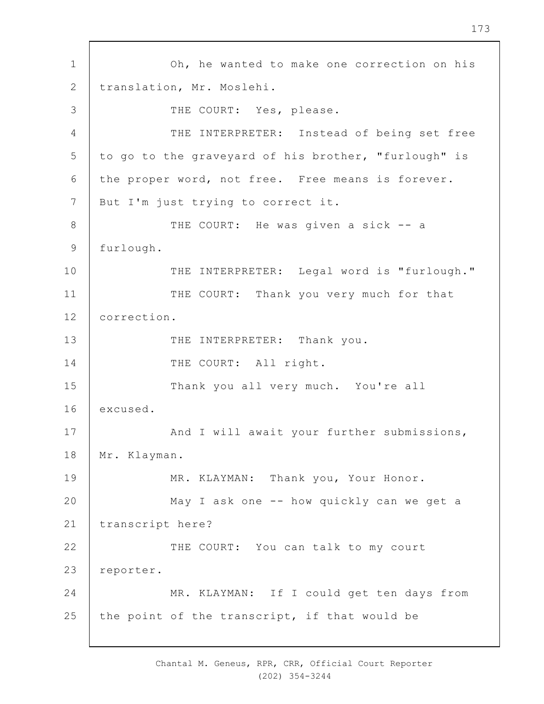1 2 3 4 5 6 7 8 9 10 11 12 13 14 15 16 17 18 19  $20$ 21 22 23 24 25 Oh, he wanted to make one correction on his translation, Mr. Moslehi. THE COURT: Yes, please. THE INTERPRETER: Instead of being set free to go to the graveyard of his brother, "furlough" is the proper word, not free. Free means is forever. But I'm just trying to correct it. THE COURT: He was given a sick -- a furlough. THE INTERPRETER: Legal word is "furlough." THE COURT: Thank you very much for that correction. THE INTERPRETER: Thank you. THE COURT: All right. Thank you all very much. You're all excused. And I will await your further submissions, Mr. Klayman. MR. KLAYMAN: Thank you, Your Honor. May I ask one -- how quickly can we get a transcript here? THE COURT: You can talk to my court reporter. MR. KLAYMAN: If I could get ten days from the point of the transcript, if that would be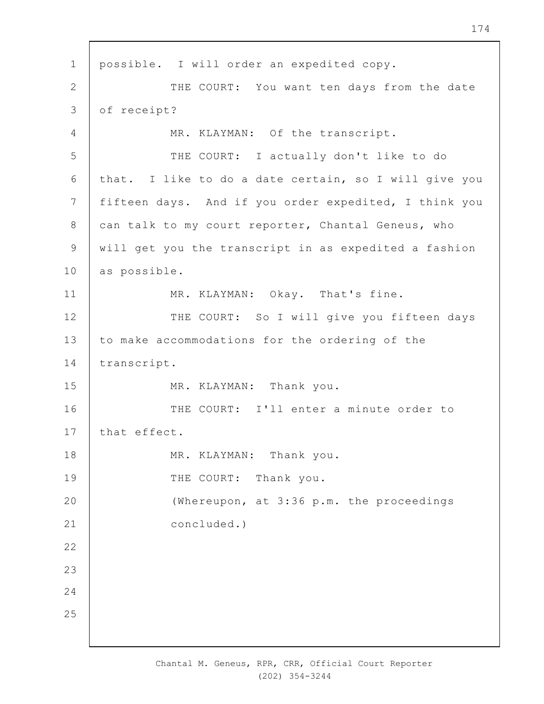1 2 3 4 5 6 7 8 9 10 11 12 13 14 15 16 17 18 19  $20$ 21 22 23 24 25 possible. I will order an expedited copy. THE COURT: You want ten days from the date of receipt? MR. KLAYMAN: Of the transcript. THE COURT: I actually don't like to do that. I like to do a date certain, so I will give you fifteen days. And if you order expedited, I think you can talk to my court reporter, Chantal Geneus, who will get you the transcript in as expedited a fashion as possible. MR. KLAYMAN: Okay. That's fine. THE COURT: So I will give you fifteen days to make accommodations for the ordering of the transcript. MR. KLAYMAN: Thank you. THE COURT: I'll enter a minute order to that effect. MR. KLAYMAN: Thank you. THE COURT: Thank you. (Whereupon, at 3:36 p.m. the proceedings concluded.)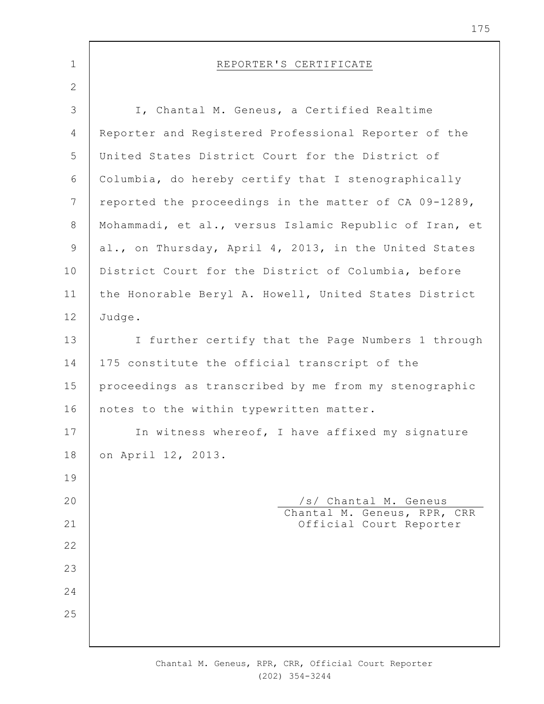| $\mathbf 1$    | REPORTER'S CERTIFICATE                                 |
|----------------|--------------------------------------------------------|
| 2              |                                                        |
| $\mathfrak{Z}$ | I, Chantal M. Geneus, a Certified Realtime             |
| $\overline{4}$ | Reporter and Registered Professional Reporter of the   |
| 5              | United States District Court for the District of       |
| 6              | Columbia, do hereby certify that I stenographically    |
| 7              | reported the proceedings in the matter of CA 09-1289,  |
| $8\,$          | Mohammadi, et al., versus Islamic Republic of Iran, et |
| 9              | al., on Thursday, April 4, 2013, in the United States  |
| 10             | District Court for the District of Columbia, before    |
| 11             | the Honorable Beryl A. Howell, United States District  |
| 12             | Judge.                                                 |
| 13             | I further certify that the Page Numbers 1 through      |
| 14             | 175 constitute the official transcript of the          |
| 15             | proceedings as transcribed by me from my stenographic  |
| 16             | notes to the within typewritten matter.                |
| 17             | In witness whereof, I have affixed my signature        |
| 18             | on April 12, 2013.                                     |
| 19             |                                                        |
| 20             | /s/ Chantal M. Geneus<br>Chantal M. Geneus, RPR, CRR   |
| 21             | Official Court Reporter                                |
| 22             |                                                        |
| 23             |                                                        |
| 24             |                                                        |
| 25             |                                                        |
|                |                                                        |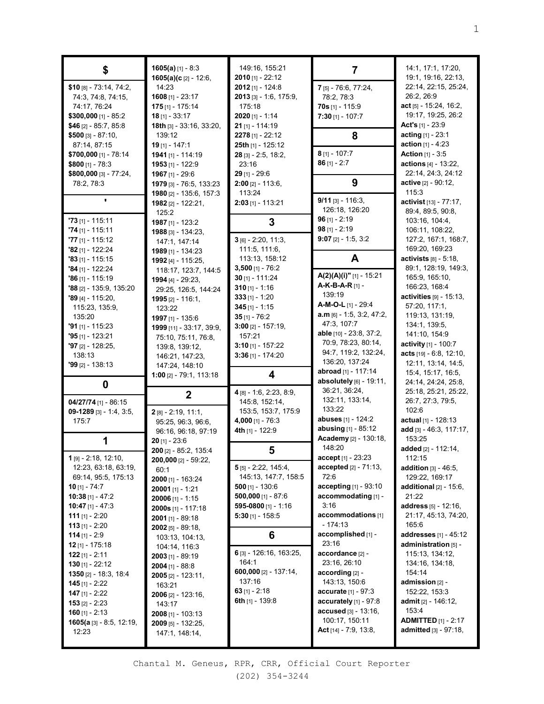| \$                                          | $1605(a)$ [1] - 8:3<br>1605(a)(c [2] - 12:6, | 149:16, 155:21<br>$2010$ [1] - 22:12        | 7                                              | 14:1, 17:1, 17:20,<br>19:1, 19:16, 22:13, |
|---------------------------------------------|----------------------------------------------|---------------------------------------------|------------------------------------------------|-------------------------------------------|
| $$10$ [8] - 73:14, 74:2,                    | 14:23                                        | $2012$ [1] - 124:8                          | 7 [5] - 76:6, 77:24,                           | 22:14, 22:15, 25:24,                      |
| 74:3, 74:8, 74:15,                          | 1608 $[1] - 23:17$                           | $2013$ [3] - 1:6, 175:9,                    | 78:2, 78:3                                     | 26:2, 26:9                                |
| 74:17, 76:24                                | $175$ [1] - 175:14                           | 175:18                                      | $70s$ [1] - 115:9                              | $act$ <sub>[5]</sub> - 15:24, 16:2,       |
| $$300,000$ [1] - 85:2                       | $18$ [1] - 33:17                             | $2020$ [1] - 1:14                           | $7:30$ [1] - 107:7                             | 19:17, 19:25, 26:2                        |
| \$46 $[2] - 85:7, 85:8$                     | 18th [3] - 33:16, 33:20,                     | $21$ [1] - 114:19                           |                                                | Act's $[1] - 23.9$                        |
| $$500$ [3] - 87:10,                         | 139:12                                       | $2278$ [1] - 22:12                          | 8                                              | acting [1] - 23:1                         |
| 87:14, 87:15                                | $19$ [1] - 147:1                             | 25th [1] - 125:12                           |                                                | <b>action</b> $[1] - 4:23$                |
| \$700,000 [1] - 78:14                       | 1941 $[1] - 114:19$                          | 28 [3] - 2:5, 18:2,                         | $8$ [1] - 107:7                                | <b>Action</b> [1] - 3:5                   |
| $$800$ [1] - 78:3                           | 1953 $[1]$ - 122:9                           | 23:16                                       | $86$ [1] - 2:7                                 | actions [4] - 13:22.                      |
| \$800,000 [3] - 77:24,                      | 1967 [1] - 29:6                              | $29$ [1] - 29:6                             |                                                | 22:14, 24:3, 24:12                        |
| 78:2, 78:3                                  | 1979 [3] - 76:5, 133:23                      | $2:00$ [2] - 113:6,                         | 9                                              | active [2] - 90:12,                       |
|                                             | 1980 [2] - 135:6, 157:3                      | 113:24                                      | $9/11$ [3] - 116:3,                            | 115:3                                     |
|                                             | 1982 [2] - 122:21,                           | 2:03 [1] - 113:21                           | 126:18, 126:20                                 | activist [13] - 77:17,                    |
| $73$ [1] - 115:11                           | 125:2                                        |                                             | $96$ [1] - 2:19                                | 89:4, 89:5, 90:8,<br>103:16, 104:4,       |
| $74$ [1] - 115:11                           | 1987 $[1]$ - 123:2                           | 3                                           | $98$ [1] - 2:19                                | 106:11, 108:22,                           |
| $77$ [1] - 115:12                           | 1988 [3] - 134:23,<br>147:1, 147:14          | $3$ [6] - 2:20, 11:3,                       | $9:07$ [2] - 1:5, 3:2                          | 127:2, 167:1, 168:7,                      |
| $'82$ [1] - 122:24                          | 1989 [1] - 134:23                            | 111:5, 111:6,                               |                                                | 169:20, 169:23                            |
| $"83$ [1] - 115:15                          | 1992 [4] - 115:25,                           | 113:13, 158:12                              | A                                              | activists $[8] - 5:18$ ,                  |
| $'84$ [1] - 122:24                          | 118:17, 123:7, 144:5                         | $3,500$ [1] - 76:2                          |                                                | 89:1, 128:19, 149:3,                      |
| $'86$ [1] - 115:19                          | 1994 [4] - 29:23,                            | $30$ [1] - 111:24                           | A(2)(A)(i)"[1] - 15:21                         | 165:9, 165:10,                            |
| $'88$ [2] - 135:9, 135:20                   | 29:25, 126:5, 144:24                         | 310 [1] - 1:16                              | <b>A-K-B-A-R</b> [1] -                         | 166:23, 168:4                             |
| $'89$ [4] - 115:20,                         | 1995 [2] - 116:1.                            | $333$ [1] - 1:20                            | 139:19                                         | activities $[9] - 15:13$ ,                |
| 115:23, 135:9,                              | 123:22                                       | $345$ [1] - 1:15                            | A-M-O-L [1] - 29:4                             | 57:20, 117:1,                             |
| 135:20                                      | 1997 $[1] - 135.6$                           | $35$ [1] - 76:2                             | $a.m$ [6] - 1:5, 3:2, 47:2,                    | 119:13, 131:19,                           |
| $'91$ [1] - 115:23                          | 1999 [11] - 33:17, 39:9,                     | $3:00$ [2] - 157:19,                        | 47:3, 107:7                                    | 134:1, 139:5,                             |
| $95$ [1] - 123:21                           | 75:10, 75:11, 76:8,                          | 157:21                                      | able [10] - 23:8, 37:2,                        | 141:10, 154:9                             |
| $'97$ [2] - 128:25,                         | 139:8, 139:12,                               | $3:10$ [1] - 157:22                         | 70:9, 78:23, 80:14,                            | activity [1] - 100:7                      |
| 138:13                                      | 146:21, 147:23,                              | $3:36$ [1] - 174:20                         | 94:7, 119:2, 132:24,<br>136:20, 137:24         | acts [19] - 6:8, 12:10,                   |
| <b>'99</b> [2] - 138:13                     | 147:24, 148:10                               |                                             | abroad [1] - 117:14                            | 12:11, 13:14, 14:5,<br>15:4, 15:17, 16:5, |
|                                             | 1:00 [2] - 79:1, 113:18                      | 4                                           | absolutely [6] - 19:11,                        | 24:14, 24:24, 25:8,                       |
| 0                                           |                                              | 4 [8] - 1:6, 2:23, 8:9,                     | 36:21, 36:24,                                  | 25:18, 25:21, 25:22,                      |
| 04/27/74 [1] - 86:15                        | $\boldsymbol{2}$                             | 145:8, 152:14,                              | 132:11, 133:14,                                | 26:7, 27:3, 79:5,                         |
| 09-1289 [3] - 1:4, 3:5,                     | $2[8]-2:19, 11:1,$                           | 153:5, 153:7, 175:9                         | 133:22                                         | 102:6                                     |
| 175:7                                       | 95:25, 96:3, 96:6,                           | 4,000 [1] - $76:3$                          | <b>abuses</b> [1] - 124:2                      | actual [1] - 128:13                       |
|                                             | 96:16, 96:18, 97:19                          | 4th [1] - 122:9                             | abusing [1] - 85:12                            | add [3] - 46:3, 117:17,                   |
| 1                                           | $20$ [1] - 23:6                              |                                             | Academy [2] - 130:18,                          | 153:25                                    |
|                                             | 200 [2] - 85:2, 135:4                        | 5                                           | 148:20                                         | added [2] - 112:14,                       |
| <b>1</b> [9] - 2:18, 12:10,                 | 200,000 [2] - 59:22,                         |                                             | accept [1] - 23:23                             | 112:15                                    |
| 12:23, 63:18, 63:19,                        | 60:1                                         | $5$ [5] - 2:22, 145:4,                      | <b>accepted</b> $[2] - 71:13$ ,                | <b>addition</b> $[3] - 46:5$ ,            |
| 69:14, 95:5, 175:13                         | $2000$ [1] - 163:24                          | 145:13, 147:7, 158:5                        | 72:6                                           | 129:22, 169:17                            |
| <b>10</b> [1] - 74:7                        | 20001 $[1] - 1:21$                           | 500 [1] - 130:6                             | accepting $[1]$ - 93:10<br>accommodating [1] - | additional $[2] - 15:6$ ,<br>21:22        |
| 10:38 [1] - 47:2<br><b>10:47</b> [1] - 47:3 | $20006$ [1] - 1:15                           | $500,000$ [1] - 87:6<br>595-0800 [1] - 1:16 | 3:16                                           | <b>address</b> $[5] - 12:16$ ,            |
| <b>111</b> [1] - 2:20                       | 2000s [1] - 117:18                           | $5:30$ [1] - 158:5                          | accommodations [1]                             | 21:17, 45:13, 74:20,                      |
| <b>113</b> [1] - 2:20                       | $2001$ [1] - 89:18                           |                                             | $-174:13$                                      | 165:6                                     |
| $114$ [1] - 2:9                             | $2002$ [5] - 89:18,                          | 6                                           | accomplished [1] -                             | addresses [1] - 45:12                     |
| <b>12</b> [1] - 175:18                      | 103:13, 104:13,<br>104:14, 116:3             |                                             | 23:16                                          | administration [5] -                      |
| <b>122</b> [1] - 2:11                       | <b>2003</b> [1] - 89:19                      | 6 [3] - 126:16, 163:25,                     | accordance [2] -                               | 115:13, 134:12,                           |
| <b>130</b> [1] - 22:12                      | $2004$ [1] - 88:8                            | 164:1                                       | 23:16, 26:10                                   | 134:16, 134:18,                           |
| <b>1350</b> [2] - 18:3, 18:4                | $2005$ [2] - 123:11,                         | 600,000 $[2] - 137:14$ ,                    | $according$ [2] -                              | 154:14                                    |
| <b>145</b> [1] - 2:22                       | 163:21                                       | 137:16                                      | 143:13, 150:6                                  | admission [2] -                           |
| 147 $[1] - 2:22$                            | 2006 [2] - 123:16,                           | 63 $[1] - 2:18$                             | <b>accurate</b> $[1] - 97:3$                   | 152:22, 153:3                             |
| <b>153</b> [2] - 2:23                       | 143:17                                       | 6th $[1]$ - 139:8                           | accurately $[1]$ - 97:8                        | admit [2] - 146:12,                       |
| <b>160</b> [1] - 2:13                       | <b>2008</b> [1] - 103:13                     |                                             | accused [3] - 13:16,                           | 153:4                                     |
| <b>1605(a</b> [3] - 8:5, 12:19,             | <b>2009</b> [5] - 132:25,                    |                                             | 100:17, 150:11                                 | <b>ADMITTED</b> [1] - 2:17                |
| 12:23                                       | 147:1, 148:14,                               |                                             | Act $[14] - 7:9, 13:8,$                        | <b>admitted</b> $[3] - 97:18$ ,           |
|                                             |                                              |                                             |                                                |                                           |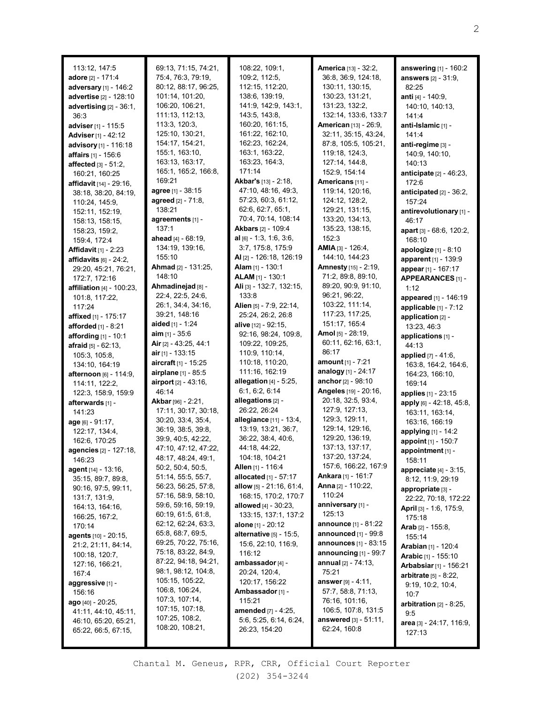| 113:12, 147:5                                                                                    | 69:13, 71:15, 74:21,                                                                               | 108:22, 109:1,                                                                                     | America [13] - 32:2,                                                                                            | answering [1] - 160:2                                                                       |
|--------------------------------------------------------------------------------------------------|----------------------------------------------------------------------------------------------------|----------------------------------------------------------------------------------------------------|-----------------------------------------------------------------------------------------------------------------|---------------------------------------------------------------------------------------------|
| adore [2] - 171:4                                                                                | 75:4, 76:3, 79:19,                                                                                 | 109:2, 112:5,                                                                                      | 36:8, 36:9, 124:18,                                                                                             | <b>answers</b> [2] - 31:9,                                                                  |
| adversary [1] - 146:2                                                                            | 80:12, 88:17, 96:25,                                                                               | 112:15, 112:20,                                                                                    | 130:11, 130:15,                                                                                                 | 82:25                                                                                       |
| advertise [2] - 128:10                                                                           | 101:14, 101:20,                                                                                    | 138:6, 139:19,                                                                                     | 130:23, 131:21,                                                                                                 | anti [4] - 140:9,                                                                           |
| advertising $[2] - 36:1$ ,                                                                       | 106:20, 106:21,                                                                                    | 141:9, 142:9, 143:1,                                                                               | 131:23, 132:2,                                                                                                  | 140:10, 140:13,                                                                             |
| 36:3<br>adviser <sub>[1]</sub> - 115:5<br><b>Adviser</b> [1] - 42:12<br>advisory [1] - 116:18    | 111:13, 112:13,<br>113:3, 120:3,<br>125:10, 130:21,<br>154:17, 154:21,<br>155:1, 163:10,           | 143:5, 143:8,<br>160:20, 161:15,<br>161:22, 162:10,<br>162:23, 162:24,<br>163:1, 163:22,           | 132:14, 133:6, 133:7<br>American [13] - 26:9,<br>32:11, 35:15, 43:24,<br>87:8, 105:5, 105:21,<br>119:18, 124:3, | 141:4<br>anti-Islamic [1] -<br>141:4<br>anti-regime [3] -                                   |
| affairs [1] - 156:6<br><b>affected</b> $[3] - 51:2$<br>160:21, 160:25<br>affidavit [14] - 29:16, | 163:13, 163:17,<br>165:1, 165:2, 166:8,<br>169:21                                                  | 163:23, 164:3,<br>171:14<br>Akbar's [13] - 2:18,                                                   | 127:14, 144:8,<br>152:9, 154:14<br>Americans [11] -                                                             | 140:9, 140:10,<br>140:13<br>anticipate [2] - 46:23,<br>172:6                                |
| 38:18, 38:20, 84:19,                                                                             | agree [1] - 38:15                                                                                  | 47:10, 48:16, 49:3,                                                                                | 119:14, 120:16,                                                                                                 | anticipated $[2]$ - 36:2,                                                                   |
| 110:24, 145:9,                                                                                   | agreed [2] - 71:8,                                                                                 | 57:23, 60:3, 61:12,                                                                                | 124:12, 128:2,                                                                                                  | 157:24                                                                                      |
| 152:11, 152:19,                                                                                  | 138:21                                                                                             | 62:6, 62:7, 65:1,                                                                                  | 129:21, 131:15,                                                                                                 | antirevolutionary [1] -                                                                     |
| 158:13, 158:15,                                                                                  | agreements [1] -                                                                                   | 70:4, 70:14, 108:14                                                                                | 133:20, 134:13,                                                                                                 | 46:17                                                                                       |
| 158:23, 159:2,                                                                                   | 137:1                                                                                              | <b>Akbars</b> [2] - 109:4                                                                          | 135:23, 138:15,                                                                                                 | apart [3] - 68:6, 120:2,                                                                    |
| 159:4, 172:4                                                                                     | ahead [4] - 68:19,                                                                                 | al $[6] - 1:3, 1:6, 3:6,$                                                                          | 152:3                                                                                                           | 168:10                                                                                      |
| <b>Affidavit</b> [1] - 2:23                                                                      | 134:19, 139:16,                                                                                    | 3:7, 175:8, 175:9                                                                                  | AMIA [3] - 126:4,                                                                                               | <b>apologize</b> $[1] - 8:10$                                                               |
| affidavits $[6] - 24:2$ ,                                                                        | 155:10                                                                                             | <b>Al</b> $[2]$ - 126:18, 126:19                                                                   | 144:10, 144:23                                                                                                  | apparent [1] - 139:9                                                                        |
| 29:20, 45:21, 76:21,                                                                             | Ahmad [2] - 131:25,                                                                                | <b>Alam</b> [1] - 130:1                                                                            | Amnesty [15] - 2:19,                                                                                            | appear [1] - 167:17                                                                         |
| 172:7, 172:16                                                                                    | 148:10                                                                                             | <b>ALAM</b> [1] - 130:1                                                                            | 71:2, 89:8, 89:10,                                                                                              | APPEARANCES [1] -                                                                           |
| <b>affiliation</b> $[4] - 100:23$ ,                                                              | Ahmadinejad [8] -                                                                                  | Ali [3] - 132:7, 132:15,                                                                           | 89:20, 90:9, 91:10,                                                                                             | 1:12                                                                                        |
| 101:8, 117:22,                                                                                   | 22:4, 22:5, 24:6,                                                                                  | 133:8                                                                                              | 96:21, 96:22,                                                                                                   | appeared [1] - 146:19                                                                       |
| 117:24<br><b>affixed</b> [1] - 175:17<br><b>afforded</b> $[1] - 8:21$                            | 26:1, 34:4, 34:16,<br>39:21, 148:16<br>aided [1] - 1:24<br><b>aim</b> $[1] - 35:6$                 | Alien [5] - 7:9, 22:14,<br>25:24, 26:2, 26:8<br><b>alive</b> [12] - 92:15,<br>92:16, 98:24, 109:8, | 103:22, 111:14,<br>117:23, 117:25,<br>151:17, 165:4<br><b>Amol</b> [5] - 28:19,                                 | applicable $[1]$ - $7:12$<br>application [2] -<br>13:23, 46:3                               |
| <b>affording</b> $[1] - 10:1$                                                                    | Air [2] - 43:25, 44:1                                                                              | 109:22, 109:25,                                                                                    | 60:11, 62:16, 63:1,                                                                                             | applications [1] -                                                                          |
| <b>afraid</b> $[5] - 62:13$ ,                                                                    | air [1] - 133:15                                                                                   | 110:9, 110:14,                                                                                     | 86:17                                                                                                           | 44:13                                                                                       |
| 105:3, 105:8,                                                                                    | <b>aircraft</b> [1] - 15:25                                                                        | 110:18, 110:20,                                                                                    | amount $[1] - 7:21$                                                                                             | applied $[7] - 41:6$ ,                                                                      |
| 134:10, 164:19                                                                                   | airplane [1] - 85:5                                                                                | 111:16, 162:19                                                                                     | analogy [1] - 24:17                                                                                             | 163:8, 164:2, 164:6,                                                                        |
| <b>afternoon</b> $[6] - 114:9$ ,<br>114:11, 122:2,<br>122:3, 158:9, 159:9<br>afterwards [1] -    | airport [2] - 43:16,<br>46:14<br>Akbar [96] - 2:21,                                                | allegation $[4]$ - 5:25,<br>6:1, 6:2, 6:14<br>allegations [2] -                                    | anchor [2] - 98:10<br>Angeles [19] - 20:16,<br>20:18, 32:5, 93:4,                                               | 164:23, 166:10,<br>169:14<br>applies [1] - 23:15<br>apply [6] - 42:18, 45:8,                |
| 141:23                                                                                           | 17:11, 30:17, 30:18,                                                                               | 26:22, 26:24                                                                                       | 127:9, 127:13,                                                                                                  | 163:11, 163:14,                                                                             |
| age [6] - 91:17,                                                                                 | 30:20, 33:4, 35:4,                                                                                 | allegiance [11] - 13:4,                                                                            | 129:3, 129:11,                                                                                                  | 163:16, 166:19                                                                              |
| 122:17, 134:4,                                                                                   | 36:19, 38:5, 39:8,                                                                                 | 13:19, 13:21, 36:7,                                                                                | 129:14, 129:16,                                                                                                 | applying $[1]$ - 14:2                                                                       |
| 162:6, 170:25                                                                                    | 39:9, 40:5, 42:22,                                                                                 | 36:22, 38:4, 40:6,                                                                                 | 129:20, 136:19,                                                                                                 | appoint [1] - 150:7                                                                         |
| agencies [2] - 127:18,                                                                           | 47:10, 47:12, 47:22,                                                                               | 44:18, 44:22,                                                                                      | 137:13, 137:17,                                                                                                 | appointment [1] -                                                                           |
| 146:23                                                                                           | 48:17, 48:24, 49:1,                                                                                | 104:18, 104:21                                                                                     | 137:20, 137:24,                                                                                                 | 158:11                                                                                      |
| agent [14] - 13:16,                                                                              | 50:2, 50:4, 50:5,                                                                                  | Allen [1] - 116:4                                                                                  | 157:6, 166:22, 167:9                                                                                            | appreciate $[4]$ - 3:15,                                                                    |
| 35:15, 89:7, 89:8,                                                                               | 51:14, 55:5, 55:7,                                                                                 | allocated $[1] - 57:17$                                                                            | <b>Ankara</b> [1] - 161:7                                                                                       | 8:12, 11:9, 29:19                                                                           |
| 90:16, 97:5, 99:11,                                                                              | 56:23, 56:25, 57:8,                                                                                | allow $[5] - 21:16, 61:4,$                                                                         | <b>Anna</b> [2] - 110:22,                                                                                       | appropriate [3] -                                                                           |
| 131:7, 131:9,                                                                                    | 57:16, 58:9, 58:10,                                                                                | 168:15, 170:2, 170:7                                                                               | 110:24                                                                                                          | 22:22, 70:18, 172:22                                                                        |
| 164:13, 164:16,                                                                                  | 59:6, 59:16, 59:19,                                                                                | allowed $[4] - 30:23$ ,                                                                            | anniversary [1] -                                                                                               | April [3] - 1:6, 175:9,                                                                     |
| 166:25, 167:2,                                                                                   | 60:19, 61:5, 61:8,                                                                                 | 133:15, 137:1, 137:2                                                                               | 125:13                                                                                                          | 175:18                                                                                      |
| 170:14                                                                                           | 62:12, 62:24, 63:3,                                                                                | alone [1] - 20:12                                                                                  | <b>announce</b> $[1]$ - 81:22                                                                                   | Arab [2] - 155:8,                                                                           |
| agents [10] - 20:15,                                                                             | 65:8, 68:7, 69:5,                                                                                  | alternative [5] - 15:5,                                                                            | announced $[1]$ - $99:8$                                                                                        | 155:14                                                                                      |
| 21:2, 21:11, 84:14,                                                                              | 69:25, 70:22, 75:16,                                                                               | 15:6, 22:10, 116:9,                                                                                | announces [1] - 83:15                                                                                           | Arabian [1] - 120:4                                                                         |
| 100:18, 120:7,                                                                                   | 75:18, 83:22, 84:9,                                                                                | 116:12                                                                                             | announcing $[1]$ - 99:7                                                                                         | <b>Arabic</b> [1] - 155:10                                                                  |
| 127:16, 166:21,<br>167:4<br>aggressive [1] -<br>156:16                                           | 87:22, 94:18, 94:21,<br>98:1, 98:12, 104:8,<br>105:15, 105:22,<br>106:8, 106:24,<br>107:3, 107:14, | ambassador [4] -<br>20:24, 120:4,<br>120:17, 156:22<br>Ambassador [1] -                            | annual [2] - 74:13,<br>75:21<br><b>answer</b> $[9] - 4:11$ ,<br>57:7, 58:8, 71:13,                              | <b>Arbabsiar</b> [1] - 156:21<br><b>arbitrate</b> $[5] - 8:22$<br>9:19, 10:2, 10:4,<br>10:7 |
| ago $[40] - 20:25$ ,<br>41:11, 44:10, 45:11,<br>46:10, 65:20, 65:21,<br>65:22, 66:5, 67:15,      | 107:15, 107:18,<br>107:25, 108:2,<br>108:20, 108:21,                                               | 115:21<br>amended [7] - 4:25,<br>5:6, 5:25, 6:14, 6:24,<br>26:23, 154:20                           | 76:16, 101:16,<br>106:5, 107:8, 131:5<br>answered [3] - 51:11,<br>62:24, 160:8                                  | arbitration $[2] - 8:25$ ,<br>9:5<br><b>area</b> [3] - 24:17, 116:9,<br>127:13              |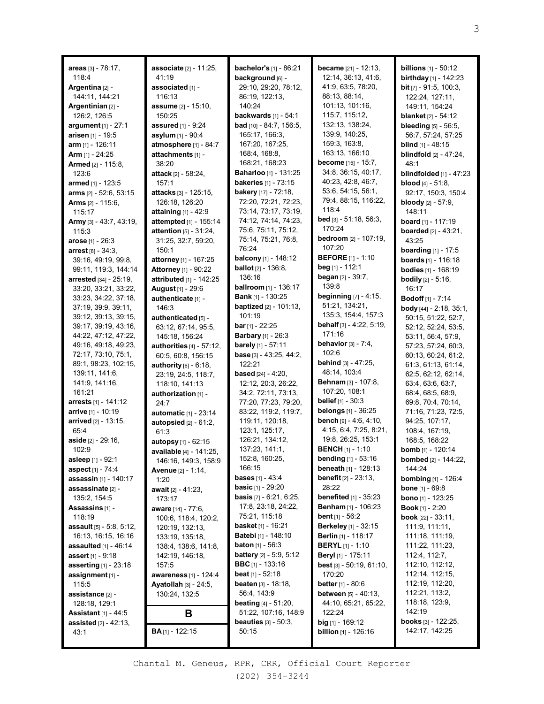| areas [3] - 78:17,                           | associate [2] - 11:25,                  | <b>bachelor's</b> [1] - 86:21                              | <b>became</b> [21] - 12:13,                           | <b>billions</b> $[1]$ - 50:12                          |
|----------------------------------------------|-----------------------------------------|------------------------------------------------------------|-------------------------------------------------------|--------------------------------------------------------|
| 118:4                                        | 41:19                                   | background [6] -<br>29:10, 29:20, 78:12,                   | 12:14, 36:13, 41:6,<br>41:9, 63:5, 78:20,             | <b>birthday</b> $[1]$ - 142:23                         |
| Argentina [2] -<br>144:11, 144:21            | associated [1] -<br>116:13              | 86:19, 122:13,                                             | 88:13, 88:14,                                         | <b>bit</b> $[7]$ - 91:5, 100:3,<br>122:24, 127:11,     |
| Argentinian [2] -                            | assume [2] - 15:10,                     | 140:24                                                     | 101:13, 101:16,                                       | 149:11, 154:24                                         |
| 126:2, 126:5                                 | 150:25                                  | backwards [1] - 54:1                                       | 115:7, 115:12,                                        | <b>blanket</b> [2] - 54:12                             |
| argument [1] - 27:1                          | <b>assured</b> [1] - 9:24               | <b>bad</b> $[10] - 84:7, 156:5,$                           | 132:13, 138:24,                                       | bleeding [5] - 56:5,                                   |
| arisen [1] - 19:5                            | asylum [1] - 90:4                       | 165:17, 166:3,                                             | 139:9, 140:25,                                        | 56:7, 57:24, 57:25                                     |
| <b>arm</b> [1] - 126:11                      | atmosphere [1] - 84:7                   | 167:20, 167:25,                                            | 159:3, 163:8,                                         | <b>blind</b> $[1] - 48:15$                             |
| <b>Arm</b> $[1] - 24:25$                     | attachments [1] -                       | 168:4, 168:8,                                              | 163:13, 166:10                                        | <b>blindfold</b> [2] - 47:24,                          |
| <b>Armed</b> $[2] - 115:8$                   | 38:20                                   | 168:21, 168:23                                             | <b>become</b> [15] - 15:7,                            | 48:1                                                   |
| 123:6                                        | <b>attack</b> [2] - 58:24,              | Baharloo [1] - 131:25                                      | 34:8, 36:15, 40:17,                                   | blindfolded $[1] - 47:23$                              |
| armed [1] - 123:5                            | 157:1                                   | <b>bakeries</b> [1] - 73:15                                | 40:23, 42:8, 46:7,                                    | <b>blood</b> $[4] - 51:8$ ,                            |
| arms [2] - 52:6, 53:15                       | attacks [3] - 125:15,                   | <b>bakery</b> [17] - $72:18$ ,                             | 53:6, 54:15, 56:1,                                    | 92:17, 150:3, 150:4                                    |
| <b>Arms</b> $[2] - 115:6$ ,                  | 126:18, 126:20                          | 72:20, 72:21, 72:23,                                       | 79:4, 88:15, 116:22,                                  | <b>bloody</b> $[2] - 57:9$ ,                           |
| 115:17                                       | attaining $[1] - 42.9$                  | 73:14, 73:17, 73:19,                                       | 118:4                                                 | 148:11                                                 |
| Army [3] - 43:7, 43:19,                      | attempted [1] - 155:14                  | 74:12, 74:14, 74:23,                                       | <b>bed</b> [3] $-51:18$ , 56:3,                       | <b>board</b> [1] - 117:19                              |
| 115:3                                        | <b>attention</b> $[5] - 31:24$ ,        | 75:6, 75:11, 75:12,                                        | 170:24                                                | <b>boarded</b> $[2] - 43:21$ ,                         |
| <b>arose</b> $[1] - 26:3$                    | 31:25, 32:7, 59:20,                     | 75:14, 75:21, 76:8,                                        | <b>bedroom</b> [2] - 107:19,                          | 43:25                                                  |
| arrest [8] - 34:3.                           | 150:1                                   | 76:24                                                      | 107:20                                                | <b>boarding</b> $[1] - 17:5$                           |
| 39:16, 49:19, 99:8,                          | attorney [1] - 167:25                   | balcony [1] - 148:12                                       | <b>BEFORE</b> [1] - 1:10                              | <b>boards</b> $[1] - 116:18$                           |
| 99:11, 119:3, 144:14                         | <b>Attorney</b> [1] - 90:22             | <b>ballot</b> $[2] - 136:8$                                | <b>beg</b> [1] - 112:1<br><b>began</b> $[2] - 39:7$ , | <b>bodies</b> $[1]$ - 168:19                           |
| arrested [34] - 25:19,                       | attributed [1] - 142:25                 | 136:16                                                     | 139:8                                                 | <b>bodily</b> [2] - 5:16,                              |
| 33:20, 33:21, 33:22,                         | August [1] - 29:6                       | <b>ballroom</b> $[1]$ - 136:17<br><b>Bank</b> [1] - 130:25 | beginning [7] - 4:15,                                 | 16:17                                                  |
| 33:23, 34:22, 37:18,                         | authenticate [1] -                      | <b>baptized</b> [2] - 101:13,                              | 51:21, 134:21,                                        | <b>Bodoff</b> [1] - 7:14                               |
| 37:19, 39:9, 39:11,                          | 146:3                                   | 101:19                                                     | 135:3, 154:4, 157:3                                   | <b>body</b> $[44] - 2:18$ , $35:1$ ,                   |
| 39:12, 39:13, 39:15,<br>39:17, 39:19, 43:16, | authenticated [5] -                     | <b>bar</b> [1] - $22:25$                                   | <b>behalf</b> [3] - 4:22, 5:19,                       | 50:15, 51:22, 52:7,                                    |
| 44:22, 47:12, 47:22,                         | 63:12, 67:14, 95:5,<br>145:18, 156:24   | <b>Barbary</b> [1] - 26:3                                  | 171:16                                                | 52:12, 52:24, 53:5,<br>53:11, 56:4, 57:9,              |
| 49:16, 49:18, 49:23,                         | authorities $[4] - 57:12$ ,             | barely [1] - 57:11                                         | <b>behavior</b> $[3] - 7:4$ ,                         | 57:23, 57:24, 60:3,                                    |
| 72:17, 73:10, 75:1,                          | 60:5, 60:8, 156:15                      | <b>base</b> $[3] - 43:25, 44:2,$                           | 102:6                                                 | 60:13, 60:24, 61:2,                                    |
| 89:1, 98:23, 102:15,                         | authority $[6]$ - $6:18$ ,              | 122:21                                                     | <b>behind</b> [3] - 47:25,                            | 61:3, 61:13, 61:14,                                    |
| 139:11, 141:6,                               | 23:19, 24:5, 118:7,                     | <b>based</b> $[24] - 4:20$ ,                               | 48:14, 103:4                                          | 62:5, 62:12, 62:14,                                    |
| 141:9, 141:16,                               | 118:10, 141:13                          | 12:12, 20:3, 26:22,                                        | <b>Behnam</b> [3] - 107:8,                            | 63:4, 63:6, 63:7,                                      |
| 161:21                                       | authorization [1] -                     | 34:2, 72:11, 73:13,                                        | 107:20, 108:1                                         | 68:4, 68:5, 68:9,                                      |
| arrests [1] - 141:12                         | 24:7                                    | 77:20, 77:23, 79:20,                                       | <b>belief</b> $[1] - 30:3$                            | 69:8, 70:4, 70:14,                                     |
| arrive [1] - 10:19                           | automatic [1] - 23:14                   | 83:22, 119:2, 119:7,                                       | <b>belongs</b> $[1] - 36:25$                          | 71:16, 71:23, 72:5,                                    |
| <b>arrived</b> [2] - 13:15,                  | autopsied [2] - 61:2,                   | 119:11, 120:18,                                            | bench [9] - 4:6, 4:10,                                | 94:25, 107:17,                                         |
| 65:4                                         | 61:3                                    | 123:1, 125:17,                                             | 4:15, 6:4, 7:25, 8:21,                                | 108:4, 167:19,                                         |
| aside [2] - 29:16,                           | autopsy [1] - 62:15                     | 126:21, 134:12,                                            | 19:8, 26:25, 153:1                                    | 168:5, 168:22                                          |
| 102:9                                        | available [4] - 141:25,                 | 137:23, 141:1,                                             | <b>BENCH</b> [1] - 1:10                               | bomb [1] - 120:14                                      |
| <b>asleep</b> [1] - 92:1                     | 146:16, 149:3, 158:9                    | 152:8, 160:25,                                             | <b>bending</b> $[1]$ - 53:16                          | <b>bombed</b> [2] - 144:22,                            |
| aspect [1] - 74:4                            | <b>Avenue</b> [2] - 1:14,               | 166:15<br><b>bases</b> $[1] - 43:4$                        | <b>beneath</b> $[1]$ - 128:13                         | 144:24                                                 |
| assassin [1] - 140:17                        | 1:20                                    | <b>basic</b> $[1] - 29:20$                                 | <b>benefit</b> $[2] - 23:13$ ,<br>28:22               | <b>bombing</b> $[1]$ - 126:4                           |
| assassinate [2] -                            | await [2] - 41:23,                      | <b>basis</b> $[7] - 6:21, 6:25,$                           | <b>benefited</b> $[1]$ - $35:23$                      | <b>bone</b> $[1] - 69:8$                               |
| 135:2, 154:5                                 | 173:17                                  | 17:8, 23:18, 24:22,                                        | <b>Benham</b> [1] - 106:23                            | <b>bono</b> $[1]$ - 123:25<br><b>Book</b> [1] - $2:20$ |
| Assassins [1] -<br>118:19                    | aware [14] - 77:6,                      | 75:21, 115:18                                              | <b>bent</b> $[1] - 56:2$                              | <b>book</b> $[22] - 33:11$ ,                           |
| <b>assault</b> $[5] - 5:8, 5:12,$            | 100:6, 118:4, 120:2,<br>120:19, 132:13, | basket [1] - 16:21                                         | <b>Berkeley</b> [1] - 32:15                           | 111:9, 111:11,                                         |
| 16:13, 16:15, 16:16                          | 133:19, 135:18,                         | <b>Batebi</b> [1] - 148:10                                 | <b>Berlin</b> [1] - 118:17                            | 111:18, 111:19,                                        |
| <b>assaulted</b> $[1]$ - 46:14               | 138:4, 138:6, 141:8,                    | <b>baton</b> $[1] - 56:3$                                  | <b>BERYL</b> $[1]$ - 1:10                             | 111:22, 111:23,                                        |
| <b>assert</b> [1] - 9:18                     | 142:19, 146:18,                         | <b>battery</b> $[2] - 5:9, 5:12$                           | Beryl [1] - 175:11                                    | 112:4, 112:7,                                          |
| asserting $[1]$ - 23:18                      | 157:5                                   | <b>BBC</b> $[1]$ - 133:16                                  | <b>best</b> [3] $-50:19, 61:10,$                      | 112:10, 112:12,                                        |
| assignment [1] -                             | awareness [1] - 124:4                   | <b>beat</b> $[1] - 52:18$                                  | 170:20                                                | 112:14, 112:15,                                        |
| 115:5                                        | <b>Ayatollah</b> $[3] - 24:5$ ,         | <b>beaten</b> $[3] - 18:18$ ,                              | <b>better</b> [1] - 80:6                              | 112:19, 112:20,                                        |
| assistance [2] -                             | 130:24, 132:5                           | 56:4, 143:9                                                | <b>between</b> [5] - 40:13,                           | 112:21, 113:2,                                         |
| 128:18, 129:1                                |                                         | <b>beating</b> $[4] - 51:20$ ,                             | 44:10, 65:21, 65:22,                                  | 118:18, 123:9,                                         |
| <b>Assistant</b> $[1] - 44:5$                | В                                       | 51:22, 107:16, 148:9                                       | 122:24                                                | 142:19                                                 |
| <b>assisted</b> $[2] - 42:13$ ,              |                                         | <b>beauties</b> $[3] - 50:3$ ,                             | <b>big</b> $[1]$ - 169:12                             | <b>books</b> $[3] - 122:25$ ,                          |
| 43:1                                         | <b>BA</b> <sub>[1]</sub> - 122:15       | 50:15                                                      | <b>billion</b> $[1]$ - 126:16                         | 142:17, 142:25                                         |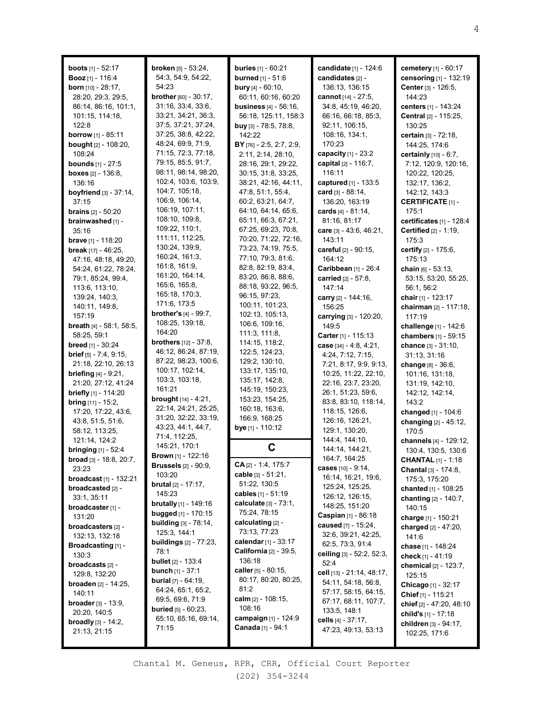| <b>boots</b> $[1] - 52:17$        | broken [5] - 53:24,              | <b>buries</b> $[1] - 60:21$    | candidate [1] - 124:6        | cemetery [1] - 60:17                  |
|-----------------------------------|----------------------------------|--------------------------------|------------------------------|---------------------------------------|
| <b>Booz</b> $[1] - 116:4$         | 54:3, 54:9, 54:22,               | <b>burned</b> $[1] - 51:6$     | candidates [2] -             | censoring [1] - 132:19                |
| <b>born</b> $[10] - 28:17$ ,      | 54:23                            | <b>bury</b> $[4] - 60:10$ ,    | 136:13, 136:15               | Center [3] - 126:5,                   |
| 28:20, 29:3, 29:5,                | brother [60] - 30:17,            | 60:11, 60:16, 60:20            | cannot [14] - 27:5,          | 144:23                                |
| 86:14, 86:16, 101:1,              | 31:16, 33:4, 33:6,               | <b>business</b> [4] - 56:16,   | 34:8, 45:19, 46:20,          | centers [1] - 143:24                  |
| 101:15, 114:18,                   | 33:21, 34:21, 36:3,              | 56:18, 125:11, 158:3           | 66:16, 66:18, 85:3,          | Central [2] - 115:25,                 |
| 122:8                             | 37:5, 37:21, 37:24,              | <b>buy</b> $[3] - 78:5, 78:8,$ | 92:11, 106:15,               | 130:25                                |
| borrow [1] - 85:11                | 37:25, 38:8, 42:22,              | 142:22                         | 108:16, 134:1,               | certain [3] - 72:18,                  |
| <b>bought</b> [2] - 108:20,       | 48:24, 69:9, 71:9,               | BY [76] - 2:5, 2:7, 2:9,       | 170:23                       | 144:25, 174:6                         |
| 108:24                            | 71:15, 72:3, 77:18,              | 2:11, 2:14, 28:10,             | capacity [1] - 23:2          | certainly [10] - 6:7,                 |
| <b>bounds</b> [1] - 27:5          | 79:15, 85:5, 91:7,               | 28:16, 29:1, 29:22,            | capital [2] - 116:7,         | 7:12, 120:9, 120:16,                  |
| <b>boxes</b> $[2] - 136:8$ ,      | 98:11, 98:14, 98:20,             | 30:15, 31:8, 33:25,            | 116:11                       | 120:22, 120:25,                       |
| 136:16                            | 102:4, 103:6, 103:9,             | 38:21, 42:16, 44:11,           | captured [1] - 133:5         | 132:17, 136:2,                        |
| boyfriend $[3] - 37:14$ ,         | 104:7, 105:18,                   | 47:8, 51:1, 55:4,              | card $[3] - 88:14$ ,         | 142:12, 143:3                         |
| 37:15                             | 106:9, 106:14,                   | 60:2, 63:21, 64:7,             | 136:20, 163:19               | <b>CERTIFICATE [1] -</b>              |
| <b>brains</b> $[2] - 50:20$       | 106:19, 107:11,                  | 64:10, 64:14, 65:6,            | cards [4] - 81:14,           | 175:1                                 |
| brainwashed [1] -                 | 108:10, 109:8,                   | 65:11, 66:3, 67:21,            | 81:16, 81:17                 | certificates [1] - 128:4              |
| 35:16                             | 109:22, 110:1,                   | 67:25, 69:23, 70:8,            | care [3] - 43:6, 46:21,      | Certified [2] - 1:19,                 |
| <b>brave</b> [1] - 118:20         | 111:11, 112:25,                  | 70:20, 71:22, 72:16,           | 143:11                       | 175:3                                 |
|                                   | 130:24, 139:9,                   | 73:23, 74:19, 75:5,            | careful [2] - 90:15,         | certify [2] - 175:6,                  |
| <b>break</b> $[17] - 46:25$ ,     | 160:24, 161:3,                   | 77:10, 79:3, 81:6,             | 164:12                       | 175:13                                |
| 47:16, 48:18, 49:20,              | 161:8, 161:9,                    | 82:8, 82:19, 83:4,             |                              |                                       |
| 54:24, 61:22, 78:24,              | 161:20, 164:14,                  | 83:20, 86:8, 88:6,             | Caribbean [1] - 26:4         | chain [6] - 53:13.                    |
| 79:1, 85:24, 99:4,                | 165:6, 165:8,                    | 88:18, 93:22, 96:5,            | carried [2] - 57:8.          | 53:15, 53:20, 55:25,                  |
| 113:6, 113:10,                    | 165:18, 170:3,                   |                                | 147:14                       | 56:1, 56:2                            |
| 139:24, 140:3,                    | 171:6, 173:5                     | 96:15, 97:23,                  | carry [2] - 144:16,          | chair $[1]$ - 123:17                  |
| 140:11, 149:8,                    | <b>brother's</b> $[4] - 99:7$ ,  | 100:11, 101:23,                | 156:25                       | chairman [2] - 117:18,                |
| 157:19                            |                                  | 102:13, 105:13,                | carrying [3] - 120:20,       | 117:19                                |
| <b>breath</b> $[4] - 58:1, 58:5,$ | 108:25, 139:18,                  | 106:6, 109:16,                 | 149:5                        | challenge [1] - 142:6                 |
| 58:25, 59:1                       | 164:20                           | 111:3, 111:8,                  | <b>Carter</b> $[1] - 115:13$ | chambers [1] - 59:15                  |
| breed [1] - 30:24                 | <b>brothers</b> $[12] - 37:8$ ,  | 114:15, 118:2,                 | case $[34] - 4:8, 4:21,$     | chance [3] - 31:10,                   |
| <b>brief</b> $[5] - 7:4, 9:15,$   | 46:12, 86:24, 87:19,             | 122:5, 124:23,                 | 4:24, 7:12, 7:15,            | 31:13, 31:16                          |
| 21:18, 22:10, 26:13               | 87:22, 98:23, 100:6,             | 129:2, 130:10,                 | 7:21, 8:17, 9:9, 9:13,       | change [8] - 36:6,                    |
| <b>briefing</b> $[4] - 9:21$ ,    | 100:17, 102:14,                  | 133:17, 135:10,                | 10:25, 11:22, 22:10,         | 101:16, 131:18,                       |
| 21:20, 27:12, 41:24               | 103:3, 103:18,                   | 135:17, 142:8,                 | 22:16, 23:7, 23:20,          | 131:19, 142:10,                       |
| briefly [1] - 114:20              | 161:21                           | 145:19, 150:23,                | 26:1, 51:23, 59:6,           | 142:12, 142:14,                       |
| <b>bring</b> [11] - 15:2,         | <b>brought</b> $[14] - 4:21$ ,   | 153:23, 154:25,                | 83:8, 83:10, 118:14,         | 143:2                                 |
| 17:20, 17:22, 43:6,               | 22:14, 24:21, 25:25,             | 160:18, 163:6,                 | 118:15, 126:6,               | changed [1] - 104:6                   |
| 43:8, 51:5, 51:6,                 | 31:20, 32:22, 33:19,             | 166:9, 168:25                  | 126:16, 126:21,              | changing [2] - 45:12,                 |
| 58:12, 113:25,                    | 43:23, 44:1, 44:7,               | bye [1] - 110:12               | 129:1, 130:20,               | 170:5                                 |
| 121:14, 124:2                     | 71:4, 112:25,                    |                                | 144:4, 144:10,               | channels [4] - 129:12,                |
| <b>bringing</b> $[1] - 52:4$      | 145:21, 170:1                    | C                              | 144:14, 144:21,              | 130:4, 130:5, 130:6                   |
| <b>broad</b> [3] - 18:8, 20:7,    | Brown [1] - 122:16               |                                | 164:7, 164:25                | <b>CHANTAL</b> [1] - 1:18             |
| 23:23                             | <b>Brussels</b> [2] - 90:9,      | $CA_{[2]} - 1:4, 175:7$        | cases $[10] - 9:14$ ,        |                                       |
| <b>broadcast</b> [1] - 132:21     | 103:20                           | cable [3] - 51:21,             | 16:14, 16:21, 19:6,          | Chantal [3] - 174:8,<br>175:3, 175:20 |
|                                   | <b>brutal</b> $[2] - 17:17$ ,    | 51:22, 130:5                   | 125:24, 125:25,              |                                       |
| broadcasted [2] -                 | 145:23                           | cables [1] - 51:19             | 126:12, 126:15,              | chanted [1] - 108:25                  |
| 33:1, 35:11                       | <b>brutally</b> $[1]$ - 149:16   | calculate [3] - 73:1,          | 148:25, 151:20               | chanting $[2] - 140:7$ ,              |
| broadcaster <sub>[1]</sub> -      | <b>bugged</b> [1] - 170:15       | 75:24, 78:15                   | <b>Caspian</b> $[1] - 86:18$ | 140:15                                |
| 131:20                            | <b>building</b> $[3] - 78:14$ ,  | calculating [2] -              | caused [7] - 15:24,          | charge [1] - 150:21                   |
| broadcasters [2] -                | 125:3, 144:1                     | 73:13, 77:23                   |                              | charged [2] - 47:20,                  |
| 132:13, 132:18                    | <b>buildings</b> $[2] - 77:23$ , | calendar $[1]$ - 33:17         | 32:6, 39:21, 42:25,          | 141:6                                 |
| Broadcasting [1] -                | 78:1                             | <b>California</b> [2] - 39:5,  | 62:5, 73:3, 91:4             | chase [1] - 148:24                    |
| 130:3                             | <b>bullet</b> $[2] - 133:4$      | 136:18                         | ceiling [3] - 52:2, 52:3,    | check [1] - 41:19                     |
| broadcasts [2] -                  | <b>bunch</b> $[1] - 37:1$        | caller [5] - 80:15,            | 52:4                         | chemical [2] - 123:7,                 |
| 129:8, 132:20                     |                                  | 80:17, 80:20, 80:25,           | cell [13] - 21:14, 48:17,    | 125:15                                |
| <b>broaden</b> [2] - 14:25,       | <b>burial</b> $[7]$ - $64:19$ ,  | 81:2                           | 54:11, 54:18, 56:8,          | Chicago [1] - 32:17                   |
| 140:11                            | 64:24, 65:1, 65:2,               |                                | 57:17, 58:15, 64:15,         | Chief [1] - 115:21                    |
| <b>broader</b> $[3] - 13:9$ ,     | 69:5, 69:6, 71:9                 | calm $[2] - 108:15$ ,          | 67:17, 68:11, 107:7,         | chief <sub>[2]</sub> - 47:20, 48:10   |
| 20:20, 140:5                      | <b>buried</b> $[5]$ - $60:23$ ,  | 108:16                         | 133:5, 148:1                 | child's [1] - 17:18                   |
| <b>broadly</b> $[3] - 14:2$ ,     | 65:10, 65:16, 69:14,             | campaign [1] - 124:9           | cells $[4] - 37:17$ ,        | children [3] - 94:17,                 |
| 21:13, 21:15                      | 71:15                            | <b>Canada</b> [1] - 94:1       | 47:23, 49:13, 53:13          | 102:25, 171:6                         |
|                                   |                                  |                                |                              |                                       |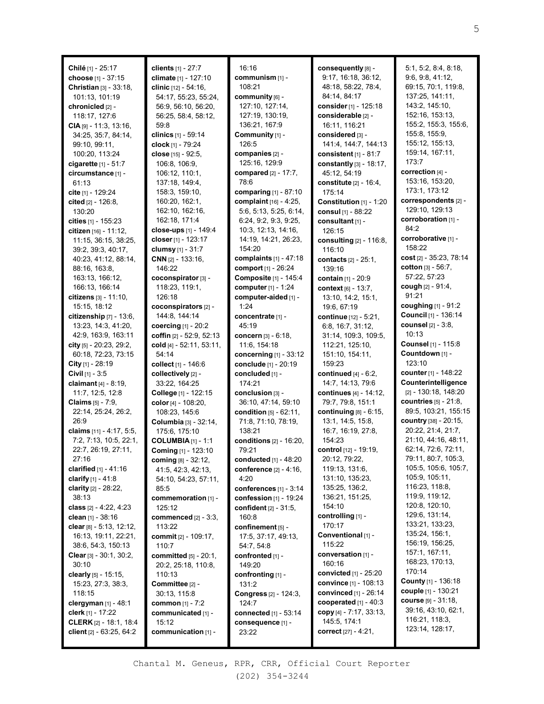**Chilé** [1] - 25:17 **choose** [1] - 37:15 **Christian** [3] - 33:18, 101:13, 101:19 **chronicled** [2] - 118:17, 127:6 **CIA** [9] - 11:3, 13:16, 34:25, 35:7, 84:14, 99:10, 99:11, 100:20, 113:24 **cigarette** [1] - 51:7 **circumstance** [1] - 61:13 **cite** [1] - 129:24 **cited** [2] - 126:8, 130:20 **cities** [1] - 155:23 **citizen** [16] - 11:12, 11:15, 36:15, 38:25, 39:2, 39:3, 40:17, 40:23, 41:12, 88:14, 88:16, 163:8, 163:13, 166:12, 166:13, 166:14 **citizens** [3] - 11:10, 15:15, 18:12 **citizenship** [7] - 13:6, 13:23, 14:3, 41:20, 42:9, 163:9, 163:11 **city** [5] - 20:23, 29:2, 60:18, 72:23, 73:15 **City** [1] - 28:19 **Civil** [1] - 3:5 **claimant** [4] - 8:19, 11:7, 12:5, 12:8 **Claims** [5] - 7:9, 22:14, 25:24, 26:2, 26:9 **claims** [11] - 4:17, 5:5, 7:2, 7:13, 10:5, 22:1, 22:7, 26:19, 27:11, 27:16 **clarified** [1] - 41:16 **clarify** [1] - 41:8 **clarity** [2] - 28:22, 38:13 **class** [2] - 4:22, 4:23 **clean** [1] - 38:16 **clear** [8] - 5:13, 12:12, 16:13, 19:11, 22:21, 38:6, 54:3, 150:13 **Clear** [3] - 30:1, 30:2, 30:10 **clearly** [5] - 15:15, 15:23, 27:3, 38:3, 118:15 **clergyman** [1] - 48:1 **clerk** [1] - 17:22 **CLERK** [2] - 18:1, 18:4 **client** [2] - 63:25, 64:2

**clients** [1] - 27:7 **climate** [1] - 127:10 **clinic** [12] - 54:16, 54:17, 55:23, 55:24, 56:9, 56:10, 56:20, 56:25, 58:4, 58:12, 59:8 **clinics** [1] - 59:14 **clock** [1] - 79:24 **close** [15] - 92:5, 106:8, 106:9, 106:12, 110:1, 137:18, 149:4, 158:3, 159:10, 160:20, 162:1, 162:10, 162:16, 162:18, 171:4 **close-ups** [1] - 149:4 **closer** [1] - 123:17 **clumsy** [1] - 31:7 **CNN** [2] - 133:16, 146:22 **coconspirator** [3] - 118:23, 119:1, 126:18 **coconspirators** [2] - 144:8, 144:14 **coercing** [1] - 20:2 **coffin** [2] - 52:9, 52:13 **cold** [4] - 52:11, 53:11, 54:14 **collect** [1] - 146:6 **collectively** [2] - 33:22, 164:25 **College** [1] - 122:15 **color** [4] - 108:20, 108:23, 145:6 **Columbia** [3] - 32:14, 175:6, 175:10 **COLUMBIA** [1] - 1:1 **Coming** [1] - 123:10 **coming** [8] - 32:12, 41:5, 42:3, 42:13, 54:10, 54:23, 57:11, 85:5 **commemoration** [1] - 125:12 **commenced** [2] - 3:3, 113:22 **commit** [2] - 109:17, 110:7 **committed** [5] - 20:1, 20:2, 25:18, 110:8, 110:13 **Committee** [2] - 30:13, 115:8 **common** [1] - 7:2 **communicated** [1] - 15:12 **communication** [1] -

16:16 **communism** [1] - 108:21 **community** [6] - 127:10, 127:14, 127:19, 130:19, 136:21, 167:9 **Community** [1] - 126:5 **companies** [2] - 125:16, 129:9 **compared** [2] - 17:7, 78:6 **comparing** [1] - 87:10 **complaint** [16] - 4:25, 5:6, 5:13, 5:25, 6:14, 6:24, 9:2, 9:3, 9:25, 10:3, 12:13, 14:16, 14:19, 14:21, 26:23, 154:20 **complaints** [1] - 47:18 **comport** [1] - 26:24 **Composite** [1] - 145:4 **computer** [1] - 1:24 **computer-aided** [1] - 1:24 **concentrate** [1] - 45:19 **concern** [3] - 6:18, 11:6, 154:18 **concerning** [1] - 33:12 **conclude** [1] - 20:19 **concluded** [1] - 174:21 **conclusion** [3] - 36:10, 47:14, 59:10 **condition** [5] - 62:11, 71:8, 71:10, 78:19, 138:21 **conditions** [2] - 16:20, 79:21 **conducted** [1] - 48:20 **conference** [2] - 4:16, 4:20 **conferences** [1] - 3:14 **confession** [1] - 19:24 **confident** [2] - 31:5, 160:8 **confinement** [5] - 17:5, 37:17, 49:13, 54:7, 54:8 **confronted** [1] - 149:20 **confronting** [1] - 131:2 **Congress** [2] - 124:3, 124:7 **connected** [1] - 53:14 **consequence** [1] - 23:22

**consequently** [8] - 9:17, 16:18, 36:12, 48:18, 58:22, 78:4, 84:14, 84:17 **consider** [1] - 125:18 **considerable** [2] - 16:11, 116:21 **considered** [3] - 141:4, 144:7, 144:13 **consistent** [1] - 81:7 **constantly** [3] - 18:17, 45:12, 54:19 **constitute** [2] - 16:4, 175:14 **Constitution** [1] - 1:20 **consul** [1] - 88:22 **consultant** [1] - 126:15 **consulting** [2] - 116:8, 116:10 **contacts** [2] - 25:1, 139:16 **contain** [1] - 20:9 **context** [6] - 13:7, 13:10, 14:2, 15:1, 19:6, 67:19 **continue** [12] - 5:21, 6:8, 16:7, 31:12, 31:14, 109:3, 109:5, 112:21, 125:10, 151:10, 154:11, 159:23 **continued** [4] - 6:2, 14:7, 14:13, 79:6 **continues** [4] - 14:12, 79:7, 79:8, 151:1 **continuing** [8] - 6:15, 13:1, 14:5, 15:8, 16:7, 16:19, 27:8, 154:23 **control** [12] - 19:19, 20:12, 79:22, 119:13, 131:6, 131:10, 135:23, 135:25, 136:2, 136:21, 151:25, 154:10 **controlling** [1] - 170:17 **Conventional** [1] - 115:22 **conversation** [1] - 160:16 **convicted** [1] - 25:20 **convince** [1] - 108:13 **convinced** [1] - 26:14 **cooperated** [1] - 40:3 **copy** [4] - 7:17, 33:13, 145:5, 174:1 **correct** [27] - 4:21,

5:1, 5:2, 8:4, 8:18, 9:6, 9:8, 41:12, 69:15, 70:1, 119:8, 137:25, 141:11, 143:2, 145:10, 152:16, 153:13, 155:2, 155:3, 155:6, 155:8, 155:9, 155:12, 155:13, 159:14, 167:11, 173:7 **correction** [4] - 153:16, 153:20, 173:1, 173:12 **correspondents** [2] - 129:10, 129:13 **corroboration** [1] - 84:2 **corroborative** [1] - 158:22 **cost** [2] - 35:23, 78:14 **cotton** [3] - 56:7, 57:22, 57:23 **cough** [2] - 91:4, 91:21 **coughing** [1] - 91:2 **Council** [1] - 136:14 **counsel** [2] - 3:8, 10:13 **Counsel** [1] - 115:8 **Countdown** [1] - 123:10 **counter** [1] - 148:22 **Counterintelligence** [2] - 130:18, 148:20 **countries** [5] - 21:8, 89:5, 103:21, 155:15 **country** [38] - 20:15, 20:22, 21:4, 21:7, 21:10, 44:16, 48:11, 62:14, 72:6, 72:11, 79:11, 80:7, 105:3, 105:5, 105:6, 105:7, 105:9, 105:11, 116:23, 118:8, 119:9, 119:12, 120:8, 120:10, 129:6, 131:14, 133:21, 133:23, 135:24, 156:1, 156:19, 156:25, 157:1, 167:11, 168:23, 170:13, 170:14 **County** [1] - 136:18 **couple** [1] - 130:21 **course** [9] - 31:18, 39:16, 43:10, 62:1, 116:21, 118:3, 123:14, 128:17,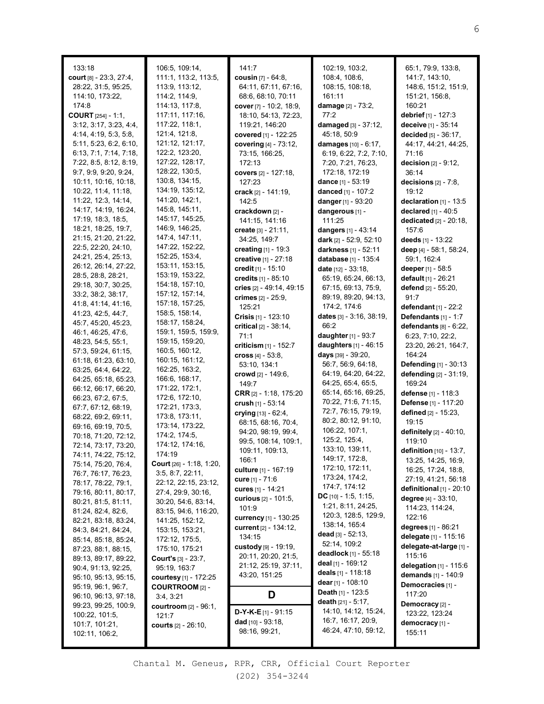| 133:18                                      | 106:5, 109:14,                             | 141:7                                       | 102:19, 103:2,                                 | 65:1, 79:9, 133:8,                |
|---------------------------------------------|--------------------------------------------|---------------------------------------------|------------------------------------------------|-----------------------------------|
| court [8] - 23:3, 27:4,                     | 111:1, 113:2, 113:5,                       | cousin $[7] - 64:8$ ,                       | 108:4, 108:6,                                  | 141:7, 143:10,                    |
| 28:22, 31:5, 95:25,                         | 113:9, 113:12,                             | 64:11, 67:11, 67:16,                        | 108:15, 108:18,                                | 148:6, 151:2, 151:9,              |
| 114:10, 173:22,                             | 114:2, 114:9,                              | 68:6, 68:10, 70:11                          | 161:11                                         | 151:21, 156:8,                    |
| 174:8                                       | 114:13, 117:8,                             | cover [7] - 10:2, 18:9,                     | <b>damage</b> [2] - 73:2,                      | 160:21                            |
| <b>COURT</b> $[254] - 1:1$ ,                | 117:11, 117:16,                            | 18:10, 54:13, 72:23,                        | 77:2                                           | debrief [1] - 127:3               |
| 3:12, 3:17, 3:23, 4:4,                      | 117:22, 118:1,                             | 119:21, 146:20                              | damaged $[3] - 37:12$ ,                        | deceive [1] - 35:14               |
| 4:14, 4:19, 5:3, 5:8,                       | 121:4, 121:8,                              | covered [1] - 122:25                        | 45:18, 50:9                                    | <b>decided</b> $[5] - 36:17$ ,    |
| 5:11, 5:23, 6:2, 6:10,                      | 121:12, 121:17,                            | covering [4] - 73:12,                       | damages [10] - 6:17,                           | 44:17, 44:21, 44:25,              |
| 6:13, 7:1, 7:14, 7:18,                      | 122:2, 123:20,                             | 73:15, 166:25,                              | 6:19, 6:22, 7:2, 7:10,                         | 71:16                             |
| 7:22, 8:5, 8:12, 8:19,                      | 127:22, 128:17,                            | 172:13                                      | 7:20, 7:21, 76:23,                             | decision $[2] - 9:12$ ,           |
| 9:7, 9:9, 9:20, 9:24,                       | 128:22, 130:5,                             | covers [2] - 127:18,                        | 172:18, 172:19                                 | 36:14                             |
| 10:11, 10:16, 10:18,                        | 130:8, 134:15,                             | 127:23                                      | dance [1] - 53:19                              | decisions $[2] - 7:8$ ,           |
| 10:22, 11:4, 11:18,<br>11:22, 12:3, 14:14,  | 134:19, 135:12,<br>141:20, 142:1,          | crack [2] - 141:19,                         | danced [1] - 107:2                             | 19:12                             |
| 14:17, 14:19, 16:24,                        | 145:8, 145:11,                             | 142:5                                       | danger [1] - 93:20                             | declaration [1] - 13:5            |
| 17:19, 18:3, 18:5,                          | 145:17, 145:25,                            | crackdown [2] -<br>141:15, 141:16           | dangerous [1] -                                | declared [1] - 40:5               |
| 18:21, 18:25, 19:7,                         | 146:9, 146:25,                             | <b>create</b> [3] - 21:11,                  | 111:25<br>dangers [1] - 43:14                  | dedicated [2] - 20:18,<br>157:6   |
| 21:15, 21:20, 21:22,                        | 147:4, 147:11,                             | 34:25, 149:7                                | dark [2] - 52:9, 52:10                         | deeds [1] - 13:22                 |
| 22:5, 22:20, 24:10,                         | 147:22, 152:22,                            | creating $[1] - 19:3$                       | darkness [1] - 52:11                           | deep [4] - 58:1, 58:24,           |
| 24:21, 25:4, 25:13,                         | 152:25, 153:4,                             | creative [1] - 27:18                        | database [1] - 135:4                           | 59:1, 162:4                       |
| 26:12, 26:14, 27:22,                        | 153:11, 153:15,                            | credit [1] - 15:10                          | date $[12] - 33:18$ ,                          | deeper [1] - 58:5                 |
| 28:5, 28:8, 28:21,                          | 153:19, 153:22,                            | credits [1] - 85:10                         | 65:19, 65:24, 66:13,                           | default [1] - 26:21               |
| 29:18, 30:7, 30:25,                         | 154:18, 157:10,                            | cries [2] - 49:14, 49:15                    | 67:15, 69:13, 75:9,                            | defend [2] - 55:20,               |
| 33:2, 38:2, 38:17,                          | 157:12, 157:14,                            | crimes [2] - 25:9,                          | 89:19, 89:20, 94:13,                           | 91:7                              |
| 41:8, 41:14, 41:16,                         | 157:18, 157:25,                            | 125:21                                      | 174:2, 174:6                                   | defendant $[1]$ - 22:2            |
| 41:23, 42:5, 44:7,                          | 158:5, 158:14,                             | Crisis $[1]$ - 123:10                       | dates $[3] - 3:16$ , $38:19$ ,                 | Defendants [1] - 1:7              |
| 45:7, 45:20, 45:23,                         | 158:17, 158:24,                            | critical $[2] - 38:14$ ,                    | 66:2                                           | defendants $[8] - 6:22$ ,         |
| 46:1, 46:25, 47:6,                          | 159:1, 159:5, 159:9,                       | 71:1                                        | daughter [1] - 93:7                            | 6:23, 7:10, 22:2,                 |
| 48:23, 54:5, 55:1,                          | 159:15, 159:20,<br>160:5, 160:12,          | criticism $[1]$ - 152:7                     | daughters [1] - 46:15                          | 23:20, 26:21, 164:7,              |
| 57:3, 59:24, 61:15,<br>61:18, 61:23, 63:10, | 160:15, 161:12,                            | cross $[4] - 53.8$ ,                        | days [39] - 39:20,                             | 164:24                            |
| 63:25, 64:4, 64:22,                         | 162:25, 163:2,                             | 53:10, 134:1                                | 56:7, 56:9, 64:18,                             | Defending [1] - 30:13             |
| 64:25, 65:18, 65:23,                        | 166:6, 168:17,                             | crowd [2] - 149:6,                          | 64:19, 64:20, 64:22,                           | defending [2] - 31:19,            |
| 66:12, 66:17, 66:20,                        | 171:22, 172:1,                             | 149:7                                       | 64:25, 65:4, 65:5,                             | 169:24                            |
| 66:23, 67:2, 67:5,                          | 172:6, 172:10,                             | <b>CRR</b> $[2] - 1:18, 175:20$             | 65:14, 65:16, 69:25,                           | defense [1] - 118:3               |
| 67:7, 67:12, 68:19,                         | 172:21, 173:3,                             | crush [1] - 53:14                           | 70:22, 71:6, 71:15,                            | Defense [1] - 117:20              |
| 68:22, 69:2, 69:11,                         | 173:8, 173:11,                             | crying [13] - 62:4,                         | 72:7, 76:15, 79:19,                            | defined [2] - 15:23,              |
| 69:16, 69:19, 70:5,                         | 173:14, 173:22,                            | 68:15, 68:16, 70:4,                         | 80:2, 80:12, 91:10,<br>106:22, 107:1,          | 19:15                             |
| 70:18, 71:20, 72:12,                        | 174:2, 174:5,                              | 94:20, 98:19, 99:4,<br>99:5, 108:14, 109:1, | 125:2, 125:4,                                  | definitely [2] - 40:10,<br>119:10 |
| 72:14, 73:17, 73:20,                        | 174:12, 174:16,                            | 109:11, 109:13,                             | 133:10, 139:11,                                | definition [10] - 13:7,           |
| 74:11, 74:22, 75:12,                        | 174:19                                     | 166:1                                       | 149:17, 172:8,                                 | 13:25, 14:25, 16:9,               |
| 75:14, 75:20, 76:4,                         | <b>Court</b> $[26] - 1:18, 1:20,$          | culture [1] - 167:19                        | 172:10, 172:11,                                | 16:25, 17:24, 18:8,               |
| 76:7, 76:17, 76:23,                         | 3:5, 8:7, 22:11,                           | cure [1] - 71:6                             | 173:24, 174:2,                                 | 27:19, 41:21, 56:18               |
| 78:17, 78:22, 79:1,<br>79:16, 80:11, 80:17, | 22:12, 22:15, 23:12,<br>27:4, 29:9, 30:16, | cures [1] - 14:21                           | 174:7, 174:12                                  | definitional $[1]$ - 20:10        |
| 80:21, 81:5, 81:11,                         | 30:20, 54:6, 83:14,                        | <b>curious</b> $[2] - 101:5$ ,              | DC $[10] - 1:5, 1:15,$                         | degree [4] - 33:10,               |
| 81:24, 82:4, 82:6,                          | 83:15, 94:6, 116:20,                       | 101:9                                       | 1:21, 8:11, 24:25,                             | 114:23, 114:24,                   |
| 82:21, 83:18, 83:24,                        | 141:25, 152:12,                            | <b>currency</b> [1] - 130:25                | 120:3, 128:5, 129:9,                           | 122:16                            |
| 84:3, 84:21, 84:24,                         | 153:15, 153:21,                            | <b>current</b> [2] - 134:12,                | 138:14, 165:4                                  | degrees [1] - 86:21               |
| 85:14, 85:18, 85:24,                        | 172:12, 175:5,                             | 134:15                                      | dead $[3] - 52:13$ ,                           | delegate [1] - 115:16             |
| 87:23, 88:1, 88:15,                         | 175:10, 175:21                             | custody [9] - 19:19,                        | 52:14, 109:2                                   | delegate-at-large [1] -           |
| 89:13, 89:17, 89:22,                        | <b>Court's</b> $[3] - 23:7$ ,              | 20:11, 20:20, 21:5,                         | deadlock [1] - 55:18                           | 115:16                            |
| 90:4, 91:13, 92:25,                         | 95:19, 163:7                               | 21:12, 25:19, 37:11,                        | <b>deal</b> [1] - 169:12<br>deals [1] - 118:18 | delegation [1] - 115:6            |
| 95:10, 95:13, 95:15,                        | courtesy [1] - 172:25                      | 43:20, 151:25                               | <b>dear</b> [1] - 108:10                       | demands [1] - 140:9               |
| 95:19, 96:1, 96:7,                          | <b>COURTROOM</b> [2] -                     |                                             | <b>Death</b> $[1]$ - 123:5                     | Democracies [1] -                 |
| 96:10, 96:13, 97:18,                        | 3:4, 3:21                                  | D                                           | death [21] - 5:17,                             | 117:20                            |
| 99:23, 99:25, 100:9,                        | courtroom $[2] - 96:1$ ,                   | $D-Y-K-E$ [1] - 91:15                       | 14:10, 14:12, 15:24,                           | Democracy [2] -<br>123:22, 123:24 |
| 100:22, 101:5,                              | 121:7                                      | dad $[10] - 93:18$ ,                        | 16:7, 16:17, 20:9,                             | democracy [1] -                   |
| 101:7, 101:21,<br>102:11, 106:2,            | <b>courts</b> $[2] - 26:10,$               | 98:16, 99:21,                               | 46:24, 47:10, 59:12,                           | 155:11                            |
|                                             |                                            |                                             |                                                |                                   |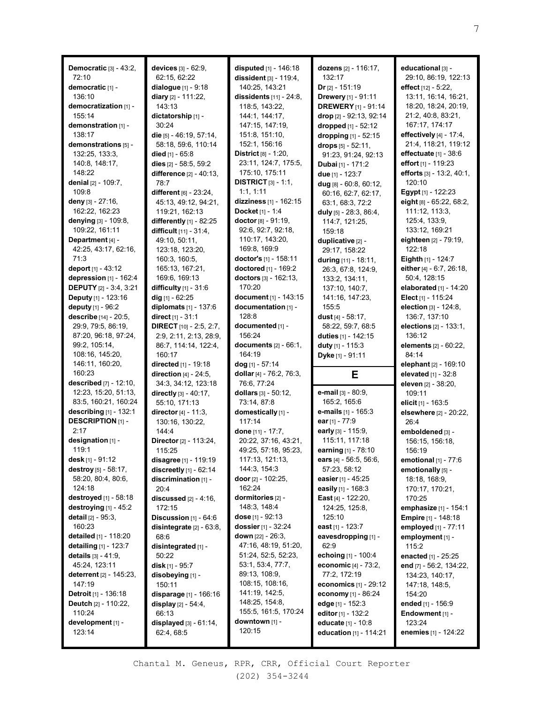| Democratic [3] - 43:2,           | devices $[3] - 62:9$ ,           | disputed [1] - 146:18         | dozens [2] - 116:17,             | educational [3] -          |
|----------------------------------|----------------------------------|-------------------------------|----------------------------------|----------------------------|
| 72:10                            | 62:15, 62:22                     | dissident $[3] - 119:4$ ,     | 132:17                           | 29:10, 86:19, 122:13       |
| democratic [1] -                 | dialogue [1] - 9:18              | 140:25, 143:21                | $Dr$ <sub>[2]</sub> - 151:19     | effect [12] - 5:22,        |
| 136:10                           | diary [2] - 111:22,              | dissidents [11] - 24:8,       | Drewery [1] - 91:11              | 13:11, 16:14, 16:21,       |
| democratization [1] -            | 143:13                           | 118:5, 143:22,                | <b>DREWERY</b> [1] - 91:14       | 18:20, 18:24, 20:19,       |
| 155:14                           | dictatorship [1] -               | 144:1, 144:17,                | <b>drop</b> $[2] - 92:13, 92:14$ | 21:2, 40:8, 83:21,         |
| demonstration [1] -              | 30:24                            | 147:15, 147:19,               | dropped [1] - 52:12              | 167:17, 174:17             |
| 138:17                           | die [5] - 46:19, 57:14,          | 151:8, 151:10,                | dropping [1] - 52:15             | effectively [4] - 17:4,    |
| demonstrations [5] -             | 58:18, 59:6, 110:14              | 152:1, 156:16                 | drops [5] - 52:11,               | 21:4, 118:21, 119:12       |
| 132:25, 133:3,                   | died $[1] - 65:8$                | District թլ - 1:20,           | 91:23, 91:24, 92:13              | effectuate $[1]$ - 38:6    |
| 140:8, 148:17,                   | dies $[2] - 58:5, 59:2$          | 23:11, 124:7, 175:5,          | Dubai [1] - 171:2                | effort [1] - 119:23        |
| 148:22                           | difference [2] - 40:13,          | 175:10, 175:11                | due [1] - 123:7                  | efforts [3] - 13:2, 40:1,  |
| denial [2] - 109:7,              | 78:7                             | <b>DISTRICT</b> $[3] - 1:1$ , | dug [8] - 60:8, 60:12,           | 120:10                     |
| 109:8                            | different [6] - 23:24,           | 1:1, 1:11                     | 60:16, 62:7, 62:17,              | Egypt [1] - 122:23         |
| deny [3] $-27:16$ ,              | 45:13, 49:12, 94:21,             | dizziness [1] - 162:15        | 63:1, 68:3, 72:2                 | eight [8] - 65:22, 68:2,   |
| 162:22, 162:23                   | 119:21, 162:13                   | Docket [1] - 1:4              | duly $[5]$ - 28:3, 86:4,         | 111:12, 113:3,             |
| denying [3] - 109:8,             | differently [1] - 82:25          | doctor [8] - 91:19,           | 114:7, 121:25,                   | 125:4, 133:9,              |
| 109:22, 161:11                   | difficult $[11] - 31:4$ ,        | 92:6, 92:7, 92:18,            | 159:18                           | 133:12, 169:21             |
| Department [4] -                 | 49:10, 50:11,                    | 110:17, 143:20,               | duplicative [2] -                | eighteen [2] - 79:19,      |
| 42:25, 43:17, 62:16,             | 123:18, 123:20,                  | 169:8, 169:9                  | 29:17, 158:22                    | 122:18                     |
| 71:3                             | 160:3, 160:5,                    | doctor's [1] - 158:11         | during [11] - 18:11,             | Eighth [1] - 124:7         |
| deport [1] - 43:12               | 165:13, 167:21,                  | doctored [1] - 169:2          | 26:3, 67:8, 124:9,               | either [4] - 6:7, 26:18,   |
| depression [1] - 162:4           | 169:6, 169:13                    | doctors [3] - 162:13,         | 133:2, 134:11,                   | 50:4, 128:15               |
| <b>DEPUTY</b> [2] - 3:4, 3:21    | difficulty [1] - 31:6            | 170:20                        | 137:10, 140:7,                   | elaborated $[1]$ - 14:20   |
| <b>Deputy</b> [1] - 123:16       | dig $11 - 62:25$                 | document [1] - 143:15         | 141:16, 147:23,                  | Elect $[1]$ - 115:24       |
| deputy [1] - 96:2                | diplomats $[1] - 137:6$          | documentation [1] -           | 155:5                            | election [3] - 124:8,      |
| describe [14] - 20:5,            | direct $[1] - 31:1$              | 128:8                         | dust $[4] - 58:17$ ,             | 136:7, 137:10              |
| 29:9, 79:5, 86:19,               | <b>DIRECT</b> $[10] - 2:5, 2:7,$ | documented [1] -              | 58:22, 59:7, 68:5                | elections $[2] - 133:1,$   |
| 87:20, 96:18, 97:24,             | 2:9, 2:11, 2:13, 28:9,           | 156:24                        | duties [1] - 142:15              | 136:12                     |
| 99:2, 105:14,                    | 86:7, 114:14, 122:4,             | documents [2] - 66:1,         | duty $[1] - 115:3$               | elements [2] - 60:22,      |
| 108:16, 145:20,                  | 160:17                           | 164:19                        | Dyke [1] - 91:11                 | 84:14                      |
| 146:11, 160:20,                  | directed [1] - 19:18             | dog [1] - 57:14               |                                  | elephant [2] - 169:10      |
| 160:23                           | direction $[4]$ - 24:5,          | dollar [4] - 76:2, 76:3,      | Е                                | elevated [1] - 32:8        |
| <b>described</b> $[7] - 12:10$ , | 34:3, 34:12, 123:18              | 76:6, 77:24                   |                                  | eleven [2] - 38:20,        |
| 12:23, 15:20, 51:13,             | directly $[3] - 40:17$ ,         | dollars $[3] - 50:12$ ,       | e-mail [3] - 80:9,               | 109:11                     |
| 83:5, 160:21, 160:24             | 55:10, 171:13                    | 73:14, 87:8                   | 165:2, 165:6                     | elicit [1] - 163:5         |
| describing [1] - 132:1           | director [4] - 11:3,             | domestically [1] -            | e-mails [1] - 165:3              | elsewhere [2] - 20:22,     |
| <b>DESCRIPTION</b> [1] -         | 130:16, 130:22,                  | 117:14                        | ear $[1] - 77:9$                 | 26:4                       |
| 2:17                             | 144:4                            | done [11] - 17:7,             | early [3] - 115:9,               | emboldened [3] -           |
| designation [1] -                | Director [2] - 113:24,           | 20:22, 37:16, 43:21,          | 115:11, 117:18                   | 156:15, 156:18,            |
| 119:1                            | 115:25                           | 49:25, 57:18, 95:23,          | earning [1] - 78:10              | 156:19                     |
| desk [1] - 91:12                 | disagree [1] - 119:19            | 117:13, 121:13,               | ears [4] - 56:5, 56:6,           | emotional $[1]$ - 77:6     |
| destroy [5] - 58:17,             | discreetly $[1] - 62:14$         | 144:3, 154:3                  | 57:23, 58:12                     | emotionally [5] -          |
| 58:20, 80:4, 80:6,               | discrimination [1] -             | door $[2] - 102:25$ ,         | easier [1] - 45:25               | 18:18, 168:9,              |
| 124:18                           | 20:4                             | 162:24                        | easily $[1]$ - 168:3             | 170:17, 170:21,            |
| destroyed [1] - 58:18            | discussed $[2] - 4:16$ ,         | dormitories [2] -             | <b>East</b> [4] - 122:20,        | 170:25                     |
| destroying $[1]$ - 45:2          | 172:15                           | 148:3, 148:4                  | 124:25, 125:8,                   | emphasize [1] - 154:1      |
| <b>detail</b> [2] - 95:3,        | Discussion $[1]$ - $64:6$        | dose $[1]$ - 92:13            | 125:10                           | <b>Empire</b> [1] - 148:18 |
| 160:23                           | disintegrate [2] - 63:8,         | <b>dossier</b> [1] - 32:24    | east $[1]$ - 123:7               | employed [1] - 77:11       |
| detailed [1] - 118:20            | 68:6                             | down [22] - 26:3,             | eavesdropping [1] -              | employment [1] -           |
| detailing [1] - 123:7            | disintegrated [1] -              | 47:16, 48:19, 51:20,          | 62:9                             | 115:2                      |
| <b>details</b> $[3] - 41:9$ ,    | 50:22                            | 51:24, 52:5, 52:23,           | echoing [1] - 100:4              | enacted [1] - 25:25        |
| 45:24, 123:11                    | <b>disk</b> [1] - 95:7           | 53:1, 53:4, 77:7,             | economic $[4] - 73:2,$           | end [7] - 56:2, 134:22,    |
| <b>deterrent</b> [2] - 145:23,   | disobeying [1] -                 | 89:13, 108:9,                 | 77:2, 172:19                     | 134:23, 140:17,            |
| 147:19                           | 150:11                           | 108:15, 108:16,               | economics $[1] - 29:12$          | 147:18, 148:5,             |
| <b>Detroit</b> [1] - 136:18      | disparage [1] - 166:16           | 141:19, 142:5,                | economy [1] - 86:24              | 154:20                     |
| <b>Deutch</b> $[2] - 110:22$     | display $[2] - 54:4$ ,           | 148:25, 154:8,                | edge [1] - 152:3                 | ended $[1] - 156.9$        |
| 110:24                           | 66:13                            | 155:5, 161:5, 170:24          | editor $[1]$ - 132:2             | Endowment [1] -            |
| development [1] -                | displayed [3] - 61:14,           | downtown [1] -                | <b>educate</b> [1] - 10:8        | 123:24                     |
| 123:14                           | 62:4, 68:5                       | 120:15                        | education [1] - 114:21           | enemies [1] - 124:22       |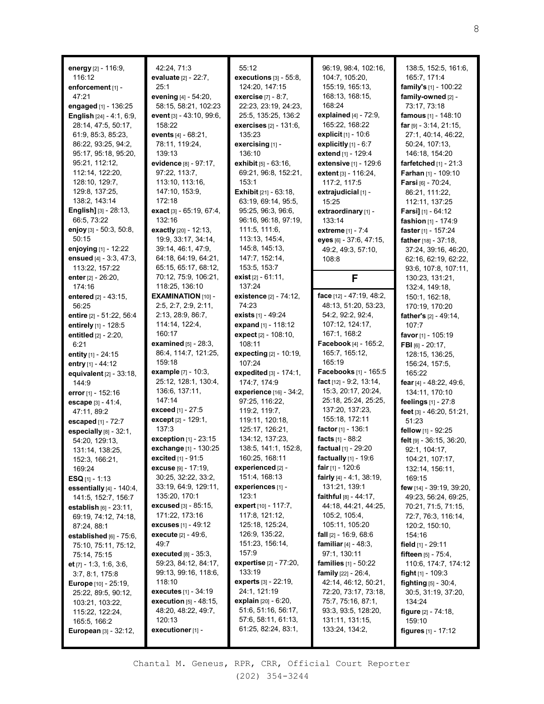| energy [2] - 116:9,<br>116:12               | 42:24, 71:3<br>evaluate [2] - 22:7, | 55:12<br>executions [3] - 55:8,                | 96:19, 98:4, 102:16,<br>104:7, 105:20, | 138:5, 152:5, 161:6,<br>165:7, 171:4   |
|---------------------------------------------|-------------------------------------|------------------------------------------------|----------------------------------------|----------------------------------------|
| enforcement [1] -                           | 25:1                                | 124:20, 147:15                                 | 155:19, 165:13,                        | family's [1] - 100:22                  |
| 47:21                                       | evening [4] - 54:20,                | <b>exercise</b> $[7] - 8:7$ ,                  | 168:13, 168:15,                        | family-owned [2] -                     |
| engaged [1] - 136:25                        | 58:15, 58:21, 102:23                | 22:23, 23:19, 24:23,                           | 168:24                                 | 73:17, 73:18                           |
| <b>English</b> $[24] - 4:1, 6:9,$           | event [3] - 43:10, 99:6,            | 25:5, 135:25, 136:2                            | explained [4] - 72:9,                  | famous [1] - 148:10                    |
| 28:14, 47:5, 50:17,                         | 158:22                              | exercises [2] - 131:6,                         | 165:22, 168:22                         | far $[9] - 3:14, 21:15,$               |
| 61:9, 85:3, 85:23,                          | events [4] - 68:21,                 | 135:23                                         | explicit $[1] - 10:6$                  | 27:1, 40:14, 46:22,                    |
| 86:22, 93:25, 94:2,                         | 78:11, 119:24,                      | exercising [1] -                               | explicitly $[1]$ - $6:7$               | 50:24, 107:13,                         |
| 95:17, 95:18, 95:20,                        | 139:13                              | 136:10                                         | extend [1] - 129:4                     | 146:18, 154:20                         |
| 95:21, 112:12,                              | evidence [8] - 97:17,               | exhibit $[5] - 63:16$ ,                        | extensive [1] - 129:6                  | farfetched [1] - 21:3                  |
| 112:14, 122:20,                             | 97:22, 113:7,                       | 69:21, 96:8, 152:21,                           | extent $[3] - 116:24$ ,                | Farhan [1] - 109:10                    |
| 128:10, 129:7,                              | 113:10, 113:16,                     | 153:1                                          | 117:2, 117:5                           | Farsi [6] - 70:24,                     |
| 129:8, 137:25,                              | 147:10, 153:9,                      | <b>Exhibit</b> $[21] - 63:18$ ,                | extrajudicial [1] -                    | 86:21, 111:22,                         |
| 138:2, 143:14                               | 172:18                              | 63:19, 69:14, 95:5,                            | 15:25                                  | 112:11, 137:25                         |
| <b>English]</b> [3] - 28:13,                | exact [3] - 65:19, 67:4,            | 95:25, 96:3, 96:6,                             | extraordinary [1] -                    | <b>Farsi]</b> [1] - 64:12              |
| 66:5, 73:22                                 | 132:16                              | 96:16, 96:18, 97:19,                           | 133:14                                 | fashion [1] - 174:9                    |
| enjoy [3] - 50:3, 50:8,                     | exactly [20] - 12:13,               | 111:5, 111:6,                                  | extreme [1] - 7:4                      | faster [1] - 157:24                    |
| 50:15                                       | 19:9, 33:17, 34:14,                 | 113:13, 145:4,                                 | eyes [6] - 37:6, 47:15,                | father [18] - 37:18,                   |
| enjoying [1] - 12:22                        | 39:14, 46:1, 47:9,                  | 145:8, 145:13,                                 | 49:2, 49:3, 57:10,                     | 37:24, 39:16, 46:20,                   |
| ensued [4] - 3:3, 47:3,                     | 64:18, 64:19, 64:21,                | 147:7, 152:14,                                 | 108:8                                  | 62:16, 62:19, 62:22,                   |
| 113:22, 157:22                              | 65:15, 65:17, 68:12,                | 153:5, 153:7                                   |                                        | 93:6, 107:8, 107:11,                   |
| enter $[2] - 26:20$ ,                       | 70:12, 75:9, 106:21,                | exist $[2] - 61:11$ ,                          | F                                      | 130:23, 131:21,                        |
| 174:16                                      | 118:25, 136:10                      | 137:24                                         |                                        | 132:4, 149:18,                         |
| entered [2] - 43:15,                        | <b>EXAMINATION [10] -</b>           | existence [2] - 74:12,                         | face [12] - 47:19, 48:2,               | 150:1, 162:18,                         |
| 56:25                                       | 2:5, 2:7, 2:9, 2:11,                | 74:23                                          | 48:13, 51:20, 53:23,                   | 170:19, 170:20                         |
| entire [2] - 51:22, 56:4                    | 2:13, 28:9, 86:7,                   | <b>exists</b> $[1]$ - 49:24                    | 54:2, 92:2, 92:4,<br>107:12, 124:17,   | father's [2] - 49:14,                  |
| entirely [1] - 128:5                        | 114:14, 122:4,<br>160:17            | expand [1] - 118:12<br>expect $[2] - 108:10$ , | 167:1, 168:2                           | 107:7                                  |
| entitled [2] - 2:20,                        | <b>examined</b> $[5]$ - 28:3,       | 108:11                                         | Facebook [4] - 165:2,                  | favor [1] - 105:19                     |
| 6:21                                        | 86:4, 114:7, 121:25,                | expecting [2] - 10:19,                         | 165:7, 165:12,                         | FBI $[6] - 20:17$ ,<br>128:15, 136:25, |
| entity $[1]$ - 24:15<br>entry $[1] - 44:12$ | 159:18                              | 107:24                                         | 165:19                                 | 156:24, 157:5,                         |
| equivalent $[2]$ - 33:18,                   | example [7] - 10:3,                 | expedited $[3] - 174:1$ ,                      | <b>Facebooks</b> [1] - 165:5           | 165:22                                 |
| 144:9                                       | 25:12, 128:1, 130:4,                | 174:7, 174:9                                   | fact [12] - 9:2, 13:14,                | fear [4] - 48:22, 49:6,                |
| error $[1]$ - 152:16                        | 136:6, 137:11,                      | experience [16] - 34:2,                        | 15:3, 20:17, 20:24,                    | 134:11, 170:10                         |
| escape [3] - 41:4,                          | 147:14                              | 97:25, 116:22,                                 | 25:18, 25:24, 25:25,                   | feelings [1] - 27:8                    |
| 47:11, 89:2                                 | exceed [1] - 27:5                   | 119:2, 119:7,                                  | 137:20, 137:23,                        | feet [3] - 46:20, 51:21,               |
| escaped [1] - 72:7                          | except [2] - 129:1,                 | 119:11, 120:18,                                | 155:18, 172:11                         | 51:23                                  |
| especially $[8] - 32:1$ ,                   | 137:3                               | 125:17, 126:21,                                | factor [1] - 136:1                     | fellow [1] - 92:25                     |
| 54:20, 129:13,                              | exception [1] - 23:15               | 134:12, 137:23,                                | facts $[1] - 88:2$                     | felt [9] - 36:15, 36:20,               |
| 131:14, 138:25,                             | exchange [1] - 130:25               | 138:5, 141:1, 152:8,                           | factual $[1] - 29:20$                  | 92:1, 104:17,                          |
| 152:3, 166:21,                              | <b>excited</b> [1] - 91:5           | 160:25, 168:11                                 | factually $[1]$ - 19:6                 | 104:21, 107:17,                        |
| 169:24                                      | excuse [9] - 17:19,                 | experienced [2] -                              | fair $[1]$ - 120:6                     | 132:14, 156:11,                        |
| <b>ESQ</b> [1] - 1:13                       | 30:25, 32:22, 33:2,                 | 151:4, 168:13                                  | fairly $[4] - 4:1$ , 38:19,            | 169:15                                 |
| essentially [4] - 140:4,                    | 33:19, 64:9, 129:11,                | experiences [1] -                              | 131:21, 139:1                          | <b>few</b> [14] - 39:19, 39:20,        |
| 141:5, 152:7, 156:7                         | 135:20, 170:1                       | 123:1                                          | <b>faithful</b> $[8] - 44:17$ ,        | 49:23, 56:24, 69:25,                   |
| <b>establish</b> $[6] - 23:11$ ,            | <b>excused</b> [3] - 85:15,         | expert [10] - 117:7,                           | 44:18, 44:21, 44:25,                   | 70:21, 71:5, 71:15,                    |
| 69:19, 74:12, 74:18,                        | 171:22, 173:16                      | 117:8, 121:12,                                 | 105:2, 105:4,                          | 72:7, 76:3, 116:14,                    |
| 87:24, 88:1                                 | excuses $[1] - 49:12$               | 125:18, 125:24,                                | 105:11, 105:20                         | 120:2, 150:10,                         |
| established $[6]$ - $75:6$ ,                | execute [2] - 49:6,                 | 126:9, 135:22,                                 | <b>fall</b> $[2] - 16.9, 68.6$         | 154:16                                 |
| 75:10, 75:11, 75:12,                        | 49:7                                | 151:23, 156:14,                                | <b>familiar</b> $[4] - 48:3$ ,         | <b>field</b> [1] - 29:11               |
| 75:14, 75:15                                | <b>executed</b> $[8] - 35:3$ ,      | 157:9                                          | 97:1, 130:11                           | <b>fifteen</b> $[5]$ - $75:4$ ,        |
| et $[7]$ - 1:3, 1:6, 3:6,                   | 59:23, 84:12, 84:17,                | expertise [2] - 77:20,                         | families [1] - 50:22                   | 110:6, 174:7, 174:12                   |
| 3:7, 8:1, 175:8                             | 99:13, 99:16, 118:6,                | 133:19                                         | <b>family</b> $[22] - 26:4,$           | <b>fight</b> $[1]$ - 109:3             |
| <b>Europe</b> $[10] - 25:19$ ,              | 118:10                              | experts [3] - 22:19,                           | 42:14, 46:12, 50:21,                   | <b>fighting</b> $[5] - 30:4$ ,         |
| 25:22, 89:5, 90:12,                         | <b>executes</b> [1] - 34:19         | 24:1, 121:19                                   | 72:20, 73:17, 73:18,                   | 30:5, 31:19, 37:20,                    |
| 103:21, 103:22,                             | <b>execution</b> $[5] - 48:15$ ,    | <b>explain</b> $[20] - 6:20$ ,                 | 75:7, 75:16, 87:1,                     | 134:24                                 |
| 115:22, 122:24,                             | 48:20, 48:22, 49:7,                 | 51:6, 51:16, 56:17,                            | 93:3, 93:5, 128:20,                    | <b>figure</b> $[2] - 74:18$ ,          |
| 165:5, 166:2                                | 120:13                              | 57:6, 58:11, 61:13,                            | 131:11, 131:15,                        | 159:10                                 |
| <b>European</b> [3] - 32:12,                | executioner [1] -                   | 61:25, 82:24, 83:1,                            | 133:24, 134:2,                         | figures [1] - 17:12                    |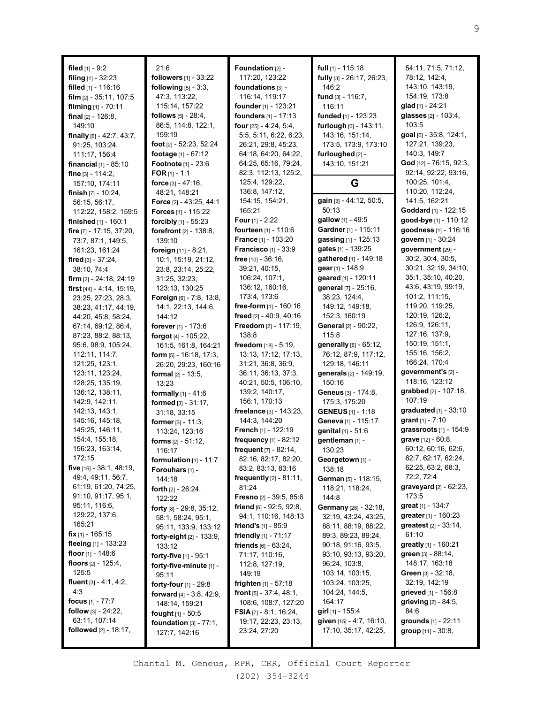| filed $[1]$ - 9:2               | 21:6                                        | Foundation [2] -                  | full $[1]$ - 115:18         | 54:11, 71:5, 71:12,             |
|---------------------------------|---------------------------------------------|-----------------------------------|-----------------------------|---------------------------------|
| filing [1] - 32:23              | followers [1] - 33:22                       | 117:20, 123:22                    | fully [3] - 26:17, 26:23,   | 78:12, 142:4,                   |
| filled $[1]$ - 116:16           | following $[5]$ - $3:3$ ,                   | foundations [3] -                 | 146:2                       | 143:10, 143:19,                 |
| film $[2] - 35:11, 107:5$       | 47:3, 113:22,                               | 116:14, 119:17                    | fund [3] - 116:7,           | 154:19, 173:8                   |
| filming $[1] - 70:11$           | 115:14, 157:22                              | founder [1] - 123:21              | 116:11                      | glad [1] - 24:21                |
| final $[2] - 126:8$ ,           | <b>follows</b> [5] - 28:4,                  | founders [1] - 17:13              | funded [1] - 123:23         | glasses [2] - 103:4,            |
| 149:10                          | 86:5, 114:8, 122:1,                         | four [25] - 4:24, 5:4,            | furlough [6] - 143:11,      | 103:5                           |
| finally [6] - 42:7, 43:7,       | 159:19                                      | 5:5, 5:11, 6:22, 6:23,            | 143:16, 151:14,             | goal [6] - 35:8, 124:1,         |
| 91:25, 103:24,                  | foot [2] - 52:23, 52:24                     | 26:21, 29:8, 45:23,               | 173:5, 173:9, 173:10        | 127:21, 139:23,                 |
| 111:17, 156:4                   | footage [1] - 67:12                         | 64:18, 64:20, 64:22,              | furloughed [2] -            | 140:3, 149:7                    |
| <b>financial</b> $[1]$ - 85:10  | Footnote [1] - 23:6                         | 64:25, 65:16, 79:24,              | 143:10, 151:21              | God [12] - 76:15, 92:3,         |
| <b>fine</b> $[3] - 114:2$ ,     | <b>FOR</b> $[1]$ - 1:1                      | 82:3, 112:13, 125:2,              |                             | 92:14, 92:22, 93:16,            |
| 157:10, 174:11                  | force $[3] - 47:16$ ,                       | 125:4, 129:22,                    | G                           | 100:25, 101:4,                  |
| finish $[7] - 10:24$ ,          | 48:21, 148:21                               | 136:8, 147:12,                    |                             | 110:20, 112:24,                 |
| 56:15, 56:17,                   | <b>Force</b> $[2] - 43:25, 44:1$            | 154:15, 154:21,                   | gain [3] - 44:12, 50:5,     | 141:5, 162:21                   |
| 112:22, 158:2, 159:5            | <b>Forces</b> [1] - 115:22                  | 165:21                            | 50:13                       | Goddard [1] - 122:15            |
| <b>finished</b> $[1]$ - 160:1   | forcibly [1] - 55:23                        | <b>Four</b> [1] - 2:22            | gallow [1] - 49:5           | good-bye [1] - 110:12           |
| fire [7] - 17:15, 37:20,        | forefront [2] - 138:8,                      | fourteen [1] - 110:6              | Gardner [1] - 115:11        | goodness [1] - 116:16           |
| 73:7, 87:1, 149:5,              | 139:10                                      | France [1] - 103:20               | gassing [1] - 125:13        | govern [1] - 30:24              |
| 161:23, 161:24                  | foreign [11] - 8:21,                        | <b>Francisco</b> $[1] - 33:9$     | gates [1] - 139:25          | government [29] -               |
| fired $[3] - 37:24$             | 10:1, 15:19, 21:12,                         | <b>free</b> $[10] - 36:16$ ,      | gathered [1] - 149:18       | 30:2, 30:4, 30:5                |
| 38:10, 74:4                     | 23:8, 23:14, 25:22,                         | 39:21, 40:15,                     | gear [1] - 148:9            | 30:21, 32:19, 34:10,            |
| firm $[2] - 24:18$ , 24:19      | 31:25, 32:23,                               | 106:24, 107:1,                    | geared [1] - 120:11         | 35:1, 35:10, 40:20,             |
| first $[44] - 4:14$ , $15:19$ , | 123:13, 130:25                              | 136:12, 160:16,                   | general [7] - 25:16,        | 43:6, 43:19, 99:19,             |
| 23:25, 27:23, 28:3,             | <b>Foreign</b> [6] - 7:8, 13:8,             | 173:4, 173:6                      | 38:23, 124:4,               | 101:2, 111:15,                  |
| 38:23, 41:17, 44:19,            | 14:1, 22:13, 144:6,                         | free-form $[1]$ - 160:16          | 149:12, 149:18,             | 119:20, 119:25,                 |
| 44:20, 45:8, 58:24,             | 144:12                                      | freed [2] - 40:9, 40:16           | 152:3, 160:19               | 120:19, 126:2,                  |
| 67:14, 69:12, 86:4,             | forever $[1] - 173.6$                       | Freedom [2] - 117:19,             | <b>General</b> [2] - 90:22, | 126:9, 126:11,                  |
| 87:23, 88:2, 88:13,             | forgot $[4] - 105:22$ ,                     | 138:8                             | 115:8                       | 127:16, 137:9,                  |
| 95:6, 98:9, 105:24,             | 161:5, 161:8, 164:21                        | freedom [18] - 5:19,              | generally [6] - 65:12,      | 150:19, 151:1,                  |
| 112:11, 114:7,                  | <b>form</b> $[5] - 16:18$ , 17:3,           | 13:13, 17:12, 17:13,              | 76:12, 87:9, 117:12,        | 155:16, 156:2,                  |
| 121:25, 123:1,                  | 26:20, 29:23, 160:16                        | 31:21, 36:8, 36:9,                | 129:18, 146:11              | 166:24, 170:4                   |
| 123:11, 123:24,                 | formal $[2] - 13:5$ ,                       | 36:11, 36:13, 37:3,               | generals [2] - 149:19,      | government's [2] -              |
| 128:25, 135:19,                 | 13:23                                       | 40:21, 50:5, 106:10,              | 150:16                      | 118:16, 123:12                  |
| 136:12, 138:11,                 | <b>formally</b> $[1] - 41:6$                | 139:2, 140:17,                    | <b>Geneus</b> [3] - 174:8,  | grabbed [2] - 107:18,           |
| 142:9, 142:11,                  | formed [3] - 31:17,                         | 156:1, 170:13                     | 175:3, 175:20               | 107:19                          |
| 142:13, 143:1,                  | 31:18, 33:15                                | freelance [3] - 143:23,           | <b>GENEUS</b> $[1]$ - 1:18  | graduated [1] - 33:10           |
| 145:16, 145:18,                 | <b>former</b> $[3] - 11:3$ ,                | 144:3, 144:20                     | Geneva [1] - 115:17         | grant [1] - 7:10                |
| 145:25, 146:11,                 | 113:24, 123:16                              | <b>French</b> [1] - 122:19        | genital [1] - 51:6          | grassroots [1] - 154:9          |
| 154:4, 155:18,                  | forms $[2] - 51:12$ ,                       | frequency [1] - 82:12             | gentleman [1] -             | <b>grave</b> $[12] - 60:8$ ,    |
| 156:23, 163:14,                 |                                             | frequent $[7] - 82:14$ ,          | 130:23                      | 60:12, 60:16, 62:6,             |
| 172:15                          | 116:17                                      | 82:16, 82:17, 82:20,              | Georgetown [1] -            | 62:7, 62:17, 62:24,             |
| five $[16] - 38:1, 48:19,$      | formulation $[1]$ - 11:7<br>Forouhars [1] - | 83:2, 83:13, 83:16                | 138:18                      | 62:25, 63:2, 68:3,              |
| 49:4, 49:11, 56:7,              |                                             | <b>frequently</b> $[2] - 81:11$ , | German [5] - 118:15,        | 72:2, 72:4                      |
| 61:19, 61:20, 74:25,            | 144:18<br><b>forth</b> $[2] - 26:24$ ,      | 81:24                             | 118:21, 118:24,             | $graveyard$ [2] - 62:23,        |
| 91:10, 91:17, 95:1,             |                                             | <b>Fresno</b> [2] - 39:5, 85:6    | 144:8                       | 173:5                           |
| 95:11, 116:6,                   | 122:22                                      | <b>friend</b> $[6]$ - 92:5, 92:8, | Germany [28] - 32:18,       | great [1] - 134:7               |
| 129:22, 137:6,                  | <b>forty</b> $[8] - 29:8, 35:12,$           | 94:1, 110:16, 148:13              | 32:19, 43:24, 43:25,        | greater [1] - 160:23            |
| 165:21                          | 58:1, 58:24, 95:1,                          | friend's $[1] - 85.9$             | 88:11, 88:19, 88:22,        | <b>greatest</b> $[2] - 33:14$ , |
| <b>fix</b> [1] - 165:15         | 95:11, 133:9, 133:12                        | <b>friendly</b> $[1]$ - 71:17     | 89:3, 89:23, 89:24,         | 61:10                           |
| fleeing $[1]$ - 133:23          | <b>forty-eight</b> $[2] - 133.9$ ,          | friends $[6] - 63:24$ ,           | 90:18, 91:16, 93:5,         | greatly $[1]$ - 160:21          |
| floor $[1]$ - 148:6             | 133:12                                      |                                   | 93:10, 93:13, 93:20,        | green [3] - 88:14,              |
| floors $[2] - 125:4,$           | forty-five [1] - 95:1                       | 71:17, 110:16,                    |                             | 148:17, 163:18                  |
| 125:5                           | forty-five-minute [1] -                     | 112:8, 127:19,                    | 96:24, 103:8,               | <b>Green</b> $[3] - 32:18$ ,    |
| fluent $[3] - 4:1, 4:2,$        | 95:11                                       | 149:19                            | 103:14, 103:15,             |                                 |
| 4:3                             | forty-four [1] - 29:8                       | <b>frighten</b> $[1] - 57:18$     | 103:24, 103:25,             | 32:19, 142:19                   |
|                                 | forward $[4] - 3.8, 42.9,$                  | <b>front</b> $[5] - 37:4, 48:1,$  | 104:24, 144:5,              | grieved [1] - 156:8             |
| focus $[1] - 77:7$              | 148:14, 159:21                              | 108:6, 108:7, 127:20              | 164:17                      | grieving [2] - 84:5,            |
| <b>follow</b> $[3] - 24:22$ ,   | fought $[1] - 50:5$                         | <b>FSIA</b> $[7] - 8:1, 16:24,$   | <b>girl</b> [1] - 155:4     | 84:6                            |
| 63:11, 107:14                   | foundation $[3] - 77:1$ ,                   | 19:17, 22:23, 23:13,              | given [15] - 4:7, 16:10,    | grounds $[1] - 22:11$           |
| <b>followed</b> $[2] - 18:17$ , | 127:7, 142:16                               | 23:24, 27:20                      | 17:10, 35:17, 42:25,        | group [11] - 30:8,              |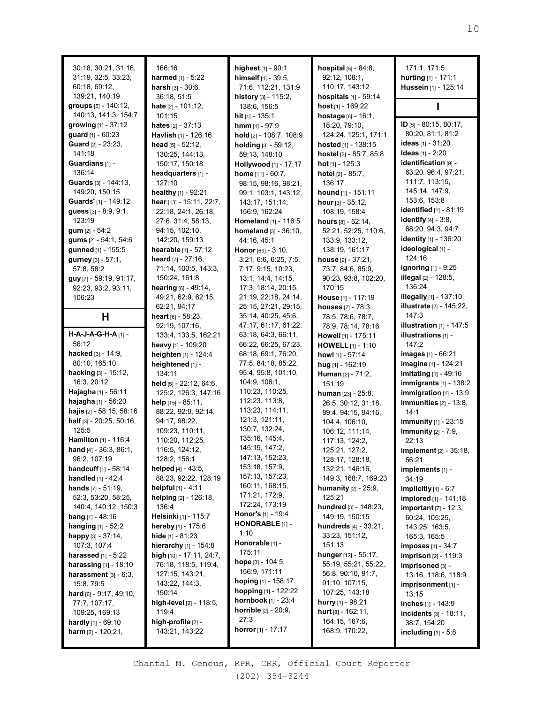| 30:18, 30:21, 31:16,<br>31:19, 32:5, 33:23,<br>60:18, 69:12,<br>139:21, 140:19 | 166:16<br>harmed [1] - 5:22<br>harsh [3] - 30:6.<br>36:18, 51:5 | highest [1] - 90:1<br><b>himself</b> $[4] - 39:5$ ,<br>71:6, 112:21, 131:9<br>history [3] - 115:2, | <b>hospital</b> $[5] - 84:8$ ,<br>92:12, 108:1,<br>110:17, 143:12<br><b>hospitals</b> $[1] - 59:14$ | 171:1, 171:5<br>hurting [1] - 171:1<br>Hussein [1] - 125:14 |
|--------------------------------------------------------------------------------|-----------------------------------------------------------------|----------------------------------------------------------------------------------------------------|-----------------------------------------------------------------------------------------------------|-------------------------------------------------------------|
| groups [5] - 140:12,                                                           | hate [2] - 101:12,                                              | 138:6, 156:5                                                                                       | host $[1]$ - 169:22                                                                                 |                                                             |
| 140:13, 141:3, 154:7<br>growing $[1] - 37:12$                                  | 101:15                                                          | hit $[1] - 135:1$                                                                                  | hostage [6] - 16:1,                                                                                 | ID [5] - 80:15, 80:17,                                      |
| guard [1] - 60:23                                                              | hates $[2] - 37:13$<br>Havlish [1] - 126:16                     | <b>hmm</b> $[1] - 97:9$<br>hold [2] - 108:7, 108:9                                                 | 18:20, 79:10,<br>124:24, 125:1, 171:1                                                               | 80:20, 81:1, 81:2                                           |
| Guard [2] - 23:23,                                                             | head $[5] - 52:12$ ,                                            | holding [3] - 59:12,                                                                               | hosted [1] - 138:15                                                                                 | ideas [1] - 31:20                                           |
| 141:18                                                                         | 130:25, 144:13,                                                 | 59:13, 148:10                                                                                      | hostel [2] - 85:7, 85:8                                                                             | <b>Ideas</b> $[1] - 2:20$                                   |
| Guardians [1] -                                                                | 150:17, 150:18                                                  | Hollywood [1] - 17:17                                                                              | <b>hot</b> $[1]$ - 125:3                                                                            | identification [9] -                                        |
| 136:14                                                                         | headquarters [1] -                                              | home [11] - 60:7.                                                                                  | <b>hotel</b> $[2] - 85:7$ ,                                                                         | 63:20, 96:4, 97:21,                                         |
| Guards [3] - 144:13,                                                           | 127:10                                                          | 98:15, 98:16, 98:21,                                                                               | 136:17                                                                                              | 111:7, 113:15,                                              |
| 149:20, 150:15                                                                 | healthy [1] - 92:21                                             | 99:1, 103:1, 143:12,                                                                               | hound [1] - 151:11                                                                                  | 145:14, 147:9,                                              |
| Guards' [1] - 149:12                                                           | hear [13] - 15:11, 22:7,                                        | 143:17, 151:14,                                                                                    | hour $[3] - 35:12$ ,                                                                                | 153:6, 153:8                                                |
| guess $[3] - 8:9, 9:1,$                                                        | 22:18, 24:1, 26:18,                                             | 156:9, 162:24                                                                                      | 108:19, 158:4                                                                                       | identified [1] - 81:19                                      |
| 123:19                                                                         | 27:6, 31:4, 58:13,                                              | Homeland [1] - 116:5                                                                               | hours $[8] - 52:14$ ,                                                                               | <b>identify</b> $[4] - 3:8$ ,<br>68:20, 94:3, 94:7          |
| <b>gum</b> $[2] - 54:2$                                                        | 94:15, 102:10,                                                  | homeland [3] - 36:10,                                                                              | 52:21, 52:25, 110:6,                                                                                | <b>identity</b> [1] - 136:20                                |
| gums [2] - 54:1, 54:6<br>gunned [1] - 155:5                                    | 142:20, 159:13<br>hearable [1] - 57:12                          | 44:16, 45:1<br>Honor [69] - 3:10,                                                                  | 133:9, 133:12,<br>138:19, 161:17                                                                    | ideological [1] -                                           |
| gurney $[3] - 57:1$ ,                                                          | heard $[7] - 27:16$ ,                                           | 3:21, 6:6, 6:25, 7:5,                                                                              | house [9] - 37:21,                                                                                  | 124:16                                                      |
| 57:8, 58:2                                                                     | 71:14, 100:5, 143:3,                                            | 7:17, 9:15, 10:23,                                                                                 | 73:7, 84:6, 85:9,                                                                                   | <b>ignoring</b> [1] - 9:25                                  |
| guy [7] - 59:19, 91:17,                                                        | 150:24, 161:8                                                   | 13:1, 14:4, 14:15,                                                                                 | 90:23, 93:8, 102:20,                                                                                | <b>illegal</b> [2] - 128:5,                                 |
| 92:23, 93:2, 93:11,                                                            | <b>hearing</b> $[6] - 49:14$ ,                                  | 17:3, 18:14, 20:15,                                                                                | 170:15                                                                                              | 136:24                                                      |
| 106:23                                                                         | 49:21, 62:9, 62:15,                                             | 21:19, 22:18, 24:14,                                                                               | House [1] - 117:19                                                                                  | illegally [1] - 137:10                                      |
|                                                                                | 62:21, 94:17                                                    | 25:15, 27:21, 29:15,                                                                               | houses [7] - 78:3,                                                                                  | <b>illustrate</b> [2] - 145:22,                             |
| н                                                                              | heart $[6] - 58:23$ ,                                           | 35:14, 40:25, 45:6,                                                                                | 78:5, 78:6, 78:7,                                                                                   | 147:3                                                       |
|                                                                                | 92:19, 107:16,                                                  | 47:17, 61:17, 61:22,                                                                               | 78:9, 78:14, 78:16                                                                                  | <b>illustration</b> $[1]$ - 147:5                           |
| H-A-J-A-G-H-A [1] -                                                            | 133:4, 133:5, 162:21                                            | 63:18, 64:3, 66:11,                                                                                | Howell [1] - 175:11                                                                                 | illustrations [1] -                                         |
| 56:12                                                                          | heavy [1] - 109:20                                              | 66:22, 66:25, 67:23,                                                                               | <b>HOWELL</b> $[1] - 1:10$                                                                          | 147:2                                                       |
| <b>hacked</b> $[3] - 14:9$ ,<br>80:10, 165:10                                  | heighten [1] - 124:4                                            | 68:18, 69:1, 76:20,<br>77:5, 84:18, 85:22,                                                         | howl [1] - 57:14                                                                                    | <b>images</b> [1] - 66:21                                   |
| <b>hacking</b> $[3] - 15:12$ ,                                                 | heightened [1] -<br>134:11                                      | 95:4, 95:8, 101:10,                                                                                | hug [1] - 162:19                                                                                    | imagine [1] - 124:21<br>imitating $[1]$ - 49:16             |
| 16:3, 20:12                                                                    | held [5] - 22:12, 64:6,                                         | 104:9, 106:1,                                                                                      | Human [2] - 71:2,<br>151:19                                                                         | <b>immigrants</b> [1] - 138:2                               |
| Hajagha [1] - 56:11                                                            | 125:2, 126:3, 147:16                                            | 110:23, 110:25,                                                                                    | human [23] - 25:8,                                                                                  | <b>immigration</b> $[1]$ - 13:9                             |
| hajagha [1] - 56:20                                                            | help [15] - 85:11.                                              | 112:23, 113:8,                                                                                     | 26:5, 30:12, 31:18,                                                                                 | Immunities $[2] - 13:8$ ,                                   |
| hajis [2] - 58:15, 58:16                                                       | 88:22, 92:9, 92:14,                                             | 113:23, 114:11,                                                                                    | 89:4, 94:15, 94:16,                                                                                 | 14:1                                                        |
| half [3] - 20:25, 50:16,                                                       | 94:17, 98:22,                                                   | 121:3, 121:11,                                                                                     | 104:4, 106:10,                                                                                      | <b>immunity</b> [1] - 23:15                                 |
| 125:5                                                                          | 109:23, 110:11,                                                 | 130:7, 132:24,                                                                                     | 106:12, 111:14,                                                                                     | <b>Immunity</b> [2] - 7:9,                                  |
| Hamilton [1] - 116:4                                                           | 110:20, 112:25,                                                 | 135:16, 145:4,                                                                                     | 117:13, 124:2,                                                                                      | 22:13                                                       |
| hand [4] - 36:3, 86:1,                                                         | 116:5, 124:12,                                                  | 145:15, 147:2,                                                                                     | 125:21, 127:2,                                                                                      | <b>implement</b> [2] - 35:18,                               |
| 96:2, 107:19                                                                   | 128:2, 156:1                                                    | 147:13, 152:23,                                                                                    | 128:17, 128:18,                                                                                     | 56:21                                                       |
| <b>handcuff</b> $[1]$ - 58:14                                                  | helped $[4] - 43:5$ ,                                           | 153:18, 157:9,<br>157:13, 157:23,                                                                  | 132:21, 146:16,                                                                                     | implements [1] -                                            |
| handled [1] - 42:4                                                             | 88:23, 92:22, 128:19                                            | 160:11, 168:15,                                                                                    | 149:3, 168:7, 169:23                                                                                | 34:19                                                       |
| <b>hands</b> $[7] - 51:19$<br>52:3, 53:20, 58:25,                              | helpful [1] - 4:11<br>helping [2] - 126:18,                     | 171:21, 172:9,                                                                                     | humanity [2] - 25:9,<br>125:21                                                                      | implicitly [1] - 6:7                                        |
| 140:4, 140:12, 150:3                                                           | 136:4                                                           | 172:24, 173:19                                                                                     | hundred [3] - 148:23,                                                                               | implored [1] - 141:18<br>important $[7] - 12:3$ ,           |
| <b>hang</b> $[1]$ - 48:16                                                      | Helsinki [1] - 115:7                                            | Honor's [1] - 19:4                                                                                 | 149:19, 150:15                                                                                      | 60:24, 105:25,                                              |
| <b>hanging</b> $[1] - 52:2$                                                    | hereby [1] - 175:6                                              | HONORABLE [1] -                                                                                    | <b>hundreds</b> $[4]$ - $33:21$ ,                                                                   | 143:25, 163:5,                                              |
| happy [3] - 37:14,                                                             | <b>hide</b> $[1] - 81:23$                                       | 1:10                                                                                               | 33:23, 151:12,                                                                                      | 165:3, 165:5                                                |
| 107:3, 107:4                                                                   | hierarchy [1] - 154:8                                           | Honorable [1] -                                                                                    | 151:13                                                                                              | <b>imposes</b> [1] - 34:7                                   |
| <b>harassed</b> [1] - 5:22                                                     | high [10] - 17:11, 24:7,                                        | 175:11                                                                                             | hunger [12] - 55:17,                                                                                | <b>imprison</b> [2] - 119:3                                 |
| <b>harassing</b> $[1] - 18:10$                                                 | 76:18, 118:5, 119:4,                                            | hope [3] - 104:5,                                                                                  | 55:19, 55:21, 55:22,                                                                                | imprisoned [3] -                                            |
| harassment $[3] - 6:3$ ,                                                       | 127:15, 143:21,                                                 | 156:9, 171:11                                                                                      | 56:8, 90:10, 91:7,                                                                                  | 13:16, 118:6, 118:9                                         |
| 15:8, 79:5                                                                     | 143:22, 144:3,                                                  | hoping $[1]$ - 158:17                                                                              | 91:10, 107:15,                                                                                      | imprisonment [1] -                                          |
| hard [6] - 9:17, 49:10,                                                        | 150:14                                                          | hopping $[1]$ - 122:22<br><b>hornbook</b> $[1]$ - 23:4                                             | 107:25, 143:18                                                                                      | 13:15                                                       |
| 77:7, 107:17,                                                                  | high-level [2] - 118:5,                                         | horrible [2] - 20:9,                                                                               | <b>hurry</b> [1] - 98:21                                                                            | inches [1] - 143:9                                          |
| 109:25, 169:13                                                                 | 119:4<br>high-profile [2] -                                     | 27:3                                                                                               | <b>hurt</b> $[8] - 162:11$ ,<br>164:15, 167:6,                                                      | incidents [3] - 18:11,                                      |
| <b>hardly</b> [1] - 69:10<br>harm $[2] - 120:21$ ,                             | 143:21, 143:22                                                  | horror $[1] - 17:17$                                                                               | 168:9, 170:22,                                                                                      | 38:7, 154:20<br>including $[1] - 5.8$                       |
|                                                                                |                                                                 |                                                                                                    |                                                                                                     |                                                             |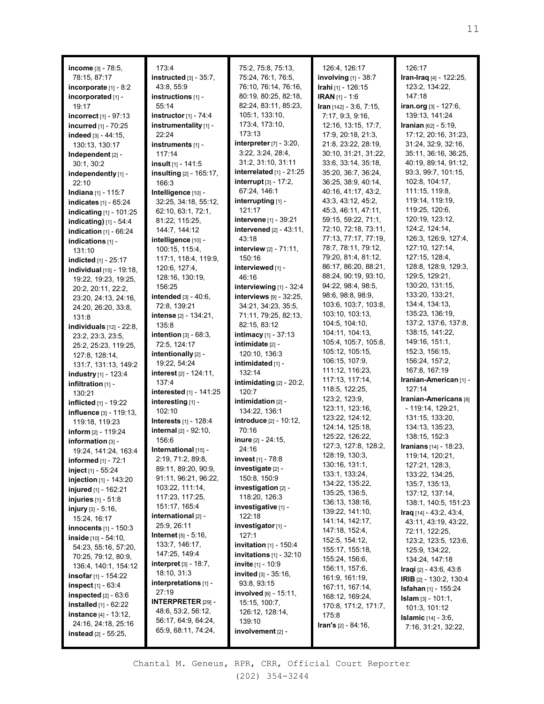|                                                  | 173:4                                 | 75:2, 75:8, 75:13,                             | 126:4, 126:17                              | 126:17                                    |
|--------------------------------------------------|---------------------------------------|------------------------------------------------|--------------------------------------------|-------------------------------------------|
| income [3] - 78:5,<br>78:15, 87:17               | $instructed$ [3] - 35:7,              | 75:24, 76:1, 76:5,                             | involving [1] - 38:7                       | Iran-Iraq [4] - 122:25,                   |
| incorporate [1] - 8:2                            | 43:8, 55:9                            | 76:10, 76:14, 76:16,                           | Irahi [1] - 126:15                         | 123:2, 134:22,                            |
| incorporated [1] -                               | instructions [1] -                    | 80:19, 80:25, 82:18,                           | <b>IRAN</b> $[1] - 1:6$                    | 147:18                                    |
| 19:17                                            | 55:14                                 | 82:24, 83:11, 85:23,                           | Iran $[142] - 3:6, 7:15,$                  | iran.org [3] - 127:6,                     |
| incorrect [1] - 97:13                            | instructor $[1]$ - 74:4               | 105:1, 133:10,                                 | 7:17, 9:3, 9:16,                           | 139:13, 141:24                            |
| incurred [1] - 70:25                             | instrumentality [1] -                 | 173:4, 173:10,                                 | 12:16, 13:15, 17:7,                        | Iranian [62] - 5:19,                      |
| indeed [3] - 44:15,                              | 22:24                                 | 173:13                                         | 17:9, 20:18, 21:3,                         | 17:12, 20:16, 31:23,                      |
| 130:13, 130:17                                   | instruments [1] -                     | interpreter [7] - 3:20,                        | 21:8, 23:22, 28:19,                        | 31:24, 32:9, 32:16,                       |
| Independent [2] -                                | 117:14                                | 3:22, 3:24, 28:4,                              | 30:10, 31:21, 31:22,                       | 35:11, 36:16, 36:25,                      |
| 30:1, 30:2                                       | insult $[1]$ - 141:5                  | 31:2, 31:10, 31:11                             | 33:6, 33:14, 35:18,                        | 40:19, 89:14, 91:12,                      |
| independently [1] -                              | insulting [2] - 165:17,               | interrelated $[1]$ - 21:25                     | 35:20, 36:7, 36:24,                        | 93:3, 99:7, 101:15,                       |
| 22:10                                            | 166:3                                 | <b>interrupt</b> $[3] - 17:2$ ,                | 36:25, 38:9, 40:14,                        | 102:8, 104:17,                            |
| Indiana [1] - 115:7                              | Intelligence [10] -                   | 67:24, 146:1                                   | 40:16, 41:17, 43:2,                        | 111:15, 119:8,                            |
| indicates [1] - 65:24                            | 32:25, 34:18, 55:12,                  | interrupting [1] -                             | 43:3, 43:12, 45:2,                         | 119:14, 119:19,                           |
| indicating [1] - 101:25                          | 62:10, 63:1, 72:1,                    | 121:17                                         | 45:3, 46:11, 47:11,                        | 119:25, 120:6,                            |
| indicating) [1] - 54:4                           | 81:22, 115:25,                        | intervene [1] - 39:21                          | 59:15, 59:22, 71:1,                        | 120:19, 123:12,                           |
| indication $[1]$ - 66:24                         | 144:7, 144:12                         | intervened $[2] - 43:11$ ,                     | 72:10, 72:18, 73:11,                       | 124:2, 124:14,                            |
| indications [1] -                                | intelligence [10] -                   | 43:18                                          | 77:13, 77:17, 77:19,                       | 126:3, 126:9, 127:4,                      |
| 131:10                                           | 100:15, 115:4,                        | <b>interview</b> $[2] - 71:11$ ,               | 78:7, 78:11, 79:12,                        | 127:10, 127:14,                           |
| indicted [1] - 25:17                             | 117:1, 118:4, 119:9,                  | 150:16                                         | 79:20, 81:4, 81:12,                        | 127:15, 128:4,<br>128:8, 128:9, 129:3,    |
| individual [15] - 19:18,                         | 120:6, 127:4,                         | interviewed [1] -                              | 86:17, 86:20, 88:21,                       |                                           |
| 19:22, 19:23, 19:25,                             | 128:16, 130:19,                       | 46:16                                          | 88:24, 90:19, 93:10,<br>94:22, 98:4, 98:5, | 129:5, 129:21,<br>130:20, 131:15,         |
| 20:2, 20:11, 22:2,                               | 156:25                                | interviewing $[1]$ - 32:4                      | 98:6, 98:8, 98:9,                          | 133:20, 133:21,                           |
| 23:20, 24:13, 24:16,                             | <b>intended</b> $[3] - 40:6$ ,        | interviews [9] - 32:25,<br>34:21, 34:23, 35:5, | 103:6, 103:7, 103:8,                       | 134:4, 134:13,                            |
| 24:20, 26:20, 33:8,                              | 72:8, 139:21<br>intense [2] - 134:21, | 71:11, 79:25, 82:13,                           | 103:10, 103:13,                            | 135:23, 136:19,                           |
| 131:8                                            | 135:8                                 | 82:15, 83:12                                   | 104:5, 104:10,                             | 137:2, 137:6, 137:8,                      |
| <b>individuals</b> $[12] - 22:8$ ,               | intention $[3] - 68:3$ ,              | intimacy [1] - 37:13                           | 104:11, 104:13,                            | 138:15, 141:22,                           |
| 23:2, 23:3, 23:5,<br>25:2, 25:23, 119:25,        | 72:5, 124:17                          | intimidate [2] -                               | 105:4, 105:7, 105:8,                       | 149:16, 151:1,                            |
| 127:8, 128:14,                                   | intentionally [2] -                   | 120:10, 136:3                                  | 105:12, 105:15,                            | 152:3, 156:15,                            |
| 131:7, 131:13, 149:2                             | 19:22, 54:24                          | intimidated [1] -                              | 106:15, 107:9,                             | 156:24, 157:2,                            |
| <b>industry</b> [1] - 123:4                      | <b>interest</b> [2] - 124:11,         | 132:14                                         | 111:12, 116:23,                            | 167:8, 167:19                             |
| infiltration [1] -                               | 137:4                                 | <b>intimidating</b> $[2] - 20:2$ ,             | 117:13, 117:14,                            | Iranian-American [1] -                    |
| 130:21                                           | interested [1] - 141:25               | 120:7                                          | 118:5, 122:25,                             | 127:14                                    |
| <b>inflicted</b> $[1]$ - 19:22                   | interesting [1] -                     | intimidation $[2]$ -                           | 123:2, 123:9,                              | Iranian-Americans <sup>[8]</sup>          |
| influence [3] - 119:13,                          | 102:10                                | 134:22, 136:1                                  | 123:11, 123:16,                            | - 119:14, 129:21,                         |
| 119:18, 119:23                                   | <b>Interests</b> [1] - 128:4          | introduce [2] - 10:12,                         | 123:22, 124:12,                            | 131:15, 133:20,                           |
| inform $[2] - 119:24$                            | <b>internal</b> $[2] - 92:10$ ,       | 70:16                                          | 124:14, 125:18,                            | 134:13, 135:23,                           |
| information [3] -                                | 156:6                                 | <b>inure</b> $[2] - 24:15$ ,                   | 125:22, 126:22,                            | 138:15, 152:3                             |
| 19:24, 141:24, 163:4                             | International [15] -                  | 24:16                                          | 127:3, 127:8, 128:2,<br>128:19, 130:3,     | Iranians [14] - 18:23,<br>119:14, 120:21, |
| <b>informed</b> [1] - 72:1                       | 2:19, 71:2, 89:8,                     | <b>invest</b> [1] - $78:8$                     | 130:16, 131:1,                             | 127:21, 128:3,                            |
| inject [1] - 55:24                               | 89:11, 89:20, 90:9,                   | investigate [2] -                              | 133:1, 133:24,                             | 133:22, 134:25,                           |
| injection [1] - 143:20                           | 91:11, 96:21, 96:22,                  | 150:8, 150:9                                   | 134:22, 135:22,                            | 135:7, 135:13,                            |
| injured [1] - 162:21                             | 103:22, 111:14,                       | investigation [2] -                            | 135:25, 136:5,                             | 137:12, 137:14,                           |
| <b>injuries</b> $[1] - 51.8$                     | 117:23, 117:25,                       | 118:20, 126:3                                  | 136:13, 138:16,                            | 138:1, 140:5, 151:23                      |
| <b>injury</b> $[3] - 5:16$ ,                     | 151:17, 165:4                         | investigative [1] -                            | 139:22, 141:10,                            | $Iraq$ [14] - 43:2, 43:4,                 |
| 15:24, 16:17                                     | international [2] -<br>25:9, 26:11    | 122:18                                         | 141:14, 142:17,                            | 43:11, 43:19, 43:22,                      |
| innocents [1] - 150:3                            | <b>Internet</b> $[5] - 5:16$ ,        | investigator [1] -<br>127:1                    | 147:18, 152:4,                             | 72:11, 122:25,                            |
| inside [10] - 54:10,                             | 133:7, 146:17,                        | <b>invitation</b> $[1]$ - 150:4                | 152:5, 154:12,                             | 123:2, 123:5, 123:6,                      |
| 54:23, 55:16, 57:20,                             | 147:25, 149:4                         | invitations $[1]$ - 32:10                      | 155:17, 155:18,                            | 125:9, 134:22,                            |
| 70:25, 79:12, 80:9,                              | <b>interpret</b> $[3] - 18:7,$        | <b>invite</b> $[1] - 10.9$                     | 155:24, 156:6,                             | 134:24, 147:18                            |
| 136:4, 140:1, 154:12                             | 18:10, 31:3                           | <b>invited</b> $[3] - 35:16$ ,                 | 156:11, 157:6,                             | <b>Iraqi</b> [2] - 43:6, 43:8             |
| <b>insofar</b> [1] - 154:22                      | interpretations [1] -                 | 93:8, 93:15                                    | 161:9, 161:19,                             | <b>IRIB</b> $[2] - 130:2, 130:4$          |
| $inspect_{[1]} - 63:4$<br>inspected $[2] - 63.6$ | 27:19                                 | <b>involved</b> $[6] - 15:11$ ,                | 167:11, 167:14,                            | <b>Isfahan</b> [1] - 155:24               |
| <b>installed</b> $[1] - 62:22$                   | <b>INTERPRETER [29] -</b>             | 15:15, 100:7,                                  | 168:12, 169:24,                            | <b>Islam</b> $[3] - 101:1$ ,              |
| <b>instance</b> [4] - 13:12,                     | 48:6, 53:2, 56:12,                    | 126:12, 128:14,                                | 170:8, 171:2, 171:7,<br>175:8              | 101:3, 101:12                             |
| 24:16, 24:18, 25:16                              | 56:17, 64:9, 64:24,                   | 139:10                                         | <b>Iran's</b> $[2] - 84:16$ ,              | <b>Islamic</b> $[14] - 3.6$ ,             |
| <b>instead</b> $[2]$ - 55:25,                    | 65:9, 68:11, 74:24,                   | involvement [2] -                              |                                            | 7:16, 31:21, 32:22,                       |
|                                                  |                                       |                                                |                                            |                                           |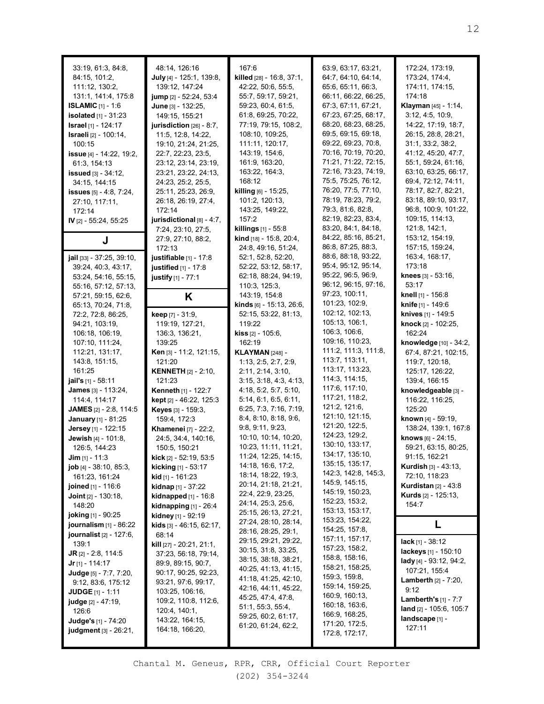| 33:19, 61:3, 84:8,<br>84:15, 101:2,<br>111:12, 130:2,<br>131:1, 141:4, 175:8<br><b>ISLAMIC</b> $[1] - 1:6$<br><b>isolated</b> $[1] - 31:23$<br><b>Israel</b> [1] - 124:17<br><b>Israeli</b> [2] - 100:14,<br>100:15<br><b>issue</b> [4] - 14:22, 19:2,<br>61:3, 154:13<br><b>issued</b> $[3] - 34:12$ ,<br>34:15, 144:15<br><b>issues</b> $[5] - 4:8$ , $7:24$ ,<br>27:10, 117:11,<br>172:14<br>IV [2] - 55:24, 55:25 | 48:14, 126:16<br>July [4] - 125:1, 139:8,<br>139:12, 147:24<br>jump [2] - 52:24, 53:4<br>June [3] - 132:25,<br>149:15, 155:21<br>jurisdiction [26] - 8:7,<br>11:5, 12:8, 14:22,<br>19:10, 21:24, 21:25,<br>22:7, 22:23, 23:5,<br>23:12, 23:14, 23:19,<br>23:21, 23:22, 24:13,<br>24:23, 25:2, 25:5,<br>25:11, 25:23, 26:9,<br>26:18, 26:19, 27:4,<br>172:14<br>jurisdictional $[8] - 4:7$ , | 167:6<br>killed [28] - 16:8, 37:1,<br>42:22, 50:6, 55:5,<br>55:7, 59:17, 59:21,<br>59:23, 60:4, 61:5,<br>61:8, 69:25, 70:22,<br>77:19, 79:15, 108:2,<br>108:10, 109:25,<br>111:11, 120:17,<br>143:19, 154:6,<br>161:9, 163:20,<br>163:22, 164:3,<br>168:12<br><b>killing</b> [6] - 15:25,<br>101:2, 120:13,<br>143:25, 149:22,<br>157:2<br><b>killings</b> $[1]$ - 55:8 | 63:9, 63:17, 63:21,<br>64:7, 64:10, 64:14,<br>65:6, 65:11, 66:3,<br>66:11, 66:22, 66:25,<br>67:3, 67:11, 67:21,<br>67:23, 67:25, 68:17,<br>68:20, 68:23, 68:25,<br>69:5, 69:15, 69:18,<br>69:22, 69:23, 70:8,<br>70:16, 70:19, 70:20,<br>71:21, 71:22, 72:15,<br>72:16, 73:23, 74:19,<br>75:5, 75:25, 76:12,<br>76:20, 77:5, 77:10,<br>78:19, 78:23, 79:2,<br>79:3, 81:6, 82:8,<br>82:19, 82:23, 83:4,<br>83:20, 84:1, 84:18, | 172:24, 173:19,<br>173:24, 174:4,<br>174:11, 174:15,<br>174:18<br>Klayman [45] - 1:14,<br>3:12, 4:5, 10:9,<br>14:22, 17:19, 18:7,<br>26:15, 28:8, 28:21,<br>31:1, 33:2, 38:2,<br>41:12, 45:20, 47:7,<br>55:1, 59:24, 61:16,<br>63:10, 63:25, 66:17,<br>69:4, 72:12, 74:11,<br>78:17, 82:7, 82:21,<br>83:18, 89:10, 93:17,<br>96:8, 100:9, 101:22,<br>109:15, 114:13,<br>121:8, 142:1, |
|-----------------------------------------------------------------------------------------------------------------------------------------------------------------------------------------------------------------------------------------------------------------------------------------------------------------------------------------------------------------------------------------------------------------------|---------------------------------------------------------------------------------------------------------------------------------------------------------------------------------------------------------------------------------------------------------------------------------------------------------------------------------------------------------------------------------------------|-------------------------------------------------------------------------------------------------------------------------------------------------------------------------------------------------------------------------------------------------------------------------------------------------------------------------------------------------------------------------|-------------------------------------------------------------------------------------------------------------------------------------------------------------------------------------------------------------------------------------------------------------------------------------------------------------------------------------------------------------------------------------------------------------------------------|---------------------------------------------------------------------------------------------------------------------------------------------------------------------------------------------------------------------------------------------------------------------------------------------------------------------------------------------------------------------------------------|
| J                                                                                                                                                                                                                                                                                                                                                                                                                     | 7:24, 23:10, 27:5,<br>27:9, 27:10, 88:2,                                                                                                                                                                                                                                                                                                                                                    | kind [18] - 15:8, 20:4,                                                                                                                                                                                                                                                                                                                                                 | 84:22, 85:16, 85:21,                                                                                                                                                                                                                                                                                                                                                                                                          | 153:12, 154:19,                                                                                                                                                                                                                                                                                                                                                                       |
|                                                                                                                                                                                                                                                                                                                                                                                                                       | 172:13                                                                                                                                                                                                                                                                                                                                                                                      | 24:8, 49:16, 51:24,                                                                                                                                                                                                                                                                                                                                                     | 86:8, 87:25, 88:3,                                                                                                                                                                                                                                                                                                                                                                                                            | 157:15, 159:24,                                                                                                                                                                                                                                                                                                                                                                       |
| jail [33] - 37:25, 39:10,<br>39:24, 40:3, 43:17,                                                                                                                                                                                                                                                                                                                                                                      | justifiable [1] - 17:8<br>justified $[1] - 17.8$                                                                                                                                                                                                                                                                                                                                            | 52:1, 52:8, 52:20,<br>52:22, 53:12, 58:17,                                                                                                                                                                                                                                                                                                                              | 88:6, 88:18, 93:22,<br>95:4, 95:12, 95:14,                                                                                                                                                                                                                                                                                                                                                                                    | 163:4, 168:17,<br>173:18                                                                                                                                                                                                                                                                                                                                                              |
| 53:24, 54:16, 55:15,                                                                                                                                                                                                                                                                                                                                                                                                  | justify [1] - 77:1                                                                                                                                                                                                                                                                                                                                                                          | 62:18, 88:24, 94:19,                                                                                                                                                                                                                                                                                                                                                    | 95:22, 96:5, 96:9,                                                                                                                                                                                                                                                                                                                                                                                                            | knees $[3] - 53:16$ ,                                                                                                                                                                                                                                                                                                                                                                 |
| 55:16, 57:12, 57:13,                                                                                                                                                                                                                                                                                                                                                                                                  |                                                                                                                                                                                                                                                                                                                                                                                             | 110:3, 125:3,                                                                                                                                                                                                                                                                                                                                                           | 96:12, 96:15, 97:16,                                                                                                                                                                                                                                                                                                                                                                                                          | 53:17                                                                                                                                                                                                                                                                                                                                                                                 |
| 57:21, 59:15, 62:6,                                                                                                                                                                                                                                                                                                                                                                                                   | Κ                                                                                                                                                                                                                                                                                                                                                                                           | 143:19, 154:8                                                                                                                                                                                                                                                                                                                                                           | 97:23, 100:11,                                                                                                                                                                                                                                                                                                                                                                                                                | knell [1] - 156:8                                                                                                                                                                                                                                                                                                                                                                     |
| 65:13, 70:24, 71:8,                                                                                                                                                                                                                                                                                                                                                                                                   |                                                                                                                                                                                                                                                                                                                                                                                             | kinds [6] - 15:13, 26:6,                                                                                                                                                                                                                                                                                                                                                | 101:23, 102:9,                                                                                                                                                                                                                                                                                                                                                                                                                | <b>knife</b> [1] - 149:6                                                                                                                                                                                                                                                                                                                                                              |
| 72:2, 72:8, 86:25,                                                                                                                                                                                                                                                                                                                                                                                                    | keep [7] - 31:9,                                                                                                                                                                                                                                                                                                                                                                            | 52:15, 53:22, 81:13,                                                                                                                                                                                                                                                                                                                                                    | 102:12, 102:13,<br>105:13, 106:1,                                                                                                                                                                                                                                                                                                                                                                                             | knives [1] - 149:5<br>knock [2] - 102:25,                                                                                                                                                                                                                                                                                                                                             |
| 94:21, 103:19,<br>106:18, 106:19,                                                                                                                                                                                                                                                                                                                                                                                     | 119:19, 127:21,<br>136:3, 136:21,                                                                                                                                                                                                                                                                                                                                                           | 119:22<br><b>kiss</b> $[2] - 105:6$ ,                                                                                                                                                                                                                                                                                                                                   | 106:3, 106:6,                                                                                                                                                                                                                                                                                                                                                                                                                 | 162:24                                                                                                                                                                                                                                                                                                                                                                                |
| 107:10, 111:24,                                                                                                                                                                                                                                                                                                                                                                                                       | 139:25                                                                                                                                                                                                                                                                                                                                                                                      | 162:19                                                                                                                                                                                                                                                                                                                                                                  | 109:16, 110:23,                                                                                                                                                                                                                                                                                                                                                                                                               | knowledge [10] - 34:2,                                                                                                                                                                                                                                                                                                                                                                |
| 112:21, 131:17,                                                                                                                                                                                                                                                                                                                                                                                                       | Ken [3] - 11:2, 121:15,                                                                                                                                                                                                                                                                                                                                                                     | <b>KLAYMAN [248] -</b>                                                                                                                                                                                                                                                                                                                                                  | 111:2, 111:3, 111:8,                                                                                                                                                                                                                                                                                                                                                                                                          | 67:4, 87:21, 102:15,                                                                                                                                                                                                                                                                                                                                                                  |
| 143:8, 151:15,                                                                                                                                                                                                                                                                                                                                                                                                        | 121:20                                                                                                                                                                                                                                                                                                                                                                                      | 1:13, 2:5, 2:7, 2:9,                                                                                                                                                                                                                                                                                                                                                    | 113:7, 113:11,                                                                                                                                                                                                                                                                                                                                                                                                                | 119:7, 120:18,                                                                                                                                                                                                                                                                                                                                                                        |
| 161:25                                                                                                                                                                                                                                                                                                                                                                                                                | <b>KENNETH</b> $[2] - 2:10$ ,                                                                                                                                                                                                                                                                                                                                                               | 2:11, 2:14, 3:10,                                                                                                                                                                                                                                                                                                                                                       | 113:17, 113:23,                                                                                                                                                                                                                                                                                                                                                                                                               | 125:17, 126:22,                                                                                                                                                                                                                                                                                                                                                                       |
| <b>jail's</b> [1] - 58:11                                                                                                                                                                                                                                                                                                                                                                                             | 121:23                                                                                                                                                                                                                                                                                                                                                                                      | 3:15, 3:18, 4:3, 4:13,                                                                                                                                                                                                                                                                                                                                                  | 114:3, 114:15,                                                                                                                                                                                                                                                                                                                                                                                                                | 139:4, 166:15                                                                                                                                                                                                                                                                                                                                                                         |
| <b>James</b> [3] - 113:24,                                                                                                                                                                                                                                                                                                                                                                                            | Kenneth [1] - 122:7                                                                                                                                                                                                                                                                                                                                                                         | 4:18, 5:2, 5:7, 5:10,                                                                                                                                                                                                                                                                                                                                                   | 117:6, 117:10,<br>117:21, 118:2,                                                                                                                                                                                                                                                                                                                                                                                              | knowledgeable [3] -                                                                                                                                                                                                                                                                                                                                                                   |
| 114:4, 114:17                                                                                                                                                                                                                                                                                                                                                                                                         | kept [2] - 46:22, 125:3                                                                                                                                                                                                                                                                                                                                                                     | 5:14, 6:1, 6:5, 6:11,                                                                                                                                                                                                                                                                                                                                                   | 121:2, 121:6,                                                                                                                                                                                                                                                                                                                                                                                                                 | 116:22, 116:25,                                                                                                                                                                                                                                                                                                                                                                       |
| <b>JAMES</b> $[2] - 2:8, 114:5$                                                                                                                                                                                                                                                                                                                                                                                       | Keyes [3] - 159:3,                                                                                                                                                                                                                                                                                                                                                                          | 6:25, 7:3, 7:16, 7:19,<br>8:4, 8:10, 8:18, 9:6,                                                                                                                                                                                                                                                                                                                         | 121:10, 121:15,                                                                                                                                                                                                                                                                                                                                                                                                               | 125:20<br><b>known</b> [4] - 59:19,                                                                                                                                                                                                                                                                                                                                                   |
| <b>January</b> [1] - 81:25<br>Jersey [1] - 122:15                                                                                                                                                                                                                                                                                                                                                                     | 159:4, 172:3<br><b>Khamenei</b> [7] - 22:2,                                                                                                                                                                                                                                                                                                                                                 | 9:8, 9:11, 9:23,                                                                                                                                                                                                                                                                                                                                                        | 121:20, 122:5,                                                                                                                                                                                                                                                                                                                                                                                                                | 138:24, 139:1, 167:8                                                                                                                                                                                                                                                                                                                                                                  |
| <b>Jewish</b> [4] - 101:8,                                                                                                                                                                                                                                                                                                                                                                                            | 24:5, 34:4, 140:16,                                                                                                                                                                                                                                                                                                                                                                         | 10:10, 10:14, 10:20,                                                                                                                                                                                                                                                                                                                                                    | 124:23, 129:2,                                                                                                                                                                                                                                                                                                                                                                                                                | knows [6] - 24:15,                                                                                                                                                                                                                                                                                                                                                                    |
| 126:5, 144:23                                                                                                                                                                                                                                                                                                                                                                                                         | 150:5, 150:21                                                                                                                                                                                                                                                                                                                                                                               | 10:23, 11:11, 11:21,                                                                                                                                                                                                                                                                                                                                                    | 130:10, 133:17,                                                                                                                                                                                                                                                                                                                                                                                                               | 59:21, 63:15, 80:25,                                                                                                                                                                                                                                                                                                                                                                  |
| $Jim [1] - 11:3$                                                                                                                                                                                                                                                                                                                                                                                                      | kick [2] - 52:19, 53:5                                                                                                                                                                                                                                                                                                                                                                      | 11:24, 12:25, 14:15,                                                                                                                                                                                                                                                                                                                                                    | 134:17, 135:10,                                                                                                                                                                                                                                                                                                                                                                                                               | 91:15, 162:21                                                                                                                                                                                                                                                                                                                                                                         |
| <b>job</b> $[4] - 38:10, 85:3,$                                                                                                                                                                                                                                                                                                                                                                                       | <b>kicking</b> [1] - 53:17                                                                                                                                                                                                                                                                                                                                                                  | 14:18, 16:6, 17:2,                                                                                                                                                                                                                                                                                                                                                      | 135:15, 135:17,                                                                                                                                                                                                                                                                                                                                                                                                               | <b>Kurdish</b> $[3] - 43:13$ ,                                                                                                                                                                                                                                                                                                                                                        |
| 161:23, 161:24                                                                                                                                                                                                                                                                                                                                                                                                        | <b>kid</b> [1] - 161:23                                                                                                                                                                                                                                                                                                                                                                     | 18:14, 18:22, 19:3,                                                                                                                                                                                                                                                                                                                                                     | 142:3, 142:8, 145:3,<br>145:9, 145:15,                                                                                                                                                                                                                                                                                                                                                                                        | 72:10, 118:23                                                                                                                                                                                                                                                                                                                                                                         |
| joined [1] - 116:6                                                                                                                                                                                                                                                                                                                                                                                                    | <b>kidnap</b> [1] - 37:22                                                                                                                                                                                                                                                                                                                                                                   | 20:14, 21:18, 21:21,<br>22:4, 22:9, 23:25,                                                                                                                                                                                                                                                                                                                              | 145:19, 150:23,                                                                                                                                                                                                                                                                                                                                                                                                               | <b>Kurdistan</b> [2] - 43:8                                                                                                                                                                                                                                                                                                                                                           |
| <b>Joint</b> $[2] - 130:18$ ,                                                                                                                                                                                                                                                                                                                                                                                         | <b>kidnapped</b> $[1] - 16:8$                                                                                                                                                                                                                                                                                                                                                               | 24:14, 25:3, 25:6,                                                                                                                                                                                                                                                                                                                                                      | 152:23, 153:2,                                                                                                                                                                                                                                                                                                                                                                                                                | <b>Kurds</b> $[2] - 125:13$ ,                                                                                                                                                                                                                                                                                                                                                         |
| 148:20                                                                                                                                                                                                                                                                                                                                                                                                                | kidnapping $[1]$ - 26:4                                                                                                                                                                                                                                                                                                                                                                     | 25:15, 26:13, 27:21,                                                                                                                                                                                                                                                                                                                                                    | 153:13, 153:17,                                                                                                                                                                                                                                                                                                                                                                                                               | 154:7                                                                                                                                                                                                                                                                                                                                                                                 |
| <b>joking</b> [1] - 90:25<br>journalism $[1]$ - 86:22                                                                                                                                                                                                                                                                                                                                                                 | kidney [1] - 92:19<br><b>kids</b> $[3] - 46:15, 62:17,$                                                                                                                                                                                                                                                                                                                                     | 27:24, 28:10, 28:14,                                                                                                                                                                                                                                                                                                                                                    | 153:23, 154:22,                                                                                                                                                                                                                                                                                                                                                                                                               | L                                                                                                                                                                                                                                                                                                                                                                                     |
| <b>journalist</b> [2] - 127:6,                                                                                                                                                                                                                                                                                                                                                                                        | 68:14                                                                                                                                                                                                                                                                                                                                                                                       | 28:16, 28:25, 29:1,                                                                                                                                                                                                                                                                                                                                                     | 154:25, 157:8,                                                                                                                                                                                                                                                                                                                                                                                                                |                                                                                                                                                                                                                                                                                                                                                                                       |
| 139:1                                                                                                                                                                                                                                                                                                                                                                                                                 | kill [27] - 20:21, 21:1,                                                                                                                                                                                                                                                                                                                                                                    | 29:15, 29:21, 29:22,                                                                                                                                                                                                                                                                                                                                                    | 157:11, 157:17,                                                                                                                                                                                                                                                                                                                                                                                                               | <b>lack</b> [1] - $38:12$                                                                                                                                                                                                                                                                                                                                                             |
| <b>JR</b> $[2] - 2:8, 114:5$                                                                                                                                                                                                                                                                                                                                                                                          | 37:23, 56:18, 79:14,                                                                                                                                                                                                                                                                                                                                                                        | 30:15, 31:8, 33:25,                                                                                                                                                                                                                                                                                                                                                     | 157:23, 158:2,<br>158:8, 158:16,                                                                                                                                                                                                                                                                                                                                                                                              | lackeys [1] - 150:10                                                                                                                                                                                                                                                                                                                                                                  |
| <b>Jr</b> [1] - 114:17                                                                                                                                                                                                                                                                                                                                                                                                | 89:9, 89:15, 90:7,                                                                                                                                                                                                                                                                                                                                                                          | 38:15, 38:18, 38:21,<br>40:25, 41:13, 41:15,                                                                                                                                                                                                                                                                                                                            | 158:21, 158:25,                                                                                                                                                                                                                                                                                                                                                                                                               | lady [4] - $93:12$ , $94:2$ ,                                                                                                                                                                                                                                                                                                                                                         |
| Judge [5] - 7:7, 7:20,                                                                                                                                                                                                                                                                                                                                                                                                | 90:17, 90:25, 92:23,                                                                                                                                                                                                                                                                                                                                                                        | 41:18, 41:25, 42:10,                                                                                                                                                                                                                                                                                                                                                    | 159:3, 159:8,                                                                                                                                                                                                                                                                                                                                                                                                                 | 107:21, 155:4                                                                                                                                                                                                                                                                                                                                                                         |
| 9:12, 83:6, 175:12                                                                                                                                                                                                                                                                                                                                                                                                    | 93:21, 97:6, 99:17,                                                                                                                                                                                                                                                                                                                                                                         | 42:16, 44:11, 45:22,                                                                                                                                                                                                                                                                                                                                                    | 159:14, 159:25,                                                                                                                                                                                                                                                                                                                                                                                                               | <b>Lamberth</b> $[2] - 7:20$ ,<br>9:12                                                                                                                                                                                                                                                                                                                                                |
| <b>JUDGE</b> $[1] - 1:11$                                                                                                                                                                                                                                                                                                                                                                                             | 103:25, 106:16,<br>109:2, 110:8, 112:6,                                                                                                                                                                                                                                                                                                                                                     | 45:25, 47:4, 47:8,                                                                                                                                                                                                                                                                                                                                                      | 160:9, 160:13,                                                                                                                                                                                                                                                                                                                                                                                                                | <b>Lamberth's</b> $[1] - 7:7$                                                                                                                                                                                                                                                                                                                                                         |
| <b>judge</b> [2] - 47:19,<br>126:6                                                                                                                                                                                                                                                                                                                                                                                    | 120:4, 140:1,                                                                                                                                                                                                                                                                                                                                                                               | 51:1, 55:3, 55:4,                                                                                                                                                                                                                                                                                                                                                       | 160:18, 163:6,                                                                                                                                                                                                                                                                                                                                                                                                                | land [2] - 105:6, 105:7                                                                                                                                                                                                                                                                                                                                                               |
| Judge's [1] - 74:20                                                                                                                                                                                                                                                                                                                                                                                                   | 143:22, 164:15,                                                                                                                                                                                                                                                                                                                                                                             | 59:25, 60:2, 61:17,                                                                                                                                                                                                                                                                                                                                                     | 166:9, 168:25,                                                                                                                                                                                                                                                                                                                                                                                                                | landscape [1] -                                                                                                                                                                                                                                                                                                                                                                       |
| <b>judgment</b> [3] - 26:21,                                                                                                                                                                                                                                                                                                                                                                                          | 164:18, 166:20,                                                                                                                                                                                                                                                                                                                                                                             | 61:20, 61:24, 62:2,                                                                                                                                                                                                                                                                                                                                                     | 171:20, 172:5,<br>172:8, 172:17,                                                                                                                                                                                                                                                                                                                                                                                              | 127:11                                                                                                                                                                                                                                                                                                                                                                                |
|                                                                                                                                                                                                                                                                                                                                                                                                                       |                                                                                                                                                                                                                                                                                                                                                                                             |                                                                                                                                                                                                                                                                                                                                                                         |                                                                                                                                                                                                                                                                                                                                                                                                                               |                                                                                                                                                                                                                                                                                                                                                                                       |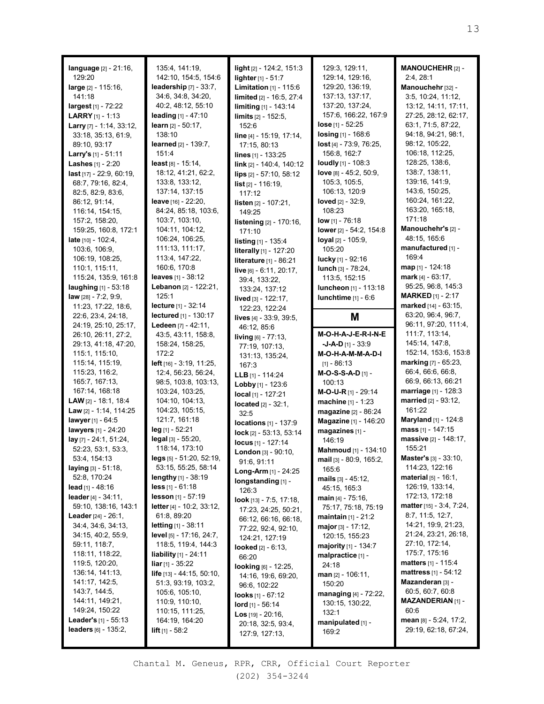| language [2] - 21:16,                  | 135:4, 141:19,                                           | light [2] - 124:2, 151:3             | 129:3, 129:11,               | MANOUCHEHR [2] -                                 |
|----------------------------------------|----------------------------------------------------------|--------------------------------------|------------------------------|--------------------------------------------------|
| 129:20                                 | 142:10, 154:5, 154:6                                     | <b>lighter</b> $[1] - 51:7$          | 129:14, 129:16,              | 2:4,28:1                                         |
| large [2] - 115:16,                    | leadership $[7] - 33:7$ ,                                | Limitation $[1]$ - 115:6             | 129:20, 136:19,              | Manouchehr [32] -                                |
| 141:18                                 | 34:6, 34:8, 34:20,                                       | limited [2] - 16:5, 27:4             | 137:13, 137:17,              | 3:5, 10:24, 11:12,                               |
| <b>largest</b> [1] - 72:22             | 40:2, 48:12, 55:10                                       | limiting [1] - 143:14                | 137:20, 137:24,              | 13:12, 14:11, 17:11,                             |
| <b>LARRY</b> [1] - 1:13                | leading $[1] - 47:10$                                    | limits [2] - 152:5,                  | 157:6, 166:22, 167:9         | 27:25, 28:12, 62:17,                             |
| Larry [7] - 1:14, 33:12,               | learn [2] - 50:17,                                       | 152:6                                | <b>lose</b> [1] $-52:25$     | 63:1, 71:5, 87:22,                               |
| 33:18, 35:13, 61:9,                    | 138:10                                                   | line [4] - 15:19, 17:14,             | $\log_{10}[1] - 168.6$       | 94:18, 94:21, 98:1,                              |
| 89:10, 93:17                           | <b>learned</b> $[2] - 139:7$ ,                           | 17:15, 80:13                         | lost [4] - 73:9, 76:25,      | 98:12, 105:22,                                   |
| Larry's $[1] - 51:11$                  | 151:4                                                    | lines [1] - 133:25                   | 156:8, 162:7                 | 106:18, 112:25,                                  |
| <b>Lashes</b> $[1] - 2:20$             | least [8] - 15:14,                                       | link [2] - 140:4, 140:12             | loudly [1] - 108:3           | 128:25, 138:6,                                   |
| $last$ [17] - 22:9, 60:19,             | 18:12, 41:21, 62:2,                                      | $lips$ [2] - 57:10, 58:12            | love [8] - 45:2, 50:9,       | 138:7, 138:11,                                   |
| 68:7, 79:16, 82:4,                     | 133:8, 133:12,                                           | <b>list</b> $[2] - 116:19$ ,         | 105:3, 105:5,                | 139:16, 141:9,                                   |
| 82:5, 82:9, 83:6,                      | 137:14, 137:15                                           | 117:12                               | 106:13, 120:9                | 143:6, 150:25,                                   |
| 86:12, 91:14,                          | <b>leave</b> $[16] - 22:20$ ,                            | <b>listen</b> $[2] - 107:21$ ,       | loved $[2] - 32:9$ ,         | 160:24, 161:22,                                  |
| 116:14, 154:15,                        | 84:24, 85:18, 103:6,                                     | 149:25                               | 108:23                       | 163:20, 165:18,                                  |
| 157:2, 158:20,                         | 103:7, 103:10,                                           | listening [2] - 170:16,              | <b>low</b> [1] - 76:18       | 171:18                                           |
| 159:25, 160:8, 172:1                   | 104:11, 104:12,                                          | 171:10                               | lower $[2] - 54:2, 154:8$    | Manouchehr's [2] -                               |
| <b>late</b> $[10] - 102:4$ ,           | 106:24, 106:25,                                          | listing [1] - 135:4                  | loyal [2] - 105:9,           | 48:15, 165:6                                     |
| 103:6, 106:9,                          | 111:13, 111:17,                                          | literally [1] - 127:20               | 105:20                       | manufactured [1] -                               |
| 106:19, 108:25,                        | 113:4, 147:22,                                           | literature [1] - 86:21               | lucky $[1] - 92:16$          | 169:4                                            |
| 110:1, 115:11,                         | 160:6, 170:8                                             | live [6] - 6:11, 20:17,              | lunch [3] - 78:24,           | map [1] - 124:18                                 |
| 115:24, 135:9, 161:8                   | leaves $[1] - 38:12$                                     | 39:4, 133:22,                        | 113:5, 152:15                | mark [4] - 63:17,                                |
| laughing $[1] - 53:18$                 | Lebanon [2] - 122:21,                                    | 133:24, 137:12                       | luncheon [1] - 113:18        | 95:25, 96:8, 145:3                               |
| law [28] - 7:2, 9:9,                   | 125:1                                                    | lived [3] - 122:17,                  | <b>lunchtime</b> [1] - 6:6   | <b>MARKED</b> [1] - 2:17                         |
| 11:23, 17:22, 18:6,                    | lecture [1] - 32:14                                      | 122:23, 122:24                       |                              | marked [14] - 63:15,                             |
| 22:6, 23:4, 24:18,                     | lectured [1] - 130:17                                    | lives [4] - 33:9, 39:5,              | M                            | 63:20, 96:4, 96:7,                               |
| 24:19, 25:10, 25:17,                   | Ledeen [7] - 42:11,                                      | 46:12, 85:6                          |                              | 96:11, 97:20, 111:4,                             |
| 26:10, 26:11, 27:2,                    | 43:5, 43:11, 158:8,                                      | living [6] - 77:13,                  | M-O-H-A-J-E-R-I-N-E          | 111:7, 113:14,                                   |
| 29:13, 41:18, 47:20,                   | 158:24, 158:25,                                          | 77:19, 107:13,                       | $-J-A-D$ [1] - 33:9          | 145:14, 147:8,                                   |
| 115:1, 115:10,                         | 172:2                                                    | 131:13, 135:24,                      | M-O-H-A-M-M-A-D-I            | 152:14, 153:6, 153:8                             |
|                                        |                                                          |                                      |                              |                                                  |
| 115:14, 115:19,                        | <b>left</b> [16] - $3:19$ , 11:25,                       |                                      | $[1] - 86:13$                | marking [7] - 65:23,                             |
| 115:23, 116:2,                         |                                                          | 167:3                                |                              | 66:4, 66:6, 66:8,                                |
| 165:7, 167:13,                         | 12:4, 56:23, 56:24,<br>98:5, 103:8, 103:13,              | <b>LLB</b> $[1] - 114:24$            | M-O-S-S-A-D [1] -<br>100:13  | 66:9, 66:13, 66:21                               |
| 167:14, 168:18                         | 103:24, 103:25,                                          | <b>Lobby</b> $[1] - 123:6$           |                              | marriage [1] - 128:3                             |
| <b>LAW</b> [2] - 18:1, 18:4            | 104:10, 104:13,                                          | local [1] - 127:21                   | M-O-U-R [1] - 29:14          | married [2] - 93:12,                             |
| <b>Law</b> $[2] - 1:14, 114:25$        | 104:23, 105:15,                                          | <b>located</b> $[2] - 32:1$ ,        | machine [1] - 1:23           | 161:22                                           |
| lawyer [1] - 64:5                      | 121:7, 161:18                                            | 32:5                                 | magazine [2] - 86:24         | Maryland [1] - 124:8                             |
|                                        | $leg_{[1]} - 52:21$                                      | locations [1] - 137:9                | <b>Magazine</b> [1] - 146:20 | mass $[1] - 147:15$                              |
| lawyers [1] - 24:20                    | legal [3] - 55:20,                                       | $lock$ [2] - 53:13, 53:14            | magazines [1] -              |                                                  |
| $lay_{[7]} - 24:1, 51:24,$             |                                                          | locus [1] - 127:14                   | 146:19                       | massive [2] - 148:17,<br>155:21                  |
| 52:23, 53:1, 53:3,                     | 118:14, 173:10                                           | London [3] - 90:10,                  | Mahmoud [1] - 134:10         |                                                  |
| 53:4, 154:13                           | legs [5] - 51:20, 52:19,                                 | 91:6, 91:11                          | mail [3] - 80:9, 165:2,      | Master's [3] - 33:10,                            |
| laying $[3] - 51:18$ ,<br>52:8, 170:24 | 53:15, 55:25, 58:14<br><b>lengthy</b> $[1]$ - 38:19      | <b>Long-Arm</b> $[1]$ - 24:25        | 165:6                        | 114:23, 122:16<br><b>material</b> $[5] - 16:1$ , |
|                                        |                                                          | longstanding [1] -                   | mails [3] - 45:12,           |                                                  |
| lead [1] - $48:16$                     | <b>less</b> $[1] - 61:18$<br><b>lesson</b> $[1]$ - 57:19 | 126:3                                | 45:15, 165:3                 | 126:19, 133:14,<br>172:13, 172:18                |
| leader $[4] - 34:11$ ,                 |                                                          | <b>look</b> $[13] - 7:5, 17:18,$     | main $[4] - 75:16$ ,         |                                                  |
| 59:10, 138:16, 143:1                   | letter $[4] - 10:2$ , 33:12,                             | 17:23, 24:25, 50:21,                 | 75:17, 75:18, 75:19          | matter [15] - 3:4, 7:24,<br>8:7, 11:5, 12:7,     |
| <b>Leader</b> $[24] - 26:1$ ,          | 61:8, 89:20                                              | 66:12, 66:16, 66:18,                 | <b>maintain</b> [1] - 21:2   | 14:21, 19:9, 21:23,                              |
| 34:4, 34:6, 34:13,                     | <b>letting</b> $[1] - 38:11$                             | 77:22, 92:4, 92:10,                  | major $[3] - 17:12$ ,        | 21:24, 23:21, 26:18,                             |
| 34:15, 40:2, 55:9,<br>59:11, 118:7,    | level [5] - 17:16, 24:7,                                 | 124:21, 127:19                       | 120:15, 155:23               | 27:10, 172:14,                                   |
| 118:11, 118:22,                        | 118:5, 119:4, 144:3                                      | looked $[2] - 6:13$ ,                | majority $[1] - 134:7$       | 175:7, 175:16                                    |
| 119:5, 120:20,                         | <b>liability</b> $[1] - 24:11$                           | 66:20                                | malpractice [1] -            | <b>matters</b> [1] - 115:4                       |
| 136:14, 141:13,                        | <b>liar</b> [1] - $35:22$                                | looking $[6]$ - 12:25,               | 24:18                        | <b>mattress</b> [1] - 54:12                      |
|                                        | <b>life</b> $[13] - 44:15, 50:10,$                       | 14:16, 19:6, 69:20,                  | $man_{[2]} - 106:11,$        | Mazanderan [3] -                                 |
| 141:17, 142:5,<br>143:7, 144:5,        | 51:3, 93:19, 103:2,                                      | 96:6, 102:22                         | 150:20                       | 60:5, 60:7, 60:8                                 |
| 144:11, 149:21,                        | 105:6, 105:10,                                           | <b>looks</b> $[1]$ - $67:12$         | managing $[4]$ - 72:22,      |                                                  |
| 149:24, 150:22                         | 110:9, 110:10,                                           | $Iord$ [1] - 56:14                   | 130:15, 130:22,              | MAZANDERIAN [1] -<br>60:6                        |
| <b>Leader's</b> $[1] - 55:13$          | 110:15, 111:25,                                          | $Loss [19] - 20:16,$                 | 132:1                        | mean $[8] - 5:24$ , 17:2,                        |
| <b>leaders</b> $[6] - 135:2$           | 164:19, 164:20<br>$lift [1] - 58:2$                      | 20:18, 32:5, 93:4,<br>127:9, 127:13, | manipulated [1] -<br>169:2   | 29:19, 62:18, 67:24,                             |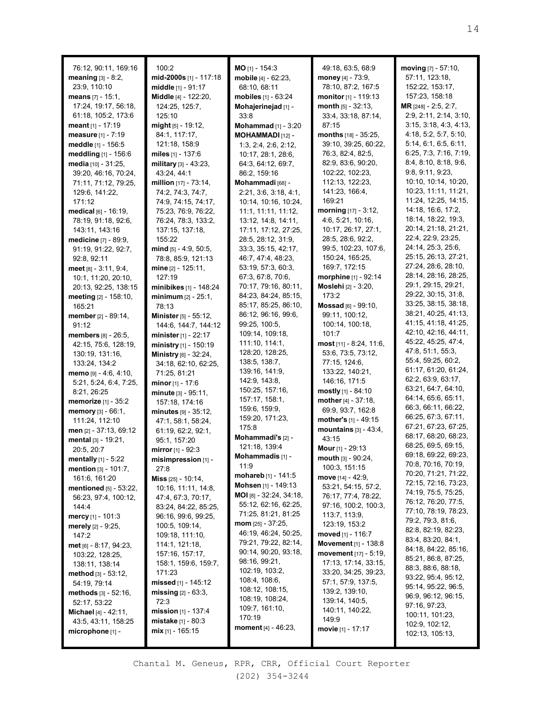| 76:12, 90:11, 169:16<br>meaning $[3] - 8:2$ ,    | 100:2<br>mid-2000s [1] - 117:18                    | $MO$ [1] - 154:3<br>mobile [4] - 62:23,      | 49:18, 63:5, 68:9<br>money $[4] - 73:9$ ,   | moving [7] - 57:10,<br>57:11, 123:18,       |
|--------------------------------------------------|----------------------------------------------------|----------------------------------------------|---------------------------------------------|---------------------------------------------|
| 23:9, 110:10                                     | middle [1] - 91:17<br>Middle [4] - 122:20,         | 68:10, 68:11                                 | 78:10, 87:2, 167:5<br>monitor [1] - 119:13  | 152:22, 153:17,<br>157:23, 158:18           |
| <b>means</b> [7] - 15:1,<br>17:24, 19:17, 56:18, | 124:25, 125:7,                                     | mobiles $[1] - 63:24$<br>Mohajerinejad [1] - | month $[5] - 32:13$ ,                       | MR [248] - 2:5, 2:7,                        |
| 61:18, 105:2, 173:6                              | 125:10                                             | 33:8                                         | 33:4, 33:18, 87:14,                         | 2:9, 2:11, 2:14, 3:10,                      |
| <b>meant</b> [1] - 17:19                         | $mid_{[5]}$ - 19:12,                               | <b>Mohammad</b> $[1] - 3:20$                 | 87:15                                       | 3:15, 3:18, 4:3, 4:13,                      |
| measure [1] - 7:19                               | 84:1, 117:17,                                      | MOHAMMADI [12] -                             | <b>months</b> [18] - 35:25,                 | 4:18, 5:2, 5:7, 5:10,                       |
| meddle [1] - 156:5                               | 121:18, 158:9                                      | 1:3, 2:4, 2:6, 2:12,                         | 39:10, 39:25, 60:22,                        | 5:14, 6:1, 6:5, 6:11,                       |
| meddling [1] - 156:6                             | miles $[1]$ - 137:6                                | 10:17, 28:1, 28:6,                           | 76:3, 82:4, 82:5,                           | 6:25, 7:3, 7:16, 7:19,                      |
| media [10] - 31:25,                              | military $[3] - 43:23$ ,                           | 64:3, 64:12, 69:7,                           | 82:9, 83:6, 90:20,                          | 8:4, 8:10, 8:18, 9:6,                       |
| 39:20, 46:16, 70:24,                             | 43:24, 44:1                                        | 86:2, 159:16                                 | 102:22, 102:23,                             | 9:8, 9:11, 9:23                             |
| 71:11, 71:12, 79:25,                             | million [17] - 73:14,                              | Mohammadi [68] -                             | 112:13, 122:23,                             | 10:10, 10:14, 10:20,                        |
| 129:6, 141:22,                                   | 74:2, 74:3, 74:7,                                  | 2:21, 3:6, 3:18, 4:1,                        | 141:23, 166:4,                              | 10:23, 11:11, 11:21,                        |
| 171:12                                           | 74:9, 74:15, 74:17,                                | 10:14, 10:16, 10:24,                         | 169:21                                      | 11:24, 12:25, 14:15,                        |
| $\blacksquare$ medical [6] - 16:19,              | 75:23, 76:9, 76:22,                                | 11:1, 11:11, 11:12,                          | <b>morning</b> $[17] - 3:12$ ,              | 14:18, 16:6, 17:2,                          |
| 78:19, 91:18, 92:6,                              | 76:24, 78:3, 133:2,                                | 13:12, 14:8, 14:11,                          | 4:6, 5:21, 10:16,                           | 18:14, 18:22, 19:3,                         |
| 143:11, 143:16                                   | 137:15, 137:18,                                    | 17:11, 17:12, 27:25,                         | 10:17, 26:17, 27:1,                         | 20:14, 21:18, 21:21,                        |
| <b>medicine</b> [7] - 89:9,                      | 155:22                                             | 28:5, 28:12, 31:9,                           | 28:5, 28:6, 92:2,                           | 22:4, 22:9, 23:25,                          |
| 91:19, 91:22, 92:7,                              | mind $[5] - 4:9, 50:5,$                            | 33:3, 35:15, 42:17,                          | 99:5, 102:23, 107:6,                        | 24:14, 25:3, 25:6,                          |
| 92:8, 92:11                                      | 78:8, 85:9, 121:13                                 | 46:7, 47:4, 48:23,                           | 150:24, 165:25,                             | 25:15, 26:13, 27:21,<br>27:24, 28:6, 28:10, |
| $meet$ [8] - 3:11, 9:4,                          | mine [2] - 125:11,                                 | 53:19, 57:3, 60:3,                           | 169:7, 172:15                               | 28:14, 28:16, 28:25,                        |
| 10:1, 11:20, 20:10,                              | 127:19                                             | 67:3, 67:8, 70:6,<br>70:17, 79:16, 80:11,    | morphine [1] - 92:14<br>Moslehi [2] - 3:20, | 29:1, 29:15, 29:21,                         |
| 20:13, 92:25, 138:15<br>meeting [2] - 158:10,    | minibikes $[1]$ - 148:24                           | 84:23, 84:24, 85:15,                         | 173:2                                       | 29:22, 30:15, 31:8,                         |
| 165:21                                           | $minimum [2] - 25:1,$<br>78:13                     | 85:17, 85:25, 86:10,                         | Mossad [6] - 99:10,                         | 33:25, 38:15, 38:18,                        |
| member [2] - 89:14,                              | <b>Minister</b> [5] - 55:12,                       | 86:12, 96:16, 99:6,                          | 99:11, 100:12,                              | 38:21, 40:25, 41:13,                        |
| 91:12                                            | 144:6, 144:7, 144:12                               | 99:25, 100:5,                                | 100:14, 100:18,                             | 41:15, 41:18, 41:25,                        |
| <b>members</b> $[8] - 26:5$ ,                    | minister $[1] - 22:17$                             | 109:14, 109:18,                              | 101:7                                       | 42:10, 42:16, 44:11,                        |
| 42:15, 75:6, 128:19,                             | ministry [1] - 150:19                              | 111:10, 114:1,                               | <b>most</b> [11] - 8:24, 11:6,              | 45:22, 45:25, 47:4,                         |
| 130:19, 131:16,                                  | Ministry [6] - 32:24,                              | 128:20, 128:25,                              | 53:6, 73:5, 73:12,                          | 47:8, 51:1, 55:3,                           |
| 133:24, 134:2                                    | 34:18, 62:10, 62:25,                               | 138:5, 138:7,                                | 77:15, 124:6,                               | 55:4, 59:25, 60:2,                          |
| memo [9] - 4:6, 4:10,                            | 71:25, 81:21                                       | 139:16, 141:9,                               | 133:22, 140:21,                             | 61:17, 61:20, 61:24,                        |
| 5:21, 5:24, 6:4, 7:25,                           | <b>minor</b> [1] - 17:6                            | 142:9, 143:8,                                | 146:16, 171:5                               | 62:2, 63:9, 63:17,                          |
| 8:21, 26:25                                      | minute [3] - 95:11,                                | 150:25, 157:16,                              | <b>mostly</b> [1] - 84:10                   | 63:21, 64:7, 64:10,                         |
| <b>memorize</b> [1] - $35:2$                     | 157:18, 174:16                                     | 157:17, 158:1,                               | mother $[4] - 37:18$ ,                      | 64:14, 65:6, 65:11,<br>66:3, 66:11, 66:22,  |
| <b>memory</b> $[3] - 66:1$ ,                     | $minus$ [9] - 35:12,                               | 159:6, 159:9,                                | 69:9, 93:7, 162:8                           | 66:25, 67:3, 67:11,                         |
| 111:24, 112:10                                   | 47:1, 58:1, 58:24,                                 | 159:20, 171:23,<br>175:8                     | mother's [1] - 49:15                        | 67:21, 67:23, 67:25,                        |
| men [2] - 37:13, 69:12                           | 61:19, 62:2, 92:1,                                 | Mohammadi's [2] -                            | mountains $[3] - 43:4,$                     | 68:17, 68:20, 68:23,                        |
| mental [3] - 19:21,                              | 95:1, 157:20                                       | 121:18, 139:4                                | 43:15                                       | 68:25, 69:5, 69:15,                         |
| 20:5, 20:7                                       | <b>mirror</b> [1] - 92:3                           | Mohammadis [1] -                             | Mour [1] - 29:13                            | 69:18, 69:22, 69:23,                        |
| <b>mentally</b> $[1] - 5:22$                     | $misimpression$ [1] -                              | 11:9                                         | mouth [3] - 90:24,<br>100:3, 151:15         | 70:8, 70:16, 70:19,                         |
| <b>mention</b> $[3] - 101:7$ ,                   | 27:8<br>Miss [25] - 10:14,                         | mohareb [1] - 141:5                          | move $[14] - 42:9$ ,                        | 70:20, 71:21, 71:22,                        |
| 161:6, 161:20<br>mentioned [5] - 53:22,          | 10:16, 11:11, 14:8,                                | Mohsen [1] - 149:13                          | 53:21, 54:15, 57:2,                         | 72:15, 72:16, 73:23,                        |
| 56:23, 97:4, 100:12,                             | 47:4, 67:3, 70:17,                                 | $MOI_{[8]} - 32:24, 34:18,$                  | 76:17, 77:4, 78:22,                         | 74:19, 75:5, 75:25,                         |
| 144:4                                            | 83:24, 84:22, 85:25,                               | 55:12, 62:16, 62:25,                         | 97:16, 100:2, 100:3,                        | 76:12, 76:20, 77:5,                         |
| <b>mercy</b> [1] - 101:3                         | 96:16, 99:6, 99:25,                                | 71:25, 81:21, 81:25                          | 113:7, 113:9,                               | 77:10, 78:19, 78:23,                        |
| merely [2] - 9:25,                               | 100:5, 109:14,                                     | <b>mom</b> [25] - 37:25,                     | 123:19, 153:2                               | 79:2, 79:3, 81:6,                           |
| 147:2                                            | 109:18, 111:10,                                    | 46:19, 46:24, 50:25,                         | moved $[1] - 116:7$                         | 82:8, 82:19, 82:23,                         |
| met [6] - 8:17, 94:23,                           | 114:1, 121:18,                                     | 79:21, 79:22, 82:14,                         | Movement [1] - 138:8                        | 83:4, 83:20, 84:1,<br>84:18, 84:22, 85:16,  |
| 103:22, 128:25,                                  | 157:16, 157:17,                                    | 90:14, 90:20, 93:18,                         | movement [17] - 5:19,                       | 85:21, 86:8, 87:25,                         |
| 138:11, 138:14                                   | 158:1, 159:6, 159:7,                               | 98:16, 99:21,                                | 17:13, 17:14, 33:15,                        | 88:3, 88:6, 88:18,                          |
| method $[3]$ - 53:12,                            | 171:23                                             | 102:19, 103:2,<br>108:4, 108:6,              | 33:20, 34:25, 39:23,                        | 93:22, 95:4, 95:12,                         |
| 54:19, 79:14                                     | missed $[1]$ - 145:12                              | 108:12, 108:15,                              | 57:1, 57:9, 137:5,                          | 95:14, 95:22, 96:5,                         |
| methods $[3] - 52:16$ ,                          | $missing$ [2] - 63:3,                              | 108:19, 108:24,                              | 139:2, 139:10,                              | 96:9, 96:12, 96:15,                         |
| 52:17, 53:22                                     | 72:3                                               | 109:7, 161:10,                               | 139:14, 140:5,<br>140:11, 140:22,           | 97:16, 97:23,                               |
| <b>Michael</b> [4] - 42:11,                      | mission [1] - 137:4<br><b>mistake</b> $[1] - 80:3$ | 170:19                                       | 149:9                                       | 100:11, 101:23,                             |
| 43:5, 43:11, 158:25<br>microphone [1] -          | $mix$ [1] - 165:15                                 | moment [4] - 46:23,                          | <b>movie</b> [1] - 17:17                    | 102:9, 102:12,                              |
|                                                  |                                                    |                                              |                                             | 102:13, 105:13,                             |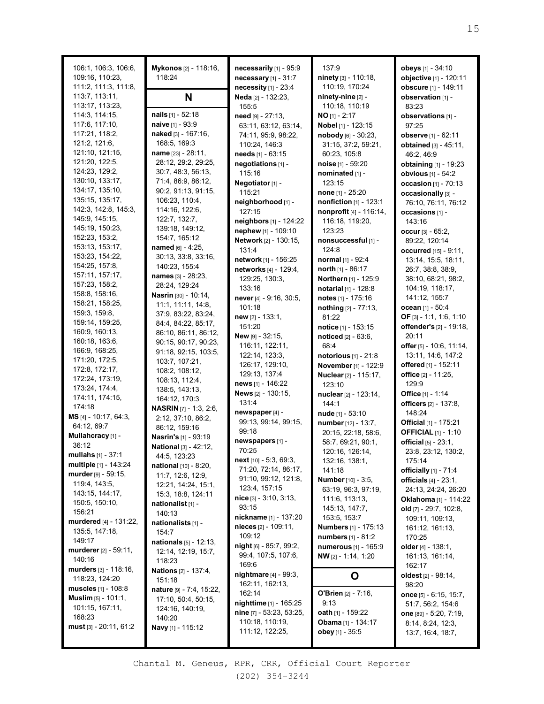| 106:1, 106:3, 106:6,<br>109:16, 110:23, | Mykonos [2] - 118:16,<br>118:24   | necessarily [1] - 95:9<br>necessary $[1]$ - 31:7 | 137:9<br>ninety [3] - 110:18,       | obeys [1] - 34:10<br>objective [1] - 120:11 |
|-----------------------------------------|-----------------------------------|--------------------------------------------------|-------------------------------------|---------------------------------------------|
| 111:2, 111:3, 111:8,                    |                                   | necessity $[1]$ - $23:4$                         | 110:19, 170:24                      | obscure [1] - 149:11                        |
| 113:7, 113:11,                          | N                                 | Neda [2] - 132:23,                               | ninety-nine [2] -                   | observation [1] -                           |
| 113:17, 113:23,                         |                                   | 155:5                                            | 110:18, 110:19                      | 83:23                                       |
| 114:3, 114:15,                          | nails [1] - 52:18                 | need [9] - 27:13,                                | $NO$ [1] - 2:17                     | observations [1] -                          |
| 117:6, 117:10,                          | naive [1] - 93:9                  | 63:11, 63:12, 63:14,                             | Nobel [1] - 123:15                  | 97:25                                       |
| 117:21, 118:2,                          | naked [3] - $167:16$ ,            | 74:11, 95:9, 98:22,                              | $\boldsymbol{n}$ obody [6] - 30:23, | observe [1] - 62:11                         |
| 121:2, 121:6,                           | 168:5, 169:3                      | 110:24, 146:3                                    | 31:15, 37:2, 59:21,                 | <b>obtained</b> $[3] - 45:11$ ,             |
| 121:10, 121:15,                         | name [23] - 28:11,                | <b>needs</b> $[1] - 63:15$                       | 60:23, 105:8                        | 46:2, 46:9                                  |
| 121:20, 122:5,                          | 28:12, 29:2, 29:25,               | negotiations [1] -                               | noise $[1] - 59:20$                 | <b>obtaining</b> [1] - 19:23                |
| 124:23, 129:2,                          | 30:7, 48:3, 56:13,                | 115:16                                           | nominated [1] -                     | obvious [1] - 54:2                          |
| 130:10, 133:17,                         | 71:4, 86:9, 86:12,                | Negotiator [1] -                                 | 123:15                              | occasion [1] - 70:13                        |
| 134:17, 135:10,                         | 90:2, 91:13, 91:15,               | 115:21                                           | <b>none</b> [1] - 25:20             | occasionally [3] -                          |
| 135:15, 135:17,                         | 106:23, 110:4,                    | neighborhood [1] -                               | nonfiction [1] - 123:1              | 76:10, 76:11, 76:12                         |
| 142:3, 142:8, 145:3,                    | 114:16, 122:6,                    | 127:15                                           | nonprofit [4] - 116:14,             |                                             |
| 145:9, 145:15,                          | 122:7, 132:7,                     | neighbors [1] - 124:22                           | 116:18, 119:20,                     | occasions [1] -                             |
| 145:19, 150:23,                         | 139:18, 149:12,                   | nephew [1] - 109:10                              | 123:23                              | 143:16                                      |
| 152:23, 153:2,                          | 154:7, 165:12                     |                                                  |                                     | occur $[3] - 65:2$ ,                        |
| 153:13, 153:17,                         | named [6] - 4:25,                 | Network [2] - 130:15,                            | nonsuccessful [1] -                 | 89:22, 120:14                               |
| 153:23, 154:22,                         | 30:13, 33:8, 33:16,               | 131:4                                            | 124:8                               | occurred [15] - 9:11,                       |
| 154:25, 157:8,                          | 140:23, 155:4                     | network [1] - 156:25                             | normal [1] - 92:4                   | 13:14, 15:5, 18:11,                         |
| 157:11, 157:17,                         | names [3] - 28:23,                | networks [4] - 129:4,                            | north $[1]$ - 86:17                 | 26:7, 38:8, 38:9,                           |
| 157:23, 158:2,                          | 28:24, 129:24                     | 129:25, 130:3,                                   | Northern [1] - 125:9                | 38:10, 68:21, 98:2,                         |
| 158:8, 158:16,                          | Nasrin [30] - 10:14,              | 133:16                                           | <b>notarial</b> [1] - 128:8         | 104:19, 118:17,                             |
| 158:21, 158:25,                         | 11:1, 11:11, 14:8,                | never [4] - 9:16, 30:5,                          | notes [1] - 175:16                  | 141:12, 155:7                               |
| 159:3, 159:8,                           | 37:9, 83:22, 83:24,               | 101:18                                           | nothing [2] - 77:13,                | ocean [1] - 50:4                            |
| 159:14, 159:25,                         | 84:4, 84:22, 85:17,               | $new$ [2] - 133:1,                               | 81:22                               | OF [3] - 1:1, 1:6, 1:10                     |
| 160:9, 160:13,                          | 86:10, 86:11, 86:12,              | 151:20                                           | notice [1] - 153:15                 | offender's [2] - 19:18,                     |
| 160:18, 163:6,                          | 90:15, 90:17, 90:23,              | <b>New</b> $[9] - 32:15$ ,                       | noticed [2] - 63:6,                 | 20:11                                       |
| 166:9, 168:25,                          | 91:18, 92:15, 103:5,              | 116:11, 122:11,                                  | 68:4                                | offer [5] - 10:6, 11:14,                    |
| 171:20, 172:5,                          | 103:7, 107:21,                    | 122:14, 123:3,                                   | <b>notorious</b> $[1] - 21:8$       | 13:11, 14:6, 147:2                          |
| 172:8, 172:17,                          | 108:2, 108:12,                    | 126:17, 129:10,                                  | November [1] - 122:9                | offered [1] - 152:11                        |
| 172:24, 173:19,                         | 108:13, 112:4,                    | 129:13, 137:4                                    | <b>Nuclear</b> [2] - 115:17,        | office [2] - 11:25,                         |
| 173:24, 174:4,                          | 138:5, 143:13,                    | news [1] - 146:22                                | 123:10                              | 129:9                                       |
| 174:11, 174:15,                         | 164:12, 170:3                     | News [2] - 130:15,                               | nuclear [2] - 123:14,               | <b>Office</b> [1] - 1:14                    |
| 174:18                                  | <b>NASRIN</b> [7] - 1:3, 2:6,     | 131:4                                            | 144:1                               | officers [2] - 137:8,                       |
| <b>MS</b> $[4] - 10:17$ , 64:3,         | 2:12, 37:10, 86:2,                | newspaper [4] -                                  | nude [1] - 53:10                    | 148:24                                      |
| 64:12, 69:7                             | 86:12, 159:16                     | 99:13, 99:14, 99:15,                             | number [12] - 13:7,                 | <b>Official</b> [1] - 175:21                |
| Mullahcracy [1] -                       | Nasrin's [1] - 93:19              | 99:18                                            | 20:15, 22:18, 58:6,                 | <b>OFFICIAL [1] - 1:10</b>                  |
| 36:12                                   | National [3] - 42:12,             | newspapers [1] -                                 | 58:7, 69:21, 90:1,                  | official [5] - 23:1,                        |
| $mullahs$ [1] - 37:1                    | 44:5, 123:23                      | 70:25                                            | 120:16, 126:14,                     | 23:8, 23:12, 130:2,                         |
| <b>multiple</b> [1] - 143:24            | <b>national</b> [10] - 8:20,      | $next[10] - 5:3, 69:3,$                          | 132:16, 138:1,                      | 175:14                                      |
| murder [9] - 59:15,                     | 11:7, 12:6, 12:9,                 | 71:20, 72:14, 86:17,                             | 141:18                              | officially [1] - 71:4                       |
| 119:4, 143:5,                           | 12:21, 14:24, 15:1,               | 91:10, 99:12, 121:8,                             | Number [10] - 3:5.                  | officials $[4] - 23:1$ ,                    |
| 143:15, 144:17,                         | 15:3, 18:8, 124:11                | 123:4, 157:15                                    | 63:19, 96:3, 97:19,                 | 24:13, 24:24, 26:20                         |
| 150:5, 150:10,                          | nationalist <sub>[1]</sub> -      | $nice$ [3] - 3:10, 3:13,                         | 111:6, 113:13,                      | Oklahoma [1] - 114:22                       |
| 156:21                                  | 140:13                            | 93:15                                            | 145:13, 147:7,                      | old $[7] - 29:7, 102:8,$                    |
| murdered [4] - 131:22,                  | nationalists [1] -                | nickname [1] - 137:20                            | 153:5, 153:7                        | 109:11, 109:13,                             |
| 135:5, 147:18,                          | 154:7                             | nieces [2] - 109:11,                             | <b>Numbers</b> [1] - 175:13         | 161:12, 161:13,                             |
| 149:17                                  | <b>nationals</b> [5] - 12:13,     | 109:12                                           | numbers [1] - 81:2                  | 170:25                                      |
| murderer [2] - 59:11,                   | 12:14, 12:19, 15:7,               | $night$ [6] - 85:7, 99:2,                        | numerous [1] - 165:9                | older $[4] - 138:1$ ,                       |
| 140:16                                  | 118:23                            | 99:4, 107:5, 107:6,                              | NW [2] - 1:14, 1:20                 | 161:13, 161:14,                             |
| murders [3] - 118:16,                   | <b>Nations</b> [2] - 137:4,       | 169:6                                            |                                     | 162:17                                      |
| 118:23, 124:20                          | 151:18                            | <b>nightmare</b> $[4] - 99:3$ ,                  | O                                   | <b>oldest</b> [2] - 98:14,                  |
| muscles $[1] - 108.8$                   | <b>nature</b> $[9] - 7:4, 15:22,$ | 162:11, 162:13,                                  |                                     | 98:20                                       |
| <b>Muslim</b> $[5] - 101:1$ ,           | 17:10, 50:4, 50:15,               | 162:14                                           | <b>O'Brien</b> $[2] - 7:16$ ,       | once [5] - 6:15, 15:7,                      |
| 101:15, 167:11,                         | 124:16, 140:19,                   | nighttime [1] - 165:25                           | 9:13                                | 51:7, 56:2, 154:6                           |
| 168:23                                  | 140:20                            | nine [7] - 53:23, 53:25,                         | <b>oath</b> [1] - 159:22            | one [89] - 5:20, 7:19,                      |
| $must$ [3] - 20:11, 61:2                | Navy [1] - 115:12                 | 110:18, 110:19,                                  | <b>Obama</b> [1] - 134:17           | 8:14, 8:24, 12:3,                           |
|                                         |                                   | 111:12, 122:25,                                  | obey [1] - 35:5                     | 13:7, 16:4, 18:7,                           |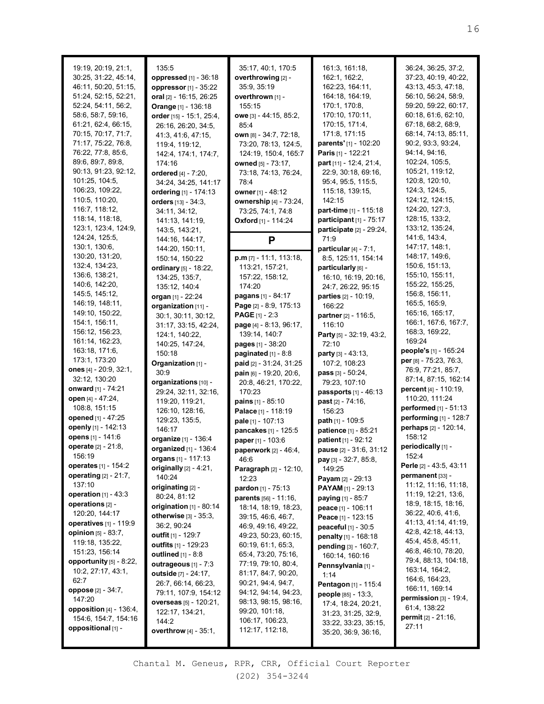| 19:19, 20:19, 21:1,                                                                      | 135:5                                                                                     | 35:17, 40:1, 170:5                                                                                 | 161:3, 161:18,                                                                                         | 36:24, 36:25, 37:2,                                                                                 |
|------------------------------------------------------------------------------------------|-------------------------------------------------------------------------------------------|----------------------------------------------------------------------------------------------------|--------------------------------------------------------------------------------------------------------|-----------------------------------------------------------------------------------------------------|
| 30:25, 31:22, 45:14,                                                                     | oppressed [1] - 36:18                                                                     | overthrowing [2] -                                                                                 | 162:1, 162:2,                                                                                          | 37:23, 40:19, 40:22,                                                                                |
| 46:11, 50:20, 51:15,                                                                     | oppressor [1] - 35:22                                                                     | 35:9, 35:19                                                                                        | 162:23, 164:11,                                                                                        | 43:13, 45:3, 47:18,                                                                                 |
| 51:24, 52:15, 52:21,                                                                     | oral [2] - 16:15, 26:25                                                                   | overthrown [1] -                                                                                   | 164:18, 164:19,                                                                                        | 56:10, 56:24, 58:9,                                                                                 |
| 52:24, 54:11, 56:2,                                                                      | Orange [1] - 136:18                                                                       | 155:15                                                                                             | 170:1, 170:8,                                                                                          | 59:20, 59:22, 60:17,                                                                                |
| 58:6, 58:7, 59:16,                                                                       | order [15] - 15:1, 25:4,                                                                  | owe [3] - 44:15, 85:2,                                                                             | 170:10, 170:11,                                                                                        | 60:18, 61:6, 62:10,                                                                                 |
| 61:21, 62:4, 66:15,                                                                      | 26:16, 26:20, 34:5,                                                                       | 85:4                                                                                               | 170:15, 171:4,                                                                                         | 67:18, 68:2, 68:9,                                                                                  |
| 70:15, 70:17, 71:7,                                                                      | 41:3, 41:6, 47:15,                                                                        | own [8] - 34:7, 72:18,                                                                             | 171:8, 171:15                                                                                          | 68:14, 74:13, 85:11,                                                                                |
| 71:17, 75:22, 76:8,                                                                      | 119:4, 119:12,                                                                            | 73:20, 78:13, 124:5,                                                                               | parents' [1] - 102:20                                                                                  | 90:2, 93:3, 93:24,                                                                                  |
| 76:22, 77:8, 85:6,                                                                       | 142:4, 174:1, 174:7,                                                                      | 124:19, 150:4, 165:7                                                                               | Paris [1] - 122:21                                                                                     | 94:14, 94:16,                                                                                       |
| 89:6, 89:7, 89:8,                                                                        | 174:16                                                                                    | owned [5] - 73:17,                                                                                 | part [11] - 12:4, 21:4,                                                                                | 102:24, 105:5,                                                                                      |
| 90:13, 91:23, 92:12,                                                                     | ordered [4] - 7:20,                                                                       | 73:18, 74:13, 76:24,                                                                               | 22:9, 30:18, 69:16,                                                                                    | 105:21, 119:12,                                                                                     |
| 101:25, 104:5,                                                                           | 34:24, 34:25, 141:17                                                                      | 78:4                                                                                               | 95:4, 95:5, 115:5,                                                                                     | 120:8, 120:10,                                                                                      |
| 106:23, 109:22,                                                                          | ordering [1] - 174:13                                                                     | owner [1] - 48:12                                                                                  | 115:18, 139:15,                                                                                        | 124:3, 124:5,                                                                                       |
| 110:5, 110:20,                                                                           | orders [13] - 34:3,                                                                       | ownership [4] - 73:24,                                                                             | 142:15                                                                                                 | 124:12, 124:15,                                                                                     |
| 116:7, 118:12,                                                                           | 34:11, 34:12,                                                                             | 73:25, 74:1, 74:8                                                                                  | part-time [1] - 115:18                                                                                 | 124:20, 127:3,                                                                                      |
| 118:14, 118:18,                                                                          | 141:13, 141:19,                                                                           | <b>Oxford</b> [1] - 114:24                                                                         | participant [1] - 75:17                                                                                | 128:15, 133:2,                                                                                      |
| 123:1, 123:4, 124:9,                                                                     | 143:5, 143:21,                                                                            | P                                                                                                  | participate $[2] - 29:24$ ,                                                                            | 133:12, 135:24,                                                                                     |
| 124:24, 125:5,                                                                           | 144:16, 144:17,                                                                           |                                                                                                    | 71:9                                                                                                   | 141:6, 143:4,                                                                                       |
| 130:1, 130:6,                                                                            | 144:20, 150:11,                                                                           |                                                                                                    | particular $[4] - 7:1$ ,                                                                               | 147:17, 148:1,                                                                                      |
| 130:20, 131:20,                                                                          | 150:14, 150:22                                                                            | $p.m$ [7] - 11:1, 113:18,                                                                          | 8:5, 125:11, 154:14                                                                                    | 148:17, 149:6,                                                                                      |
| 132:4, 134:23,                                                                           | ordinary [5] - 18:22,                                                                     | 113:21, 157:21,                                                                                    | particularly [6] -                                                                                     | 150:6, 151:13,                                                                                      |
| 136:6, 138:21,                                                                           | 134:25, 135:7,                                                                            | 157:22, 158:12,                                                                                    | 16:10, 16:19, 20:16,                                                                                   | 155:10, 155:11,                                                                                     |
| 140:6, 142:20,                                                                           | 135:12, 140:4                                                                             | 174:20                                                                                             | 24:7, 26:22, 95:15                                                                                     | 155:22, 155:25,                                                                                     |
| 145:5, 145:12,                                                                           | organ [1] - 22:24                                                                         | pagans [1] - 84:17                                                                                 | parties [2] - 10:19,                                                                                   | 156:8, 156:11,                                                                                      |
| 146:19, 148:11,                                                                          | organization [11] -                                                                       | Page [2] - 8:9, 175:13                                                                             | 166:22                                                                                                 | 165:5, 165:9,                                                                                       |
| 149:10, 150:22,                                                                          | 30:1, 30:11, 30:12,                                                                       | <b>PAGE</b> [1] - 2:3                                                                              | partner [2] - 116:5,                                                                                   | 165:16, 165:17,                                                                                     |
| 154:1, 156:11,                                                                           | 31:17, 33:15, 42:24,                                                                      | page [4] - 8:13, 96:17,                                                                            | 116:10                                                                                                 | 166:1, 167:6, 167:7,                                                                                |
| 156:12, 156:23,                                                                          | 124:1, 140:22,                                                                            | 139:14, 140:7                                                                                      | Party [5] - 32:19, 43:2,                                                                               | 168:3, 169:22,                                                                                      |
| 161:14, 162:23,                                                                          | 140:25, 147:24,                                                                           | pages [1] - 38:20                                                                                  | 72:10                                                                                                  | 169:24                                                                                              |
| 163:18, 171:6,                                                                           | 150:18                                                                                    | paginated $[1]$ - 8:8                                                                              | <b>party</b> [3] - 43:13,                                                                              | people's [1] - 165:24                                                                               |
| 173:1, 173:20                                                                            | Organization [1] -                                                                        | paid [2] - 31:24, 31:25                                                                            | 107:2, 108:23                                                                                          | per [8] - 75:23, 76:3,                                                                              |
| ones $[4] - 20:9, 32:1,$                                                                 | 30:9                                                                                      | pain [6] - 19:20, 20:6,                                                                            | pass [3] - 50:24,                                                                                      | 76:9, 77:21, 85:7,                                                                                  |
| 32:12, 130:20                                                                            | organizations [10] -                                                                      | 20:8, 46:21, 170:22,                                                                               | 79:23, 107:10                                                                                          | 87:14, 87:15, 162:14                                                                                |
| onward [1] - 74:21<br>open [4] - 47:24,<br>108:8, 151:15<br>opened [1] - 47:25           | 29:24, 32:11, 32:16,<br>119:20, 119:21,<br>126:10, 128:16,<br>129:23, 135:5,              | 170:23<br><b>pains</b> $[1] - 85:10$<br>Palace [1] - 118:19<br>pale [1] - 107:13                   | <b>passports</b> $[1] - 46:13$<br><b>past</b> $[2] - 74:16$ ,<br>156:23                                | percent [4] - 110:19,<br>110:20, 111:24<br><b>performed</b> $[1] - 51:13$<br>performing [1] - 128:7 |
| openly [1] - 142:13<br>opens [1] - 141:6<br>operate [2] - 21:8,                          | 146:17<br>organize [1] - 136:4<br>organized [1] - 136:4                                   | pancakes [1] - 125:5<br>paper [1] - 103:6<br>paperwork [2] - 46:4,                                 | path [1] - 109:5<br>patience [1] - 85:21<br>patient [1] - 92:12<br>pause [2] - 31:6, 31:12             | perhaps [2] - 120:14,<br>158:12<br>periodically [1] -                                               |
| 156:19<br><b>operates</b> [1] - 154:2<br>operating [2] - 21:7,<br>137:10                 | <b>organs</b> [1] - 117:13<br>originally $[2] - 4:21$ ,<br>140:24                         | 46:6<br><b>Paragraph</b> $[2] - 12:10$ ,<br>12:23                                                  | pay [3] - 32:7, 85:8,<br>149:25<br>Payam $[2] - 29:13$                                                 | 152:4<br>Perle [2] - 43:5, 43:11<br>permanent [33] -                                                |
| operation $[1] - 43:3$<br>operations [2] -<br>120:20, 144:17                             | originating [2] -<br>80:24, 81:12<br>origination $[1]$ - 80:14<br>otherwise [3] - 35:3,   | <b>pardon</b> $[1] - 75:13$<br>parents [56] - 11:16,<br>18:14, 18:19, 18:23,<br>39:15, 46:6, 46:7, | <b>PAYAM</b> $[1]$ - 29:13<br><b>paying</b> $[1] - 85:7$<br>peace [1] - 106:11<br>Peace $[1]$ - 123:15 | 11:12, 11:16, 11:18,<br>11:19, 12:21, 13:6,<br>18:9, 18:15, 18:16,<br>36:22, 40:6, 41:6,            |
| <b>operatives</b> $[1] - 119.9$<br>opinion $[5] - 83:7$ ,<br>119:18, 135:22,             | 36:2, 90:24<br>outfit $[1]$ - 129:7<br>outfits [1] - 129:23                               | 46:9, 49:16, 49:22,<br>49:23, 50:23, 60:15,<br>60:19, 61:1, 65:3,                                  | <b>peaceful</b> $[1] - 30:5$<br>penalty [1] - 168:18<br>pending [3] - 160:7,                           | 41:13, 41:14, 41:19,<br>42:8, 42:18, 44:13,<br>45:4, 45:8, 45:11,<br>46:8, 46:10, 78:20,            |
| 151:23, 156:14<br>opportunity $[5]$ - 8:22,<br>10:2, 27:17, 43:1,<br>62:7                | outlined [1] - 8:8<br>outrageous [1] - 7:3<br>outside [7] - 24:17,<br>26:7, 66:14, 66:23, | 65:4, 73:20, 75:16,<br>77:19, 79:10, 80:4,<br>81:17, 84:7, 90:20,<br>90:21, 94:4, 94:7,            | 160:14, 160:16<br>Pennsylvania [1] -<br>1:14<br>Pentagon [1] - 115:4                                   | 79:4, 88:13, 104:18,<br>163:14, 164:2,<br>164:6, 164:23,                                            |
| <b>oppose</b> [2] - 34:7,<br>147:20<br>opposition $[4]$ - 136:4,<br>154:6, 154:7, 154:16 | 79:11, 107:9, 154:12<br>overseas [5] - 120:21,<br>122:17, 134:21,                         | 94:12, 94:14, 94:23,<br>98:13, 98:15, 98:16,<br>99:20, 101:18,                                     | people [85] - 13:3,<br>17:4, 18:24, 20:21,<br>31:23, 31:25, 32:9,                                      | 166:11, 169:14<br>permission $[3] - 19:4$ ,<br>61:4, 138:22<br>permit [2] - 21:16,                  |
| oppositional [1] -                                                                       | 144:2<br>overthrow [4] - 35:1,                                                            | 106:17, 106:23,<br>112:17, 112:18,                                                                 | 33:22, 33:23, 35:15,<br>35:20, 36:9, 36:16,                                                            | 27:11                                                                                               |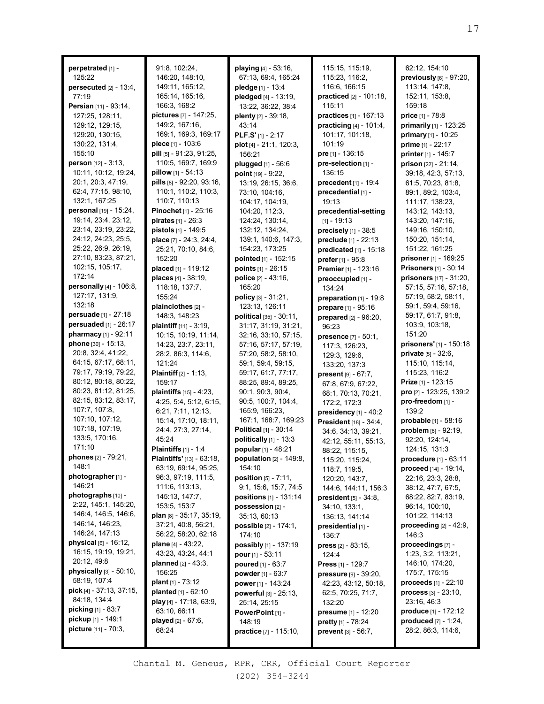**perpetrated** [1] - 125:22 **persecuted** [2] - 13:4, 77:19 **Persian** [11] - 93:14, 127:25, 128:11, 129:12, 129:15, 129:20, 130:15, 130:22, 131:4, 155:10 **person** [12] - 3:13, 10:11, 10:12, 19:24, 20:1, 20:3, 47:19, 62:4, 77:15, 98:10, 132:1, 167:25 **personal** [19] - 15:24, 19:14, 23:4, 23:12, 23:14, 23:19, 23:22, 24:12, 24:23, 25:5, 25:22, 26:9, 26:19, 27:10, 83:23, 87:21, 102:15, 105:17, 172:14 **personally** [4] - 106:8, 127:17, 131:9, 132:18 **persuade** [1] - 27:18 **persuaded** [1] - 26:17 **pharmacy** [1] - 92:11 **phone** [30] - 15:13, 20:8, 32:4, 41:22, 64:15, 67:17, 68:11, 79:17, 79:19, 79:22, 80:12, 80:18, 80:22, 80:23, 81:12, 81:25, 82:15, 83:12, 83:17, 107:7, 107:8, 107:10, 107:12, 107:18, 107:19, 133:5, 170:16, 171:10 **phones** [2] - 79:21, 148:1 **photographer** [1] - 146:21 **photographs** [10] - 2:22, 145:1, 145:20, 146:4, 146:5, 146:6, 146:14, 146:23, 146:24, 147:13 **physical** [6] - 16:12, 16:15, 19:19, 19:21, 20:12, 49:8 **physically** [3] - 50:10, 58:19, 107:4 **pick** [4] - 37:13, 37:15, 84:18, 134:4 **picking** [1] - 83:7 **pickup** [1] - 149:1 **picture** [11] - 70:3,

91:8, 102:24, 146:20, 148:10, 149:11, 165:12, 165:14, 165:16, 166:3, 168:2 **pictures** [7] - 147:25, 149:2, 167:16, 169:1, 169:3, 169:17 **piece** [1] - 103:6 **pill** [5] - 91:23, 91:25, 110:5, 169:7, 169:9 **pillow** [1] - 54:13 **pills** [8] - 92:20, 93:16, 110:1, 110:2, 110:3, 110:7, 110:13 **Pinochet** [1] - 25:16 **pirates** [1] - 26:3 **pistols** [1] - 149:5 **place** [7] - 24:3, 24:4, 25:21, 70:10, 84:6, 152:20 **placed** [1] - 119:12 **places** [4] - 38:19, 118:18, 137:7, 155:24 **plainclothes** [2] - 148:3, 148:23 **plaintiff** [11] - 3:19, 10:15, 10:19, 11:14, 14:23, 23:7, 23:11, 28:2, 86:3, 114:6, 121:24 **Plaintiff** [2] - 1:13, 159:17 **plaintiffs** [15] - 4:23, 4:25, 5:4, 5:12, 6:15, 6:21, 7:11, 12:13, 15:14, 17:10, 18:11, 24:4, 27:3, 27:14, 45:24 **Plaintiffs** [1] - 1:4 **Plaintiffs'** [13] - 63:18, 63:19, 69:14, 95:25, 96:3, 97:19, 111:5, 111:6, 113:13, 145:13, 147:7, 153:5, 153:7 **plan** [8] - 35:17, 35:19, 37:21, 40:8, 56:21, 56:22, 58:20, 62:18 **plane** [4] - 43:22, 43:23, 43:24, 44:1 **planned** [2] - 43:3, 156:25 **plant** [1] - 73:12 **planted** [1] - 62:10 **play** [4] - 17:18, 63:9, 63:10, 66:11 **played** [2] - 67:6, 68:24

**playing** [4] - 53:16, 67:13, 69:4, 165:24 **pledge** [1] - 13:4 **pledged** [4] - 13:19, 13:22, 36:22, 38:4 **plenty** [2] - 39:18, 43:14 **PLF.S'** [1] - 2:17 **plot** [4] - 21:1, 120:3, 156:21 **plugged** [1] - 56:6 **point** [19] - 9:22, 13:19, 26:15, 36:6, 73:10, 104:16, 104:17, 104:19, 104:20, 112:3, 124:24, 130:14, 132:12, 134:24, 139:1, 140:6, 147:3, 154:23, 173:25 **pointed** [1] - 152:15 **points** [1] - 26:15 **police** [2] - 43:16, 165:20 **policy** [3] - 31:21, 123:13, 126:11 **political** [35] - 30:11, 31:17, 31:19, 31:21, 32:16, 33:10, 57:15, 57:16, 57:17, 57:19, 57:20, 58:2, 58:10, 59:1, 59:4, 59:15, 59:17, 61:7, 77:17, 88:25, 89:4, 89:25, 90:1, 90:3, 90:4, 90:5, 100:7, 104:4, 165:9, 166:23, 167:1, 168:7, 169:23 **Political** [1] - 30:14 **politically** [1] - 13:3 **popular** [1] - 48:21 **population** [2] - 149:8, 154:10 **position** [5] - 7:11, 9:1, 15:6, 15:7, 74:5 **positions** [1] - 131:14 **possession** [2] - 35:13, 60:13 **possible** [2] - 174:1, 174:10 **possibly** [1] - 137:19 **pour** [1] - 53:11 **poured** [1] - 63:7 **powder** [1] - 63:7 **power** [1] - 143:24 **powerful** [3] - 25:13, 25:14, 25:15 **PowerPoint** [1] - 148:19 **practice** [7] - 115:10,

115:15, 115:19, 115:23, 116:2, 116:6, 166:15 **practiced** [2] - 101:18, 115:11 **practices** [1] - 167:13 **practicing** [4] - 101:4, 101:17, 101:18, 101:19 **pre** [1] - 136:15 **pre-selection** [1] - 136:15 **precedent** [1] - 19:4 **precedential** [1] - 19:13 **precedential-setting**  $[1] - 19:13$ **precisely** [1] - 38:5 **preclude** [1] - 22:13 **predicated** [1] - 15:18 **prefer** [1] - 95:8 **Premier** [1] - 123:16 **preoccupied** [1] - 134:24 **preparation** [1] - 19:8 **prepare** [1] - 95:16 **prepared** [2] - 96:20, 96:23 **presence** [7] - 50:1, 117:3, 126:23, 129:3, 129:6, 133:20, 137:3 **present** [9] - 67:7, 67:8, 67:9, 67:22, 68:1, 70:13, 70:21, 172:2, 172:3 **presidency** [1] - 40:2 **President** [18] - 34:4, 34:6, 34:13, 39:21, 42:12, 55:11, 55:13, 88:22, 115:15, 115:20, 115:24, 118:7, 119:5, 120:20, 143:7, 144:6, 144:11, 156:3 **president** [5] - 34:8, 34:10, 133:1, 136:13, 141:14 **presidential** [1] - 136:7 **press** [2] - 83:15, 124:4 **Press** [1] - 129:7 **pressure** [9] - 39:20, 42:23, 43:12, 50:18, 62:5, 70:25, 71:7, 132:20 **presume** [1] - 12:20 **pretty** [1] - 78:24 **prevent** [3] - 56:7,

62:12, 154:10 **previously** [6] - 97:20, 113:14, 147:8, 152:11, 153:8, 159:18 **price** [1] - 78:8 **primarily** [1] - 123:25 **primary** [1] - 10:25 **prime** [1] - 22:17 **printer** [1] - 145:7 **prison** [22] - 21:14, 39:18, 42:3, 57:13, 61:5, 70:23, 81:8, 89:1, 89:2, 103:4, 111:17, 138:23, 143:12, 143:13, 143:20, 147:16, 149:16, 150:10, 150:20, 151:14, 151:22, 161:25 **prisoner** [1] - 169:25 **Prisoners** [1] - 30:14 **prisoners** [17] - 31:20, 57:15, 57:16, 57:18, 57:19, 58:2, 58:11, 59:1, 59:4, 59:16, 59:17, 61:7, 91:8, 103:9, 103:18, 151:20 **prisoners'** [1] - 150:18 **private** [5] - 32:6, 115:10, 115:14, 115:23, 116:2 **Prize** [1] - 123:15 **pro** [2] - 123:25, 139:2 **pro-freedom** [1] - 139:2 **probable** [1] - 58:16 **problem** [6] - 92:19, 92:20, 124:14, 124:15, 131:3 **procedure** [1] - 63:11 **proceed** [14] - 19:14, 22:16, 23:3, 28:8, 38:12, 47:7, 67:5, 68:22, 82:7, 83:19, 96:14, 100:10, 101:22, 114:13 **proceeding** [2] - 42:9, 146:3 **proceedings** [7] - 1:23, 3:2, 113:21, 146:10, 174:20, 175:7, 175:15 **proceeds** [1] - 22:10 **process** [3] - 23:10, 23:16, 46:3 **produce** [1] - 172:12 **produced** [7] - 1:24, 28:2, 86:3, 114:6,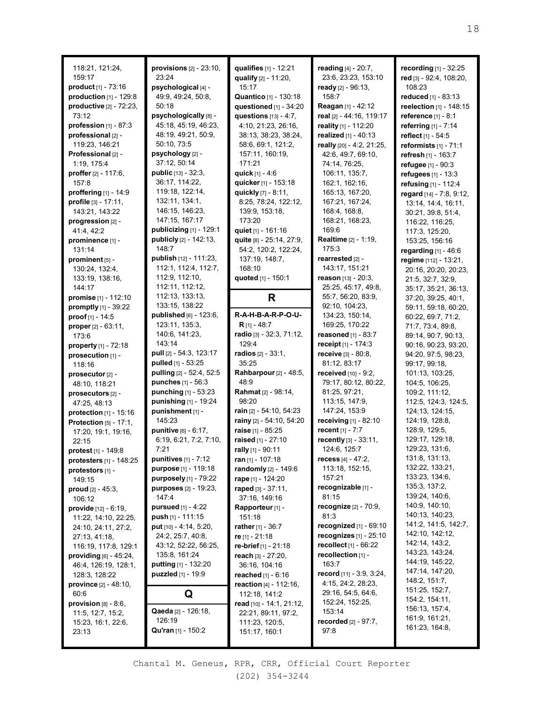| 118:21, 121:24,<br>159:17<br><b>product</b> $[1] - 73:16$<br>production $[1]$ - 129:8<br>productive [2] - 72:23,<br>73:12<br>profession $[1] - 87:3$<br>professional [2] -<br>119:23, 146:21<br>Professional [2] -<br>1:19, 175:4<br>proffer [2] - 117:6.<br>157:8<br>proffering [1] - 14:9<br>profile $[3] - 17:11$ ,<br>143:21, 143:22<br>progression [2] -<br>41:4, 42:2<br>prominence [1] -<br>131:14<br>prominent [5] -<br>130:24, 132:4,<br>133:19, 138:16,<br>144:17<br>promise [1] - 112:10<br>promptly [1] - 39:22<br>proof [1] - 14:5<br>proper [2] - 63:11,<br>173:6<br>property $[1]$ - 72:18<br>prosecution [1] -<br>118:16<br>prosecutor [2] -<br>48:10, 118:21<br>prosecutors [2] -<br>47:25, 48:13<br><b>protection</b> $[1] - 15:16$<br><b>Protection</b> [5] - 17:1,<br>17:20, 19:1, 19:16,<br>22:15<br>protest [1] - 149:8 | provisions $[2] - 23:10$ ,<br>23:24<br>psychological [4] -<br>49:9, 49:24, 50:8,<br>50:18<br>psychologically [8] -<br>45:18, 45:19, 46:23,<br>48:19, 49:21, 50:9,<br>50:10, 73:5<br>psychology [2] -<br>37:12, 50:14<br><b>public</b> $[13] - 32:3$<br>36:17, 114:22,<br>119:18, 122:14,<br>132:11, 134:1,<br>146:15, 146:23,<br>147:15, 167:17<br>publicizing $[1]$ - 129:1<br>publicly [2] - 142:13,<br>148:7<br>publish [12] - 111:23,<br>112:1, 112:4, 112:7,<br>112:9, 112:10,<br>112:11, 112:12,<br>112:13, 133:13,<br>133:15, 138:22<br>published [6] - 123:6,<br>123:11, 135:3,<br>140:6, 141:23,<br>143:14<br>pull [2] - 54:3, 123:17<br>pulled [1] - 53:25<br>pulling [2] - 52:4, 52:5<br>punches [1] - 56:3<br>punching [1] - 53:23<br>punishing [1] - 19:24<br>punishment [1] -<br>145:23<br>punitive [6] - 6:17,<br>6:19, 6:21, 7:2, 7:10,<br>7:21 | qualifies [1] - 12:21<br>qualify [2] - 11:20,<br>15:17<br>Quantico [1] - 130:18<br>questioned $[1]$ - 34:20<br>questions [13] - 4:7.<br>4:10, 21:23, 26:16,<br>38:13, 38:23, 38:24,<br>58:6, 69:1, 121:2,<br>157:11, 160:19,<br>171:21<br>quick [1] - 4:6<br>quicker [1] - 153:18<br>quickly [7] - 8:11,<br>8:25, 78:24, 122:12,<br>139:9, 153:18,<br>173:20<br>quiet [1] - 161:16<br>quite [8] - 25:14, 27:9,<br>54:2, 120:2, 122:24,<br>137:19, 148:7,<br>168:10<br>quoted [1] - 150:1<br>R<br>R-A-H-B-A-R-P-O-U-<br>$R_{[1]} - 48:7$<br>radio [3] - 32:3, 71:12,<br>129:4<br><b>radios</b> $[2] - 33:1$ ,<br>35:25<br>Rahbarpour [2] - 48:5,<br>48:9<br><b>Rahmat</b> [2] - 98:14,<br>98:20<br>rain [2] - 54:10, 54:23<br>rainy [2] - 54:10, 54:20<br>raise [1] - 85:25<br>raised [1] - 27:10<br>rally [1] - 90:11 | reading [4] - 20:7,<br>23:6, 23:23, 153:10<br>ready $[2] - 96:13$ ,<br>158:7<br>Reagan [1] - 42:12<br>real [2] - 44:16, 119:17<br>reality [1] - 112:20<br>realized [1] - 40:13<br>really [20] - 4:2, 21:25,<br>42:6, 49:7, 69:10,<br>74:14, 76:25,<br>106:11, 135:7,<br>162:1, 162:16,<br>165:13, 167:20,<br>167:21, 167:24,<br>168:4, 168:8,<br>168:21, 168:23,<br>169:6<br><b>Realtime</b> [2] - 1:19,<br>175:3<br>rearrested [2] -<br>143:17, 151:21<br><b>reason</b> [13] - 20:3,<br>25:25, 45:17, 49:8,<br>55:7, 56:20, 83:9,<br>92:10, 104:23,<br>134:23, 150:14,<br>169:25, 170:22<br>reasoned [1] - 83:7<br>receipt [1] - 174:3<br>receive [3] - 80:8,<br>81:12, 83:17<br>received [10] - 9:2,<br>79:17, 80:12, 80:22,<br>81:25, 97:21,<br>113:15, 147:9,<br>147:24, 153:9<br>receiving [1] - 82:10<br>recent $[1] - 7:7$<br>recently [3] - 33:11,<br>124:6, 125:7 | recording [1] - 32:25<br>red [3] - 92:4, 108:20,<br>108:23<br>reduced [1] - 83:13<br>reelection [1] - 148:15<br>reference [1] - 8:1<br>referring [1] - 7:14<br>reflect [1] - 54:5<br>reformists $[1] - 71:1$<br>refresh [1] - 163:7<br>refugee [1] - 90:3<br>refugees [1] - 13:3<br>refusing [1] - 112:4<br>regard [14] - 7:8, 9:12,<br>13:14, 14:4, 16:11,<br>30:21, 39:8, 51:4,<br>116:22, 116:25,<br>117:3, 125:20,<br>153:25, 156:16<br>regarding [1] - 46:6<br>regime [112] - 13:21,<br>20:16, 20:20, 20:23,<br>21:5, 32:7, 32:9,<br>35:17, 35:21, 36:13,<br>37:20, 39:25, 40:1,<br>59:11, 59:18, 60:20,<br>60:22, 69:7, 71:2,<br>71:7, 73:4, 89:8,<br>89:14, 90:7, 90:13,<br>90:16, 90:23, 93:20,<br>94:20, 97:5, 98:23,<br>99:17, 99:18,<br>101:13, 103:25,<br>104:5, 106:25,<br>109:2, 111:12,<br>112:5, 124:3, 124:5,<br>124:13, 124:15,<br>124:19, 128:8,<br>128:9, 129:5,<br>129:17, 129:18,<br>129:23, 131:6, |
|-----------------------------------------------------------------------------------------------------------------------------------------------------------------------------------------------------------------------------------------------------------------------------------------------------------------------------------------------------------------------------------------------------------------------------------------------------------------------------------------------------------------------------------------------------------------------------------------------------------------------------------------------------------------------------------------------------------------------------------------------------------------------------------------------------------------------------------------------|-----------------------------------------------------------------------------------------------------------------------------------------------------------------------------------------------------------------------------------------------------------------------------------------------------------------------------------------------------------------------------------------------------------------------------------------------------------------------------------------------------------------------------------------------------------------------------------------------------------------------------------------------------------------------------------------------------------------------------------------------------------------------------------------------------------------------------------------------------------------|-----------------------------------------------------------------------------------------------------------------------------------------------------------------------------------------------------------------------------------------------------------------------------------------------------------------------------------------------------------------------------------------------------------------------------------------------------------------------------------------------------------------------------------------------------------------------------------------------------------------------------------------------------------------------------------------------------------------------------------------------------------------------------------------------------------------------|----------------------------------------------------------------------------------------------------------------------------------------------------------------------------------------------------------------------------------------------------------------------------------------------------------------------------------------------------------------------------------------------------------------------------------------------------------------------------------------------------------------------------------------------------------------------------------------------------------------------------------------------------------------------------------------------------------------------------------------------------------------------------------------------------------------------------------------------------------------------------|---------------------------------------------------------------------------------------------------------------------------------------------------------------------------------------------------------------------------------------------------------------------------------------------------------------------------------------------------------------------------------------------------------------------------------------------------------------------------------------------------------------------------------------------------------------------------------------------------------------------------------------------------------------------------------------------------------------------------------------------------------------------------------------------------------------------------------------------------------------------------------------------------------------------------|
|                                                                                                                                                                                                                                                                                                                                                                                                                                                                                                                                                                                                                                                                                                                                                                                                                                               |                                                                                                                                                                                                                                                                                                                                                                                                                                                                                                                                                                                                                                                                                                                                                                                                                                                                 |                                                                                                                                                                                                                                                                                                                                                                                                                                                                                                                                                                                                                                                                                                                                                                                                                       |                                                                                                                                                                                                                                                                                                                                                                                                                                                                                                                                                                                                                                                                                                                                                                                                                                                                            |                                                                                                                                                                                                                                                                                                                                                                                                                                                                                                                                                                                                                                                                                                                                                                                                                                                                                                                           |
|                                                                                                                                                                                                                                                                                                                                                                                                                                                                                                                                                                                                                                                                                                                                                                                                                                               |                                                                                                                                                                                                                                                                                                                                                                                                                                                                                                                                                                                                                                                                                                                                                                                                                                                                 |                                                                                                                                                                                                                                                                                                                                                                                                                                                                                                                                                                                                                                                                                                                                                                                                                       |                                                                                                                                                                                                                                                                                                                                                                                                                                                                                                                                                                                                                                                                                                                                                                                                                                                                            |                                                                                                                                                                                                                                                                                                                                                                                                                                                                                                                                                                                                                                                                                                                                                                                                                                                                                                                           |
|                                                                                                                                                                                                                                                                                                                                                                                                                                                                                                                                                                                                                                                                                                                                                                                                                                               |                                                                                                                                                                                                                                                                                                                                                                                                                                                                                                                                                                                                                                                                                                                                                                                                                                                                 |                                                                                                                                                                                                                                                                                                                                                                                                                                                                                                                                                                                                                                                                                                                                                                                                                       |                                                                                                                                                                                                                                                                                                                                                                                                                                                                                                                                                                                                                                                                                                                                                                                                                                                                            |                                                                                                                                                                                                                                                                                                                                                                                                                                                                                                                                                                                                                                                                                                                                                                                                                                                                                                                           |
|                                                                                                                                                                                                                                                                                                                                                                                                                                                                                                                                                                                                                                                                                                                                                                                                                                               |                                                                                                                                                                                                                                                                                                                                                                                                                                                                                                                                                                                                                                                                                                                                                                                                                                                                 |                                                                                                                                                                                                                                                                                                                                                                                                                                                                                                                                                                                                                                                                                                                                                                                                                       |                                                                                                                                                                                                                                                                                                                                                                                                                                                                                                                                                                                                                                                                                                                                                                                                                                                                            |                                                                                                                                                                                                                                                                                                                                                                                                                                                                                                                                                                                                                                                                                                                                                                                                                                                                                                                           |
|                                                                                                                                                                                                                                                                                                                                                                                                                                                                                                                                                                                                                                                                                                                                                                                                                                               |                                                                                                                                                                                                                                                                                                                                                                                                                                                                                                                                                                                                                                                                                                                                                                                                                                                                 |                                                                                                                                                                                                                                                                                                                                                                                                                                                                                                                                                                                                                                                                                                                                                                                                                       |                                                                                                                                                                                                                                                                                                                                                                                                                                                                                                                                                                                                                                                                                                                                                                                                                                                                            |                                                                                                                                                                                                                                                                                                                                                                                                                                                                                                                                                                                                                                                                                                                                                                                                                                                                                                                           |
|                                                                                                                                                                                                                                                                                                                                                                                                                                                                                                                                                                                                                                                                                                                                                                                                                                               |                                                                                                                                                                                                                                                                                                                                                                                                                                                                                                                                                                                                                                                                                                                                                                                                                                                                 |                                                                                                                                                                                                                                                                                                                                                                                                                                                                                                                                                                                                                                                                                                                                                                                                                       |                                                                                                                                                                                                                                                                                                                                                                                                                                                                                                                                                                                                                                                                                                                                                                                                                                                                            |                                                                                                                                                                                                                                                                                                                                                                                                                                                                                                                                                                                                                                                                                                                                                                                                                                                                                                                           |
| protesters [1] - 148:25                                                                                                                                                                                                                                                                                                                                                                                                                                                                                                                                                                                                                                                                                                                                                                                                                       | punitives $[1]$ - 7:12                                                                                                                                                                                                                                                                                                                                                                                                                                                                                                                                                                                                                                                                                                                                                                                                                                          | ran [1] - 107:18                                                                                                                                                                                                                                                                                                                                                                                                                                                                                                                                                                                                                                                                                                                                                                                                      | <b>recess</b> [4] - 47:2,                                                                                                                                                                                                                                                                                                                                                                                                                                                                                                                                                                                                                                                                                                                                                                                                                                                  | 131:8, 131:13,<br>132:22, 133:21,                                                                                                                                                                                                                                                                                                                                                                                                                                                                                                                                                                                                                                                                                                                                                                                                                                                                                         |
| protestors [1] -                                                                                                                                                                                                                                                                                                                                                                                                                                                                                                                                                                                                                                                                                                                                                                                                                              | purpose [1] - 119:18<br>purposely [1] - 79:22                                                                                                                                                                                                                                                                                                                                                                                                                                                                                                                                                                                                                                                                                                                                                                                                                   | randomly [2] - 149:6<br><b>rape</b> [1] - 124:20                                                                                                                                                                                                                                                                                                                                                                                                                                                                                                                                                                                                                                                                                                                                                                      | 113:18, 152:15,<br>157:21                                                                                                                                                                                                                                                                                                                                                                                                                                                                                                                                                                                                                                                                                                                                                                                                                                                  | 133:23, 134:6,                                                                                                                                                                                                                                                                                                                                                                                                                                                                                                                                                                                                                                                                                                                                                                                                                                                                                                            |
| 149:15<br>proud $[2] - 45:3$ ,                                                                                                                                                                                                                                                                                                                                                                                                                                                                                                                                                                                                                                                                                                                                                                                                                | <b>purposes</b> [2] - 19:23,                                                                                                                                                                                                                                                                                                                                                                                                                                                                                                                                                                                                                                                                                                                                                                                                                                    | raped $[3] - 37:11$ ,                                                                                                                                                                                                                                                                                                                                                                                                                                                                                                                                                                                                                                                                                                                                                                                                 | recognizable [1] -                                                                                                                                                                                                                                                                                                                                                                                                                                                                                                                                                                                                                                                                                                                                                                                                                                                         | 135:3, 137:2,                                                                                                                                                                                                                                                                                                                                                                                                                                                                                                                                                                                                                                                                                                                                                                                                                                                                                                             |
| 106:12                                                                                                                                                                                                                                                                                                                                                                                                                                                                                                                                                                                                                                                                                                                                                                                                                                        | 147:4                                                                                                                                                                                                                                                                                                                                                                                                                                                                                                                                                                                                                                                                                                                                                                                                                                                           | 37:16, 149:16                                                                                                                                                                                                                                                                                                                                                                                                                                                                                                                                                                                                                                                                                                                                                                                                         | 81:15                                                                                                                                                                                                                                                                                                                                                                                                                                                                                                                                                                                                                                                                                                                                                                                                                                                                      | 139:24, 140:6,                                                                                                                                                                                                                                                                                                                                                                                                                                                                                                                                                                                                                                                                                                                                                                                                                                                                                                            |
| provide [12] - 6:19,                                                                                                                                                                                                                                                                                                                                                                                                                                                                                                                                                                                                                                                                                                                                                                                                                          | <b>pursued</b> $[1] - 4:22$                                                                                                                                                                                                                                                                                                                                                                                                                                                                                                                                                                                                                                                                                                                                                                                                                                     | Rapporteur [1] -                                                                                                                                                                                                                                                                                                                                                                                                                                                                                                                                                                                                                                                                                                                                                                                                      | recognize [2] - 70:9,                                                                                                                                                                                                                                                                                                                                                                                                                                                                                                                                                                                                                                                                                                                                                                                                                                                      | 140:9, 140:10,                                                                                                                                                                                                                                                                                                                                                                                                                                                                                                                                                                                                                                                                                                                                                                                                                                                                                                            |
| 11:22, 14:10, 22:25,                                                                                                                                                                                                                                                                                                                                                                                                                                                                                                                                                                                                                                                                                                                                                                                                                          | push [1] - 111:15                                                                                                                                                                                                                                                                                                                                                                                                                                                                                                                                                                                                                                                                                                                                                                                                                                               | 151:18                                                                                                                                                                                                                                                                                                                                                                                                                                                                                                                                                                                                                                                                                                                                                                                                                | 81:3                                                                                                                                                                                                                                                                                                                                                                                                                                                                                                                                                                                                                                                                                                                                                                                                                                                                       | 140:13, 140:23,<br>141:2, 141:5, 142:7,                                                                                                                                                                                                                                                                                                                                                                                                                                                                                                                                                                                                                                                                                                                                                                                                                                                                                   |
| 24:10, 24:11, 27:2,                                                                                                                                                                                                                                                                                                                                                                                                                                                                                                                                                                                                                                                                                                                                                                                                                           | put [10] - 4:14, 5:20,<br>24:2, 25:7, 40:8,                                                                                                                                                                                                                                                                                                                                                                                                                                                                                                                                                                                                                                                                                                                                                                                                                     | <b>rather</b> $[1] - 36:7$<br>re $[1]$ - 21:18                                                                                                                                                                                                                                                                                                                                                                                                                                                                                                                                                                                                                                                                                                                                                                        | recognized $[1]$ - $69:10$<br>recognizes $[1] - 25:10$                                                                                                                                                                                                                                                                                                                                                                                                                                                                                                                                                                                                                                                                                                                                                                                                                     | 142:10, 142:12,                                                                                                                                                                                                                                                                                                                                                                                                                                                                                                                                                                                                                                                                                                                                                                                                                                                                                                           |
| 27:13, 41:18,<br>116:19, 117:8, 129:1                                                                                                                                                                                                                                                                                                                                                                                                                                                                                                                                                                                                                                                                                                                                                                                                         | 43:12, 52:22, 56:25,                                                                                                                                                                                                                                                                                                                                                                                                                                                                                                                                                                                                                                                                                                                                                                                                                                            | re-brief [1] - 21:18                                                                                                                                                                                                                                                                                                                                                                                                                                                                                                                                                                                                                                                                                                                                                                                                  | recollect [1] - 66:22                                                                                                                                                                                                                                                                                                                                                                                                                                                                                                                                                                                                                                                                                                                                                                                                                                                      | 142:14, 143:2,                                                                                                                                                                                                                                                                                                                                                                                                                                                                                                                                                                                                                                                                                                                                                                                                                                                                                                            |
| providing [6] - 45:24,                                                                                                                                                                                                                                                                                                                                                                                                                                                                                                                                                                                                                                                                                                                                                                                                                        | 135:8, 161:24                                                                                                                                                                                                                                                                                                                                                                                                                                                                                                                                                                                                                                                                                                                                                                                                                                                   | reach $[3] - 27:20$ ,                                                                                                                                                                                                                                                                                                                                                                                                                                                                                                                                                                                                                                                                                                                                                                                                 | recollection [1] -                                                                                                                                                                                                                                                                                                                                                                                                                                                                                                                                                                                                                                                                                                                                                                                                                                                         | 143:23, 143:24,                                                                                                                                                                                                                                                                                                                                                                                                                                                                                                                                                                                                                                                                                                                                                                                                                                                                                                           |
| 46:4, 126:19, 128:1,                                                                                                                                                                                                                                                                                                                                                                                                                                                                                                                                                                                                                                                                                                                                                                                                                          | <b>putting</b> $[1]$ - 132:20                                                                                                                                                                                                                                                                                                                                                                                                                                                                                                                                                                                                                                                                                                                                                                                                                                   | 36:16, 104:16                                                                                                                                                                                                                                                                                                                                                                                                                                                                                                                                                                                                                                                                                                                                                                                                         | 163:7                                                                                                                                                                                                                                                                                                                                                                                                                                                                                                                                                                                                                                                                                                                                                                                                                                                                      | 144:19, 145:22,                                                                                                                                                                                                                                                                                                                                                                                                                                                                                                                                                                                                                                                                                                                                                                                                                                                                                                           |
| 128:3, 128:22                                                                                                                                                                                                                                                                                                                                                                                                                                                                                                                                                                                                                                                                                                                                                                                                                                 | puzzled [1] - 19:9                                                                                                                                                                                                                                                                                                                                                                                                                                                                                                                                                                                                                                                                                                                                                                                                                                              | <b>reached</b> $[1] - 6:16$                                                                                                                                                                                                                                                                                                                                                                                                                                                                                                                                                                                                                                                                                                                                                                                           | record [11] - 3:9, 3:24,                                                                                                                                                                                                                                                                                                                                                                                                                                                                                                                                                                                                                                                                                                                                                                                                                                                   | 147:14, 147:20,<br>148:2, 151:7,                                                                                                                                                                                                                                                                                                                                                                                                                                                                                                                                                                                                                                                                                                                                                                                                                                                                                          |
| <b>province</b> $[2] - 48:10$ ,                                                                                                                                                                                                                                                                                                                                                                                                                                                                                                                                                                                                                                                                                                                                                                                                               |                                                                                                                                                                                                                                                                                                                                                                                                                                                                                                                                                                                                                                                                                                                                                                                                                                                                 | reaction [4] - 112:16,                                                                                                                                                                                                                                                                                                                                                                                                                                                                                                                                                                                                                                                                                                                                                                                                | 4:15, 24:2, 28:23,<br>29:16, 54:5, 64:6,                                                                                                                                                                                                                                                                                                                                                                                                                                                                                                                                                                                                                                                                                                                                                                                                                                   | 151:25, 152:7,                                                                                                                                                                                                                                                                                                                                                                                                                                                                                                                                                                                                                                                                                                                                                                                                                                                                                                            |
| 60:6<br>provision $[8]$ - $8:6$ ,                                                                                                                                                                                                                                                                                                                                                                                                                                                                                                                                                                                                                                                                                                                                                                                                             | Q                                                                                                                                                                                                                                                                                                                                                                                                                                                                                                                                                                                                                                                                                                                                                                                                                                                               | 112:18, 141:2<br>read [10] - 14:1, 21:12,                                                                                                                                                                                                                                                                                                                                                                                                                                                                                                                                                                                                                                                                                                                                                                             | 152:24, 152:25,                                                                                                                                                                                                                                                                                                                                                                                                                                                                                                                                                                                                                                                                                                                                                                                                                                                            | 154:2, 154:11,                                                                                                                                                                                                                                                                                                                                                                                                                                                                                                                                                                                                                                                                                                                                                                                                                                                                                                            |
| 11:5, 12:7, 15:2,                                                                                                                                                                                                                                                                                                                                                                                                                                                                                                                                                                                                                                                                                                                                                                                                                             | Qaeda [2] - 126:18,                                                                                                                                                                                                                                                                                                                                                                                                                                                                                                                                                                                                                                                                                                                                                                                                                                             | 22:21, 89:11, 97:2,                                                                                                                                                                                                                                                                                                                                                                                                                                                                                                                                                                                                                                                                                                                                                                                                   | 153:14                                                                                                                                                                                                                                                                                                                                                                                                                                                                                                                                                                                                                                                                                                                                                                                                                                                                     | 156:13, 157:4,                                                                                                                                                                                                                                                                                                                                                                                                                                                                                                                                                                                                                                                                                                                                                                                                                                                                                                            |
| 15:23, 16:1, 22:6,                                                                                                                                                                                                                                                                                                                                                                                                                                                                                                                                                                                                                                                                                                                                                                                                                            | 126:19                                                                                                                                                                                                                                                                                                                                                                                                                                                                                                                                                                                                                                                                                                                                                                                                                                                          | 111:23, 120:5,                                                                                                                                                                                                                                                                                                                                                                                                                                                                                                                                                                                                                                                                                                                                                                                                        | <b>recorded</b> $[2] - 97:7$ ,                                                                                                                                                                                                                                                                                                                                                                                                                                                                                                                                                                                                                                                                                                                                                                                                                                             | 161:9, 161:21,                                                                                                                                                                                                                                                                                                                                                                                                                                                                                                                                                                                                                                                                                                                                                                                                                                                                                                            |
| 23:13                                                                                                                                                                                                                                                                                                                                                                                                                                                                                                                                                                                                                                                                                                                                                                                                                                         | Qu'ran [1] - 150:2                                                                                                                                                                                                                                                                                                                                                                                                                                                                                                                                                                                                                                                                                                                                                                                                                                              | 151:17, 160:1                                                                                                                                                                                                                                                                                                                                                                                                                                                                                                                                                                                                                                                                                                                                                                                                         | 97:8                                                                                                                                                                                                                                                                                                                                                                                                                                                                                                                                                                                                                                                                                                                                                                                                                                                                       | 161:23, 164:8,                                                                                                                                                                                                                                                                                                                                                                                                                                                                                                                                                                                                                                                                                                                                                                                                                                                                                                            |
|                                                                                                                                                                                                                                                                                                                                                                                                                                                                                                                                                                                                                                                                                                                                                                                                                                               |                                                                                                                                                                                                                                                                                                                                                                                                                                                                                                                                                                                                                                                                                                                                                                                                                                                                 |                                                                                                                                                                                                                                                                                                                                                                                                                                                                                                                                                                                                                                                                                                                                                                                                                       |                                                                                                                                                                                                                                                                                                                                                                                                                                                                                                                                                                                                                                                                                                                                                                                                                                                                            |                                                                                                                                                                                                                                                                                                                                                                                                                                                                                                                                                                                                                                                                                                                                                                                                                                                                                                                           |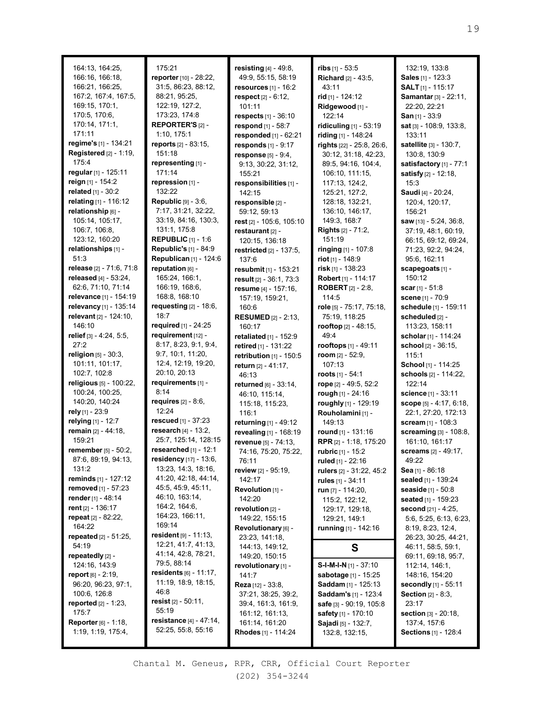|                                 | 175:21                                                  |                               |                                |
|---------------------------------|---------------------------------------------------------|-------------------------------|--------------------------------|
| 164:13, 164:25,                 |                                                         | resisting [4] - 49:8,         | $ribs$ [1] - 53:5              |
| 166:16, 166:18,                 | reporter [10] - 28:22,                                  | 49:9, 55:15, 58:19            | Richard [2] - 43:5,            |
| 166:21, 166:25,                 | 31:5, 86:23, 88:12,                                     | resources $[1]$ - 16:2        | 43:11                          |
| 167:2, 167:4, 167:5,            | 88:21, 95:25,                                           | respect [2] - 6:12,           | rid [1] - 124:12               |
| 169:15, 170:1,                  | 122:19, 127:2,                                          | 101:11                        | Ridgewood [1] -                |
| 170:5, 170:6,                   | 173:23, 174:8                                           | <b>respects</b> $[1] - 36:10$ | 122:14                         |
| 170:14, 171:1,                  | <b>REPORTER'S [2] -</b>                                 | respond [1] - 58:7            | ridiculing [1] - 53:19         |
| 171:11                          | 1:10, 175:1                                             | responded [1] - 62:21         | riding [1] - 148:24            |
| regime's [1] - 134:21           | <b>reports</b> $[2] - 83:15$ ,                          | responds $[1] - 9:17$         | rights [22] - 25:8, 26:6,      |
| <b>Registered</b> [2] - 1:19,   | 151:18                                                  | response [5] - 9:4,           | 30:12, 31:18, 42:23,           |
| 175:4                           | representing [1] -                                      | 9:13, 30:22, 31:12,           | 89:5, 94:16, 104:4,            |
| regular [1] - 125:11            | 171:14                                                  | 155:21                        | 106:10, 111:15,                |
| reign [1] - 154:2               | repression [1] -                                        | responsibilities [1] -        | 117:13, 124:2,                 |
| related [1] - 30:2              | 132:22                                                  | 142:15                        | 125:21, 127:2,                 |
| relating [1] - 116:12           | Republic [9] - 3:6,                                     | responsible [2] -             | 128:18, 132:21,                |
| relationship [6] -              | 7:17, 31:21, 32:22,                                     | 59:12, 59:13                  | 136:10, 146:17,                |
| 105:14, 105:17,                 | 33:19, 84:16, 130:3,                                    |                               |                                |
|                                 |                                                         | rest [2] - 105:6, 105:10      | 149:3, 168:7                   |
| 106:7, 106:8,                   | 131:1, 175:8                                            | restaurant [2] -              | <b>Rights</b> $[2] - 71:2$ ,   |
| 123:12, 160:20                  | <b>REPUBLIC</b> $[1] - 1:6$                             | 120:15, 136:18                | 151:19                         |
| relationships [1] -             | <b>Republic's [1] - 84:9</b>                            | restricted [2] - 137:5,       | <b>ringing</b> [1] - 107:8     |
| 51:3                            | Republican [1] - 124:6                                  | 137:6                         | <b>riot</b> [1] - 148:9        |
| release [2] - 71:6, 71:8        | reputation [6] -                                        | resubmit [1] - 153:21         | risk $[1]$ - 138:23            |
| released [4] - 53:24,           | 165:24, 166:1,                                          | result [2] - 36:1, 73:3       | Robert [1] - 114:17            |
| 62:6, 71:10, 71:14              | 166:19, 168:6,                                          | resume [4] - 157:16,          | <b>ROBERT</b> $[2] - 2:8$      |
| relevance [1] - 154:19          | 168:8, 168:10                                           | 157:19, 159:21,               | 114:5                          |
| relevancy [1] - 135:14          | requesting $[2] - 18:6$ ,                               | 160:6                         | role [5] - 75:17, 75:18,       |
| relevant [2] - 124:10,          | 18:7                                                    | <b>RESUMED</b> [2] - 2:13,    | 75:19, 118:25                  |
| 146:10                          | <b>required</b> [1] - 24:25                             | 160:17                        | <b>rooftop</b> [2] - 48:15,    |
| relief [3] - 4:24, 5:5,         | requirement [12] -                                      | retaliated $[1]$ - 152:9      | 49:4                           |
| 27:2                            | 8:17, 8:23, 9:1, 9:4,                                   |                               | <b>rooftops</b> [1] - 49:11    |
| <b>religion</b> $[5] - 30:3$ ,  | 9:7, 10:1, 11:20,                                       | retired [1] - 131:22          | room $[2] - 52:9$ ,            |
| 101:11, 101:17,                 | 12:4, 12:19, 19:20,                                     | retribution $[1]$ - 150:5     | 107:13                         |
| 102:7, 102:8                    | 20:10, 20:13                                            | return [2] - 41:17,           |                                |
| religious [5] - 100:22,         | requirements [1] -                                      | 46:13                         | <b>roots</b> [1] - 54:1        |
|                                 |                                                         |                               |                                |
|                                 |                                                         | returned [6] - 33:14,         | rope [2] - 49:5, 52:2          |
| 100:24, 100:25,                 | 8:14                                                    | 46:10, 115:14,                | rough [1] - 24:16              |
| 140:20, 140:24                  | <b>requires</b> $[2] - 8:6$ ,                           | 115:18, 115:23,               | roughly [1] - 129:19           |
| rely [1] - 23:9                 | 12:24                                                   | 116:1                         | Rouholamini [1] -              |
| relying [1] - 12:7              | rescued [1] - 37:23                                     | returning [1] - 49:12         | 149:13                         |
| remain [2] - 44:18,             | research $[4] - 13:2$ ,                                 | revealing [1] - 168:19        | round $[1]$ - 131:16           |
| 159:21                          | 25:7, 125:14, 128:15                                    | revenue [5] - 74:13,          | RPR [2] - 1:18, 175:20         |
| remember [5] - 50:2,            | researched $[1]$ - 12:1                                 |                               |                                |
| 87:6, 89:19, 94:13,             | residency [17] - 13:6,                                  | 74:16, 75:20, 75:22,<br>76:11 | rubric [1] - 15:2              |
| 131:2                           | 13:23, 14:3, 18:16,                                     |                               | ruled [1] - 22:16              |
| <b>reminds</b> [1] - 127:12     | 41:20, 42:18, 44:14,                                    | review [2] - 95:19,           | rulers [2] - 31:22, 45:2       |
|                                 | 45:5, 45:9, 45:11,                                      | 142:17                        | rules [1] - 34:11              |
| <b>removed</b> [1] - 57:23      | 46:10, 163:14,                                          | Revolution [1] -              | run [7] - 114:20,              |
| render [1] - 48:14              |                                                         | 142:20                        | 115:2, 122:12,                 |
| rent $[2] - 136:17$             | 164:2, 164:6,                                           | revolution [2] -              | 129:17, 129:18,                |
| repeat [2] - 82:22,             | 164:23, 166:11,                                         | 149:22, 155:15                | 129:21, 149:1                  |
| 164:22                          | 169:14                                                  | Revolutionary [6] -           | running [1] - 142:16           |
| <b>repeated</b> $[2] - 51:25$ , | resident $[9] - 11:13$ ,                                | 23:23, 141:18,                |                                |
| 54:19                           | 12:21, 41:7, 41:13,                                     | 144:13, 149:12,               | S                              |
| repeatedly [2] -                | 41:14, 42:8, 78:21,                                     | 149:20, 150:15                |                                |
| 124:16, 143:9                   | 79:5, 88:14                                             | revolutionary [1] -           | <b>S-I-M-I-N</b> $[1]$ - 37:10 |
| report [6] - 2:19,              | residents $[6] - 11:17$ ,                               | 141:7                         | sabotage [1] - 15:25           |
| 96:20, 96:23, 97:1,             | 11:19, 18:9, 18:15,                                     | <b>Reza</b> [12] - $33:8$ ,   | Saddam [1] - 125:13            |
| 100:6, 126:8                    | 46:8                                                    | 37:21, 38:25, 39:2,           | Saddam's [1] - 123:4           |
| <b>reported</b> $[2] - 1:23$ ,  | resist $[2] - 50:11$ ,                                  | 39:4, 161:3, 161:9,           | safe [3] - 90:19, 105:8        |
| 175:7                           | 55:19                                                   | 161:12, 161:13,               | safety [1] - 170:10            |
| <b>Reporter</b> $[6] - 1:18$ ,  | <b>resistance</b> $[4] - 47:14$ ,<br>52:25, 55:8, 55:16 | 161:14, 161:20                | Sajadi [5] - 132:7,            |

132:19, 133:8 **Sales** [1] - 123:3 **SALT** [1] - 115:17 **Samantar** [3] - 22:11, 22:20, 22:21 **San** [1] - 33:9 **sat** [3] - 108:9, 133:8, 133:11 **satellite** [3] - 130:7, 130:8, 130:9 **satisfactory** [1] - 77:1 **satisfy** [2] - 12:18, 15:3 **Saudi** [4] - 20:24, 120:4, 120:17, 156:21 **saw** [13] - 5:24, 36:8, 37:19, 48:1, 60:19, 66:15, 69:12, 69:24, 71:23, 92:2, 94:24, 95:6, 162:11 **scapegoats** [1] - 150:12 **scar** [1] - 51:8 **scene** [1] - 70:9 **schedule** [1] - 159:11 **scheduled** [2] - 113:23, 158:11 **scholar** [1] - 114:24 **school** [2] - 36:15, 115:1 **School** [1] - 114:25 **schools** [2] - 114:22, 122:14 **science** [1] - 33:11 **scope** [5] - 4:17, 6:18, 22:1, 27:20, 172:13 **scream** [1] - 108:3 **screaming** [3] - 108:8, 161:10, 161:17 **screams** [2] - 49:17, 49:22 **Sea** [1] - 86:18 **sealed** [1] - 139:24 **seaside** [1] - 50:8 **seated** [1] - 159:23 **second** [21] - 4:25, 5:6, 5:25, 6:13, 6:23, 8:19, 8:23, 12:4, 26:23, 30:25, 44:21, 46:11, 58:5, 59:1, 69:11, 69:18, 95:7, 112:14, 146:1, 148:16, 154:20 **secondly** [1] - 55:11 **Section** [2] - 8:3, 23:17 **section** [3] - 20:18, 137:4, 157:6 **Sections** [1] - 128:4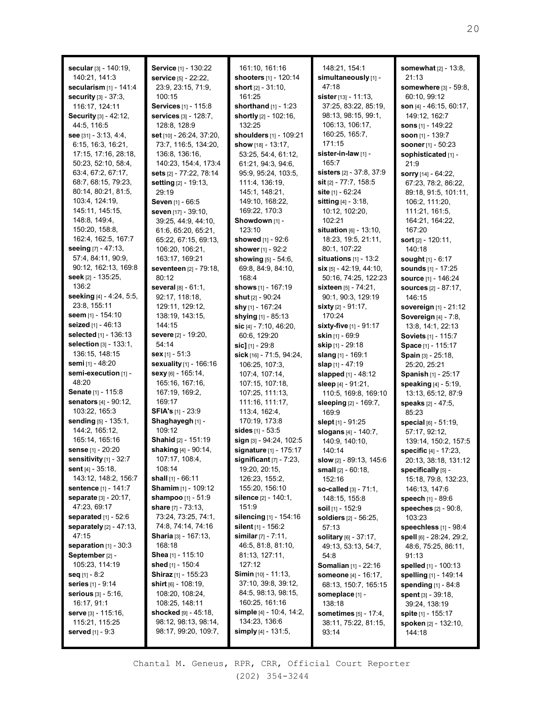| secular [3] - 140:19,                        | Service [1] - 130:22                            | 161:10, 161:16                                       | 148:21, 154:1                   | <b>somewhat</b> $[2] - 13:8$ , |
|----------------------------------------------|-------------------------------------------------|------------------------------------------------------|---------------------------------|--------------------------------|
| 140:21, 141:3                                | <b>service</b> [5] - 22:22,                     | shooters [1] - 120:14                                | simultaneously [1] -            | 21:13                          |
| secularism [1] - 141:4                       | 23:9, 23:15, 71:9,                              | short $[2] - 31:10$ ,                                | 47:18                           | somewhere [3] - 59:8,          |
| <b>security</b> $[3] - 37:3$ ,               | 100:15                                          | 161:25                                               | <b>sister</b> $[13] - 11:13$ ,  | 60:10, 99:12                   |
| 116:17, 124:11                               | <b>Services</b> [1] - 115:8                     | shorthand $[1] - 1:23$                               | 37:25, 83:22, 85:19,            | son $[4] - 46:15, 60:17$ ,     |
| Security [3] - 42:12,                        | services [3] - 128:7,                           | shortly [2] - 102:16,                                | 98:13, 98:15, 99:1,             | 149:12, 162:7                  |
| 44:5, 116:5                                  | 128:8, 128:9                                    | 132:25                                               | 106:13, 106:17,                 | sons [1] - 149:22              |
| see $[31] - 3:13, 4:4,$                      | <b>set</b> $[10] - 26:24$ , 37:20,              | shoulders [1] - 109:21                               | 160:25, 165:7,                  | soon $[1]$ - 139:7             |
| 6:15, 16:3, 16:21,                           | 73:7, 116:5, 134:20,                            | show [18] - 13:17,                                   | 171:15                          | <b>sooner</b> [1] - 50:23      |
| 17:15, 17:16, 28:18,                         | 136:8, 136:16,                                  | 53:25, 54:4, 61:12,                                  | sister-in-law [1] -             | sophisticated [1] -            |
| 50:23, 52:10, 58:4,                          | 140:23, 154:4, 173:4                            | 61:21, 94:3, 94:6,                                   | 165:7                           | 21:9                           |
| 63:4, 67:2, 67:17,                           | sets [2] - 77:22, 78:14                         | 95:9, 95:24, 103:5,                                  | <b>sisters</b> [2] - 37:8, 37:9 | <b>sorry</b> $[14] - 64:22$ ,  |
| 68:7, 68:15, 79:23,                          | setting [2] - 19:13,                            | 111:4, 136:19,                                       | sit $[2] - 77:7, 158:5$         | 67:23, 78:2, 86:22,            |
| 80:14, 80:21, 81:5,                          | 29:19                                           | 145:1, 148:21,                                       | <b>site</b> $[1] - 62:24$       | 89:18, 91:5, 101:11,           |
| 103:4, 124:19,                               | Seven [1] - 66:5                                | 149:10, 168:22,                                      | sitting [4] - 3:18,             | 106:2, 111:20,                 |
| 145:11, 145:15,                              | seven [17] - 39:10,                             | 169:22, 170:3                                        | 10:12, 102:20,                  | 111:21, 161:5,                 |
| 148:8, 149:4,                                | 39:25, 44:9, 44:10,                             | Showdown [1] -                                       | 102:21                          | 164:21, 164:22,                |
| 150:20, 158:8,                               | 61:6, 65:20, 65:21,                             | 123:10                                               | situation $[6] - 13:10$ ,       | 167:20                         |
| 162:4, 162:5, 167:7                          | 65:22, 67:15, 69:13,                            | showed [1] - 92:6                                    | 18:23, 19:5, 21:11,             | <b>sort</b> $[2] - 120:11$ ,   |
| seeing $[7] - 47:13$ .                       | 106:20, 106:21,                                 | shower [1] - 92:2                                    | 80:1, 107:22                    | 140:18                         |
| 57:4, 84:11, 90:9,                           | 163:17, 169:21                                  | showing [5] - 54:6,                                  | situations $[1]$ - 13:2         | sought [1] - 6:17              |
| 90:12, 162:13, 169:8                         | seventeen [2] - 79:18,                          | 69:8, 84:9, 84:10,                                   | <b>six</b> [5] - 42:19, 44:10,  | sounds [1] - 17:25             |
| seek [2] - 135:25,                           | 80:12                                           | 168:4                                                | 50:16, 74:25, 122:23            | <b>source</b> [1] - 146:24     |
| 136:2                                        | several [8] - 61:1.                             | shows [1] - 167:19                                   | sixteen [5] - 74:21,            | <b>sources</b> [2] - 87:17,    |
| seeking [4] - 4:24, 5:5,                     | 92:17, 118:18,                                  | shut [2] - 90:24                                     | 90:1, 90:3, 129:19              | 146:15                         |
| 23:8, 155:11                                 | 129:11, 129:12,                                 | shy [1] - 167:24                                     | sixty $[2] - 91:17$ ,           | sovereign [1] - 21:12          |
| seem $[1] - 154:10$                          | 138:19, 143:15,                                 | shying [1] - 85:13                                   | 170:24                          | Sovereign [4] - 7:8,           |
| seized [1] - 46:13                           | 144:15                                          | sic $[4] - 7:10, 46:20,$                             | <b>sixty-five</b> [1] - 91:17   | 13:8, 14:1, 22:13              |
| selected [1] - 136:13                        | severe [2] - 19:20,                             | 60:6, 129:20                                         | skin $[1]$ - 69:9               | <b>Soviets</b> [1] - 115:7     |
| <b>selection</b> $[3] - 133:1$ ,             | 54:14                                           | sic] $[1] - 29:8$                                    | skip [1] - 29:18                | Space [1] - 115:17             |
| 136:15, 148:15                               | <b>sex</b> [1] - 51:3                           | sick [16] - 71:5, 94:24,                             | slang [1] - 169:1               | Spain [3] - 25:18,             |
| <b>semi</b> [1] - 48:20                      | sexuality [1] - 166:16                          | 106:25, 107:3,                                       | slap [1] - 47:19                | 25:20, 25:21                   |
| semi-execution [1] -                         | sexy [6] - 165:14,                              | 107:4, 107:14,                                       | slapped [1] - 48:12             | Spanish [1] - 25:17            |
| 48:20                                        | 165:16, 167:16,                                 | 107:15, 107:18,                                      | sleep [4] - 91:21,              | speaking [4] - 5:19,           |
| Senate [1] - 115:8                           | 167:19, 169:2,                                  | 107:25, 111:13,                                      | 110:5, 169:8, 169:10            | 13:13, 65:12, 87:9             |
| senators [4] - 90:12,                        | 169:17                                          | 111:16, 111:17,                                      | sleeping [2] - 169:7,           | speaks [2] - 47:5,             |
| 103:22, 165:3                                | <b>SFIA's</b> $[1]$ - 23:9                      | 113:4, 162:4,                                        | 169:9                           | 85:23                          |
| sending [5] - 135:1,                         | Shaghayegh [1] -                                | 170:19, 173:8                                        | slept [1] - 91:25               | special [6] - 51:19,           |
| 144:2, 165:12,                               | 109:12                                          | sides $[1] - 53:5$                                   | slogans [4] - 140:7,            | 57:17, 92:12,                  |
| 165:14, 165:16                               | Shahid [2] - 151:19                             | sign [3] - 94:24, 102:5                              | 140:9, 140:10,                  | 139:14, 150:2, 157:5           |
| sense [1] - 20:20                            | shaking [4] - 90:14,                            | signature [1] - 175:17                               | 140:14                          | specific [4] - 17:23,          |
| sensitivity $[1]$ - 32:7                     | 107:17, 108:4,                                  | significant $[7]$ - $7:23$ ,                         | slow $[2] - 89:13, 145:6$       | 20:13, 38:18, 131:12           |
| sent $[4] - 35:18$ ,                         | 108:14                                          | 19:20, 20:15,                                        | <b>small</b> $[2] - 60:18$ ,    | specifically [5] -             |
| 143:12, 148:2, 156:7                         | shall $[1] - 66:11$                             | 126:23, 155:2,                                       | 152:16                          | 15:18, 79:8, 132:23,           |
| <b>sentence</b> [1] - 141:7                  | <b>Shamim</b> [1] - 109:12                      | 155:20, 156:10                                       | so-called [3] - 71:1.           | 146:13, 147:6                  |
| <b>separate</b> $[3] - 20:17$ ,              | shampoo [1] - 51:9                              | silence [2] - 140:1,                                 | 148:15, 155:8                   | speech [1] - 89:6              |
| 47:23, 69:17                                 | <b>share</b> $[7] - 73:13$ ,                    | 151:9                                                | <b>soil</b> $[1]$ - 152:9       | <b>speeches</b> $[2] - 90:8$ , |
| separated $[1] - 52:6$                       | 73:24, 73:25, 74:1,                             | silencing [1] - 154:16                               | <b>soldiers</b> [2] - 56:25,    | 103:23                         |
| separately [2] - 47:13,<br>47:15             | 74:8, 74:14, 74:16                              | <b>silent</b> [1] - 156:2                            | 57:13                           | speechless [1] - 98:4          |
|                                              | <b>Sharia</b> [3] - 167:13,<br>168:18           | <b>similar</b> $[7] - 7:11$ ,                        | solitary [6] - 37:17,           | spell [6] - 28:24, 29:2,       |
| separation $[1] - 30:3$                      | Shea [1] - 115:10                               | 46:5, 81:8, 81:10,                                   | 49:13, 53:13, 54:7,             | 48:6, 75:25, 86:11,            |
| September [2] -<br>105:23, 114:19            | shed [1] - 150:4                                | 81:13, 127:11,<br>127:12                             | 54:8                            | 91:13                          |
|                                              |                                                 |                                                      | Somalian [1] - 22:16            | spelled [1] - 100:13           |
| seq $[1] - 8:2$                              | <b>Shiraz</b> [1] - 155:23                      | <b>Simin</b> $[10] - 11:13$ ,<br>37:10, 39:8, 39:12, | <b>someone</b> [4] - 16:17,     | spelling [1] - 149:14          |
| <b>series</b> [1] - 9:14                     | <b>shirt</b> $[6]$ - 108:19,<br>108:20, 108:24, | 84:5, 98:13, 98:15,                                  | 68:13, 150:7, 165:15            | <b>spending</b> $[1] - 84:8$   |
| <b>serious</b> $[3] - 5:16$ ,<br>16:17, 91:1 | 108:25, 148:11                                  | 160:25, 161:16                                       | someplace [1] -                 | <b>spent</b> $[3] - 39:18$     |
|                                              | shocked $[9]$ - 45:18,                          | simple $[4]$ - 10:4, 14:2,                           | 138:18                          | 39:24, 138:19                  |
| serve [3] - 115:16,<br>115:21, 115:25        | 98:12, 98:13, 98:14,                            | 134:23, 136:6                                        | sometimes $[5] - 17:4$ ,        | <b>spite</b> [1] - 155:17      |
|                                              | 98:17, 99:20, 109:7,                            | simply $[4] - 131:5$ ,                               | 38:11, 75:22, 81:15,            | spoken [2] - 132:10,           |
| <b>served</b> [1] - 9:3                      |                                                 |                                                      | 93:14                           | 144:18                         |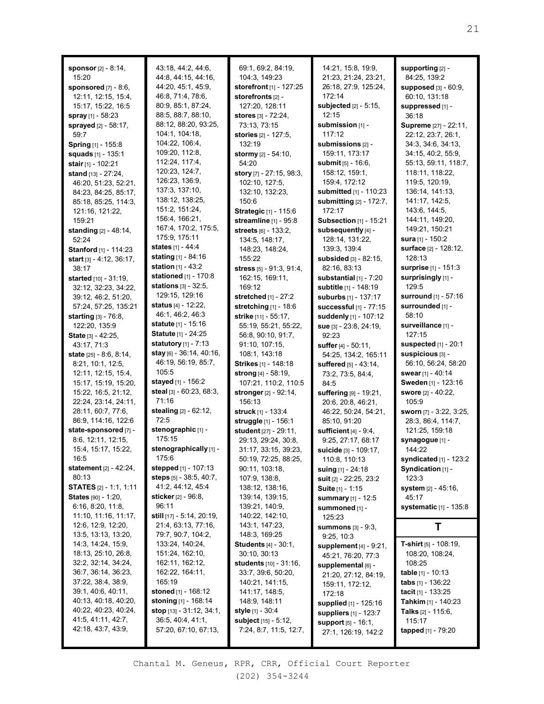**sponsor** [2] - 8:14, 15:20 **sponsored** [7] - 8:6, 12:11, 12:15, 15:4, 15:17, 15:22, 16:5 **spray** [1] - 58:23 **sprayed** [2] - 58:17, 59:7 **Spring** [1] - 155:8 **squads** [1] - 135:1 **stair** [1] - 102:21 **stand** [13] - 27:24, 46:20, 51:23, 52:21, 84:23, 84:25, 85:17, 85:18, 85:25, 114:3, 121:16, 121:22, 159:21 **standing** [2] - 48:14, 52:24 **Stanford** [1] - 114:23 **start** [3] - 4:12, 36:17, 38:17 **started** [10] - 31:19, 32:12, 32:23, 34:22, 39:12, 46:2, 51:20, 57:24, 57:25, 135:21 **starting** [3] - 76:8, 122:20, 135:9 **State** [3] - 42:25, 43:17, 71:3 **state** [25] - 8:6, 8:14, 8:21, 10:1, 12:5, 12:11, 12:15, 15:4, 15:17, 15:19, 15:20, 15:22, 16:5, 21:12, 22:24, 23:14, 24:11, 28:11, 60:7, 77:6, 86:9, 114:16, 122:6 **state-sponsored** [7] - 8:6, 12:11, 12:15, 15:4, 15:17, 15:22, 16:5 **statement** [2] - 42:24, 80:13 **STATES** [2] - 1:1, 1:11 **States** [90] - 1:20, 6:16, 8:20, 11:8, 11:10, 11:16, 11:17, 12:6, 12:9, 12:20, 13:5, 13:13, 13:20, 14:3, 14:24, 15:9, 18:13, 25:10, 26:8, 32:2, 32:14, 34:24, 36:7, 36:14, 36:23, 37:22, 38:4, 38:9, 39:1, 40:6, 40:11, 40:13, 40:18, 40:20, 40:22, 40:23, 40:24, 41:5, 41:11, 42:7, 42:18, 43:7, 43:9,

43:18, 44:2, 44:6, 44:8, 44:15, 44:16, 44:20, 45:1, 45:9, 46:8, 71:4, 78:6, 80:9, 85:1, 87:24, 88:5, 88:7, 88:10, 88:12, 88:20, 93:25, 104:1, 104:18, 104:22, 106:4, 109:20, 112:8, 112:24, 117:4, 120:23, 124:7, 126:23, 136:9, 137:3, 137:10, 138:12, 138:25, 151:2, 151:24, 156:4, 166:21, 167:4, 170:2, 175:5, 175:9, 175:11 **states** [1] - 44:4 **stating** [1] - 84:16 **station** [1] - 43:2 **stationed** [1] - 170:8 **stations** [3] - 32:5, 129:15, 129:16 **status** [4] - 12:22, 46:1, 46:2, 46:3 **statute** [1] - 15:16 **Statute** [1] - 24:25 **statutory** [1] - 7:13 **stay** [6] - 36:14, 40:16, 46:19, 56:19, 85:7, 105:5 **stayed** [1] - 156:2 **steal** [3] - 60:23, 68:3, 71:16 **stealing** [2] - 62:12, 72:5 **stenographic** [1] - 175:15 **stenographically** [1] - 175:6 **stepped** [1] - 107:13 **steps** [5] - 38:5, 40:7, 41:2, 44:12, 45:4 **sticker** [2] - 96:8, 96:11 **still** [17] - 5:14, 20:19, 21:4, 63:13, 77:16, 79:7, 90:7, 104:2, 133:24, 140:24, 151:24, 162:10, 162:11, 162:12, 162:22, 164:11, 165:19 **stoned** [1] - 168:12 **stoning** [1] - 168:14 **stop** [13] - 31:12, 34:1,  $36:5, 40:4, 41:1$ 57:20, 67:10, 67:13,

69:1, 69:2, 84:19, 104:3, 149:23 **storefront** [1] - 127:25 **storefronts** [2] - 127:20, 128:11 **stores** [3] - 72:24, 73:13, 73:15 **stories** [2] - 127:5, 132:19 **stormy** [2] - 54:10, 54:20 **story** [7] - 27:15, 98:3, 102:10, 127:5, 132:10, 132:23, 150:6 **Strategic** [1] - 115:6 **streamline** [1] - 95:8 **streets** [6] - 133:2, 134:5, 148:17, 148:23, 148:24, 155:22 **stress** [5] - 91:3, 91:4, 162:15, 169:11, 169:12 **stretched** [1] - 27:2 **stretching** [1] - 18:6 **strike** [11] - 55:17, 55:19, 55:21, 55:22, 56:8, 90:10, 91:7, 91:10, 107:15, 108:1, 143:18 **Strikes** [1] - 148:18 **strong** [4] - 58:19, 107:21, 110:2, 110:5 **stronger** [2] - 92:14, 156:13 **struck** [1] - 133:4 **struggle** [1] - 156:1 **student** [27] - 29:11, 29:13, 29:24, 30:8, 31:17, 33:15, 39:23, 50:19, 72:25, 88:25, 90:11, 103:18, 107:9, 138:8, 138:12, 138:16, 139:14, 139:15, 139:21, 140:9, 140:22, 142:10, 143:1, 147:23, 148:3, 169:25 **Students** [4] - 30:1, 30:10, 30:13 **students** [10] - 31:16, 33:7, 39:6, 50:20, 140:21, 141:15, 141:17, 148:5, 148:9, 148:11 **style** [1] - 30:4 **subject** [15] - 5:12, 7:24, 8:7, 11:5, 12:7,

14:21, 15:8, 19:9, 21:23, 21:24, 23:21, 26:18, 27:9, 125:24, 172:14 **subjected** [2] - 5:15, 12:15 **submission** [1] - 117:12 **submissions** [2] - 159:11, 173:17 **submit** [5] - 16:6, 158:12, 159:1, 159:4, 172:12 **submitted** [1] - 110:23 **submitting** [2] - 172:7, 172:17 **Subsection** [1] - 15:21 **subsequently** [4] - 128:14, 131:22, 139:3, 139:4 **subsided** [3] - 82:15, 82:16, 83:13 **substantial** [1] - 7:20 **subtitle** [1] - 148:19 **suburbs** [1] - 137:17 **successful** [1] - 77:15 **suddenly** [1] - 107:12 **sue** [3] - 23:8, 24:19, 92:23 **suffer** [4] - 50:11, 54:25, 134:2, 165:11 **suffered** [5] - 43:14, 73:2, 73:5, 84:4, 84:5 **suffering** [9] - 19:21, 20:6, 20:8, 46:21, 46:22, 50:24, 54:21, 85:10, 91:20 **sufficient** [4] - 9:4, 9:25, 27:17, 68:17 **suicide** [3] - 109:17, 110:8, 110:13 **suing** [1] - 24:18 **suit** [2] - 22:25, 23:2 **Suite** [1] - 1:15 **summary** [1] - 12:5 **summoned** [1] - 125:23 **summons** [3] - 9:3, 9:25, 10:3 **supplement** [4] - 9:21, 45:21, 76:20, 77:3 **supplemental** [6] - 21:20, 27:12, 84:19, 159:11, 172:12, 172:18 **supplied** [1] - 125:16 **suppliers** [1] - 123:7 **support** [5] - 16:1, 27:1, 126:19, 142:2

**supporting** [2] - 84:25, 139:2 **supposed** [3] - 60:9, 60:10, 131:18 **suppressed** [1] - 36:18 **Supreme** [27] - 22:11, 22:12, 23:7, 26:1, 34:3, 34:6, 34:13, 34:15, 40:2, 55:9, 55:13, 59:11, 118:7, 118:11, 118:22, 119:5, 120:19, 136:14, 141:13, 141:17, 142:5, 143:6, 144:5, 144:11, 149:20, 149:21, 150:21 **sura** [1] - 150:2 **surface** [2] - 128:12, 128:13 **surprise** [1] - 151:3 **surprisingly** [1] - 129:5 **surround** [1] - 57:16 **surrounded** [1] - 58:10 **surveillance** [1] - 127:15 **suspected** [1] - 20:1 **suspicious** [3] - 56:10, 56:24, 58:20 **swear** [1] - 40:14 **Sweden** [1] - 123:16 **swore** [2] - 40:22, 105:9 **sworn** [7] - 3:22, 3:25, 28:3, 86:4, 114:7, 121:25, 159:18 **synagogue** [1] - 144:22 **syndicated** [1] - 123:2 **Syndication** [1] - 123:3 **system** [2] - 45:16, 45:17 **systematic** [1] - 135:8 **T T-shirt** [5] - 108:19, 108:20, 108:24, 108:25 **table** [1] - 10:13

**tabs** [1] - 136:22 **tacit** [1] - 133:25 **Tahkim** [1] - 140:23 **Talks** [2] - 115:6, 115:17 **tapped** [1] - 79:20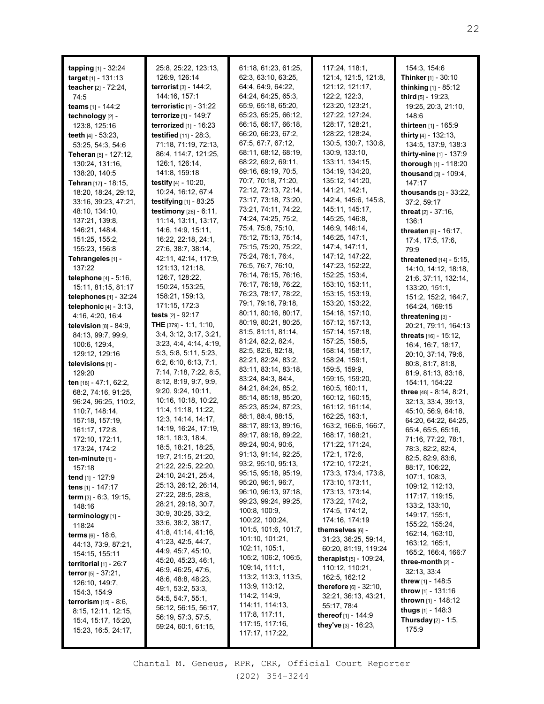| tapping [1] - 32:24             | 25:8, 25:22, 123:13,             | 61:18, 61:23, 61:25, | 117:24, 118:1,                    | 154:3, 154:6                      |
|---------------------------------|----------------------------------|----------------------|-----------------------------------|-----------------------------------|
| <b>target</b> $[1]$ - 131:13    | 126:9, 126:14                    | 62:3, 63:10, 63:25,  | 121:4, 121:5, 121:8,              | <b>Thinker</b> [1] - 30:10        |
| teacher [2] - 72:24,            | <b>terrorist</b> $[3] - 144:2$ , | 64:4, 64:9, 64:22,   | 121:12, 121:17,                   | thinking [1] - 85:12              |
| 74:5                            | 144:16, 157:1                    | 64:24, 64:25, 65:3,  | 122:2, 122:3,                     | <b>third</b> $[5]$ - 19:23,       |
| teams [1] - 144:2               | terroristic $[1]$ - 31:22        | 65:9, 65:18, 65:20,  | 123:20, 123:21,                   | 19:25, 20:3, 21:10,               |
| technology [2] -                | <b>terrorize</b> [1] - 149:7     | 65:23, 65:25, 66:12, | 127:22, 127:24,                   | 148:6                             |
| 123:8, 125:16                   | terrorized $[1]$ - 16:23         | 66:15, 66:17, 66:18, | 128:17, 128:21,                   | thirteen [1] - 165:9              |
|                                 |                                  | 66:20, 66:23, 67:2,  | 128:22, 128:24,                   |                                   |
| teeth $[4] - 53:23$ ,           | <b>testified</b> $[11] - 28:3$ , | 67:5, 67:7, 67:12,   | 130:5, 130:7, 130:8,              | thirty [4] - 132:13,              |
| 53:25, 54:3, 54:6               | 71:18, 71:19, 72:13,             |                      |                                   | 134:5, 137:9, 138:3               |
| <b>Teheran</b> [5] - 127:12,    | 86:4, 114:7, 121:25,             | 68:11, 68:12, 68:19, | 130:9, 133:10,                    | thirty-nine [1] - 137:9           |
| 130:24, 131:16,                 | 126:1, 126:14,                   | 68:22, 69:2, 69:11,  | 133:11, 134:15,                   | thorough [1] - 118:20             |
| 138:20, 140:5                   | 141:8, 159:18                    | 69:16, 69:19, 70:5,  | 134:19, 134:20,                   | thousand $[3] - 109:4$ ,          |
| <b>Tehran</b> [17] - 18:15,     | <b>testify</b> $[4] - 10:20$ ,   | 70:7, 70:18, 71:20,  | 135:12, 141:20,                   | 147:17                            |
| 18:20, 18:24, 29:12,            | 10:24, 16:12, 67:4               | 72:12, 72:13, 72:14, | 141:21, 142:1,                    | thousands $[3]$ - $33:22$ ,       |
| 33:16, 39:23, 47:21,            | testifying $[1]$ - 83:25         | 73:17, 73:18, 73:20, | 142:4, 145:6, 145:8,              | 37:2, 59:17                       |
| 48:10, 134:10,                  | testimony [26] - 6:11,           | 73:21, 74:11, 74:22, | 145:11, 145:17,                   | <b>threat</b> $[2] - 37:16$ ,     |
| 137:21, 139:8,                  | 11:14, 13:11, 13:17,             | 74:24, 74:25, 75:2,  | 145:25, 146:8,                    | 136:1                             |
|                                 |                                  | 75:4, 75:8, 75:10,   | 146:9, 146:14,                    |                                   |
| 146:21, 148:4,                  | 14:6, 14:9, 15:11,               | 75:12, 75:13, 75:14, | 146:25, 147:1,                    | <b>threaten</b> $[6] - 16:17$ ,   |
| 151:25, 155:2,                  | 16:22, 22:18, 24:1,              | 75:15, 75:20, 75:22, | 147:4, 147:11,                    | 17:4, 17:5, 17:6,                 |
| 155:23, 156:8                   | 27:6, 38:7, 38:14,               | 75:24, 76:1, 76:4,   | 147:12, 147:22,                   | 79:9                              |
| Tehrangeles [1] -               | 42:11, 42:14, 117:9,             |                      |                                   | <b>threatened</b> $[14] - 5:15$ , |
| 137:22                          | 121:13, 121:18,                  | 76:5, 76:7, 76:10,   | 147:23, 152:22,                   | 14:10, 14:12, 18:18,              |
| telephone [4] - 5:16,           | 126:7, 128:22,                   | 76:14, 76:15, 76:16, | 152:25, 153:4,                    | 21:6, 37:11, 132:14,              |
| 15:11, 81:15, 81:17             | 150:24, 153:25,                  | 76:17, 76:18, 76:22, | 153:10, 153:11,                   | 133:20, 151:1,                    |
| telephones [1] - 32:24          | 158:21, 159:13,                  | 76:23, 78:17, 78:22, | 153:15, 153:19,                   | 151:2, 152:2, 164:7,              |
| telephonic $[4]$ - 3:13,        | 171:15, 172:3                    | 79:1, 79:16, 79:18,  | 153:20, 153:22,                   | 164:24, 169:15                    |
| 4:16, 4:20, 16:4                | tests $[2] - 92:17$              | 80:11, 80:16, 80:17, | 154:18, 157:10,                   | threatening [3] -                 |
| television $[8] - 84:9$ ,       | THE [379] - 1:1, 1:10,           | 80:19, 80:21, 80:25, | 157:12, 157:13,                   | 20:21, 79:11, 164:13              |
|                                 | 3:4, 3:12, 3:17, 3:21,           | 81:5, 81:11, 81:14,  | 157:14, 157:18,                   |                                   |
| 84:13, 99:7, 99:9,              | 3:23, 4:4, 4:14, 4:19,           | 81:24, 82:2, 82:4,   | 157:25, 158:5,                    | threats [16] - 15:12,             |
| 100:6, 129:4,                   |                                  | 82:5, 82:6, 82:18,   | 158:14, 158:17,                   | 16:4, 16:7, 18:17,                |
| 129:12, 129:16                  | 5:3, 5:8, 5:11, 5:23,            | 82:21, 82:24, 83:2,  | 158:24, 159:1,                    | 20:10, 37:14, 79:6,               |
| televisions [1] -               | 6:2, 6:10, 6:13, 7:1,            | 83:11, 83:14, 83:18, | 159:5, 159:9,                     | 80:8, 81:7, 81:8,                 |
| 129:20                          | 7:14, 7:18, 7:22, 8:5,           | 83:24, 84:3, 84:4,   | 159:15, 159:20,                   | 81:9, 81:13, 83:16,               |
| ten [18] - 47:1, 62:2,          | 8:12, 8:19, 9:7, 9:9,            |                      |                                   | 154:11, 154:22                    |
| 68:2, 74:16, 91:25,             | 9:20, 9:24, 10:11,               | 84:21, 84:24, 85:2,  | 160:5, 160:11,                    | three [48] - 8:14, 8:21,          |
| 96:24, 96:25, 110:2,            | 10:16, 10:18, 10:22,             | 85:14, 85:18, 85:20, | 160:12, 160:15,                   | 32:13, 33:4, 39:13,               |
| 110:7, 148:14,                  | 11:4, 11:18, 11:22,              | 85:23, 85:24, 87:23, | 161:12, 161:14,                   | 45:10, 56:9, 64:18,               |
| 157:18, 157:19,                 | 12:3, 14:14, 14:17,              | 88:1, 88:4, 88:15,   | 162:25, 163:1,                    | 64:20, 64:22, 64:25,              |
| 161:17, 172:8,                  | 14:19, 16:24, 17:19,             | 88:17, 89:13, 89:16, | 163:2, 166:6, 166:7,              | 65:4, 65:5, 65:16,                |
| 172:10, 172:11,                 | 18:1, 18:3, 18:4,                | 89:17, 89:18, 89:22, | 168:17, 168:21,                   | 71:16, 77:22, 78:1,               |
| 173:24, 174:2                   | 18:5, 18:21, 18:25,              | 89:24, 90:4, 90:6,   | 171:22, 171:24,                   | 78:3, 82:2, 82:4,                 |
|                                 | 19:7, 21:15, 21:20,              | 91:13, 91:14, 92:25, | 172:1, 172:6,                     |                                   |
| ten-minute [1] -                | 21:22, 22:5, 22:20,              | 93:2, 95:10, 95:13,  | 172:10, 172:21,                   | 82:5, 82:9, 83:6,                 |
| 157:18                          | 24:10, 24:21, 25:4,              | 95:15, 95:18, 95:19, | 173:3, 173:4, 173:8,              | 88:17, 106:22,                    |
| tend $[1]$ - 127:9              |                                  | 95:20, 96:1, 96:7,   | 173:10, 173:11,                   | 107:1, 108:3,                     |
| tens [1] - 147:17               | 25:13, 26:12, 26:14,             | 96:10, 96:13, 97:18, | 173:13, 173:14,                   | 109:12, 112:13,                   |
| <b>term</b> [3] $-6:3$ , 19:15, | 27:22, 28:5, 28:8,               | 99:23, 99:24, 99:25, | 173:22, 174:2,                    | 117:17, 119:15,                   |
| 148:16                          | 28:21, 29:18, 30:7,              | 100:8, 100:9,        | 174:5, 174:12,                    | 133:2, 133:10,                    |
| terminology [1] -               | 30:9, 30:25, 33:2,               | 100:22, 100:24,      | 174:16, 174:19                    | 149:17, 155:1,                    |
| 118:24                          | 33:6, 38:2, 38:17,               |                      |                                   | 155:22, 155:24,                   |
| terms [6] - 18:6,               | 41:8, 41:14, 41:16,              | 101:5, 101:6, 101:7, | themselves [6] -                  | 162:14, 163:10,                   |
| 44:13, 73:9, 87:21,             | 41:23, 42:5, 44:7,               | 101:10, 101:21,      | 31:23, 36:25, 59:14,              | 163:12, 165:1,                    |
| 154:15, 155:11                  | 44:9, 45:7, 45:10,               | 102:11, 105:1,       | 60:20, 81:19, 119:24              | 165:2, 166:4, 166:7               |
| territorial $[1]$ - 26:7        | 45:20, 45:23, 46:1,              | 105:2, 106:2, 106:5, | <b>therapist</b> $[5] - 109:24$ , | three-month [2] -                 |
| <b>terror</b> [5] - $37:21$ ,   | 46:9, 46:25, 47:6,               | 109:14, 111:1,       | 110:12, 110:21,                   | 32:13, 33:4                       |
|                                 | 48:6, 48:8, 48:23,               | 113:2, 113:3, 113:5, | 162:5, 162:12                     | <b>threw</b> [1] - 148:5          |
| 126:10, 149:7,                  | 49:1, 53:2, 53:3,                | 113:9, 113:12,       | <b>therefore</b> $[6] - 32:10$ ,  | <b>throw</b> [1] - 131:16         |
| 154:3, 154:9                    | 54:5, 54:7, 55:1,                | 114:2, 114:9,        | 32:21, 36:13, 43:21,              |                                   |
| <b>terrorism</b> $[15] - 8:6,$  | 56:12, 56:15, 56:17,             | 114:11, 114:13,      | 55:17, 78:4                       | <b>thrown</b> $[1]$ - 148:12      |
| 8:15, 12:11, 12:15,             | 56:19, 57:3, 57:5,               | 117:8, 117:11,       | <b>thereof</b> $[1]$ - 144:9      | thugs $[1]$ - 148:3               |
| 15:4, 15:17, 15:20,             | 59:24, 60:1, 61:15,              | 117:15, 117:16,      | they've $[3] - 16:23$ ,           | Thursday [2] - 1:5,               |
| 15:23, 16:5, 24:17,             |                                  | 117:17, 117:22,      |                                   | 175:9                             |
|                                 |                                  |                      |                                   |                                   |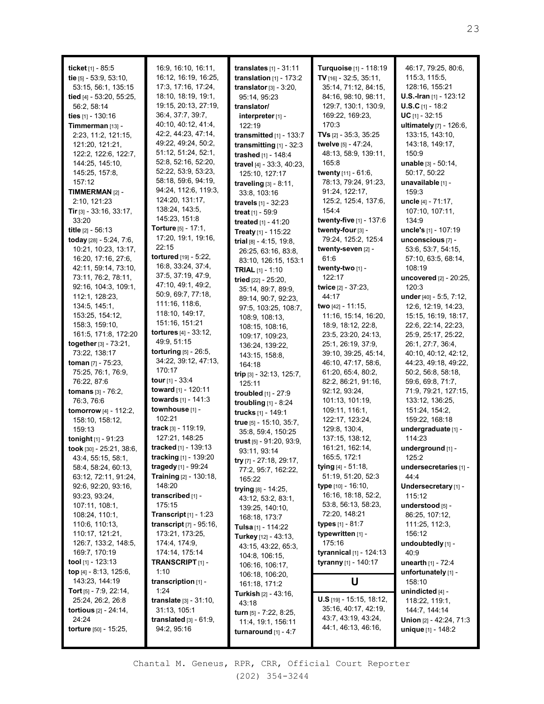| ticket $[1]$ - 85:5<br>tie [5] - 53:9, 53:10,        | 16:9, 16:10, 16:11,<br>16:12, 16:19, 16:25,       | <b>translates</b> $[1] - 31:11$<br>translation $[1]$ - 173:2 | Turquoise [1] - 118:19<br>TV $[16] - 32:5, 35:11,$ | 46:17, 79:25, 80:6,<br>115:3, 115:5,       |
|------------------------------------------------------|---------------------------------------------------|--------------------------------------------------------------|----------------------------------------------------|--------------------------------------------|
| 53:15, 56:1, 135:15                                  | 17:3, 17:16, 17:24,                               | translator $[3]$ - 3:20,                                     | 35:14, 71:12, 84:15,                               | 128:16, 155:21                             |
| tied [4] - 53:20, 55:25,                             | 18:10, 18:19, 19:1,                               | 95:14, 95:23                                                 | 84:16, 98:10, 98:11,                               | U.S.-Iran [1] - 123:12                     |
| 56:2, 58:14                                          | 19:15, 20:13, 27:19,                              | translator/                                                  | 129:7, 130:1, 130:9,                               | $U.S.C$ <sub>[1]</sub> - 18:2              |
| ties $[1] - 130:16$                                  | 36:4, 37:7, 39:7,                                 | interpreter <sub>[1]</sub> -                                 | 169:22, 169:23,                                    | $UC$ <sub>[1]</sub> - 32:15                |
| Timmerman [13] -                                     | 40:10, 40:12, 41:4,<br>42:2, 44:23, 47:14,        | 122:19                                                       | 170:3<br><b>TVs</b> $[2] - 35:3, 35:25$            | ultimately [7] - 126:6,                    |
| 2:23, 11:2, 121:15,<br>121:20, 121:21,               | 49:22, 49:24, 50:2,                               | transmitted $[1]$ - 133:7<br>transmitting [1] - 32:3         | twelve [5] - 47:24,                                | 133:15, 143:10,<br>143:18, 149:17,         |
| 122:2, 122:6, 122:7,                                 | 51:12, 51:24, 52:1,                               | trashed [1] - 148:4                                          | 48:13, 58:9, 139:11,                               | 150:9                                      |
| 144:25, 145:10,                                      | 52:8, 52:16, 52:20,                               | travel [4] - 33:3, 40:23,                                    | 165:8                                              | unable [3] - 50:14,                        |
| 145:25, 157:8,                                       | 52:22, 53:9, 53:23,                               | 125:10, 127:17                                               | twenty [11] - 61:6,                                | 50:17, 50:22                               |
| 157:12                                               | 58:18, 59:6, 94:19,                               | traveling [3] - 8:11,                                        | 78:13, 79:24, 91:23,                               | unavailable [1] -                          |
| TIMMERMAN [2] -                                      | 94:24, 112:6, 119:3,                              | 33:8, 103:16                                                 | 91:24, 122:17,                                     | 159:3                                      |
| 2:10, 121:23                                         | 124:20, 131:17,                                   | <b>travels</b> $[1] - 32:23$                                 | 125:2, 125:4, 137:6,                               | uncle [4] - 71:17,                         |
| <b>Tir</b> [3] - 33:16, 33:17,                       | 138:24, 143:5,                                    | <b>treat</b> $[1] - 59.9$                                    | 154:4                                              | 107:10, 107:11,                            |
| 33:20                                                | 145:23, 151:8                                     | treated [1] - 41:20                                          | twenty-five [1] - 137:6                            | 134:9                                      |
| title [2] - 56:13                                    | <b>Torture</b> [5] - 17:1,<br>17:20, 19:1, 19:16, | Treaty [1] - 115:22                                          | twenty-four [3] -                                  | uncle's [1] - 107:19                       |
| today [28] - 5:24, 7:6,                              | 22:15                                             | trial $[8] - 4:15$ , 19:8,                                   | 79:24, 125:2, 125:4                                | unconscious [7] -                          |
| 10:21, 10:23, 13:17,<br>16:20, 17:16, 27:6,          | tortured [19] - 5:22,                             | 26:25, 63:16, 83:8,                                          | twenty-seven [2] -<br>61:6                         | 53:6, 53:7, 54:15,<br>57:10, 63:5, 68:14,  |
| 42:11, 59:14, 73:10,                                 | 16:8, 33:24, 37:4,                                | 83:10, 126:15, 153:1                                         | twenty-two [1] -                                   | 108:19                                     |
| 73:11, 76:2, 78:11,                                  | 37:5, 37:19, 47:9,                                | <b>TRIAL</b> $[1] - 1:10$<br>tried [22] - 25:20,             | 122:17                                             | uncovered [2] - 20:25,                     |
| 92:16, 104:3, 109:1,                                 | 47:10, 49:1, 49:2,                                | 35:14, 89:7, 89:9,                                           | twice [2] - 37:23,                                 | 120:3                                      |
| 112:1, 128:23,                                       | 50:9, 69:7, 77:18,                                | 89:14, 90:7, 92:23,                                          | 44:17                                              | under [40] - 5:5, 7:12,                    |
| 134:5, 145:1,                                        | 111:16, 118:6,                                    | 97:5, 103:25, 108:7,                                         | two [42] - 11:15,                                  | 12:6, 12:19, 14:23,                        |
| 153:25, 154:12,                                      | 118:10, 149:17,                                   | 108:9, 108:13,                                               | 11:16, 15:14, 16:20,                               | 15:15, 16:19, 18:17,                       |
| 158:3, 159:10,                                       | 151:16, 151:21                                    | 108:15, 108:16,                                              | 18:9, 18:12, 22:8,                                 | 22:6, 22:14, 22:23,                        |
| 161:5, 171:8, 172:20                                 | <b>tortures</b> [4] - 33:12,                      | 109:17, 109:23,                                              | 23:5, 23:20, 24:13,                                | 25:9, 25:17, 25:22,                        |
| together [3] - 73:21,                                | 49:9, 51:15                                       | 136:24, 139:22,                                              | 25:1, 26:19, 37:9,                                 | 26:1, 27:7, 36:4,                          |
| 73:22, 138:17                                        | torturing [5] - 26:5,<br>34:22, 39:12, 47:13,     | 143:15, 158:8,                                               | 39:10, 39:25, 45:14,                               | 40:10, 40:12, 42:12,                       |
| toman [7] - 75:23,<br>75:25, 76:1, 76:9,             | 170:17                                            | 164:18                                                       | 46:10, 47:17, 58:6,<br>61:20, 65:4, 80:2,          | 44:23, 49:18, 49:22,<br>50:2, 56:8, 58:18, |
| 76:22, 87:6                                          | tour [1] - 33:4                                   | trip $[3]$ - 32:13, 125:7,                                   | 82:2, 86:21, 91:16,                                | 59:6, 69:8, 71:7,                          |
| tomans [3] - 76:2,                                   | toward [1] - 120:11                               | 125:11                                                       | 92:12, 93:24,                                      | 71:9, 79:21, 127:15,                       |
| 76:3, 76:6                                           | towards [1] - 141:3                               | troubled [1] - 27:9<br>troubling $[1]$ - 8:24                | 101:13, 101:19,                                    | 133:12, 136:25,                            |
| <b>tomorrow</b> [4] - 112:2,                         | townhouse [1] -                                   | trucks [1] - 149:1                                           | 109:11, 116:1,                                     | 151:24, 154:2,                             |
| 158:10, 158:12,                                      | 102:21                                            | true [5] - 15:10, 35:7,                                      | 122:17, 123:24,                                    | 159:22, 168:18                             |
| 159:13                                               | track [3] - 119:19,                               | 35:8, 59:4, 150:25                                           | 129:8, 130:4,                                      | undergraduate [1] -                        |
| tonight $[1] - 91:23$                                | 127:21, 148:25                                    | trust [5] - 91:20, 93:9,                                     | 137:15, 138:12,                                    | 114:23                                     |
| took [30] - 25:21, 38:6,                             | tracked [1] - 139:13                              | 93:11, 93:14                                                 | 161:21, 162:14,                                    | underground [1] -                          |
| 43:4, 55:15, 58:1,                                   | tracking [1] - 139:20                             | try [7] - 27:18, 29:17,                                      | 165:5, 172:1                                       | 125:2                                      |
| 58:4, 58:24, 60:13,                                  | tragedy [1] - 99:24                               | 77:2, 95:7, 162:22,                                          | tying $[4] - 51:18$ ,<br>51:19, 51:20, 52:3        | undersecretaries [1] -<br>44:4             |
| 63:12, 72:11, 91:24,<br>92:6, 92:20, 93:16,          | Training [2] - 130:18,<br>148:20                  | 165:22                                                       | <b>type</b> [10] - 16:10,                          | Undersecretary [1] -                       |
| 93:23, 93:24,                                        | transcribed [1] -                                 | trying $[8] - 14:25$ ,                                       | 16:16, 18:18, 52:2,                                | 115:12                                     |
| 107:11, 108:1,                                       | 175:15                                            | 43:12, 53:2, 83:1,                                           | 53:8, 56:13, 58:23,                                | understood [5] -                           |
| 108:24, 110:1,                                       | <b>Transcript</b> $[1] - 1:23$                    | 139:25, 140:10,<br>168:18, 173:7                             | 72:20, 148:21                                      | 86:25, 107:12,                             |
| 110:6, 110:13,                                       | <b>transcript</b> $[7] - 95:16$ ,                 | Tulsa [1] - 114:22                                           | types $[1] - 81:7$                                 | 111:25, 112:3,                             |
| 110:17, 121:21,                                      | 173:21, 173:25,                                   | Turkey [12] - 43:13,                                         | typewritten [1] -                                  | 156:12                                     |
| 126:7, 133:2, 148:5,                                 | 174:4, 174:9,                                     | 43:15, 43:22, 65:3,                                          | 175:16                                             | undoubtedly [1] -                          |
| 169:7, 170:19                                        | 174:14, 175:14                                    | 104:8, 106:15,                                               | tyrannical [1] - 124:13                            | 40:9                                       |
| <b>tool</b> $[1]$ - 123:13                           | <b>TRANSCRIPT</b> [1] -                           | 106:16, 106:17,                                              | tyranny [1] - 140:17                               | unearth [1] - 72:4                         |
| top [4] - 8:13, 125:6,                               | 1:10                                              | 106:18, 106:20,                                              |                                                    | unfortunately [1] -                        |
| 143:23, 144:19                                       | transcription $[1]$ -                             | 161:18, 171:2                                                | U                                                  | 158:10                                     |
| <b>Tort</b> $[5]$ - 7:9, 22:14,<br>25:24, 26:2, 26:8 | 1:24<br><b>translate</b> $[3] - 31:10$ ,          | <b>Turkish</b> $[2] - 43:16$ ,                               | $U.S$ [19] - 15:15, 18:12,                         | unindicted [4] -<br>118:22, 119:1,         |
| <b>tortious</b> $[2] - 24:14$ ,                      | 31:13, 105:1                                      | 43:18                                                        | 35:16, 40:17, 42:19,                               | 144:7, 144:14                              |
| 24:24                                                | translated $[3] - 61:9$ ,                         | turn $[5]$ - 7:22, 8:25,<br>11:4, 19:1, 156:11               | 43:7, 43:19, 43:24,                                | Union [2] - 42:24, 71:3                    |
| torture [50] - 15:25,                                | 94:2, 95:16                                       | turnaround $[1] - 4:7$                                       | 44:1, 46:13, 46:16,                                | unique [1] - 148:2                         |
|                                                      |                                                   |                                                              |                                                    |                                            |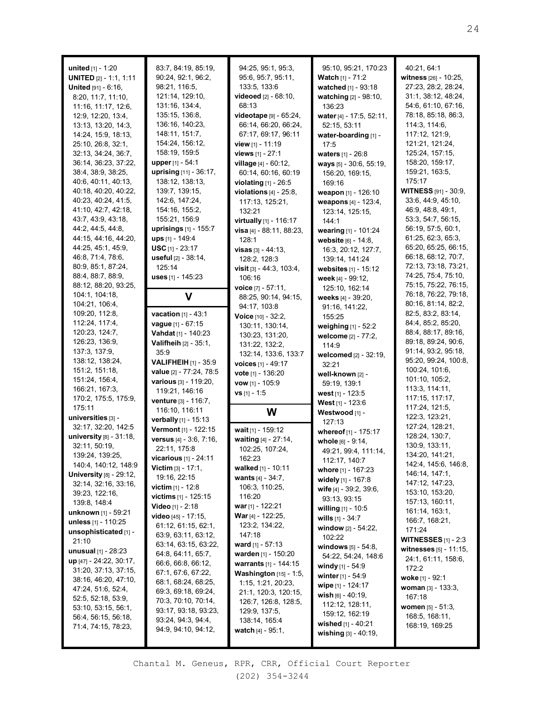| <b>united</b> $[1] - 1:20$      | 83:7, 84:19, 85:19,                         | 94:25, 95:1, 95:3,                 | 95:10, 95:21, 170:23                         | 40:21, 64:1                  |
|---------------------------------|---------------------------------------------|------------------------------------|----------------------------------------------|------------------------------|
| <b>UNITED</b> $[2] - 1:1, 1:11$ | 90:24, 92:1, 96:2,                          | 95:6, 95:7, 95:11,                 | <b>Watch</b> [1] - 71:2                      | witness [26] - 10:25,        |
| United [91] - 6:16,             | 98:21, 116:5,                               | 133:5, 133:6                       | watched [1] - 93:18                          | 27:23, 28:2, 28:24,          |
| 8:20, 11:7, 11:10,              | 121:14, 129:10,                             | videoed [2] - 68:10,               | watching [2] - 98:10,                        | 31:1, 38:12, 48:24,          |
| 11:16, 11:17, 12:6,             | 131:16, 134:4,                              | 68:13                              | 136:23                                       | 54:6, 61:10, 67:16,          |
| 12:9, 12:20, 13:4,              | 135:15, 136:8,                              | <b>videotape</b> $[9] - 65:24$ ,   | water [4] - 17:5, 52:11,                     | 78:18, 85:18, 86:3,          |
| 13:13, 13:20, 14:3,             | 136:16, 140:23,                             | 66:14, 66:20, 66:24,               | 52:15, 53:11                                 | 114:3, 114:6,                |
| 14:24, 15:9, 18:13,             | 148:11, 151:7,                              | 67:17, 69:17, 96:11                | water-boarding [1] -                         | 117:12, 121:9,               |
| 25:10, 26:8, 32:1,              | 154:24, 156:12,                             | view $[1]$ - 11:19                 | 17:5                                         | 121:21, 121:24,              |
| 32:13, 34:24, 36:7,             | 158:19, 159:5                               | views [1] - 27:1                   | waters [1] - 26:8                            | 125:24, 157:15,              |
| 36:14, 36:23, 37:22,            | <b>upper</b> [1] - 54:1                     | village [4] - 60:12,               | ways [5] - 30:6, 55:19,                      | 158:20, 159:17,              |
| 38:4, 38:9, 38:25,              | uprising [11] - 36:17,                      | 60:14, 60:16, 60:19                | 156:20, 169:15,                              | 159:21, 163:5,               |
| 40:6, 40:11, 40:13,             | 138:12, 138:13,                             | violating $[1]$ - 26:5             | 169:16                                       | 175:17                       |
| 40:18, 40:20, 40:22,            | 139:7, 139:15,                              | violations $[4]$ - $25:8$ ,        | weapon [1] - 126:10                          | <b>WITNESS</b> [91] - 30:9,  |
| 40:23, 40:24, 41:5,             | 142:6, 147:24,                              | 117:13, 125:21,                    | weapons [4] - 123:4,                         | 33:6, 44:9, 45:10,           |
| 41:10, 42:7, 42:18,             | 154:16, 155:2,                              | 132:21                             | 123:14, 125:15,                              | 46:9, 48:8, 49:1,            |
| 43:7, 43:9, 43:18,              | 155:21, 156:9                               | <b>virtually</b> $[1]$ - 116:17    | 144:1                                        | 53:3, 54:7, 56:15,           |
| 44:2, 44:5, 44:8,               | uprisings [1] - 155:7                       | visa [4] - 88:11, 88:23,           | wearing [1] - 101:24                         | 56:19, 57:5, 60:1,           |
| 44:15, 44:16, 44:20,            | ups [1] - 149:4                             | 128:1                              | website [6] - 14:8,                          | 61:25, 62:3, 65:3,           |
| 44:25, 45:1, 45:9,              | <b>USC</b> $[1] - 23:17$                    | $visas$ [3] - 44:13,               | 16:3, 20:12, 127:7,                          | 65:20, 65:25, 66:15,         |
| 46:8, 71:4, 78:6,               | useful [2] - 38:14,                         | 128:2, 128:3                       | 139:14, 141:24                               | 66:18, 68:12, 70:7,          |
| 80:9, 85:1, 87:24,              | 125:14                                      | visit $[3] - 44:3, 103:4,$         | websites $[1] - 15:12$                       | 72:13, 73:18, 73:21,         |
| 88:4, 88:7, 88:9,               | uses [1] - 145:23                           | 106:16                             |                                              | 74:25, 75:4, 75:10,          |
| 88:12, 88:20, 93:25,            |                                             | voice $[7] - 57:11$ ,              | week [4] - 99:12,                            | 75:15, 75:22, 76:15,         |
| 104:1, 104:18,                  | V                                           |                                    | 125:10, 162:14                               | 76:18, 76:22, 79:18,         |
| 104:21, 106:4,                  |                                             | 88:25, 90:14, 94:15,               | weeks [4] - 39:20,                           | 80:16, 81:14, 82:2,          |
| 109:20, 112:8,                  | <b>vacation</b> $[1] - 43:1$                | 94:17, 103:8                       | 91:16, 141:22,                               | 82:5, 83:2, 83:14,           |
| 112:24, 117:4,                  | vague [1] - 67:15                           | <b>Voice</b> $[10] - 32:2$ ,       | 155:25                                       | 84:4, 85:2, 85:20,           |
| 120:23, 124:7,                  | Vahdat [1] - 140:23                         | 130:11, 130:14,                    | weighing $[1] - 52:2$                        | 88:4, 88:17, 89:16,          |
| 126:23, 136:9,                  | <b>Valifheih</b> $[2] - 35:1$ ,             | 130:23, 131:20,                    | welcome [2] - 77:2,                          | 89:18, 89:24, 90:6,          |
| 137:3, 137:9,                   |                                             | 131:22, 132:2,                     | 114:9                                        | 91:14, 93:2, 95:18,          |
| 138:12, 138:24,                 | 35:9                                        | 132:14, 133:6, 133:7               | welcomed [2] - 32:19,                        |                              |
|                                 |                                             |                                    |                                              |                              |
|                                 | <b>VALIFHEIH</b> [1] - 35:9                 | voices [1] - 49:17                 | 32:21                                        | 95:20, 99:24, 100:8,         |
| 151:2, 151:18,                  | value [2] - 77:24, 78:5                     | vote [1] - 136:20                  | well-known [2] -                             | 100:24, 101:6,               |
| 151:24, 156:4,                  | various [3] - 119:20,                       | vow [1] - 105:9                    | 59:19, 139:1                                 | 101:10, 105:2,               |
| 166:21, 167:3,                  | 119:21, 146:16                              | $vs$ [1] - 1:5                     | west $[1]$ - 123:5                           | 113:3, 114:11,               |
| 170:2, 175:5, 175:9,            | venture [3] - 116:7,                        |                                    | West [1] - 123:6                             | 117:15, 117:17,              |
| 175:11                          | 116:10, 116:11                              | W                                  | Westwood [1] -                               | 117:24, 121:5,               |
| universities [3] -              | verbally [1] - 15:13                        |                                    | 127:13                                       | 122:3, 123:21,               |
| 32:17, 32:20, 142:5             | Vermont [1] - 122:15                        | wait [1] - 159:12                  | whereof [1] - 175:17                         | 127:24, 128:21,              |
| university $[8]$ - $31:18$ ,    | versus [4] - 3:6, 7:16,                     | waiting [4] - 27:14,               | whole [6] - 9:14,                            | 128:24, 130:7,               |
| 32:11, 50:19,                   | 22:11, 175:8                                | 102:25, 107:24,                    | 49:21, 99:4, 111:14,                         | 130:9, 133:11,               |
| 139:24, 139:25,                 | vicarious [1] - 24:11                       | 162:23                             |                                              | 134:20, 141:21,              |
| 140:4, 140:12, 148:9            | <b>Victim</b> $[3] - 17:1$ ,                | walked [1] - 10:11                 | 112:17, 140:7                                | 142:4, 145:6, 146:8,         |
| <b>University [8] - 29:12,</b>  | 19:16, 22:15                                | <b>wants</b> $[4] - 34:7$ ,        | whore [1] - 167:23                           | 146:14, 147:1,               |
| 32:14, 32:16, 33:16,            | <b>victim</b> [1] - 12:8                    | 106:3, 110:25,                     | widely [1] - 167:8                           | 147:12, 147:23,              |
| 39:23, 122:16,                  | <b>victims</b> $[1] - 125:15$               | 116:20                             | wife [4] - 39:2, 39:6,                       | 153:10, 153:20,              |
| 139:8, 148:4                    | Video [1] - 2:18                            | <b>war</b> [1] - 122:21            | 93:13, 93:15                                 | 157:13, 160:11,              |
| unknown [1] - 59:21             | video [45] - 17:15,                         | <b>War</b> [4] - 122:25,           | <b>willing</b> $[1]$ - 10:5                  | 161:14, 163:1,               |
| unless $[1] - 110:25$           |                                             | 123:2, 134:22,                     | <b>wills</b> $[1] - 34:7$                    | 166:7, 168:21,               |
| unsophisticated [1] -           | 61:12, 61:15, 62:1,                         | 147:18                             | window [2] - 54:22,                          | 171:24                       |
| 21:10                           | 63:9, 63:11, 63:12,<br>63:14, 63:15, 63:22, |                                    | 102:22                                       | <b>WITNESSES</b> $[1]$ - 2:3 |
| <b>unusual</b> $[1]$ - 28:23    | 64:8, 64:11, 65:7,                          | <b>ward</b> [1] - 57:13            | windows $[5] - 54:8$ ,                       | witnesses [5] - 11:15,       |
| up [47] - 24:22, 30:17,         | 66:6, 66:8, 66:12,                          | warden [1] - 150:20                | 54:22, 54:24, 148:6                          | 24:1, 61:11, 158:6,          |
| 31:20, 37:13, 37:15,            |                                             | <b>warrants</b> $[1] - 144:15$     | <b>windy</b> $[1] - 54:9$                    | 172:2                        |
| 38:16, 46:20, 47:10,            | 67:1, 67:6, 67:22,                          | Washington [15] - 1:5,             | <b>winter</b> $[1] - 54:9$                   | woke [1] - 92:1              |
| 47:24, 51:6, 52:4,              | 68:1, 68:24, 68:25,                         | 1:15, 1:21, 20:23,                 | wipe [1] - 124:17                            | <b>woman</b> $[3] - 133:3$ , |
| 52:5, 52:18, 53:9,              | 69:3, 69:18, 69:24,                         | 21:1, 120:3, 120:15,               | wish $[6] - 40:19$ ,                         | 167:18                       |
| 53:10, 53:15, 56:1,             | 70:3, 70:10, 70:14,                         | 126:7, 126:8, 128:5,               | 112:12, 128:11,                              | <b>women</b> $[5] - 51:3$ ,  |
| 56:4, 56:15, 56:18,             | 93:17, 93:18, 93:23,                        | 129:9, 137:5,                      | 159:12, 162:19                               | 168:5, 168:11,               |
| 71:4, 74:15, 78:23,             | 93:24, 94:3, 94:4,<br>94:9, 94:10, 94:12,   | 138:14, 165:4<br>watch [4] - 95:1, | wished $[1] - 40:21$<br>wishing [3] - 40:19, | 168:19, 169:25               |

П